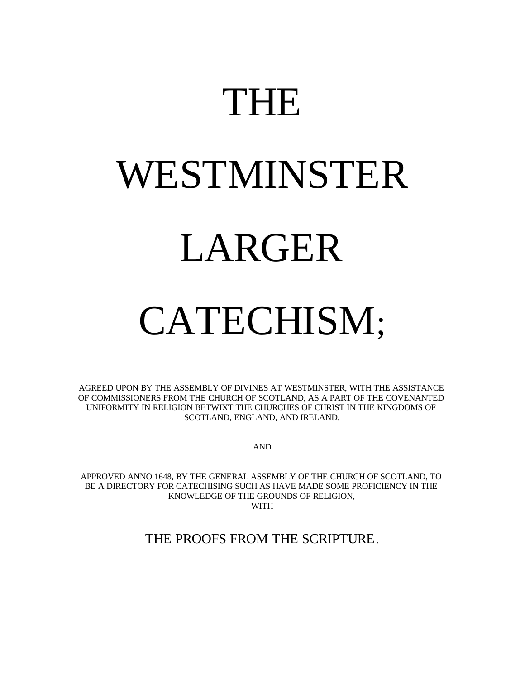# THE

# WESTMINSTER LARGER

# CATECHISM;

AGREED UPON BY THE ASSEMBLY OF DIVINES AT WESTMINSTER, WITH THE ASSISTANCE OF COMMISSIONERS FROM THE CHURCH OF SCOTLAND, AS A PART OF THE COVENANTED UNIFORMITY IN RELIGION BETWIXT THE CHURCHES OF CHRIST IN THE KINGDOMS OF SCOTLAND, ENGLAND, AND IRELAND.

AND

APPROVED ANNO 1648, BY THE GENERAL ASSEMBLY OF THE CHURCH OF SCOTLAND, TO BE A DIRECTORY FOR CATECHISING SUCH AS HAVE MADE SOME PROFICIENCY IN THE KNOWLEDGE OF THE GROUNDS OF RELIGION, WITH

THE PROOFS FROM THE SCRIPTURE .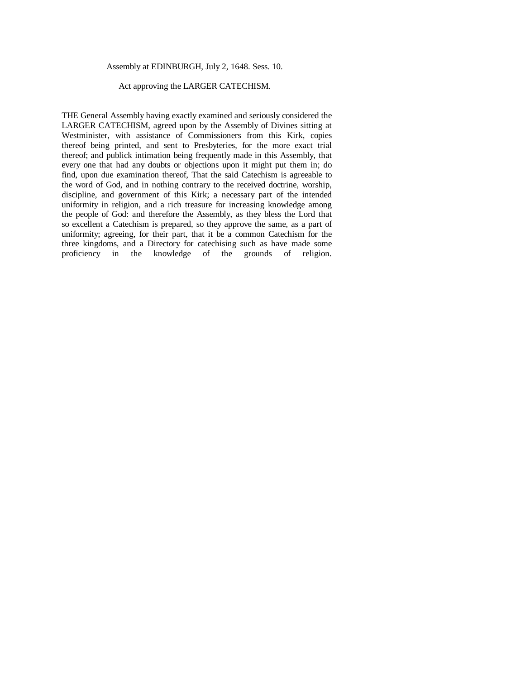#### Assembly at EDINBURGH, July 2, 1648. Sess. 10.

#### Act approving the LARGER CATECHISM.

THE General Assembly having exactly examined and seriously considered the LARGER CATECHISM, agreed upon by the Assembly of Divines sitting at Westminister, with assistance of Commissioners from this Kirk, copies thereof being printed, and sent to Presbyteries, for the more exact trial thereof; and publick intimation being frequently made in this Assembly, that every one that had any doubts or objections upon it might put them in; do find, upon due examination thereof, That the said Catechism is agreeable to the word of God, and in nothing contrary to the received doctrine, worship, discipline, and government of this Kirk; a necessary part of the intended uniformity in religion, and a rich treasure for increasing knowledge among the people of God: and therefore the Assembly, as they bless the Lord that so excellent a Catechism is prepared, so they approve the same, as a part of uniformity; agreeing, for their part, that it be a common Catechism for the three kingdoms, and a Directory for catechising such as have made some proficiency in the knowledge of the grounds of religion.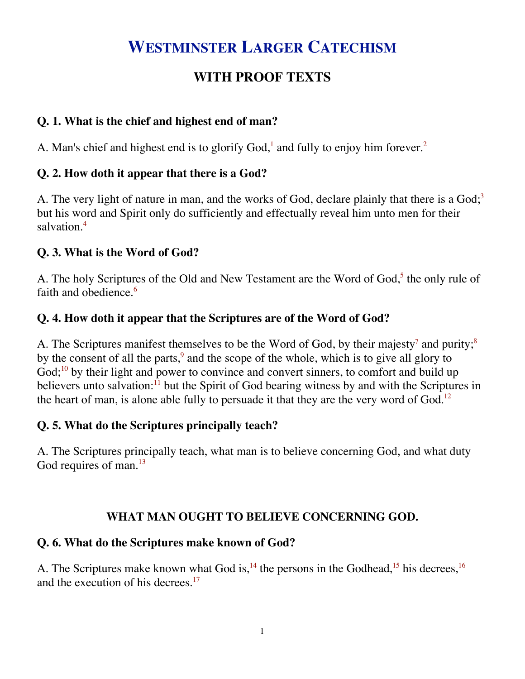## **WESTMINSTER LARGER CATECHISM**

### **WITH PROOF TEXTS**

#### **Q. 1. What is the chief and highest end of man?**

A. Man's chief and highest end is to glorify  $God<sup>1</sup>$  and fully to enjoy him forever.<sup>2</sup>

#### **Q. 2. How doth it appear that there is a God?**

A. The very light of nature in man, and the works of God, declare plainly that there is a  $God;³$ but his word and Spirit only do sufficiently and effectually reveal him unto men for their salvation.<sup>4</sup>

#### **Q. 3. What is the Word of God?**

A. The holy Scriptures of the Old and New Testament are the Word of God,<sup>5</sup> the only rule of faith and obedience.<sup>6</sup>

#### **Q. 4. How doth it appear that the Scriptures are of the Word of God?**

A. The Scriptures manifest themselves to be the Word of God, by their majesty<sup>7</sup> and purity;<sup>8</sup> by the consent of all the parts,<sup>9</sup> and the scope of the whole, which is to give all glory to God; $^{10}$  by their light and power to convince and convert sinners, to comfort and build up believers unto salvation: $<sup>11</sup>$  but the Spirit of God bearing witness by and with the Scriptures in</sup> the heart of man, is alone able fully to persuade it that they are the very word of God.<sup>12</sup>

#### **Q. 5. What do the Scriptures principally teach?**

A. The Scriptures principally teach, what man is to believe concerning God, and what duty God requires of man.<sup>13</sup>

#### **WHAT MAN OUGHT TO BELIEVE CONCERNING GOD.**

#### **Q. 6. What do the Scriptures make known of God?**

A. The Scriptures make known what God is,<sup>14</sup> the persons in the Godhead,<sup>15</sup> his decrees,<sup>16</sup> and the execution of his decrees.<sup>17</sup>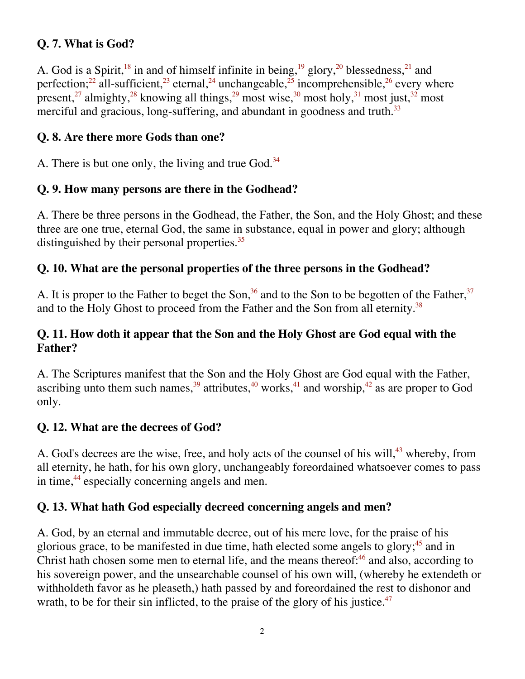#### **Q. 7. What is God?**

A. God is a Spirit,<sup>18</sup> in and of himself infinite in being,<sup>19</sup> glory,<sup>20</sup> blessedness,<sup>21</sup> and perfection;<sup>22</sup> all-sufficient,<sup>23</sup> eternal,<sup>24</sup> unchangeable,<sup>25</sup> incomprehensible,<sup>26</sup> every where present,<sup>27</sup> almighty,<sup>28</sup> knowing all things,<sup>29</sup> most wise,<sup>30</sup> most holy,<sup>31</sup> most just,<sup>32</sup> most merciful and gracious, long-suffering, and abundant in goodness and truth.<sup>33</sup>

#### **Q. 8. Are there more Gods than one?**

A. There is but one only, the living and true God.<sup>34</sup>

#### **Q. 9. How many persons are there in the Godhead?**

A. There be three persons in the Godhead, the Father, the Son, and the Holy Ghost; and these three are one true, eternal God, the same in substance, equal in power and glory; although distinguished by their personal properties.<sup>35</sup>

#### **Q. 10. What are the personal properties of the three persons in the Godhead?**

A. It is proper to the Father to beget the Son,<sup>36</sup> and to the Son to be begotten of the Father,<sup>37</sup> and to the Holy Ghost to proceed from the Father and the Son from all eternity.<sup>38</sup>

#### **Q. 11. How doth it appear that the Son and the Holy Ghost are God equal with the Father?**

A. The Scriptures manifest that the Son and the Holy Ghost are God equal with the Father, ascribing unto them such names,  $39$  attributes,  $40$  works,  $41$  and worship,  $42$  as are proper to God only.

#### **Q. 12. What are the decrees of God?**

A. God's decrees are the wise, free, and holy acts of the counsel of his will,<sup>43</sup> whereby, from all eternity, he hath, for his own glory, unchangeably foreordained whatsoever comes to pass in time,<sup>44</sup> especially concerning angels and men.

#### **Q. 13. What hath God especially decreed concerning angels and men?**

A. God, by an eternal and immutable decree, out of his mere love, for the praise of his glorious grace, to be manifested in due time, hath elected some angels to glory;  $45$  and in Christ hath chosen some men to eternal life, and the means thereof: $46$  and also, according to his sovereign power, and the unsearchable counsel of his own will, (whereby he extendeth or withholdeth favor as he pleaseth,) hath passed by and foreordained the rest to dishonor and wrath, to be for their sin inflicted, to the praise of the glory of his justice. $47$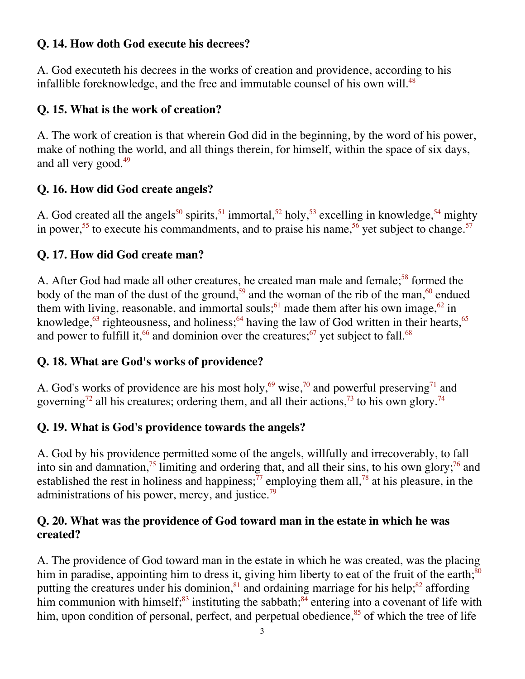#### **Q. 14. How doth God execute his decrees?**

A. God executeth his decrees in the works of creation and providence, according to his infallible foreknowledge, and the free and immutable counsel of his own will.<sup>48</sup>

#### **Q. 15. What is the work of creation?**

A. The work of creation is that wherein God did in the beginning, by the word of his power, make of nothing the world, and all things therein, for himself, within the space of six days, and all very good.<sup>49</sup>

#### **Q. 16. How did God create angels?**

A. God created all the angels<sup>50</sup> spirits,<sup>51</sup> immortal,<sup>52</sup> holy,<sup>53</sup> excelling in knowledge,<sup>54</sup> mighty in power,<sup>55</sup> to execute his commandments, and to praise his name,  $56$  yet subject to change.<sup>57</sup>

#### **Q. 17. How did God create man?**

A. After God had made all other creatures, he created man male and female;<sup>58</sup> formed the body of the man of the dust of the ground,<sup>59</sup> and the woman of the rib of the man,<sup>60</sup> endued them with living, reasonable, and immortal souls;<sup>61</sup> made them after his own image,<sup>62</sup> in knowledge,<sup>63</sup> righteousness, and holiness;<sup>64</sup> having the law of God written in their hearts,<sup>65</sup> and power to fulfill it,  $66$  and dominion over the creatures;  $67$  yet subject to fall.  $68$ 

#### **Q. 18. What are God's works of providence?**

A. God's works of providence are his most holy,<sup>69</sup> wise,<sup>70</sup> and powerful preserving<sup>71</sup> and governing<sup>72</sup> all his creatures; ordering them, and all their actions,<sup>73</sup> to his own glory.<sup>74</sup>

#### **Q. 19. What is God's providence towards the angels?**

A. God by his providence permitted some of the angels, willfully and irrecoverably, to fall into sin and damnation,<sup>75</sup> limiting and ordering that, and all their sins, to his own glory;<sup>76</sup> and established the rest in holiness and happiness;  $\frac{7}{7}$  employing them all,  $\frac{7}{8}$  at his pleasure, in the administrations of his power, mercy, and justice. $79$ 

#### **Q. 20. What was the providence of God toward man in the estate in which he was created?**

A. The providence of God toward man in the estate in which he was created, was the placing him in paradise, appointing him to dress it, giving him liberty to eat of the fruit of the earth; $\frac{80}{100}$ putting the creatures under his dominion, $81$  and ordaining marriage for his help; $82$  affording him communion with himself;<sup>83</sup> instituting the sabbath;<sup>84</sup> entering into a covenant of life with him, upon condition of personal, perfect, and perpetual obedience, $85$  of which the tree of life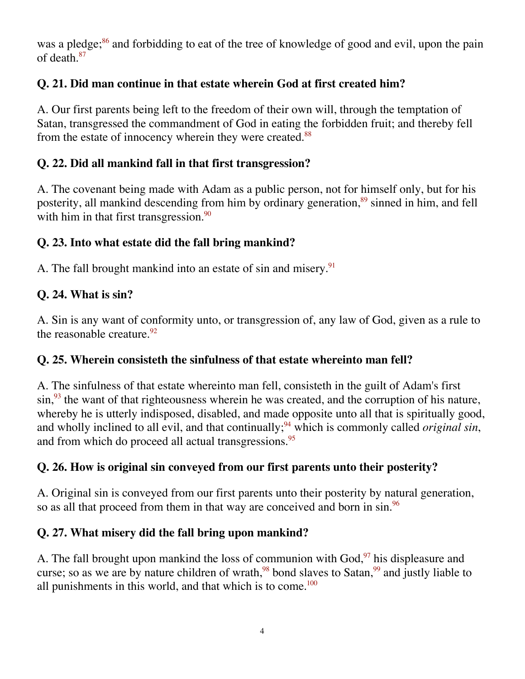was a pledge;<sup>86</sup> and forbidding to eat of the tree of knowledge of good and evil, upon the pain of death.<sup>87</sup>

#### **Q. 21. Did man continue in that estate wherein God at first created him?**

A. Our first parents being left to the freedom of their own will, through the temptation of Satan, transgressed the commandment of God in eating the forbidden fruit; and thereby fell from the estate of innocency wherein they were created.<sup>88</sup>

#### **Q. 22. Did all mankind fall in that first transgression?**

A. The covenant being made with Adam as a public person, not for himself only, but for his posterity, all mankind descending from him by ordinary generation,<sup>89</sup> sinned in him, and fell with him in that first transgression. $\frac{90}{90}$ 

#### **Q. 23. Into what estate did the fall bring mankind?**

A. The fall brought mankind into an estate of sin and misery.<sup>91</sup>

#### **Q. 24. What is sin?**

A. Sin is any want of conformity unto, or transgression of, any law of God, given as a rule to the reasonable creature.  $92$ 

#### **Q. 25. Wherein consisteth the sinfulness of that estate whereinto man fell?**

A. The sinfulness of that estate whereinto man fell, consisteth in the guilt of Adam's first  $\sin$ ,  $\frac{93}{3}$  the want of that righteousness wherein he was created, and the corruption of his nature, whereby he is utterly indisposed, disabled, and made opposite unto all that is spiritually good, and wholly inclined to all evil, and that continually;<sup>94</sup> which is commonly called *original sin*, and from which do proceed all actual transgressions.<sup>95</sup>

#### **Q. 26. How is original sin conveyed from our first parents unto their posterity?**

A. Original sin is conveyed from our first parents unto their posterity by natural generation, so as all that proceed from them in that way are conceived and born in sin.<sup>96</sup>

#### **Q. 27. What misery did the fall bring upon mankind?**

A. The fall brought upon mankind the loss of communion with God,<sup>97</sup> his displeasure and curse; so as we are by nature children of wrath,  $98$  bond slaves to Satan,  $99$  and justly liable to all punishments in this world, and that which is to come.<sup>100</sup>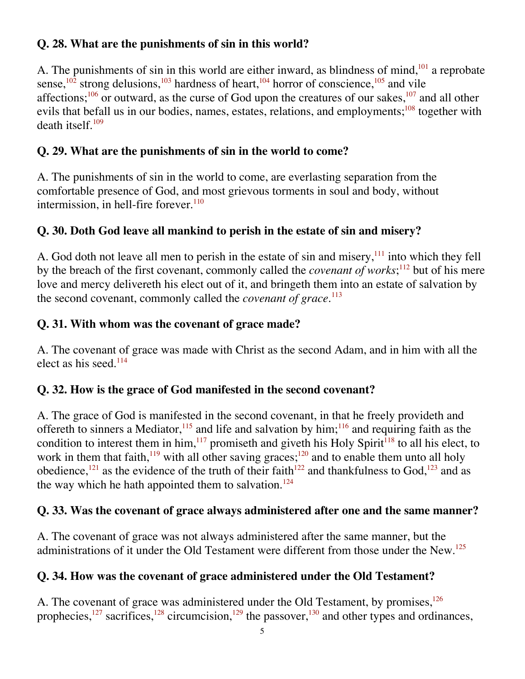#### **Q. 28. What are the punishments of sin in this world?**

A. The punishments of sin in this world are either inward, as blindness of mind, $101$  a reprobate sense,<sup>102</sup> strong delusions,<sup>103</sup> hardness of heart,<sup>104</sup> horror of conscience,<sup>105</sup> and vile affections;<sup>106</sup> or outward, as the curse of God upon the creatures of our sakes,<sup>107</sup> and all other evils that befall us in our bodies, names, estates, relations, and employments;<sup>108</sup> together with death itself. $109$ 

#### **Q. 29. What are the punishments of sin in the world to come?**

A. The punishments of sin in the world to come, are everlasting separation from the comfortable presence of God, and most grievous torments in soul and body, without intermission, in hell-fire forever. $110$ 

#### **Q. 30. Doth God leave all mankind to perish in the estate of sin and misery?**

A. God doth not leave all men to perish in the estate of sin and misery,<sup>111</sup> into which they fell by the breach of the first covenant, commonly called the *covenant of works*;<sup>112</sup> but of his mere love and mercy delivereth his elect out of it, and bringeth them into an estate of salvation by the second covenant, commonly called the *covenant of grace*. 113

#### **Q. 31. With whom was the covenant of grace made?**

A. The covenant of grace was made with Christ as the second Adam, and in him with all the elect as his seed. $114$ 

#### **Q. 32. How is the grace of God manifested in the second covenant?**

A. The grace of God is manifested in the second covenant, in that he freely provideth and offereth to sinners a Mediator,<sup>115</sup> and life and salvation by him;<sup>116</sup> and requiring faith as the condition to interest them in him,  $117$  promiseth and giveth his Holy Spirit<sup>118</sup> to all his elect, to work in them that faith,<sup>119</sup> with all other saving graces;<sup>120</sup> and to enable them unto all holy obedience,<sup>121</sup> as the evidence of the truth of their faith<sup>122</sup> and thankfulness to God,<sup>123</sup> and as the way which he hath appointed them to salvation.<sup>124</sup>

#### **Q. 33. Was the covenant of grace always administered after one and the same manner?**

A. The covenant of grace was not always administered after the same manner, but the administrations of it under the Old Testament were different from those under the New.<sup>125</sup>

#### **Q. 34. How was the covenant of grace administered under the Old Testament?**

A. The covenant of grace was administered under the Old Testament, by promises,<sup>126</sup> prophecies,<sup>127</sup> sacrifices,<sup>128</sup> circumcision,<sup>129</sup> the passover,<sup>130</sup> and other types and ordinances,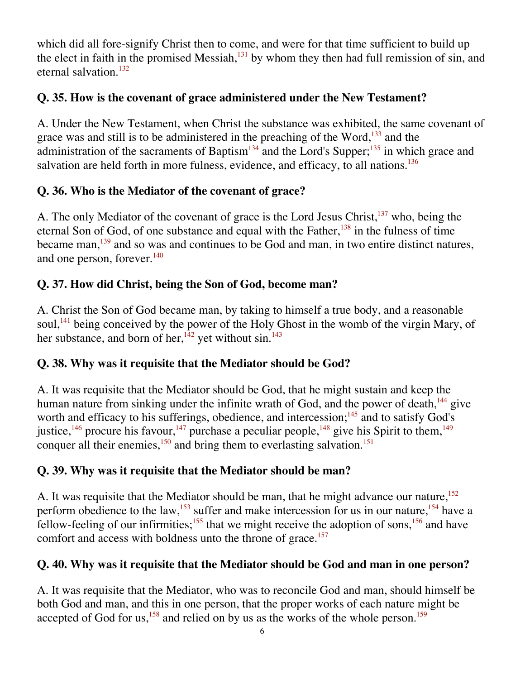which did all fore-signify Christ then to come, and were for that time sufficient to build up the elect in faith in the promised Messiah, $^{131}$  by whom they then had full remission of sin, and eternal salvation.132

#### **Q. 35. How is the covenant of grace administered under the New Testament?**

A. Under the New Testament, when Christ the substance was exhibited, the same covenant of grace was and still is to be administered in the preaching of the Word, $133$  and the administration of the sacraments of Baptism<sup>134</sup> and the Lord's Supper;<sup>135</sup> in which grace and salvation are held forth in more fulness, evidence, and efficacy, to all nations.<sup>136</sup>

#### **Q. 36. Who is the Mediator of the covenant of grace?**

A. The only Mediator of the covenant of grace is the Lord Jesus Christ, $137$  who, being the eternal Son of God, of one substance and equal with the Father,  $138$  in the fulness of time became man,<sup>139</sup> and so was and continues to be God and man, in two entire distinct natures, and one person, forever.<sup>140</sup>

#### **Q. 37. How did Christ, being the Son of God, become man?**

A. Christ the Son of God became man, by taking to himself a true body, and a reasonable soul,<sup> $141$ </sup> being conceived by the power of the Holy Ghost in the womb of the virgin Mary, of her substance, and born of her,<sup>142</sup> yet without sin.<sup>143</sup>

#### **Q. 38. Why was it requisite that the Mediator should be God?**

A. It was requisite that the Mediator should be God, that he might sustain and keep the human nature from sinking under the infinite wrath of God, and the power of death,<sup>144</sup> give worth and efficacy to his sufferings, obedience, and intercession; $145$  and to satisfy God's justice,  $^{146}$  procure his favour,  $^{147}$  purchase a peculiar people,  $^{148}$  give his Spirit to them,  $^{149}$ conquer all their enemies,<sup>150</sup> and bring them to everlasting salvation.<sup>151</sup>

#### **Q. 39. Why was it requisite that the Mediator should be man?**

A. It was requisite that the Mediator should be man, that he might advance our nature,<sup>152</sup> perform obedience to the law,<sup>153</sup> suffer and make intercession for us in our nature,<sup>154</sup> have a fellow-feeling of our infirmities;<sup>155</sup> that we might receive the adoption of sons,<sup>156</sup> and have comfort and access with boldness unto the throne of grace.<sup>157</sup>

#### **Q. 40. Why was it requisite that the Mediator should be God and man in one person?**

A. It was requisite that the Mediator, who was to reconcile God and man, should himself be both God and man, and this in one person, that the proper works of each nature might be accepted of God for us,  $158$  and relied on by us as the works of the whole person.<sup>159</sup>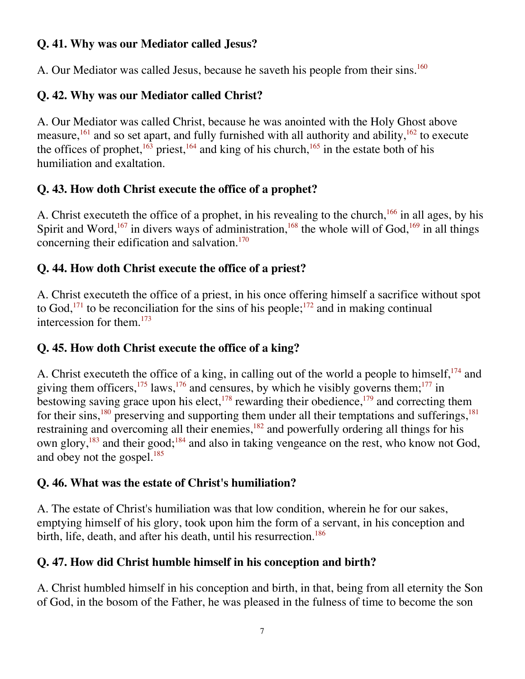#### **Q. 41. Why was our Mediator called Jesus?**

A. Our Mediator was called Jesus, because he saveth his people from their sins.<sup>160</sup>

### **Q. 42. Why was our Mediator called Christ?**

A. Our Mediator was called Christ, because he was anointed with the Holy Ghost above measure,<sup>161</sup> and so set apart, and fully furnished with all authority and ability,<sup>162</sup> to execute the offices of prophet,  $163$  priest,  $164$  and king of his church,  $165$  in the estate both of his humiliation and exaltation.

#### **Q. 43. How doth Christ execute the office of a prophet?**

A. Christ executeth the office of a prophet, in his revealing to the church,<sup>166</sup> in all ages, by his Spirit and Word,<sup>167</sup> in divers ways of administration,<sup>168</sup> the whole will of God,<sup>169</sup> in all things concerning their edification and salvation.170

#### **Q. 44. How doth Christ execute the office of a priest?**

A. Christ executeth the office of a priest, in his once offering himself a sacrifice without spot to God,<sup>171</sup> to be reconciliation for the sins of his people;<sup>172</sup> and in making continual intercession for them. $173$ 

#### **Q. 45. How doth Christ execute the office of a king?**

A. Christ executeth the office of a king, in calling out of the world a people to himself,  $^{174}$  and giving them officers,<sup>175</sup> laws,<sup>176</sup> and censures, by which he visibly governs them;<sup>177</sup> in bestowing saving grace upon his elect,  $178$  rewarding their obedience,  $179$  and correcting them for their sins,<sup>180</sup> preserving and supporting them under all their temptations and sufferings,<sup>181</sup> restraining and overcoming all their enemies,<sup>182</sup> and powerfully ordering all things for his own glory,  $^{183}$  and their good;  $^{184}$  and also in taking vengeance on the rest, who know not God, and obey not the gospel.<sup>185</sup>

#### **Q. 46. What was the estate of Christ's humiliation?**

A. The estate of Christ's humiliation was that low condition, wherein he for our sakes, emptying himself of his glory, took upon him the form of a servant, in his conception and birth, life, death, and after his death, until his resurrection.<sup>186</sup>

#### **Q. 47. How did Christ humble himself in his conception and birth?**

A. Christ humbled himself in his conception and birth, in that, being from all eternity the Son of God, in the bosom of the Father, he was pleased in the fulness of time to become the son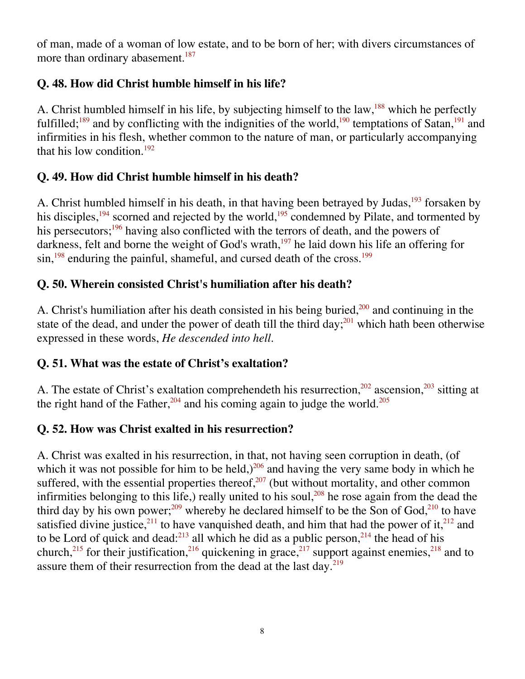of man, made of a woman of low estate, and to be born of her; with divers circumstances of more than ordinary abasement.<sup>187</sup>

#### **Q. 48. How did Christ humble himself in his life?**

A. Christ humbled himself in his life, by subjecting himself to the law,<sup>188</sup> which he perfectly fulfilled;<sup>189</sup> and by conflicting with the indignities of the world,<sup>190</sup> temptations of Satan,<sup>191</sup> and infirmities in his flesh, whether common to the nature of man, or particularly accompanying that his low condition. $192$ 

#### **Q. 49. How did Christ humble himself in his death?**

A. Christ humbled himself in his death, in that having been betrayed by Judas,  $193$  forsaken by his disciples,<sup>194</sup> scorned and rejected by the world,<sup>195</sup> condemned by Pilate, and tormented by his persecutors;<sup>196</sup> having also conflicted with the terrors of death, and the powers of darkness, felt and borne the weight of God's wrath, $197$  he laid down his life an offering for  $\sin^{198}$  enduring the painful, shameful, and cursed death of the cross.<sup>199</sup>

#### **Q. 50. Wherein consisted Christ's humiliation after his death?**

A. Christ's humiliation after his death consisted in his being buried, $200$  and continuing in the state of the dead, and under the power of death till the third day;  $^{201}$  which hath been otherwise expressed in these words, *He descended into hell*.

#### **Q. 51. What was the estate of Christ's exaltation?**

A. The estate of Christ's exaltation comprehendeth his resurrection,  $202$  ascension,  $203$  sitting at the right hand of the Father,  $204$  and his coming again to judge the world.<sup>205</sup>

#### **Q. 52. How was Christ exalted in his resurrection?**

A. Christ was exalted in his resurrection, in that, not having seen corruption in death, (of which it was not possible for him to be held,) $^{206}$  and having the very same body in which he suffered, with the essential properties thereof, $207$  (but without mortality, and other common infirmities belonging to this life,) really united to his soul,  $208$  he rose again from the dead the third day by his own power;<sup>209</sup> whereby he declared himself to be the Son of God,<sup>210</sup> to have satisfied divine justice,<sup>211</sup> to have vanquished death, and him that had the power of it,<sup>212</sup> and to be Lord of quick and dead:<sup>213</sup> all which he did as a public person,<sup>214</sup> the head of his church,<sup>215</sup> for their justification,<sup>216</sup> quickening in grace,<sup>217</sup> support against enemies,<sup>218</sup> and to assure them of their resurrection from the dead at the last day.<sup>219</sup>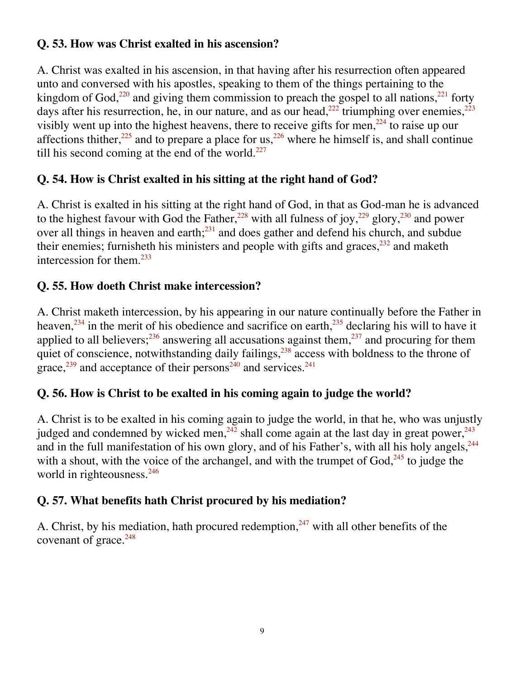#### **Q. 53. How was Christ exalted in his ascension?**

A. Christ was exalted in his ascension, in that having after his resurrection often appeared unto and conversed with his apostles, speaking to them of the things pertaining to the kingdom of God,<sup>220</sup> and giving them commission to preach the gospel to all nations,<sup>221</sup> forty days after his resurrection, he, in our nature, and as our head,<sup>222</sup> triumphing over enemies,<sup>223</sup> visibly went up into the highest heavens, there to receive gifts for men,<sup>224</sup> to raise up our affections thither,<sup>225</sup> and to prepare a place for us,<sup>226</sup> where he himself is, and shall continue till his second coming at the end of the world. $^{227}$ 

#### **Q. 54. How is Christ exalted in his sitting at the right hand of God?**

A. Christ is exalted in his sitting at the right hand of God, in that as God-man he is advanced to the highest favour with God the Father,<sup>228</sup> with all fulness of joy,<sup>229</sup> glory,<sup>230</sup> and power over all things in heaven and earth;<sup>231</sup> and does gather and defend his church, and subdue their enemies; furnisheth his ministers and people with gifts and graces,  $232$  and maketh intercession for them. $^{233}$ 

#### **Q. 55. How doeth Christ make intercession?**

A. Christ maketh intercession, by his appearing in our nature continually before the Father in heaven,<sup>234</sup> in the merit of his obedience and sacrifice on earth,<sup>235</sup> declaring his will to have it applied to all believers;  $236$  answering all accusations against them,  $237$  and procuring for them quiet of conscience, notwithstanding daily failings,<sup>238</sup> access with boldness to the throne of grace, $^{239}$  and acceptance of their persons<sup>240</sup> and services.<sup>241</sup>

#### **Q. 56. How is Christ to be exalted in his coming again to judge the world?**

A. Christ is to be exalted in his coming again to judge the world, in that he, who was unjustly judged and condemned by wicked men,  $242$  shall come again at the last day in great power,  $243$ and in the full manifestation of his own glory, and of his Father's, with all his holy angels,  $244$ with a shout, with the voice of the archangel, and with the trumpet of  $God<sub>1</sub><sup>245</sup>$  to judge the world in righteousness.<sup>246</sup>

#### **Q. 57. What benefits hath Christ procured by his mediation?**

A. Christ, by his mediation, hath procured redemption,  $247$  with all other benefits of the covenant of grace.<sup>248</sup>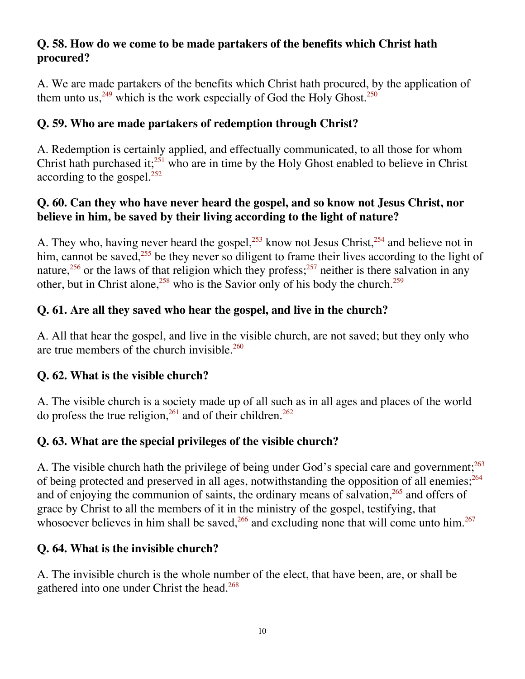#### **Q. 58. How do we come to be made partakers of the benefits which Christ hath procured?**

A. We are made partakers of the benefits which Christ hath procured, by the application of them unto us,  $249$  which is the work especially of God the Holy Ghost.<sup>250</sup>

#### **Q. 59. Who are made partakers of redemption through Christ?**

A. Redemption is certainly applied, and effectually communicated, to all those for whom Christ hath purchased it; $^{251}$  who are in time by the Holy Ghost enabled to believe in Christ according to the gospel.<sup>252</sup>

#### **Q. 60. Can they who have never heard the gospel, and so know not Jesus Christ, nor believe in him, be saved by their living according to the light of nature?**

A. They who, having never heard the gospel,<sup>253</sup> know not Jesus Christ,<sup>254</sup> and believe not in him, cannot be saved,  $255$  be they never so diligent to frame their lives according to the light of nature,<sup>256</sup> or the laws of that religion which they profess;<sup>257</sup> neither is there salvation in any other, but in Christ alone,  $258$  who is the Savior only of his body the church.<sup>259</sup>

#### **Q. 61. Are all they saved who hear the gospel, and live in the church?**

A. All that hear the gospel, and live in the visible church, are not saved; but they only who are true members of the church invisible. $260$ 

#### **Q. 62. What is the visible church?**

A. The visible church is a society made up of all such as in all ages and places of the world do profess the true religion,  $^{261}$  and of their children.<sup>262</sup>

#### **Q. 63. What are the special privileges of the visible church?**

A. The visible church hath the privilege of being under God's special care and government;<sup>263</sup> of being protected and preserved in all ages, notwithstanding the opposition of all enemies;<sup>264</sup> and of enjoying the communion of saints, the ordinary means of salvation,<sup>265</sup> and offers of grace by Christ to all the members of it in the ministry of the gospel, testifying, that whosoever believes in him shall be saved,  $266$  and excluding none that will come unto him.  $267$ 

#### **Q. 64. What is the invisible church?**

A. The invisible church is the whole number of the elect, that have been, are, or shall be gathered into one under Christ the head.<sup>268</sup>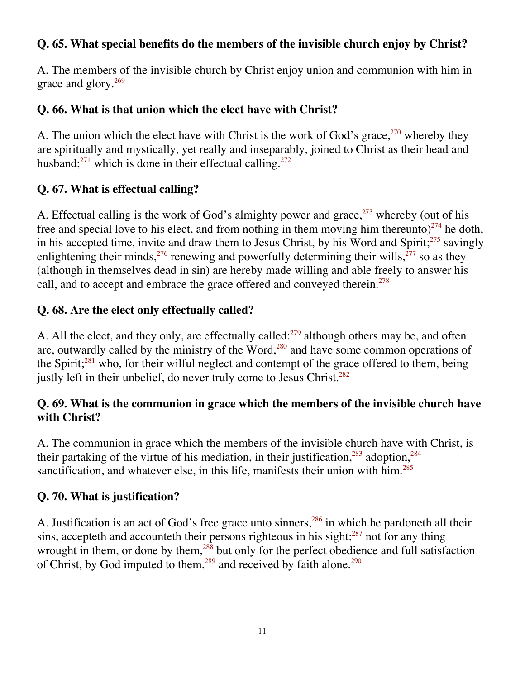#### **Q. 65. What special benefits do the members of the invisible church enjoy by Christ?**

A. The members of the invisible church by Christ enjoy union and communion with him in grace and glory.<sup>269</sup>

#### **Q. 66. What is that union which the elect have with Christ?**

A. The union which the elect have with Christ is the work of God's grace,  $270$  whereby they are spiritually and mystically, yet really and inseparably, joined to Christ as their head and husband;<sup>271</sup> which is done in their effectual calling.<sup>272</sup>

#### **Q. 67. What is effectual calling?**

A. Effectual calling is the work of God's almighty power and grace,  $273$  whereby (out of his free and special love to his elect, and from nothing in them moving him thereunto)<sup>274</sup> he doth, in his accepted time, invite and draw them to Jesus Christ, by his Word and Spirit; $^{275}$  savingly enlightening their minds,  $276$  renewing and powerfully determining their wills,  $277$  so as they (although in themselves dead in sin) are hereby made willing and able freely to answer his call, and to accept and embrace the grace offered and conveyed therein.<sup>278</sup>

#### **Q. 68. Are the elect only effectually called?**

A. All the elect, and they only, are effectually called:<sup>279</sup> although others may be, and often are, outwardly called by the ministry of the Word, $280$  and have some common operations of the Spirit; $281$  who, for their wilful neglect and contempt of the grace offered to them, being justly left in their unbelief, do never truly come to Jesus Christ.<sup>282</sup>

#### **Q. 69. What is the communion in grace which the members of the invisible church have with Christ?**

A. The communion in grace which the members of the invisible church have with Christ, is their partaking of the virtue of his mediation, in their justification,  $283$  adoption,  $284$ sanctification, and whatever else, in this life, manifests their union with him.<sup>285</sup>

#### **Q. 70. What is justification?**

A. Justification is an act of God's free grace unto sinners,  $286$  in which he pardoneth all their sins, accepteth and accounteth their persons righteous in his sight; $287$  not for any thing wrought in them, or done by them, $^{288}$  but only for the perfect obedience and full satisfaction of Christ, by God imputed to them,<sup>289</sup> and received by faith alone.<sup>290</sup>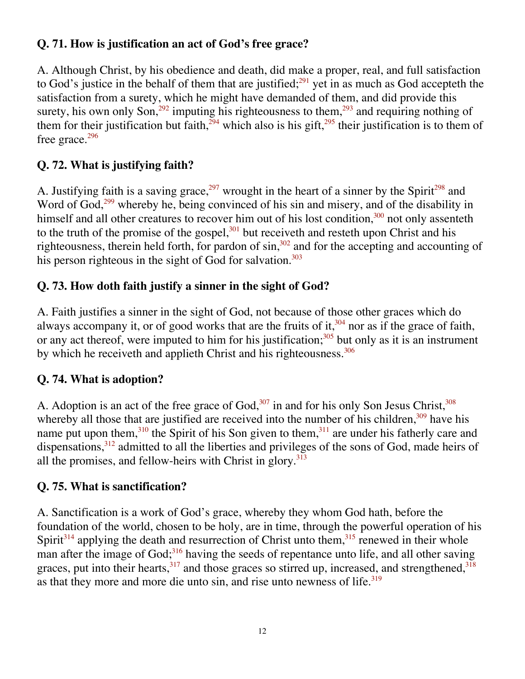#### **Q. 71. How is justification an act of God's free grace?**

A. Although Christ, by his obedience and death, did make a proper, real, and full satisfaction to God's justice in the behalf of them that are justified; $291$  yet in as much as God accepteth the satisfaction from a surety, which he might have demanded of them, and did provide this surety, his own only Son,<sup>292</sup> imputing his righteousness to them,<sup>293</sup> and requiring nothing of them for their justification but faith,<sup>294</sup> which also is his gift,<sup>295</sup> their justification is to them of free grace.<sup>296</sup>

#### **Q. 72. What is justifying faith?**

A. Justifying faith is a saving grace,<sup>297</sup> wrought in the heart of a sinner by the Spirit<sup>298</sup> and Word of God,<sup>299</sup> whereby he, being convinced of his sin and misery, and of the disability in himself and all other creatures to recover him out of his lost condition,<sup>300</sup> not only assenteth to the truth of the promise of the gospel, $301$  but receiveth and resteth upon Christ and his righteousness, therein held forth, for pardon of  $\sin$ ,<sup>302</sup> and for the accepting and accounting of his person righteous in the sight of God for salvation.<sup>303</sup>

#### **Q. 73. How doth faith justify a sinner in the sight of God?**

A. Faith justifies a sinner in the sight of God, not because of those other graces which do always accompany it, or of good works that are the fruits of it, $304$  nor as if the grace of faith, or any act thereof, were imputed to him for his justification; $305$  but only as it is an instrument by which he receiveth and applieth Christ and his righteousness.<sup>306</sup>

#### **Q. 74. What is adoption?**

A. Adoption is an act of the free grace of  $God$ ,  $307$  in and for his only Son Jesus Christ,  $308$ whereby all those that are justified are received into the number of his children, $309$  have his name put upon them, $310$  the Spirit of his Son given to them,  $311$  are under his fatherly care and dispensations,312 admitted to all the liberties and privileges of the sons of God, made heirs of all the promises, and fellow-heirs with Christ in glory. $313$ 

#### **Q. 75. What is sanctification?**

A. Sanctification is a work of God's grace, whereby they whom God hath, before the foundation of the world, chosen to be holy, are in time, through the powerful operation of his Spirit<sup>314</sup> applying the death and resurrection of Christ unto them,<sup>315</sup> renewed in their whole man after the image of God; $316$  having the seeds of repentance unto life, and all other saving graces, put into their hearts,  $317$  and those graces so stirred up, increased, and strengthened,  $318$ as that they more and more die unto sin, and rise unto newness of life. $319$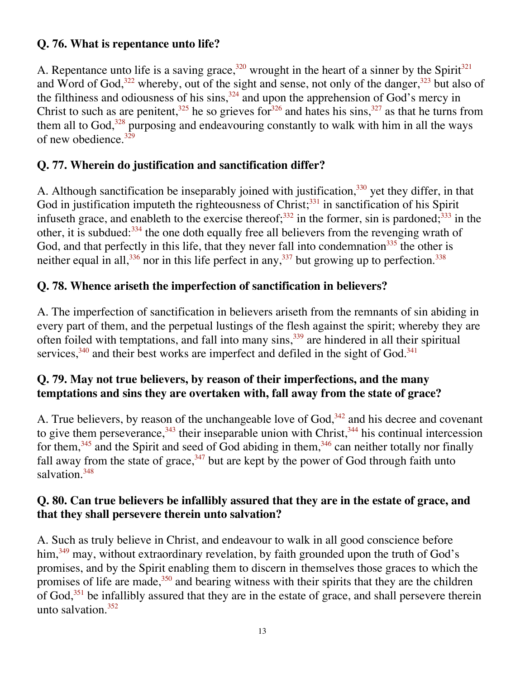#### **Q. 76. What is repentance unto life?**

A. Repentance unto life is a saving grace,<sup>320</sup> wrought in the heart of a sinner by the Spirit<sup>321</sup> and Word of God,  $322$  whereby, out of the sight and sense, not only of the danger,  $323$  but also of the filthiness and odiousness of his sins,  $324$  and upon the apprehension of God's mercy in Christ to such as are penitent,<sup>325</sup> he so grieves for<sup>326</sup> and hates his sins,<sup>327</sup> as that he turns from them all to God, $328$  purposing and endeavouring constantly to walk with him in all the ways of new obedience. $329$ 

#### **Q. 77. Wherein do justification and sanctification differ?**

A. Although sanctification be inseparably joined with justification,<sup>330</sup> yet they differ, in that God in justification imputeth the righteousness of Christ; $331$  in sanctification of his Spirit infuseth grace, and enableth to the exercise thereof;<sup>332</sup> in the former, sin is pardoned;<sup>333</sup> in the other, it is subdued:<sup>334</sup> the one doth equally free all believers from the revenging wrath of God, and that perfectly in this life, that they never fall into condemnation<sup>335</sup> the other is neither equal in all,  $336$  nor in this life perfect in any,  $337$  but growing up to perfection.  $338$ 

#### **Q. 78. Whence ariseth the imperfection of sanctification in believers?**

A. The imperfection of sanctification in believers ariseth from the remnants of sin abiding in every part of them, and the perpetual lustings of the flesh against the spirit; whereby they are often foiled with temptations, and fall into many sins,  $339$  are hindered in all their spiritual services, $340$  and their best works are imperfect and defiled in the sight of God. $341$ 

#### **Q. 79. May not true believers, by reason of their imperfections, and the many temptations and sins they are overtaken with, fall away from the state of grace?**

A. True believers, by reason of the unchangeable love of  $God$ <sup>342</sup> and his decree and covenant to give them perseverance,  $343$  their inseparable union with Christ,  $344$  his continual intercession for them,  $345$  and the Spirit and seed of God abiding in them,  $346$  can neither totally nor finally fall away from the state of grace,  $347$  but are kept by the power of God through faith unto salvation.<sup>348</sup>

#### **Q. 80. Can true believers be infallibly assured that they are in the estate of grace, and that they shall persevere therein unto salvation?**

A. Such as truly believe in Christ, and endeavour to walk in all good conscience before him,<sup>349</sup> may, without extraordinary revelation, by faith grounded upon the truth of God's promises, and by the Spirit enabling them to discern in themselves those graces to which the promises of life are made, $350$  and bearing witness with their spirits that they are the children of God, $351$  be infallibly assured that they are in the estate of grace, and shall persevere therein unto salvation.<sup>352</sup>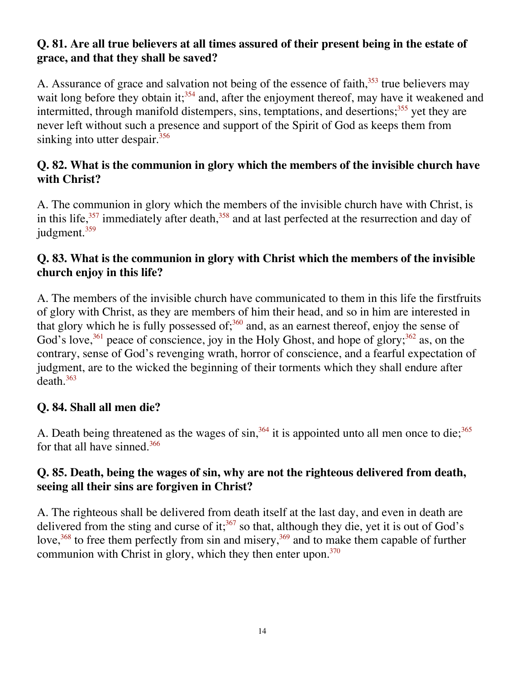#### **Q. 81. Are all true believers at all times assured of their present being in the estate of grace, and that they shall be saved?**

A. Assurance of grace and salvation not being of the essence of faith,  $353$  true believers may wait long before they obtain it;<sup>354</sup> and, after the enjoyment thereof, may have it weakened and intermitted, through manifold distempers, sins, temptations, and desertions; $355$  yet they are never left without such a presence and support of the Spirit of God as keeps them from sinking into utter despair.<sup>356</sup>

#### **Q. 82. What is the communion in glory which the members of the invisible church have with Christ?**

A. The communion in glory which the members of the invisible church have with Christ, is in this life, $357$  immediately after death, $358$  and at last perfected at the resurrection and day of judgment.<sup>359</sup>

#### **Q. 83. What is the communion in glory with Christ which the members of the invisible church enjoy in this life?**

A. The members of the invisible church have communicated to them in this life the firstfruits of glory with Christ, as they are members of him their head, and so in him are interested in that glory which he is fully possessed of; $360$  and, as an earnest thereof, enjoy the sense of God's love,  $361$  peace of conscience, joy in the Holy Ghost, and hope of glory;  $362$  as, on the contrary, sense of God's revenging wrath, horror of conscience, and a fearful expectation of judgment, are to the wicked the beginning of their torments which they shall endure after  $death.<sup>363</sup>$ 

#### **Q. 84. Shall all men die?**

A. Death being threatened as the wages of  $\sin^{364}$  it is appointed unto all men once to die;<sup>365</sup> for that all have sinned.<sup>366</sup>

#### **Q. 85. Death, being the wages of sin, why are not the righteous delivered from death, seeing all their sins are forgiven in Christ?**

A. The righteous shall be delivered from death itself at the last day, and even in death are delivered from the sting and curse of it;<sup>367</sup> so that, although they die, yet it is out of God's love,  $368$  to free them perfectly from sin and misery,  $369$  and to make them capable of further communion with Christ in glory, which they then enter upon. $370$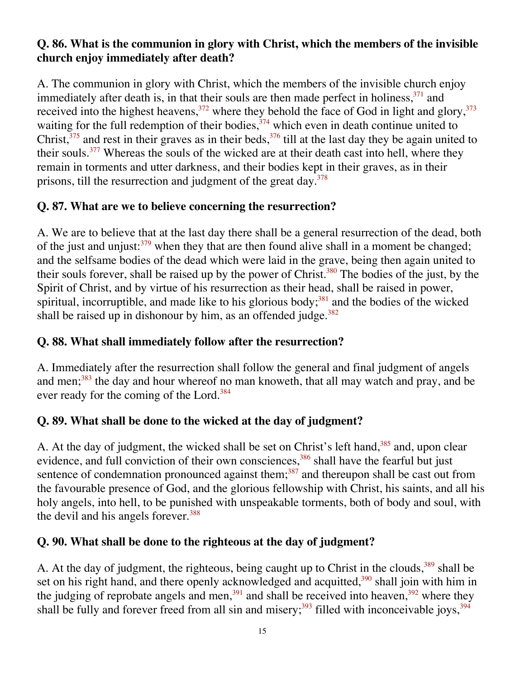#### **Q. 86. What is the communion in glory with Christ, which the members of the invisible church enjoy immediately after death?**

A. The communion in glory with Christ, which the members of the invisible church enjoy immediately after death is, in that their souls are then made perfect in holiness,  $371$  and received into the highest heavens,  $372$  where they behold the face of God in light and glory,  $373$ waiting for the full redemption of their bodies,  $374$  which even in death continue united to Christ, $375$  and rest in their graves as in their beds,  $376$  till at the last day they be again united to their souls.<sup>377</sup> Whereas the souls of the wicked are at their death cast into hell, where they remain in torments and utter darkness, and their bodies kept in their graves, as in their prisons, till the resurrection and judgment of the great day. $378$ 

#### **Q. 87. What are we to believe concerning the resurrection?**

A. We are to believe that at the last day there shall be a general resurrection of the dead, both of the just and unjust: $379$  when they that are then found alive shall in a moment be changed; and the selfsame bodies of the dead which were laid in the grave, being then again united to their souls forever, shall be raised up by the power of Christ.<sup>380</sup> The bodies of the just, by the Spirit of Christ, and by virtue of his resurrection as their head, shall be raised in power, spiritual, incorruptible, and made like to his glorious body; $381$  and the bodies of the wicked shall be raised up in dishonour by him, as an offended judge. $382$ 

#### **Q. 88. What shall immediately follow after the resurrection?**

A. Immediately after the resurrection shall follow the general and final judgment of angels and men;<sup>383</sup> the day and hour whereof no man knoweth, that all may watch and pray, and be ever ready for the coming of the Lord.<sup>384</sup>

#### **Q. 89. What shall be done to the wicked at the day of judgment?**

A. At the day of judgment, the wicked shall be set on Christ's left hand,<sup>385</sup> and, upon clear evidence, and full conviction of their own consciences,<sup>386</sup> shall have the fearful but just sentence of condemnation pronounced against them; $387$  and thereupon shall be cast out from the favourable presence of God, and the glorious fellowship with Christ, his saints, and all his holy angels, into hell, to be punished with unspeakable torments, both of body and soul, with the devil and his angels forever.<sup>388</sup>

#### **Q. 90. What shall be done to the righteous at the day of judgment?**

A. At the day of judgment, the righteous, being caught up to Christ in the clouds,<sup>389</sup> shall be set on his right hand, and there openly acknowledged and acquitted,<sup>390</sup> shall join with him in the judging of reprobate angels and men,  $391$  and shall be received into heaven,  $392$  where they shall be fully and forever freed from all sin and misery;  $393$  filled with inconceivable joys,  $394$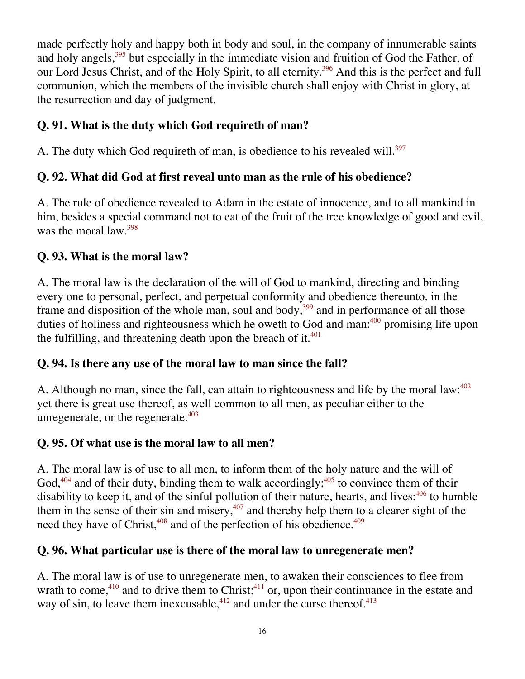made perfectly holy and happy both in body and soul, in the company of innumerable saints and holy angels,<sup>395</sup> but especially in the immediate vision and fruition of God the Father, of our Lord Jesus Christ, and of the Holy Spirit, to all eternity.<sup>396</sup> And this is the perfect and full communion, which the members of the invisible church shall enjoy with Christ in glory, at the resurrection and day of judgment.

#### **Q. 91. What is the duty which God requireth of man?**

A. The duty which God requireth of man, is obedience to his revealed will.<sup>397</sup>

#### **Q. 92. What did God at first reveal unto man as the rule of his obedience?**

A. The rule of obedience revealed to Adam in the estate of innocence, and to all mankind in him, besides a special command not to eat of the fruit of the tree knowledge of good and evil, was the moral  $\text{law}^{\,398}$ 

#### **Q. 93. What is the moral law?**

A. The moral law is the declaration of the will of God to mankind, directing and binding every one to personal, perfect, and perpetual conformity and obedience thereunto, in the frame and disposition of the whole man, soul and body,  $399$  and in performance of all those duties of holiness and righteousness which he oweth to God and man:<sup>400</sup> promising life upon the fulfilling, and threatening death upon the breach of it. $401$ 

#### **Q. 94. Is there any use of the moral law to man since the fall?**

A. Although no man, since the fall, can attain to righteousness and life by the moral law:<sup>402</sup> yet there is great use thereof, as well common to all men, as peculiar either to the unregenerate, or the regenerate. $403$ 

#### **Q. 95. Of what use is the moral law to all men?**

A. The moral law is of use to all men, to inform them of the holy nature and the will of God, $404$  and of their duty, binding them to walk accordingly; $405$  to convince them of their disability to keep it, and of the sinful pollution of their nature, hearts, and lives:<sup>406</sup> to humble them in the sense of their sin and misery, $407$  and thereby help them to a clearer sight of the need they have of Christ, $408$  and of the perfection of his obedience. $409$ 

#### **Q. 96. What particular use is there of the moral law to unregenerate men?**

A. The moral law is of use to unregenerate men, to awaken their consciences to flee from wrath to come,<sup>410</sup> and to drive them to Christ;<sup>411</sup> or, upon their continuance in the estate and way of sin, to leave them inexcusable,  $412$  and under the curse thereof.  $413$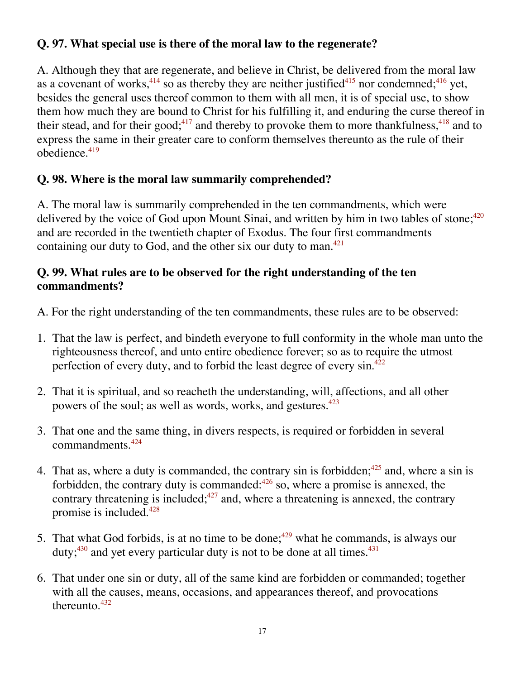#### **Q. 97. What special use is there of the moral law to the regenerate?**

A. Although they that are regenerate, and believe in Christ, be delivered from the moral law as a covenant of works,  $414$  so as thereby they are neither justified  $415$  nor condemned;  $416$  yet, besides the general uses thereof common to them with all men, it is of special use, to show them how much they are bound to Christ for his fulfilling it, and enduring the curse thereof in their stead, and for their good;<sup>417</sup> and thereby to provoke them to more thankfulness,  $418$  and to express the same in their greater care to conform themselves thereunto as the rule of their obedience.419

#### **Q. 98. Where is the moral law summarily comprehended?**

A. The moral law is summarily comprehended in the ten commandments, which were delivered by the voice of God upon Mount Sinai, and written by him in two tables of stone; $420$ and are recorded in the twentieth chapter of Exodus. The four first commandments containing our duty to God, and the other six our duty to man.<sup>421</sup>

#### **Q. 99. What rules are to be observed for the right understanding of the ten commandments?**

A. For the right understanding of the ten commandments, these rules are to be observed:

- 1. That the law is perfect, and bindeth everyone to full conformity in the whole man unto the righteousness thereof, and unto entire obedience forever; so as to require the utmost perfection of every duty, and to forbid the least degree of every  $\sin^{422}$
- 2. That it is spiritual, and so reacheth the understanding, will, affections, and all other powers of the soul; as well as words, works, and gestures.<sup>423</sup>
- 3. That one and the same thing, in divers respects, is required or forbidden in several commandments.424
- 4. That as, where a duty is commanded, the contrary sin is forbidden;  $425$  and, where a sin is forbidden, the contrary duty is commanded: $426$  so, where a promise is annexed, the contrary threatening is included; $427$  and, where a threatening is annexed, the contrary promise is included.428
- 5. That what God forbids, is at no time to be done;<sup> $429$ </sup> what he commands, is always our duty; $430$  and yet every particular duty is not to be done at all times. $431$
- 6. That under one sin or duty, all of the same kind are forbidden or commanded; together with all the causes, means, occasions, and appearances thereof, and provocations thereunto. $432$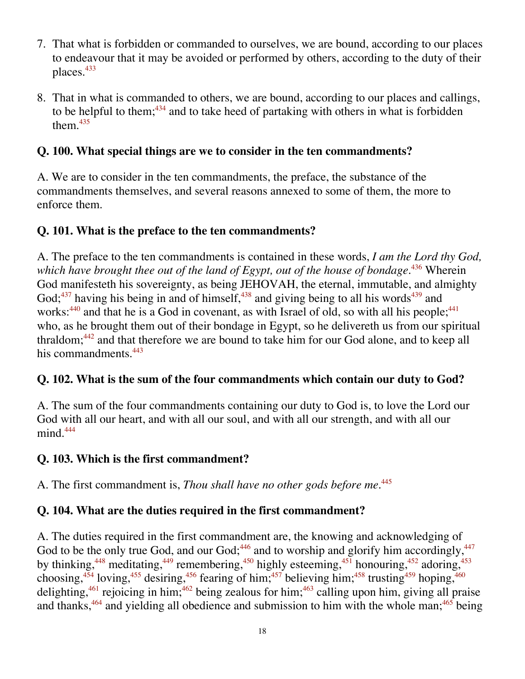- 7. That what is forbidden or commanded to ourselves, we are bound, according to our places to endeavour that it may be avoided or performed by others, according to the duty of their places.<sup>433</sup>
- 8. That in what is commanded to others, we are bound, according to our places and callings, to be helpful to them;  $434$  and to take heed of partaking with others in what is forbidden them. $435$

#### **Q. 100. What special things are we to consider in the ten commandments?**

A. We are to consider in the ten commandments, the preface, the substance of the commandments themselves, and several reasons annexed to some of them, the more to enforce them.

#### **Q. 101. What is the preface to the ten commandments?**

A. The preface to the ten commandments is contained in these words, *I am the Lord thy God, which have brought thee out of the land of Egypt, out of the house of bondage.*436 Wherein God manifesteth his sovereignty, as being JEHOVAH, the eternal, immutable, and almighty God; $437$  having his being in and of himself, $438$  and giving being to all his words $439$  and works: $440$  and that he is a God in covenant, as with Israel of old, so with all his people; $441$ who, as he brought them out of their bondage in Egypt, so he delivereth us from our spiritual thraldom; $442$  and that therefore we are bound to take him for our God alone, and to keep all his commandments.<sup>443</sup>

#### **Q. 102. What is the sum of the four commandments which contain our duty to God?**

A. The sum of the four commandments containing our duty to God is, to love the Lord our God with all our heart, and with all our soul, and with all our strength, and with all our  $mind.444$ 

#### **Q. 103. Which is the first commandment?**

A. The first commandment is, *Thou shall have no other gods before me.*<sup>445</sup>

#### **Q. 104. What are the duties required in the first commandment?**

A. The duties required in the first commandment are, the knowing and acknowledging of God to be the only true God, and our God;  $446$  and to worship and glorify him accordingly,  $447$ by thinking,<sup>448</sup> meditating,<sup>449</sup> remembering,<sup>450</sup> highly esteeming,<sup>451</sup> honouring,<sup>452</sup> adoring,<sup>453</sup> choosing,<sup>454</sup> loving,<sup>455</sup> desiring,<sup>456</sup> fearing of him;<sup>457</sup> believing him;<sup>458</sup> trusting<sup>459</sup> hoping,<sup>460</sup> delighting,<sup>461</sup> rejoicing in him;<sup>462</sup> being zealous for him;<sup>463</sup> calling upon him, giving all praise and thanks, $464$  and yielding all obedience and submission to him with the whole man;  $465$  being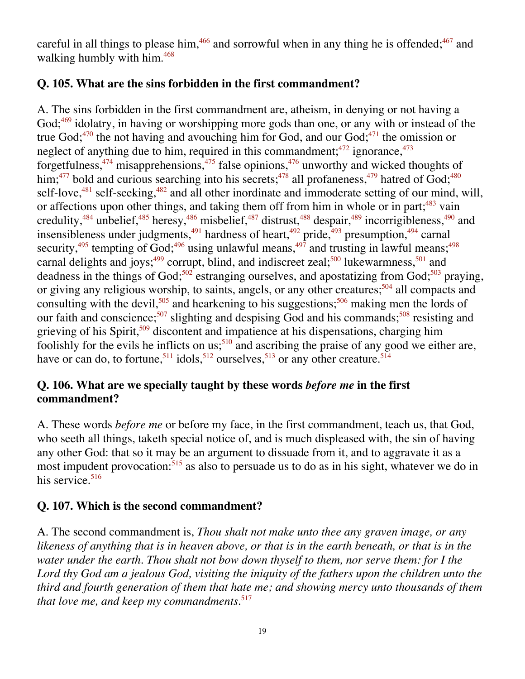careful in all things to please him,<sup>466</sup> and sorrowful when in any thing he is offended;<sup>467</sup> and walking humbly with him.<sup>468</sup>

#### **Q. 105. What are the sins forbidden in the first commandment?**

A. The sins forbidden in the first commandment are, atheism, in denying or not having a God; $469$  idolatry, in having or worshipping more gods than one, or any with or instead of the true God; $470$  the not having and avouching him for God, and our God; $471$  the omission or neglect of anything due to him, required in this commandment;  $472$  ignorance,  $473$ forgetfulness, $474$  misapprehensions, $475$  false opinions, $476$  unworthy and wicked thoughts of him;<sup>477</sup> bold and curious searching into his secrets;<sup>478</sup> all profaneness,<sup>479</sup> hatred of God;<sup>480</sup> self-love, $481$  self-seeking, $482$  and all other inordinate and immoderate setting of our mind, will, or affections upon other things, and taking them off from him in whole or in part;<sup>483</sup> vain credulity, $^{484}$  unbelief, $^{485}$  heresy, $^{486}$  misbelief, $^{487}$  distrust, $^{488}$  despair, $^{489}$  incorrigibleness, $^{490}$  and insensibleness under judgments, $^{491}$  hardness of heart, $^{492}$  pride, $^{493}$  presumption, $^{494}$  carnal security,<sup>495</sup> tempting of God;<sup>496</sup> using unlawful means,<sup>497</sup> and trusting in lawful means;<sup>498</sup> carnal delights and joys;<sup>499</sup> corrupt, blind, and indiscreet zeal;<sup>500</sup> lukewarmness,<sup>501</sup> and deadness in the things of God;<sup>502</sup> estranging ourselves, and apostatizing from God;<sup>503</sup> praying, or giving any religious worship, to saints, angels, or any other creatures;<sup>504</sup> all compacts and consulting with the devil,<sup>505</sup> and hearkening to his suggestions;<sup>506</sup> making men the lords of our faith and conscience;<sup>507</sup> slighting and despising God and his commands;<sup>508</sup> resisting and grieving of his Spirit,<sup>509</sup> discontent and impatience at his dispensations, charging him foolishly for the evils he inflicts on us;<sup>510</sup> and ascribing the praise of any good we either are, have or can do, to fortune,<sup>511</sup> idols,<sup>512</sup> ourselves,<sup>513</sup> or any other creature.<sup>514</sup>

#### **Q. 106. What are we specially taught by these words** *before me* **in the first commandment?**

A. These words *before me* or before my face, in the first commandment, teach us, that God, who seeth all things, taketh special notice of, and is much displeased with, the sin of having any other God: that so it may be an argument to dissuade from it, and to aggravate it as a most impudent provocation:<sup>515</sup> as also to persuade us to do as in his sight, whatever we do in his service. $516$ 

#### **Q. 107. Which is the second commandment?**

A. The second commandment is, *Thou shalt not make unto thee any graven image, or any likeness of anything that is in heaven above, or that is in the earth beneath, or that is in the water under the earth. Thou shalt not bow down thyself to them, nor serve them: for I the Lord thy God am a jealous God, visiting the iniquity of the fathers upon the children unto the third and fourth generation of them that hate me; and showing mercy unto thousands of them that love me, and keep my commandments.*517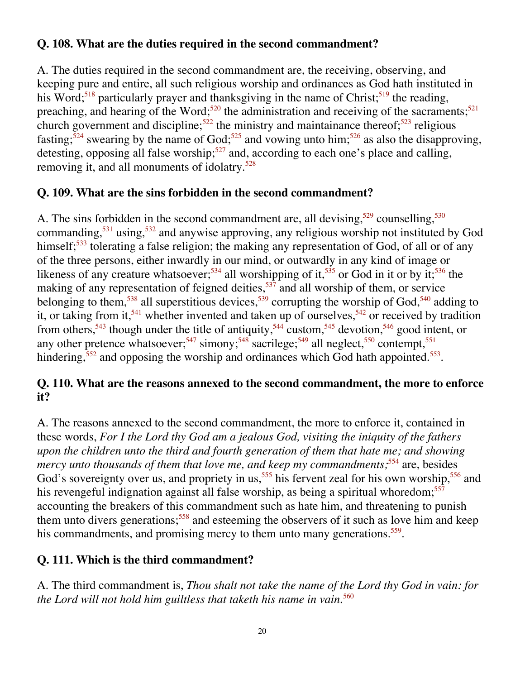#### **Q. 108. What are the duties required in the second commandment?**

A. The duties required in the second commandment are, the receiving, observing, and keeping pure and entire, all such religious worship and ordinances as God hath instituted in his Word;<sup>518</sup> particularly prayer and thanksgiving in the name of Christ;<sup>519</sup> the reading, preaching, and hearing of the Word;<sup>520</sup> the administration and receiving of the sacraments;<sup>521</sup> church government and discipline;<sup>522</sup> the ministry and maintainance thereof;<sup>523</sup> religious fasting;<sup>524</sup> swearing by the name of God;<sup>525</sup> and vowing unto him;<sup>526</sup> as also the disapproving, detesting, opposing all false worship;<sup>527</sup> and, according to each one's place and calling, removing it, and all monuments of idolatry.<sup>528</sup>

#### **Q. 109. What are the sins forbidden in the second commandment?**

A. The sins forbidden in the second commandment are, all devising,  $529$  counselling,  $530$ commanding,<sup>531</sup> using,<sup>532</sup> and anywise approving, any religious worship not instituted by God himself;<sup>533</sup> tolerating a false religion; the making any representation of God, of all or of any of the three persons, either inwardly in our mind, or outwardly in any kind of image or likeness of any creature whatsoever;<sup>534</sup> all worshipping of it,<sup>535</sup> or God in it or by it;<sup>536</sup> the making of any representation of feigned deities,  $537$  and all worship of them, or service belonging to them,<sup>538</sup> all superstitious devices,<sup>539</sup> corrupting the worship of God,<sup>540</sup> adding to it, or taking from it,<sup>541</sup> whether invented and taken up of ourselves,<sup>542</sup> or received by tradition from others,<sup>543</sup> though under the title of antiquity,<sup>544</sup> custom,<sup>545</sup> devotion,<sup>546</sup> good intent, or any other pretence whatsoever;<sup>547</sup> simony;<sup>548</sup> sacrilege;<sup>549</sup> all neglect,<sup>550</sup> contempt,<sup>551</sup> hindering,<sup>552</sup> and opposing the worship and ordinances which God hath appointed.<sup>553</sup>.

#### **Q. 110. What are the reasons annexed to the second commandment, the more to enforce it?**

A. The reasons annexed to the second commandment, the more to enforce it, contained in these words, *For I the Lord thy God am a jealous God, visiting the iniquity of the fathers upon the children unto the third and fourth generation of them that hate me; and showing mercy unto thousands of them that love me, and keep my commandments*;<sup>554</sup> are, besides God's sovereignty over us, and propriety in us,<sup>555</sup> his fervent zeal for his own worship,<sup>556</sup> and his revengeful indignation against all false worship, as being a spiritual whoredom;<sup>557</sup> accounting the breakers of this commandment such as hate him, and threatening to punish them unto divers generations;<sup>558</sup> and esteeming the observers of it such as love him and keep his commandments, and promising mercy to them unto many generations.<sup>559</sup>.

#### **Q. 111. Which is the third commandment?**

A. The third commandment is, *Thou shalt not take the name of the Lord thy God in vain: for the Lord will not hold him guiltless that taketh his name in vain*. 560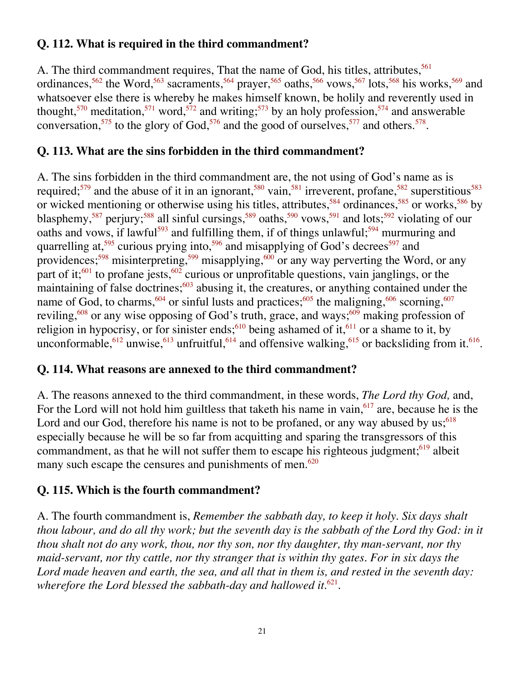#### **Q. 112. What is required in the third commandment?**

A. The third commandment requires, That the name of God, his titles, attributes,<sup>561</sup> ordinances,<sup>562</sup> the Word,<sup>563</sup> sacraments,<sup>564</sup> prayer,<sup>565</sup> oaths,<sup>566</sup> vows,<sup>567</sup> lots,<sup>568</sup> his works,<sup>569</sup> and whatsoever else there is whereby he makes himself known, be holily and reverently used in thought,<sup>570</sup> meditation,<sup>571</sup> word,<sup>572</sup> and writing;<sup>573</sup> by an holy profession,<sup>574</sup> and answerable conversation,<sup>575</sup> to the glory of God,<sup>576</sup> and the good of ourselves,<sup>577</sup> and others.<sup>578</sup>.

#### **Q. 113. What are the sins forbidden in the third commandment?**

A. The sins forbidden in the third commandment are, the not using of God's name as is required;<sup>579</sup> and the abuse of it in an ignorant,<sup>580</sup> vain,<sup>581</sup> irreverent, profane,<sup>582</sup> superstitious<sup>583</sup> or wicked mentioning or otherwise using his titles, attributes,<sup>584</sup> ordinances,<sup>585</sup> or works,<sup>586</sup> by blasphemy,<sup>587</sup> perjury;<sup>588</sup> all sinful cursings,<sup>589</sup> oaths,<sup>590</sup> vows,<sup>591</sup> and lots;<sup>592</sup> violating of our oaths and vows, if lawful<sup>593</sup> and fulfilling them, if of things unlawful;<sup>594</sup> murmuring and quarrelling at,<sup>595</sup> curious prying into,<sup>596</sup> and misapplying of God's decrees<sup>597</sup> and providences;<sup>598</sup> misinterpreting,<sup>599</sup> misapplying,<sup>600</sup> or any way perverting the Word, or any part of it;<sup>601</sup> to profane jests,<sup>602</sup> curious or unprofitable questions, vain janglings, or the maintaining of false doctrines; $\frac{603}{2}$  abusing it, the creatures, or anything contained under the name of God, to charms,<sup>604</sup> or sinful lusts and practices;<sup>605</sup> the maligning,<sup>606</sup> scorning,<sup>607</sup> reviling,<sup>608</sup> or any wise opposing of God's truth, grace, and ways;<sup>609</sup> making profession of religion in hypocrisy, or for sinister ends;<sup>610</sup> being ashamed of it,<sup>611</sup> or a shame to it, by unconformable,<sup>612</sup> unwise,<sup>613</sup> unfruitful,<sup>614</sup> and offensive walking,<sup>615</sup> or backsliding from it.<sup>616</sup>.

#### **Q. 114. What reasons are annexed to the third commandment?**

A. The reasons annexed to the third commandment, in these words, *The Lord thy God,* and, For the Lord will not hold him guiltless that taketh his name in vain,  $617$  are, because he is the Lord and our God, therefore his name is not to be profaned, or any way abused by us;  $618$ especially because he will be so far from acquitting and sparing the transgressors of this commandment, as that he will not suffer them to escape his righteous judgment; $619$  albeit many such escape the censures and punishments of men. $620$ 

#### **Q. 115. Which is the fourth commandment?**

A. The fourth commandment is, *Remember the sabbath day, to keep it holy. Six days shalt thou labour, and do all thy work; but the seventh day is the sabbath of the Lord thy God: in it thou shalt not do any work, thou, nor thy son, nor thy daughter, thy man-servant, nor thy maid-servant, nor thy cattle, nor thy stranger that is within thy gates. For in six days the Lord made heaven and earth, the sea, and all that in them is, and rested in the seventh day: wherefore the Lord blessed the sabbath-day and hallowed it.*<sup>621</sup>.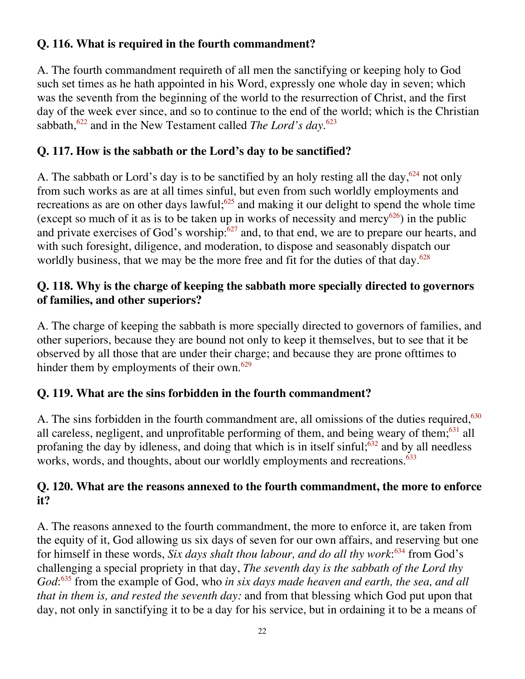#### **Q. 116. What is required in the fourth commandment?**

A. The fourth commandment requireth of all men the sanctifying or keeping holy to God such set times as he hath appointed in his Word, expressly one whole day in seven; which was the seventh from the beginning of the world to the resurrection of Christ, and the first day of the week ever since, and so to continue to the end of the world; which is the Christian sabbath,<sup>622</sup> and in the New Testament called *The Lord's day*.<sup>623</sup>

#### **Q. 117. How is the sabbath or the Lord's day to be sanctified?**

A. The sabbath or Lord's day is to be sanctified by an holy resting all the day,  $624$  not only from such works as are at all times sinful, but even from such worldly employments and recreations as are on other days lawful;<sup>625</sup> and making it our delight to spend the whole time (except so much of it as is to be taken up in works of necessity and mercy<sup>626</sup>) in the public and private exercises of God's worship: $627$  and, to that end, we are to prepare our hearts, and with such foresight, diligence, and moderation, to dispose and seasonably dispatch our worldly business, that we may be the more free and fit for the duties of that day. $628$ 

#### **Q. 118. Why is the charge of keeping the sabbath more specially directed to governors of families, and other superiors?**

A. The charge of keeping the sabbath is more specially directed to governors of families, and other superiors, because they are bound not only to keep it themselves, but to see that it be observed by all those that are under their charge; and because they are prone ofttimes to hinder them by employments of their own.<sup>629</sup>

#### **Q. 119. What are the sins forbidden in the fourth commandment?**

A. The sins forbidden in the fourth commandment are, all omissions of the duties required,<sup>630</sup> all careless, negligent, and unprofitable performing of them, and being weary of them; $631$  all profaning the day by idleness, and doing that which is in itself sinful; $632$  and by all needless works, words, and thoughts, about our worldly employments and recreations.<sup>633</sup>

#### **Q. 120. What are the reasons annexed to the fourth commandment, the more to enforce it?**

A. The reasons annexed to the fourth commandment, the more to enforce it, are taken from the equity of it, God allowing us six days of seven for our own affairs, and reserving but one for himself in these words, *Six days shalt thou labour, and do all thy work*: 634 from God's challenging a special propriety in that day, *The seventh day is the sabbath of the Lord thy* God:<sup>635</sup> from the example of God, who *in six days made heaven and earth, the sea, and all that in them is, and rested the seventh day:* and from that blessing which God put upon that day, not only in sanctifying it to be a day for his service, but in ordaining it to be a means of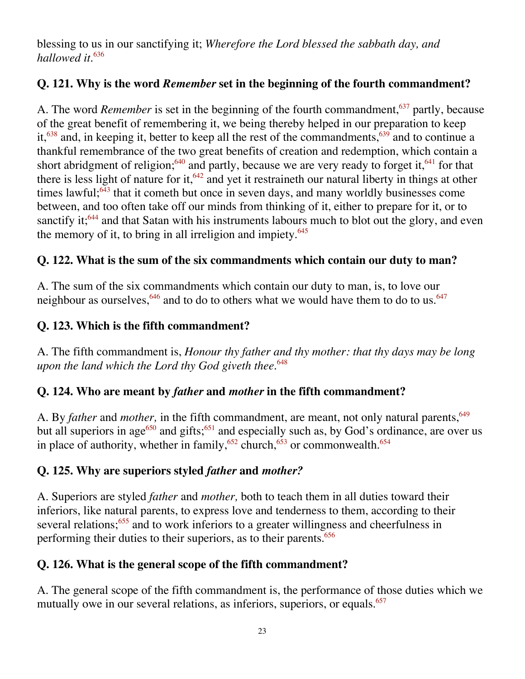blessing to us in our sanctifying it; *Wherefore the Lord blessed the sabbath day, and hallowed it.*<sup>636</sup>

#### **Q. 121. Why is the word** *Remember* **set in the beginning of the fourth commandment?**

A. The word *Remember* is set in the beginning of the fourth commandment,<sup>637</sup> partly, because of the great benefit of remembering it, we being thereby helped in our preparation to keep it,<sup>638</sup> and, in keeping it, better to keep all the rest of the commandments,<sup>639</sup> and to continue a thankful remembrance of the two great benefits of creation and redemption, which contain a short abridgment of religion;<sup>640</sup> and partly, because we are very ready to forget it,<sup>641</sup> for that there is less light of nature for it,  $642$  and yet it restraineth our natural liberty in things at other times lawful; $643$  that it cometh but once in seven days, and many worldly businesses come between, and too often take off our minds from thinking of it, either to prepare for it, or to sanctify it;<sup>644</sup> and that Satan with his instruments labours much to blot out the glory, and even the memory of it, to bring in all irreligion and impiety. $645$ 

#### **Q. 122. What is the sum of the six commandments which contain our duty to man?**

A. The sum of the six commandments which contain our duty to man, is, to love our neighbour as ourselves,  $646$  and to do to others what we would have them to do to us.  $647$ 

#### **Q. 123. Which is the fifth commandment?**

A. The fifth commandment is, *Honour thy father and thy mother: that thy days may be long upon the land which the Lord thy God giveth thee.*<sup>648</sup>

#### **Q. 124. Who are meant by** *father* **and** *mother* **in the fifth commandment?**

A. By *father* and *mother*, in the fifth commandment, are meant, not only natural parents, <sup>649</sup> but all superiors in age<sup>650</sup> and gifts;<sup>651</sup> and especially such as, by God's ordinance, are over us in place of authority, whether in family,<sup>652</sup> church,<sup>653</sup> or commonwealth.<sup>654</sup>

#### **Q. 125. Why are superiors styled** *father* **and** *mother?*

A. Superiors are styled *father* and *mother,* both to teach them in all duties toward their inferiors, like natural parents, to express love and tenderness to them, according to their several relations;<sup>655</sup> and to work inferiors to a greater willingness and cheerfulness in performing their duties to their superiors, as to their parents.<sup>656</sup>

#### **Q. 126. What is the general scope of the fifth commandment?**

A. The general scope of the fifth commandment is, the performance of those duties which we mutually owe in our several relations, as inferiors, superiors, or equals.<sup>657</sup>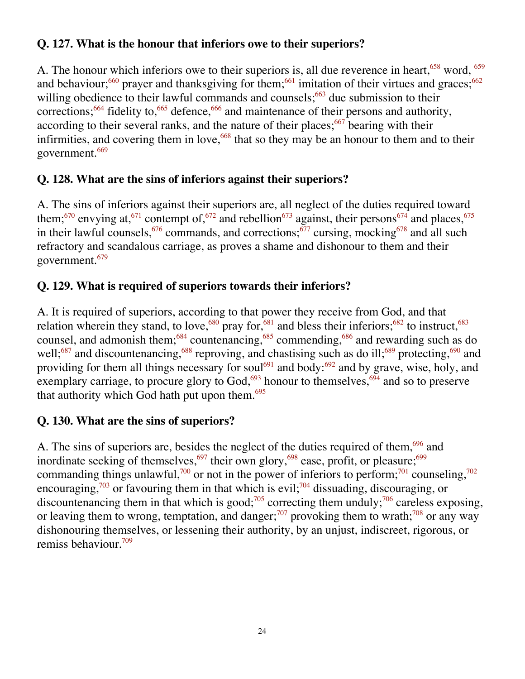#### **Q. 127. What is the honour that inferiors owe to their superiors?**

A. The honour which inferiors owe to their superiors is, all due reverence in heart,  $658$  word,  $659$ and behaviour;<sup>660</sup> prayer and thanksgiving for them;<sup>661</sup> imitation of their virtues and graces;<sup>662</sup> willing obedience to their lawful commands and counsels;<sup>663</sup> due submission to their corrections;<sup>664</sup> fidelity to,<sup>665</sup> defence,<sup>666</sup> and maintenance of their persons and authority, according to their several ranks, and the nature of their places;  $667$  bearing with their infirmities, and covering them in love,  $668$  that so they may be an honour to them and to their government.<sup>669</sup>

#### **Q. 128. What are the sins of inferiors against their superiors?**

A. The sins of inferiors against their superiors are, all neglect of the duties required toward them;<sup>670</sup> envying at,<sup>671</sup> contempt of,<sup>672</sup> and rebellion<sup>673</sup> against, their persons<sup>674</sup> and places,<sup>675</sup> in their lawful counsels,  $676$  commands, and corrections;  $677$  cursing, mocking  $678$  and all such refractory and scandalous carriage, as proves a shame and dishonour to them and their government.679

#### **Q. 129. What is required of superiors towards their inferiors?**

A. It is required of superiors, according to that power they receive from God, and that relation wherein they stand, to love,<sup>680</sup> pray for,<sup>681</sup> and bless their inferiors;<sup>682</sup> to instruct,<sup>683</sup> counsel, and admonish them;<sup>684</sup> countenancing,<sup>685</sup> commending,<sup>686</sup> and rewarding such as do well;<sup>687</sup> and discountenancing,<sup>688</sup> reproving, and chastising such as do ill;<sup>689</sup> protecting,<sup>690</sup> and providing for them all things necessary for soul<sup>691</sup> and body:<sup>692</sup> and by grave, wise, holy, and exemplary carriage, to procure glory to God,  $693$  honour to themselves,  $694$  and so to preserve that authority which God hath put upon them.<sup>695</sup>

#### **Q. 130. What are the sins of superiors?**

A. The sins of superiors are, besides the neglect of the duties required of them,<sup>696</sup> and inordinate seeking of themselves,<sup>697</sup> their own glory,<sup>698</sup> ease, profit, or pleasure;<sup>699</sup> commanding things unlawful,<sup>700</sup> or not in the power of inferiors to perform;<sup>701</sup> counseling,<sup>702</sup> encouraging,<sup>703</sup> or favouring them in that which is evil;<sup>704</sup> dissuading, discouraging, or discountenancing them in that which is good;<sup>705</sup> correcting them unduly;<sup>706</sup> careless exposing, or leaving them to wrong, temptation, and danger;<sup>707</sup> provoking them to wrath;<sup>708</sup> or any way dishonouring themselves, or lessening their authority, by an unjust, indiscreet, rigorous, or remiss behaviour.709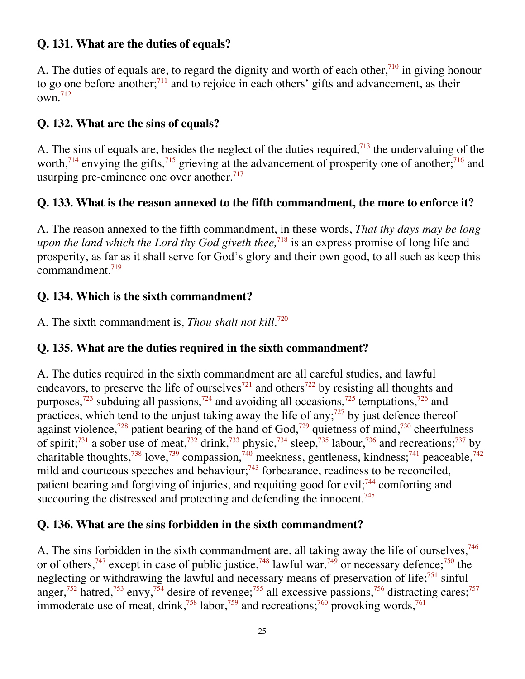#### **Q. 131. What are the duties of equals?**

A. The duties of equals are, to regard the dignity and worth of each other,<sup>710</sup> in giving honour to go one before another; $^{711}$  and to rejoice in each others' gifts and advancement, as their  $own<sup>.712</sup>$ 

#### **Q. 132. What are the sins of equals?**

A. The sins of equals are, besides the neglect of the duties required,<sup> $713$ </sup> the undervaluing of the worth,<sup>714</sup> envying the gifts,<sup>715</sup> grieving at the advancement of prosperity one of another;<sup>716</sup> and usurping pre-eminence one over another. $717$ 

#### **Q. 133. What is the reason annexed to the fifth commandment, the more to enforce it?**

A. The reason annexed to the fifth commandment, in these words, *That thy days may be long upon the land which the Lord thy God giveth thee*,<sup>718</sup> is an express promise of long life and prosperity, as far as it shall serve for God's glory and their own good, to all such as keep this commandment.719

#### **Q. 134. Which is the sixth commandment?**

A. The sixth commandment is, *Thou shalt not kill.*<sup>720</sup>

#### **Q. 135. What are the duties required in the sixth commandment?**

A. The duties required in the sixth commandment are all careful studies, and lawful endeavors, to preserve the life of ourselves<sup>721</sup> and others<sup>722</sup> by resisting all thoughts and purposes, $723$  subduing all passions, $724$  and avoiding all occasions, $725$  temptations,  $726$  and practices, which tend to the unjust taking away the life of any;<sup> $727$ </sup> by just defence thereof against violence,<sup>728</sup> patient bearing of the hand of God,<sup>729</sup> quietness of mind,<sup>730</sup> cheerfulness of spirit;<sup>731</sup> a sober use of meat,<sup>732</sup> drink,<sup>733</sup> physic,<sup>734</sup> sleep,<sup>735</sup> labour,<sup>736</sup> and recreations;<sup>737</sup> by charitable thoughts,<sup>738</sup> love,<sup>739</sup> compassion,<sup>740</sup> meekness, gentleness, kindness;<sup>741</sup> peaceable,<sup>742</sup> mild and courteous speeches and behaviour;<sup>743</sup> forbearance, readiness to be reconciled, patient bearing and forgiving of injuries, and requiting good for evil; $744$  comforting and succouring the distressed and protecting and defending the innocent.<sup>745</sup>

#### **Q. 136. What are the sins forbidden in the sixth commandment?**

A. The sins forbidden in the sixth commandment are, all taking away the life of ourselves,<sup>746</sup> or of others,<sup>747</sup> except in case of public justice,<sup>748</sup> lawful war,<sup>749</sup> or necessary defence;<sup>750</sup> the neglecting or withdrawing the lawful and necessary means of preservation of life;<sup>751</sup> sinful anger,<sup>752</sup> hatred,<sup>753</sup> envy,<sup>754</sup> desire of revenge;<sup>755</sup> all excessive passions,<sup>756</sup> distracting cares;<sup>757</sup> immoderate use of meat, drink,<sup>758</sup> labor,<sup>759</sup> and recreations;<sup>760</sup> provoking words,<sup>761</sup>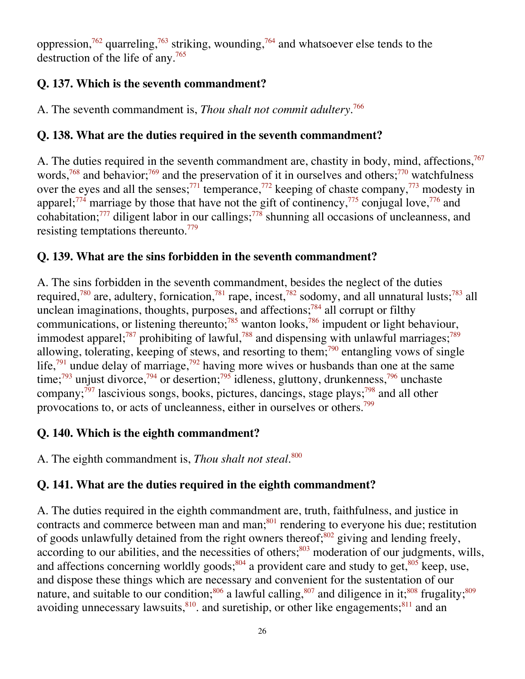oppression,<sup>762</sup> quarreling,<sup>763</sup> striking, wounding,<sup>764</sup> and whatsoever else tends to the destruction of the life of any.765

#### **Q. 137. Which is the seventh commandment?**

A. The seventh commandment is, *Thou shalt not commit adultery.*<sup>766</sup>

#### **Q. 138. What are the duties required in the seventh commandment?**

A. The duties required in the seventh commandment are, chastity in body, mind, affections,  $767$ words,<sup>768</sup> and behavior;<sup>769</sup> and the preservation of it in ourselves and others;<sup>770</sup> watchfulness over the eyes and all the senses;<sup>771</sup> temperance,<sup>772</sup> keeping of chaste company,<sup>773</sup> modesty in apparel;<sup>774</sup> marriage by those that have not the gift of continency,<sup>775</sup> conjugal love,<sup>776</sup> and cohabitation;<sup>777</sup> diligent labor in our callings;<sup>778</sup> shunning all occasions of uncleanness, and resisting temptations thereunto.<sup>779</sup>

#### **Q. 139. What are the sins forbidden in the seventh commandment?**

A. The sins forbidden in the seventh commandment, besides the neglect of the duties required,<sup>780</sup> are, adultery, fornication,<sup>781</sup> rape, incest,<sup>782</sup> sodomy, and all unnatural lusts;<sup>783</sup> all unclean imaginations, thoughts, purposes, and affections;<sup>784</sup> all corrupt or filthy communications, or listening thereunto;<sup>785</sup> wanton looks,<sup>786</sup> impudent or light behaviour, immodest apparel;<sup>787</sup> prohibiting of lawful,<sup>788</sup> and dispensing with unlawful marriages;<sup>789</sup> allowing, tolerating, keeping of stews, and resorting to them;<sup>790</sup> entangling vows of single life,<sup>791</sup> undue delay of marriage,<sup>792</sup> having more wives or husbands than one at the same time;<sup>793</sup> unjust divorce,<sup>794</sup> or desertion;<sup>795</sup> idleness, gluttony, drunkenness,<sup>796</sup> unchaste company; $\frac{797}{7}$  lascivious songs, books, pictures, dancings, stage plays; $\frac{798}{7}$  and all other provocations to, or acts of uncleanness, either in ourselves or others.799

#### **Q. 140. Which is the eighth commandment?**

A. The eighth commandment is, *Thou shalt not steal*. 800

#### **Q. 141. What are the duties required in the eighth commandment?**

A. The duties required in the eighth commandment are, truth, faithfulness, and justice in contracts and commerce between man and man; $801$  rendering to everyone his due; restitution of goods unlawfully detained from the right owners thereof; $802$  giving and lending freely, according to our abilities, and the necessities of others;<sup>803</sup> moderation of our judgments, wills, and affections concerning worldly goods;<sup>804</sup> a provident care and study to get,  $805$  keep, use, and dispose these things which are necessary and convenient for the sustentation of our nature, and suitable to our condition; $806$  a lawful calling, $807$  and diligence in it; $808$  frugality; $809$ avoiding unnecessary lawsuits, $810$ . and suretiship, or other like engagements; $811$  and an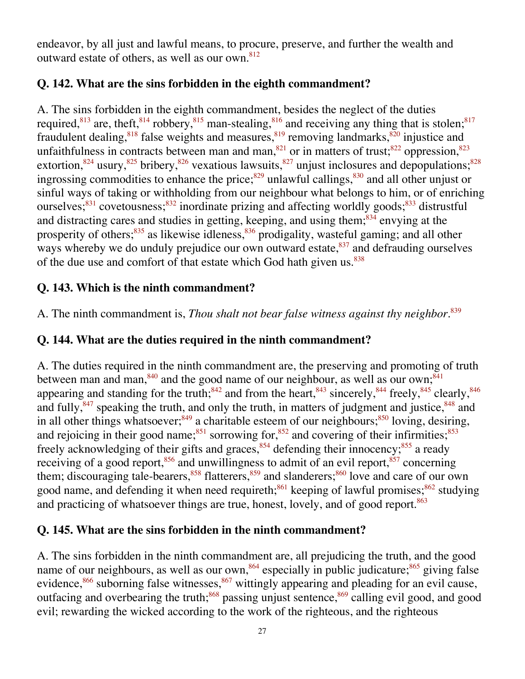endeavor, by all just and lawful means, to procure, preserve, and further the wealth and outward estate of others, as well as our own.<sup>812</sup>

#### **Q. 142. What are the sins forbidden in the eighth commandment?**

A. The sins forbidden in the eighth commandment, besides the neglect of the duties required,  $813$  are, theft,  $814$  robbery,  $815$  man-stealing,  $816$  and receiving any thing that is stolen;  $817$ fraudulent dealing,<sup>818</sup> false weights and measures,<sup>819</sup> removing landmarks,<sup>820</sup> injustice and unfaithfulness in contracts between man and man,  $821$  or in matters of trust;  $822$  oppression,  $823$ extortion,<sup>824</sup> usury,<sup>825</sup> bribery,<sup>826</sup> vexatious lawsuits,<sup>827</sup> unjust inclosures and depopulations;<sup>828</sup> ingrossing commodities to enhance the price; $829$  unlawful callings, $830$  and all other unjust or sinful ways of taking or withholding from our neighbour what belongs to him, or of enriching ourselves; $831$  covetousness; $832$  inordinate prizing and affecting worldly goods; $833$  distrustful and distracting cares and studies in getting, keeping, and using them; $834$  envying at the prosperity of others;<sup>835</sup> as likewise idleness,<sup>836</sup> prodigality, wasteful gaming; and all other ways whereby we do unduly prejudice our own outward estate,  $837$  and defrauding ourselves of the due use and comfort of that estate which God hath given us.<sup>838</sup>

#### **Q. 143. Which is the ninth commandment?**

A. The ninth commandment is, *Thou shalt not bear false witness against thy neighbor.*<sup>839</sup>

#### **Q. 144. What are the duties required in the ninth commandment?**

A. The duties required in the ninth commandment are, the preserving and promoting of truth between man and man,  $840$  and the good name of our neighbour, as well as our own;  $841$ appearing and standing for the truth;<sup>842</sup> and from the heart,<sup>843</sup> sincerely,<sup>844</sup> freely,<sup>845</sup> clearly,<sup>846</sup> and fully, $847$  speaking the truth, and only the truth, in matters of judgment and justice,  $848$  and in all other things whatsoever;<sup>849</sup> a charitable esteem of our neighbours;<sup>850</sup> loving, desiring, and rejoicing in their good name;<sup>851</sup> sorrowing for,<sup>852</sup> and covering of their infirmities;<sup>853</sup> freely acknowledging of their gifts and graces,  $854$  defending their innocency;  $855$  a ready receiving of a good report, $856$  and unwillingness to admit of an evil report, $857$  concerning them; discouraging tale-bearers, $858$  flatterers,  $859$  and slanderers;  $860$  love and care of our own good name, and defending it when need requireth;<sup>861</sup> keeping of lawful promises;<sup>862</sup> studying and practicing of whatsoever things are true, honest, lovely, and of good report.<sup>863</sup>

#### **Q. 145. What are the sins forbidden in the ninth commandment?**

A. The sins forbidden in the ninth commandment are, all prejudicing the truth, and the good name of our neighbours, as well as our own,<sup>864</sup> especially in public judicature;<sup>865</sup> giving false evidence, $866$  suborning false witnesses, $867$  wittingly appearing and pleading for an evil cause, outfacing and overbearing the truth;<sup>868</sup> passing unjust sentence,<sup>869</sup> calling evil good, and good evil; rewarding the wicked according to the work of the righteous, and the righteous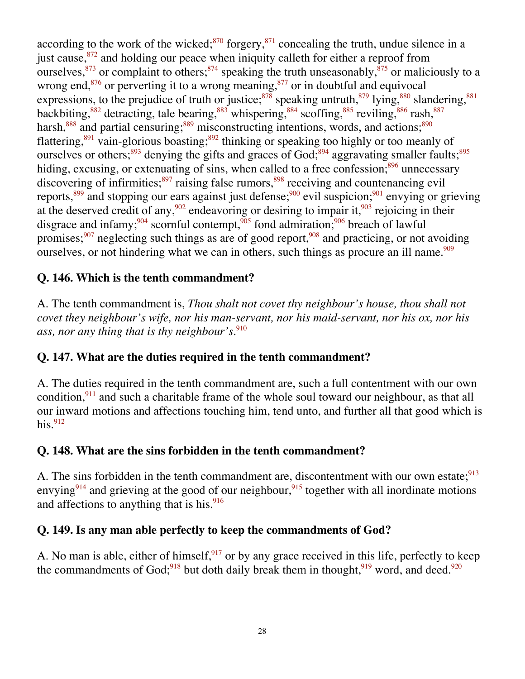according to the work of the wicked; $870$  forgery, $871$  concealing the truth, undue silence in a just cause,  $872$  and holding our peace when iniquity calleth for either a reproof from ourselves,  $873$  or complaint to others;  $874$  speaking the truth unseasonably,  $875$  or maliciously to a wrong end, $876$  or perverting it to a wrong meaning, $877$  or in doubtful and equivocal expressions, to the prejudice of truth or justice;<sup>878</sup> speaking untruth,  $879$  lying,  $880$  slandering,  $881$ backbiting,<sup>882</sup> detracting, tale bearing,<sup>883</sup> whispering,<sup>884</sup> scoffing,<sup>885</sup> reviling,<sup>886</sup> rash,<sup>887</sup> harsh, $888$  and partial censuring; $889$  misconstructing intentions, words, and actions; $890$ flattering,<sup>891</sup> vain-glorious boasting;<sup>892</sup> thinking or speaking too highly or too meanly of ourselves or others;<sup>893</sup> denying the gifts and graces of God;<sup>894</sup> aggravating smaller faults;<sup>895</sup> hiding, excusing, or extenuating of sins, when called to a free confession; $896$  unnecessary discovering of infirmities;<sup>897</sup> raising false rumors,<sup>898</sup> receiving and countenancing evil reports,<sup>899</sup> and stopping our ears against just defense;<sup>900</sup> evil suspicion;<sup>901</sup> envying or grieving at the deserved credit of any,  $902$  endeavoring or desiring to impair it,  $903$  rejoicing in their disgrace and infamy;<sup>904</sup> scornful contempt,<sup>905</sup> fond admiration;<sup>906</sup> breach of lawful promises; $907$  neglecting such things as are of good report,  $908$  and practicing, or not avoiding ourselves, or not hindering what we can in others, such things as procure an ill name.<sup>909</sup>

#### **Q. 146. Which is the tenth commandment?**

A. The tenth commandment is, *Thou shalt not covet thy neighbour's house, thou shall not covet they neighbour's wife, nor his man-servant, nor his maid-servant, nor his ox, nor his ass, nor any thing that is thy neighbour's.*<sup>910</sup>

#### **Q. 147. What are the duties required in the tenth commandment?**

A. The duties required in the tenth commandment are, such a full contentment with our own condition,  $911$  and such a charitable frame of the whole soul toward our neighbour, as that all our inward motions and affections touching him, tend unto, and further all that good which is his. $912$ 

#### **Q. 148. What are the sins forbidden in the tenth commandment?**

A. The sins forbidden in the tenth commandment are, discontentment with our own estate;<sup>913</sup> envying<sup>914</sup> and grieving at the good of our neighbour,<sup>915</sup> together with all inordinate motions and affections to anything that is his. $\frac{916}{916}$ 

#### **Q. 149. Is any man able perfectly to keep the commandments of God?**

A. No man is able, either of himself,  $917$  or by any grace received in this life, perfectly to keep the commandments of God;<sup>918</sup> but doth daily break them in thought,<sup>919</sup> word, and deed.<sup>920</sup>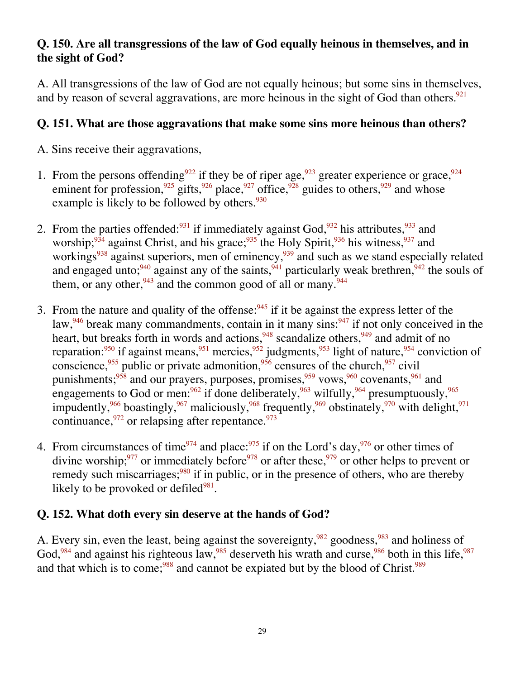#### **Q. 150. Are all transgressions of the law of God equally heinous in themselves, and in the sight of God?**

A. All transgressions of the law of God are not equally heinous; but some sins in themselves, and by reason of several aggravations, are more heinous in the sight of God than others.<sup>921</sup>

#### **Q. 151. What are those aggravations that make some sins more heinous than others?**

A. Sins receive their aggravations,

- 1. From the persons offending<sup>922</sup> if they be of riper age,<sup>923</sup> greater experience or grace,<sup>924</sup> eminent for profession,<sup>925</sup> gifts,<sup>926</sup> place,<sup>927</sup> office,<sup>928</sup> guides to others,<sup>929</sup> and whose example is likely to be followed by others.<sup>930</sup>
- 2. From the parties offended:  $931$  if immediately against God,  $932$  his attributes,  $933$  and worship;  $934$  against Christ, and his grace;  $935$  the Holy Spirit,  $936$  his witness,  $937$  and workings<sup>938</sup> against superiors, men of eminency, <sup>939</sup> and such as we stand especially related and engaged unto;<sup>940</sup> against any of the saints,<sup>941</sup> particularly weak brethren,<sup>942</sup> the souls of them, or any other,  $943$  and the common good of all or many.  $944$
- 3. From the nature and quality of the offense:  $945$  if it be against the express letter of the law,  $946$  break many commandments, contain in it many sins:  $947$  if not only conceived in the heart, but breaks forth in words and actions,<sup>948</sup> scandalize others,<sup>949</sup> and admit of no reparation:<sup>950</sup> if against means, <sup>951</sup> mercies, <sup>952</sup> judgments, <sup>953</sup> light of nature, <sup>954</sup> conviction of conscience,<sup>955</sup> public or private admonition,<sup>956</sup> censures of the church,<sup>957</sup> civil punishments;<sup>958</sup> and our prayers, purposes, promises,<sup>959</sup> vows,<sup>960</sup> covenants,<sup>961</sup> and engagements to God or men:  $962$  if done deliberately,  $963$  wilfully,  $964$  presumptuously,  $965$ impudently,  $966$  boastingly,  $967$  maliciously,  $968$  frequently,  $969$  obstinately,  $970$  with delight,  $971$ continuance,  $972$  or relapsing after repentance.  $973$
- 4. From circumstances of time<sup>974</sup> and place:<sup>975</sup> if on the Lord's day,<sup>976</sup> or other times of divine worship;<sup>977</sup> or immediately before<sup>978</sup> or after these,<sup>979</sup> or other helps to prevent or remedy such miscarriages; $980$  if in public, or in the presence of others, who are thereby likely to be provoked or defiled $981$ .

#### **Q. 152. What doth every sin deserve at the hands of God?**

A. Every sin, even the least, being against the sovereignty,<sup>982</sup> goodness,<sup>983</sup> and holiness of God,<sup>984</sup> and against his righteous law,<sup>985</sup> deserveth his wrath and curse,<sup>986</sup> both in this life,<sup>987</sup> and that which is to come;<sup>988</sup> and cannot be expiated but by the blood of Christ.<sup>989</sup>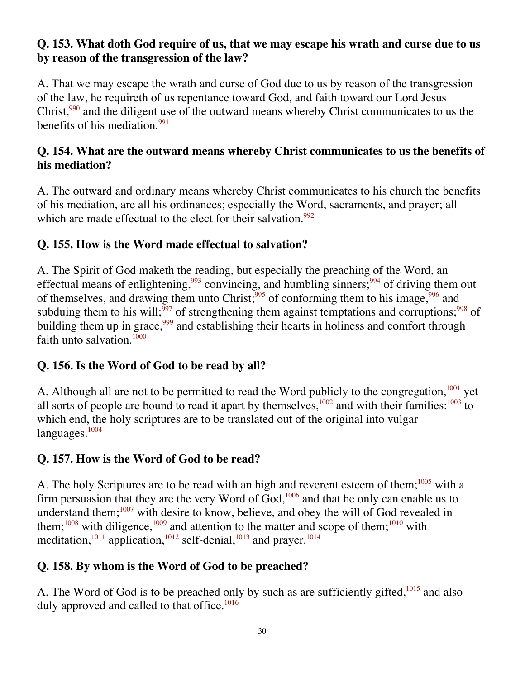#### **Q. 153. What doth God require of us, that we may escape his wrath and curse due to us by reason of the transgression of the law?**

A. That we may escape the wrath and curse of God due to us by reason of the transgression of the law, he requireth of us repentance toward God, and faith toward our Lord Jesus Christ,<sup>990</sup> and the diligent use of the outward means whereby Christ communicates to us the benefits of his mediation.<sup>991</sup>

#### **Q. 154. What are the outward means whereby Christ communicates to us the benefits of his mediation?**

A. The outward and ordinary means whereby Christ communicates to his church the benefits of his mediation, are all his ordinances; especially the Word, sacraments, and prayer; all which are made effectual to the elect for their salvation.<sup>992</sup>

#### **Q. 155. How is the Word made effectual to salvation?**

A. The Spirit of God maketh the reading, but especially the preaching of the Word, an effectual means of enlightening,<sup>993</sup> convincing, and humbling sinners;<sup>994</sup> of driving them out of themselves, and drawing them unto Christ;<sup>995</sup> of conforming them to his image,<sup>996</sup> and subduing them to his will;<sup>997</sup> of strengthening them against temptations and corruptions;<sup>998</sup> of building them up in grace,<sup>999</sup> and establishing their hearts in holiness and comfort through faith unto salvation. $1000$ 

#### **Q. 156. Is the Word of God to be read by all?**

A. Although all are not to be permitted to read the Word publicly to the congregation,<sup>1001</sup> yet all sorts of people are bound to read it apart by themselves,  $1002$  and with their families:  $1003$  to which end, the holy scriptures are to be translated out of the original into vulgar  $languages.<sup>1004</sup>$ 

#### **Q. 157. How is the Word of God to be read?**

A. The holy Scriptures are to be read with an high and reverent esteem of them; $1005$  with a firm persuasion that they are the very Word of  $God$ ,  $1006$  and that he only can enable us to understand them; $1007$  with desire to know, believe, and obey the will of God revealed in them;<sup>1008</sup> with diligence,<sup>1009</sup> and attention to the matter and scope of them;<sup>1010</sup> with meditation,<sup>1011</sup> application,<sup>1012</sup> self-denial,<sup>1013</sup> and prayer.<sup>1014</sup>

#### **Q. 158. By whom is the Word of God to be preached?**

A. The Word of God is to be preached only by such as are sufficiently gifted,<sup>1015</sup> and also duly approved and called to that office.<sup>1016</sup>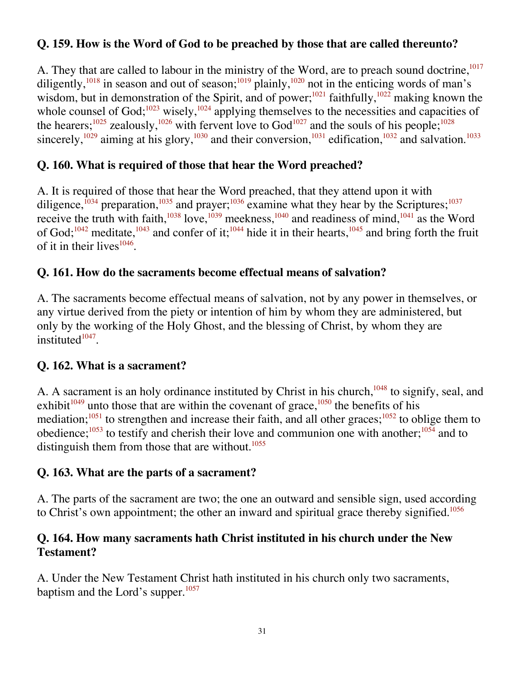#### **Q. 159. How is the Word of God to be preached by those that are called thereunto?**

A. They that are called to labour in the ministry of the Word, are to preach sound doctrine,<sup>1017</sup> diligently,<sup>1018</sup> in season and out of season;<sup>1019</sup> plainly,<sup>1020</sup> not in the enticing words of man's wisdom, but in demonstration of the Spirit, and of power;<sup>1021</sup> faithfully,  $1022$  making known the whole counsel of God;<sup>1023</sup> wisely,<sup>1024</sup> applying themselves to the necessities and capacities of the hearers;<sup>1025</sup> zealously,<sup>1026</sup> with fervent love to God<sup>1027</sup> and the souls of his people;<sup>1028</sup> sincerely,<sup>1029</sup> aiming at his glory,<sup>1030</sup> and their conversion,<sup>1031</sup> edification,<sup>1032</sup> and salvation.<sup>1033</sup>

#### **Q. 160. What is required of those that hear the Word preached?**

A. It is required of those that hear the Word preached, that they attend upon it with diligence, $^{1034}$  preparation,<sup>1035</sup> and prayer;<sup>1036</sup> examine what they hear by the Scriptures;<sup>1037</sup> receive the truth with faith,<sup>1038</sup> love,<sup>1039</sup> meekness,<sup>1040</sup> and readiness of mind,<sup>1041</sup> as the Word of God;<sup>1042</sup> meditate,<sup>1043</sup> and confer of it;<sup>1044</sup> hide it in their hearts,<sup>1045</sup> and bring forth the fruit of it in their lives $1046$ .

#### **Q. 161. How do the sacraments become effectual means of salvation?**

A. The sacraments become effectual means of salvation, not by any power in themselves, or any virtue derived from the piety or intention of him by whom they are administered, but only by the working of the Holy Ghost, and the blessing of Christ, by whom they are instituted $1047$ .

#### **Q. 162. What is a sacrament?**

A. A sacrament is an holy ordinance instituted by Christ in his church,<sup>1048</sup> to signify, seal, and exhibit $1049$  unto those that are within the covenant of grace,  $1050$  the benefits of his mediation; $1051$  to strengthen and increase their faith, and all other graces; $1052$  to oblige them to obedience;  $1053$  to testify and cherish their love and communion one with another;  $1054$  and to distinguish them from those that are without.<sup>1055</sup>

#### **Q. 163. What are the parts of a sacrament?**

A. The parts of the sacrament are two; the one an outward and sensible sign, used according to Christ's own appointment; the other an inward and spiritual grace thereby signified.<sup>1056</sup>

#### **Q. 164. How many sacraments hath Christ instituted in his church under the New Testament?**

A. Under the New Testament Christ hath instituted in his church only two sacraments, baptism and the Lord's supper.<sup>1057</sup>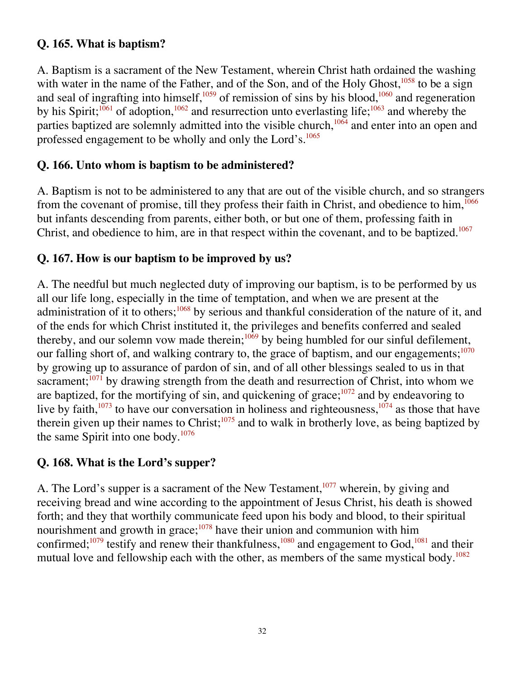#### **Q. 165. What is baptism?**

A. Baptism is a sacrament of the New Testament, wherein Christ hath ordained the washing with water in the name of the Father, and of the Son, and of the Holy Ghost, $1058$  to be a sign and seal of ingrafting into himself,<sup>1059</sup> of remission of sins by his blood,<sup>1060</sup> and regeneration by his Spirit;<sup>1061</sup> of adoption,<sup>1062</sup> and resurrection unto everlasting life;<sup>1063</sup> and whereby the parties baptized are solemnly admitted into the visible church,<sup>1064</sup> and enter into an open and professed engagement to be wholly and only the Lord's.<sup>1065</sup>

#### **Q. 166. Unto whom is baptism to be administered?**

A. Baptism is not to be administered to any that are out of the visible church, and so strangers from the covenant of promise, till they profess their faith in Christ, and obedience to him,  $1066$ but infants descending from parents, either both, or but one of them, professing faith in Christ, and obedience to him, are in that respect within the covenant, and to be baptized.<sup>1067</sup>

#### **Q. 167. How is our baptism to be improved by us?**

A. The needful but much neglected duty of improving our baptism, is to be performed by us all our life long, especially in the time of temptation, and when we are present at the administration of it to others;<sup>1068</sup> by serious and thankful consideration of the nature of it, and of the ends for which Christ instituted it, the privileges and benefits conferred and sealed thereby, and our solemn vow made therein; $1069$  by being humbled for our sinful defilement, our falling short of, and walking contrary to, the grace of baptism, and our engagements; $1070$ by growing up to assurance of pardon of sin, and of all other blessings sealed to us in that sacrament; $^{1071}$  by drawing strength from the death and resurrection of Christ, into whom we are baptized, for the mortifying of sin, and quickening of grace; $1072$  and by endeavoring to live by faith, $1073$  to have our conversation in holiness and righteousness, $1074$  as those that have therein given up their names to Christ;<sup>1075</sup> and to walk in brotherly love, as being baptized by the same Spirit into one body.1076

#### **Q. 168. What is the Lord's supper?**

A. The Lord's supper is a sacrament of the New Testament,<sup>1077</sup> wherein, by giving and receiving bread and wine according to the appointment of Jesus Christ, his death is showed forth; and they that worthily communicate feed upon his body and blood, to their spiritual nourishment and growth in grace; $1078$  have their union and communion with him confirmed;<sup>1079</sup> testify and renew their thankfulness,<sup>1080</sup> and engagement to God,<sup>1081</sup> and their mutual love and fellowship each with the other, as members of the same mystical body.<sup>1082</sup>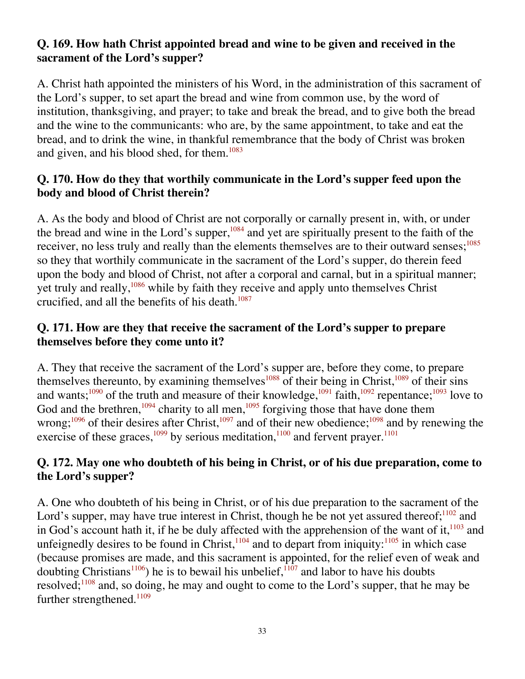#### **Q. 169. How hath Christ appointed bread and wine to be given and received in the sacrament of the Lord's supper?**

A. Christ hath appointed the ministers of his Word, in the administration of this sacrament of the Lord's supper, to set apart the bread and wine from common use, by the word of institution, thanksgiving, and prayer; to take and break the bread, and to give both the bread and the wine to the communicants: who are, by the same appointment, to take and eat the bread, and to drink the wine, in thankful remembrance that the body of Christ was broken and given, and his blood shed, for them.<sup>1083</sup>

#### **Q. 170. How do they that worthily communicate in the Lord's supper feed upon the body and blood of Christ therein?**

A. As the body and blood of Christ are not corporally or carnally present in, with, or under the bread and wine in the Lord's supper,<sup>1084</sup> and yet are spiritually present to the faith of the receiver, no less truly and really than the elements themselves are to their outward senses;<sup>1085</sup> so they that worthily communicate in the sacrament of the Lord's supper, do therein feed upon the body and blood of Christ, not after a corporal and carnal, but in a spiritual manner; yet truly and really, $1086$  while by faith they receive and apply unto themselves Christ crucified, and all the benefits of his death. $1087$ 

#### **Q. 171. How are they that receive the sacrament of the Lord's supper to prepare themselves before they come unto it?**

A. They that receive the sacrament of the Lord's supper are, before they come, to prepare themselves thereunto, by examining themselves<sup>1088</sup> of their being in Christ,<sup>1089</sup> of their sins and wants;<sup>1090</sup> of the truth and measure of their knowledge,<sup>1091</sup> faith,<sup>1092</sup> repentance;<sup>1093</sup> love to God and the brethren,<sup>1094</sup> charity to all men,<sup>1095</sup> forgiving those that have done them wrong;<sup>1096</sup> of their desires after Christ,<sup>1097</sup> and of their new obedience;<sup>1098</sup> and by renewing the exercise of these graces,<sup>1099</sup> by serious meditation,<sup>1100</sup> and fervent prayer.<sup>1101</sup>

#### **Q. 172. May one who doubteth of his being in Christ, or of his due preparation, come to the Lord's supper?**

A. One who doubteth of his being in Christ, or of his due preparation to the sacrament of the Lord's supper, may have true interest in Christ, though he be not yet assured thereof;<sup>1102</sup> and in God's account hath it, if he be duly affected with the apprehension of the want of it,  $1103$  and unfeignedly desires to be found in Christ, $1104$  and to depart from iniquity: $1105$  in which case (because promises are made, and this sacrament is appointed, for the relief even of weak and doubting Christians<sup>1106</sup>) he is to bewail his unbelief,  $1107$  and labor to have his doubts resolved;  $1^{108}$  and, so doing, he may and ought to come to the Lord's supper, that he may be further strengthened. $1109$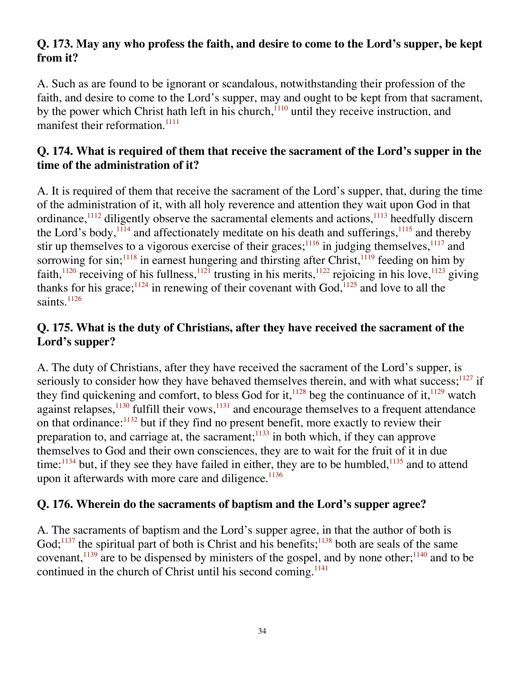#### **Q. 173. May any who profess the faith, and desire to come to the Lord's supper, be kept from it?**

A. Such as are found to be ignorant or scandalous, notwithstanding their profession of the faith, and desire to come to the Lord's supper, may and ought to be kept from that sacrament, by the power which Christ hath left in his church, $\frac{1110}{1110}$  until they receive instruction, and manifest their reformation.<sup>1111</sup>

#### **Q. 174. What is required of them that receive the sacrament of the Lord's supper in the time of the administration of it?**

A. It is required of them that receive the sacrament of the Lord's supper, that, during the time of the administration of it, with all holy reverence and attention they wait upon God in that ordinance,  $\frac{1112}{1112}$  diligently observe the sacramental elements and actions,  $\frac{1113}{1113}$  heedfully discern the Lord's body,  $1114$  and affectionately meditate on his death and sufferings,  $1115$  and thereby stir up themselves to a vigorous exercise of their graces; $\frac{1116}{1110}$  in judging themselves,  $\frac{1117}{1110}$  and sorrowing for sin;  $1118$  in earnest hungering and thirsting after Christ,  $1119$  feeding on him by faith,<sup>1120</sup> receiving of his fullness,<sup>1121</sup> trusting in his merits,<sup>1122</sup> rejoicing in his love,<sup>1123</sup> giving thanks for his grace;  $124$  in renewing of their covenant with God,  $125$  and love to all the saints.<sup>1126</sup>

#### **Q. 175. What is the duty of Christians, after they have received the sacrament of the Lord's supper?**

A. The duty of Christians, after they have received the sacrament of the Lord's supper, is seriously to consider how they have behaved themselves therein, and with what success;  $127$  if they find quickening and comfort, to bless God for it,  $1128$  beg the continuance of it,  $1129$  watch against relapses, $^{1130}$  fulfill their vows, $^{1131}$  and encourage themselves to a frequent attendance on that ordinance: $1132$  but if they find no present benefit, more exactly to review their preparation to, and carriage at, the sacrament; $1133$  in both which, if they can approve themselves to God and their own consciences, they are to wait for the fruit of it in due time: $1134$  but, if they see they have failed in either, they are to be humbled,  $1135$  and to attend upon it afterwards with more care and diligence. $1136$ 

#### **Q. 176. Wherein do the sacraments of baptism and the Lord's supper agree?**

A. The sacraments of baptism and the Lord's supper agree, in that the author of both is God;<sup>1137</sup> the spiritual part of both is Christ and his benefits;<sup>1138</sup> both are seals of the same covenant,<sup>1139</sup> are to be dispensed by ministers of the gospel, and by none other;<sup>1140</sup> and to be continued in the church of Christ until his second coming.<sup>1141</sup>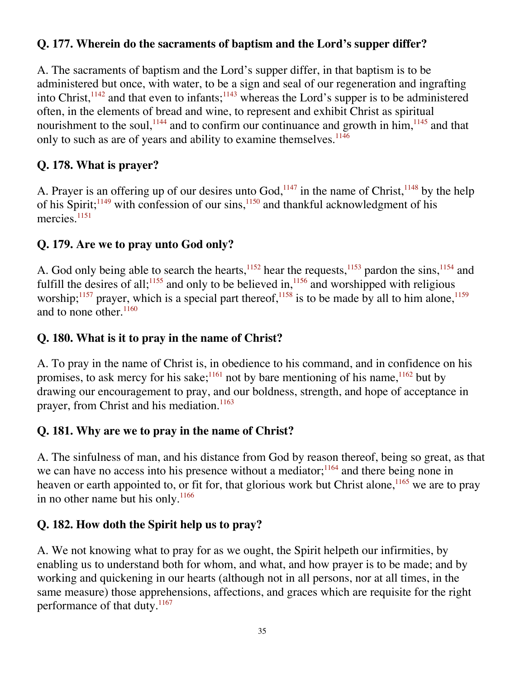# **Q. 177. Wherein do the sacraments of baptism and the Lord's supper differ?**

A. The sacraments of baptism and the Lord's supper differ, in that baptism is to be administered but once, with water, to be a sign and seal of our regeneration and ingrafting into Christ,  $1142$  and that even to infants;  $1143$  whereas the Lord's supper is to be administered often, in the elements of bread and wine, to represent and exhibit Christ as spiritual nourishment to the soul,  $1144$  and to confirm our continuance and growth in him,  $1145$  and that only to such as are of years and ability to examine themselves.<sup>1146</sup>

# **Q. 178. What is prayer?**

A. Prayer is an offering up of our desires unto  $God<sub>1147</sub>$  in the name of Christ,  $1148$  by the help of his Spirit;  $1149$  with confession of our sins,  $1150$  and thankful acknowledgment of his mercies.<sup>1151</sup>

# **Q. 179. Are we to pray unto God only?**

A. God only being able to search the hearts,<sup>1152</sup> hear the requests,<sup>1153</sup> pardon the sins,<sup>1154</sup> and fulfill the desires of all;<sup>1155</sup> and only to be believed in,<sup>1156</sup> and worshipped with religious worship;<sup>1157</sup> prayer, which is a special part thereof,<sup>1158</sup> is to be made by all to him alone,<sup>1159</sup> and to none other. $1160$ 

### **Q. 180. What is it to pray in the name of Christ?**

A. To pray in the name of Christ is, in obedience to his command, and in confidence on his promises, to ask mercy for his sake;<sup>1161</sup> not by bare mentioning of his name,  $1162$  but by drawing our encouragement to pray, and our boldness, strength, and hope of acceptance in prayer, from Christ and his mediation.<sup>1163</sup>

# **Q. 181. Why are we to pray in the name of Christ?**

A. The sinfulness of man, and his distance from God by reason thereof, being so great, as that we can have no access into his presence without a mediator; $1164$  and there being none in heaven or earth appointed to, or fit for, that glorious work but Christ alone,  $1165$  we are to pray in no other name but his only. $1166$ 

# **Q. 182. How doth the Spirit help us to pray?**

A. We not knowing what to pray for as we ought, the Spirit helpeth our infirmities, by enabling us to understand both for whom, and what, and how prayer is to be made; and by working and quickening in our hearts (although not in all persons, nor at all times, in the same measure) those apprehensions, affections, and graces which are requisite for the right performance of that duty.<sup>1167</sup>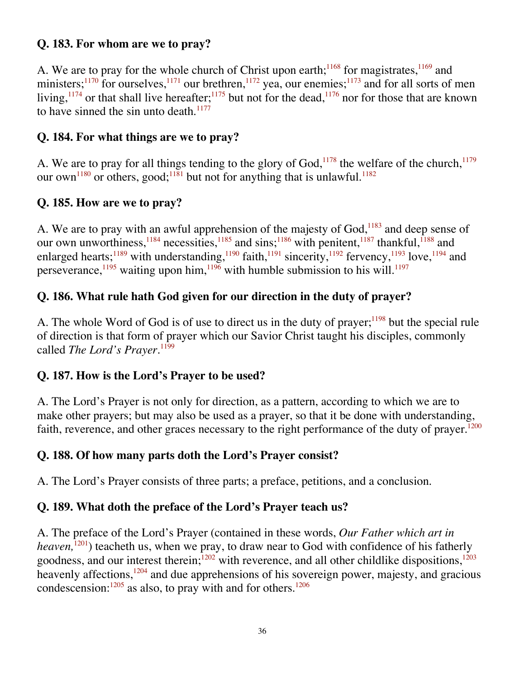# **Q. 183. For whom are we to pray?**

A. We are to pray for the whole church of Christ upon earth;<sup>1168</sup> for magistrates, $\frac{1169}{169}$  and ministers;<sup>1170</sup> for ourselves,<sup>1171</sup> our brethren,<sup>1172</sup> yea, our enemies;<sup>1173</sup> and for all sorts of men living,  $1174$  or that shall live hereafter;  $1175$  but not for the dead,  $1176$  nor for those that are known to have sinned the sin unto death. $1177$ 

### **Q. 184. For what things are we to pray?**

A. We are to pray for all things tending to the glory of  $God<sub>1178</sub>$ , the welfare of the church,<sup>1179</sup> our own<sup>1180</sup> or others, good;<sup>1181</sup> but not for anything that is unlawful.<sup>1182</sup>

### **Q. 185. How are we to pray?**

A. We are to pray with an awful apprehension of the majesty of  $God$ ,<sup>1183</sup> and deep sense of our own unworthiness,  $^{1184}$  necessities,  $^{1185}$  and sins;  $^{1186}$  with penitent,  $^{1187}$  thankful,  $^{1188}$  and enlarged hearts;<sup>1189</sup> with understanding,<sup>1190</sup> faith,<sup>1191</sup> sincerity,<sup>1192</sup> fervency,<sup>1193</sup> love,<sup>1194</sup> and perseverance,<sup>1195</sup> waiting upon him,<sup>1196</sup> with humble submission to his will.<sup>1197</sup>

# **Q. 186. What rule hath God given for our direction in the duty of prayer?**

A. The whole Word of God is of use to direct us in the duty of prayer;  $1198$  but the special rule of direction is that form of prayer which our Savior Christ taught his disciples, commonly called *The Lord's Prayer*.<sup>1199</sup>

#### **Q. 187. How is the Lord's Prayer to be used?**

A. The Lord's Prayer is not only for direction, as a pattern, according to which we are to make other prayers; but may also be used as a prayer, so that it be done with understanding, faith, reverence, and other graces necessary to the right performance of the duty of prayer.<sup>1200</sup>

# **Q. 188. Of how many parts doth the Lord's Prayer consist?**

A. The Lord's Prayer consists of three parts; a preface, petitions, and a conclusion.

# **Q. 189. What doth the preface of the Lord's Prayer teach us?**

A. The preface of the Lord's Prayer (contained in these words, *Our Father which art in heaven*,<sup>1201</sup>) teacheth us, when we pray, to draw near to God with confidence of his fatherly goodness, and our interest therein; $\frac{1202}{1202}$  with reverence, and all other childlike dispositions,<sup>1203</sup> heavenly affections,<sup>1204</sup> and due apprehensions of his sovereign power, majesty, and gracious condescension: $1205$  as also, to pray with and for others. $1206$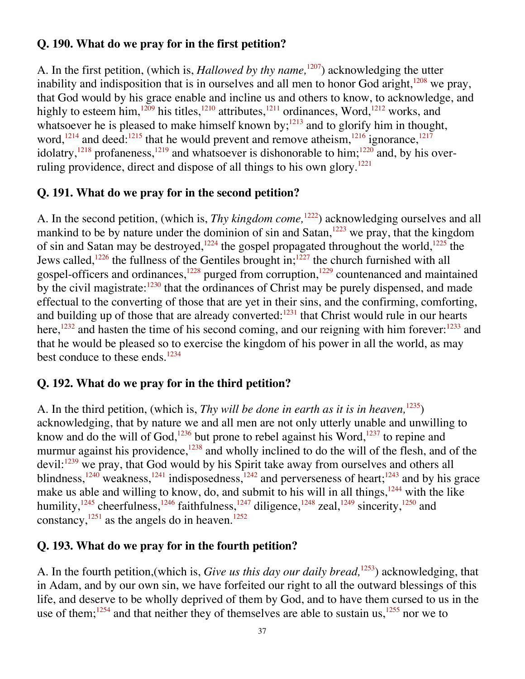### **Q. 190. What do we pray for in the first petition?**

A. In the first petition, (which is, *Hallowed by thy name,*1207) acknowledging the utter inability and indisposition that is in ourselves and all men to honor God aright,<sup>1208</sup> we pray, that God would by his grace enable and incline us and others to know, to acknowledge, and highly to esteem him,<sup>1209</sup> his titles,<sup>1210</sup> attributes,<sup>1211</sup> ordinances, Word,<sup>1212</sup> works, and whatsoever he is pleased to make himself known by;<sup>1213</sup> and to glorify him in thought, word,<sup>1214</sup> and deed:<sup>1215</sup> that he would prevent and remove atheism,  $1216$  ignorance,  $1217$ idolatry,<sup>1218</sup> profaneness,<sup>1219</sup> and whatsoever is dishonorable to him;<sup>1220</sup> and, by his overruling providence, direct and dispose of all things to his own glory.<sup>1221</sup>

#### **Q. 191. What do we pray for in the second petition?**

A. In the second petition, (which is, *Thy kingdom come,*1222) acknowledging ourselves and all mankind to be by nature under the dominion of sin and Satan,<sup>1223</sup> we pray, that the kingdom of sin and Satan may be destroyed,<sup>1224</sup> the gospel propagated throughout the world,<sup>1225</sup> the Jews called,<sup>1226</sup> the fullness of the Gentiles brought in;<sup>1227</sup> the church furnished with all gospel-officers and ordinances,<sup>1228</sup> purged from corruption,<sup>1229</sup> countenanced and maintained by the civil magistrate: $1230$  that the ordinances of Christ may be purely dispensed, and made effectual to the converting of those that are yet in their sins, and the confirming, comforting, and building up of those that are already converted: $1231$  that Christ would rule in our hearts here,<sup>1232</sup> and hasten the time of his second coming, and our reigning with him forever:<sup>1233</sup> and that he would be pleased so to exercise the kingdom of his power in all the world, as may best conduce to these ends.<sup>1234</sup>

#### **Q. 192. What do we pray for in the third petition?**

A. In the third petition, (which is, *Thy will be done in earth as it is in heaven,*1235) acknowledging, that by nature we and all men are not only utterly unable and unwilling to know and do the will of God,<sup>1236</sup> but prone to rebel against his Word,<sup>1237</sup> to repine and murmur against his providence, $1238$  and wholly inclined to do the will of the flesh, and of the devil:<sup>1239</sup> we pray, that God would by his Spirit take away from ourselves and others all blindness,<sup>1240</sup> weakness,<sup>1241</sup> indisposedness,<sup>1242</sup> and perverseness of heart;<sup>1243</sup> and by his grace make us able and willing to know, do, and submit to his will in all things,<sup>1244</sup> with the like humility,<sup>1245</sup> cheerfulness,<sup>1246</sup> faithfulness,<sup>1247</sup> diligence,<sup>1248</sup> zeal,<sup>1249</sup> sincerity,<sup>1250</sup> and constancy, $1251$  as the angels do in heaven.<sup>1252</sup>

#### **Q. 193. What do we pray for in the fourth petition?**

A. In the fourth petition,(which is, *Give us this day our daily bread,*1253) acknowledging, that in Adam, and by our own sin, we have forfeited our right to all the outward blessings of this life, and deserve to be wholly deprived of them by God, and to have them cursed to us in the use of them;<sup>1254</sup> and that neither they of themselves are able to sustain us,  $1255$  nor we to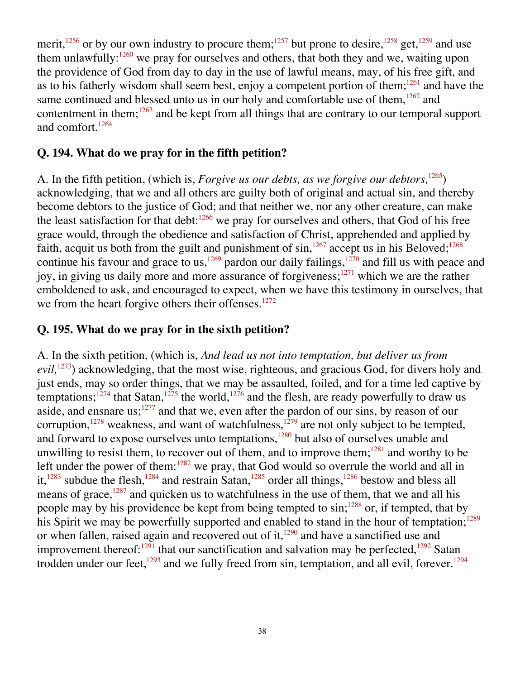merit,<sup>1256</sup> or by our own industry to procure them;<sup>1257</sup> but prone to desire,<sup>1258</sup> get,<sup>1259</sup> and use them unlawfully: $1260$  we pray for ourselves and others, that both they and we, waiting upon the providence of God from day to day in the use of lawful means, may, of his free gift, and as to his fatherly wisdom shall seem best, enjoy a competent portion of them; $^{1261}$  and have the same continued and blessed unto us in our holy and comfortable use of them,  $1262$  and contentment in them; $1263$  and be kept from all things that are contrary to our temporal support and comfort.<sup>1264</sup>

#### **Q. 194. What do we pray for in the fifth petition?**

A. In the fifth petition, (which is, *Forgive us our debts, as we forgive our debtors,*1265) acknowledging, that we and all others are guilty both of original and actual sin, and thereby become debtors to the justice of God; and that neither we, nor any other creature, can make the least satisfaction for that debt: $1266$  we pray for ourselves and others, that God of his free grace would, through the obedience and satisfaction of Christ, apprehended and applied by faith, acquit us both from the guilt and punishment of  $\sin^{1267}$  accept us in his Beloved;<sup>1268</sup> continue his favour and grace to us,<sup>1269</sup> pardon our daily failings,<sup>1270</sup> and fill us with peace and joy, in giving us daily more and more assurance of forgiveness;<sup>1271</sup> which we are the rather emboldened to ask, and encouraged to expect, when we have this testimony in ourselves, that we from the heart forgive others their offenses. $1272$ 

#### **Q. 195. What do we pray for in the sixth petition?**

A. In the sixth petition, (which is, *And lead us not into temptation, but deliver us from evil,*1273) acknowledging, that the most wise, righteous, and gracious God, for divers holy and just ends, may so order things, that we may be assaulted, foiled, and for a time led captive by temptations;<sup>1274</sup> that Satan,<sup>1275</sup> the world,<sup>1276</sup> and the flesh, are ready powerfully to draw us aside, and ensnare us; $^{1277}$  and that we, even after the pardon of our sins, by reason of our corruption, $1278$  weakness, and want of watchfulness, $1279$  are not only subject to be tempted, and forward to expose ourselves unto temptations,<sup>1280</sup> but also of ourselves unable and unwilling to resist them, to recover out of them, and to improve them; $1281$  and worthy to be left under the power of them: $1282$  we pray, that God would so overrule the world and all in it,<sup>1283</sup> subdue the flesh,<sup>1284</sup> and restrain Satan,<sup>1285</sup> order all things,<sup>1286</sup> bestow and bless all means of grace, $1287$  and quicken us to watchfulness in the use of them, that we and all his people may by his providence be kept from being tempted to sin;<sup>1288</sup> or, if tempted, that by his Spirit we may be powerfully supported and enabled to stand in the hour of temptation;<sup>1289</sup> or when fallen, raised again and recovered out of it, $1290$  and have a sanctified use and improvement thereof: $1291$  that our sanctification and salvation may be perfected,  $1292$  Satan trodden under our feet,<sup>1293</sup> and we fully freed from sin, temptation, and all evil, forever.<sup>1294</sup>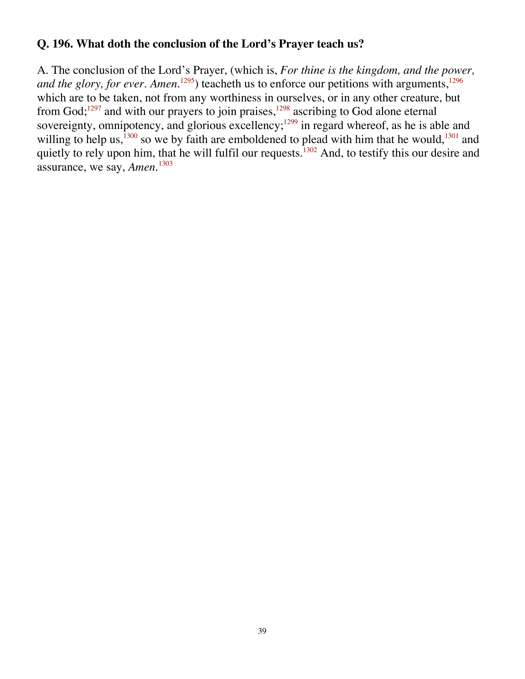### **Q. 196. What doth the conclusion of the Lord's Prayer teach us?**

A. The conclusion of the Lord's Prayer, (which is, *For thine is the kingdom, and the power, and the glory, for ever. Amen.*<sup>1295</sup>) teacheth us to enforce our petitions with arguments,<sup>1296</sup> which are to be taken, not from any worthiness in ourselves, or in any other creature, but from  $God; <sup>1297</sup>$  and with our prayers to join praises,  $<sup>1298</sup>$  ascribing to God alone eternal</sup> sovereignty, omnipotency, and glorious excellency;<sup>1299</sup> in regard whereof, as he is able and willing to help us,  $\frac{1300}{1300}$  so we by faith are emboldened to plead with him that he would,  $\frac{1301}{1301}$  and quietly to rely upon him, that he will fulfil our requests.<sup>1302</sup> And, to testify this our desire and assurance, we say, *Amen.*1303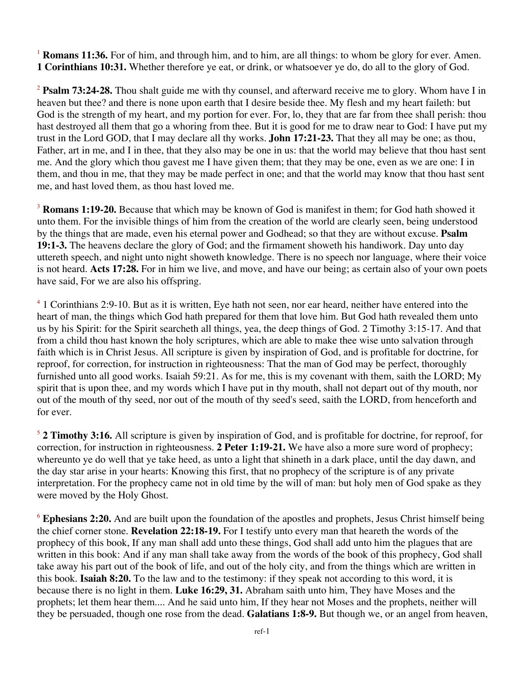<sup>1</sup> **Romans 11:36.** For of him, and through him, and to him, are all things: to whom be glory for ever. Amen. **1 Corinthians 10:31.** Whether therefore ye eat, or drink, or whatsoever ye do, do all to the glory of God.

<sup>2</sup> **Psalm 73:24-28.** Thou shalt guide me with thy counsel, and afterward receive me to glory. Whom have I in heaven but thee? and there is none upon earth that I desire beside thee. My flesh and my heart faileth: but God is the strength of my heart, and my portion for ever. For, lo, they that are far from thee shall perish: thou hast destroyed all them that go a whoring from thee. But it is good for me to draw near to God: I have put my trust in the Lord GOD, that I may declare all thy works. **John 17:21-23.** That they all may be one; as thou, Father, art in me, and I in thee, that they also may be one in us: that the world may believe that thou hast sent me. And the glory which thou gavest me I have given them; that they may be one, even as we are one: I in them, and thou in me, that they may be made perfect in one; and that the world may know that thou hast sent me, and hast loved them, as thou hast loved me.

<sup>3</sup> **Romans 1:19-20.** Because that which may be known of God is manifest in them; for God hath showed it unto them. For the invisible things of him from the creation of the world are clearly seen, being understood by the things that are made, even his eternal power and Godhead; so that they are without excuse. **Psalm 19:1-3.** The heavens declare the glory of God; and the firmament showeth his handiwork. Day unto day uttereth speech, and night unto night showeth knowledge. There is no speech nor language, where their voice is not heard. **Acts 17:28.** For in him we live, and move, and have our being; as certain also of your own poets have said, For we are also his offspring.

<sup>4</sup> 1 Corinthians 2:9-10. But as it is written, Eye hath not seen, nor ear heard, neither have entered into the heart of man, the things which God hath prepared for them that love him. But God hath revealed them unto us by his Spirit: for the Spirit searcheth all things, yea, the deep things of God. 2 Timothy 3:15-17. And that from a child thou hast known the holy scriptures, which are able to make thee wise unto salvation through faith which is in Christ Jesus. All scripture is given by inspiration of God, and is profitable for doctrine, for reproof, for correction, for instruction in righteousness: That the man of God may be perfect, thoroughly furnished unto all good works. Isaiah 59:21. As for me, this is my covenant with them, saith the LORD; My spirit that is upon thee, and my words which I have put in thy mouth, shall not depart out of thy mouth, nor out of the mouth of thy seed, nor out of the mouth of thy seed's seed, saith the LORD, from henceforth and for ever.

<sup>5</sup> **2 Timothy 3:16.** All scripture is given by inspiration of God, and is profitable for doctrine, for reproof, for correction, for instruction in righteousness. **2 Peter 1:19-21.** We have also a more sure word of prophecy; whereunto ye do well that ye take heed, as unto a light that shineth in a dark place, until the day dawn, and the day star arise in your hearts: Knowing this first, that no prophecy of the scripture is of any private interpretation. For the prophecy came not in old time by the will of man: but holy men of God spake as they were moved by the Holy Ghost.

<sup>6</sup> Ephesians 2:20. And are built upon the foundation of the apostles and prophets, Jesus Christ himself being the chief corner stone. **Revelation 22:18-19.** For I testify unto every man that heareth the words of the prophecy of this book, If any man shall add unto these things, God shall add unto him the plagues that are written in this book: And if any man shall take away from the words of the book of this prophecy, God shall take away his part out of the book of life, and out of the holy city, and from the things which are written in this book. **Isaiah 8:20.** To the law and to the testimony: if they speak not according to this word, it is because there is no light in them. **Luke 16:29, 31.** Abraham saith unto him, They have Moses and the prophets; let them hear them.... And he said unto him, If they hear not Moses and the prophets, neither will they be persuaded, though one rose from the dead. **Galatians 1:8-9.** But though we, or an angel from heaven,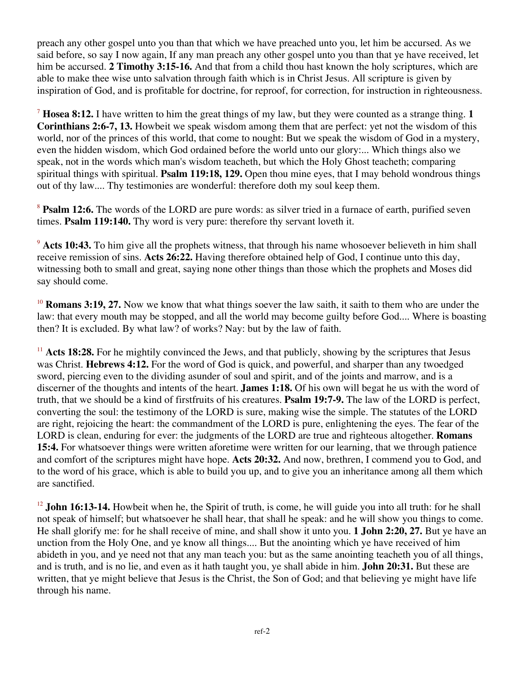preach any other gospel unto you than that which we have preached unto you, let him be accursed. As we said before, so say I now again, If any man preach any other gospel unto you than that ye have received, let him be accursed. **2 Timothy 3:15-16.** And that from a child thou hast known the holy scriptures, which are able to make thee wise unto salvation through faith which is in Christ Jesus. All scripture is given by inspiration of God, and is profitable for doctrine, for reproof, for correction, for instruction in righteousness.

<sup>7</sup> **Hosea 8:12.** I have written to him the great things of my law, but they were counted as a strange thing. **1 Corinthians 2:6-7, 13.** Howbeit we speak wisdom among them that are perfect: yet not the wisdom of this world, nor of the princes of this world, that come to nought: But we speak the wisdom of God in a mystery, even the hidden wisdom, which God ordained before the world unto our glory:... Which things also we speak, not in the words which man's wisdom teacheth, but which the Holy Ghost teacheth; comparing spiritual things with spiritual. **Psalm 119:18, 129.** Open thou mine eyes, that I may behold wondrous things out of thy law.... Thy testimonies are wonderful: therefore doth my soul keep them.

<sup>8</sup> **Psalm 12:6.** The words of the LORD are pure words: as silver tried in a furnace of earth, purified seven times. **Psalm 119:140.** Thy word is very pure: therefore thy servant loveth it.

<sup>9</sup> Acts 10:43. To him give all the prophets witness, that through his name whosoever believeth in him shall receive remission of sins. **Acts 26:22.** Having therefore obtained help of God, I continue unto this day, witnessing both to small and great, saying none other things than those which the prophets and Moses did say should come.

<sup>10</sup> **Romans 3:19, 27.** Now we know that what things soever the law saith, it saith to them who are under the law: that every mouth may be stopped, and all the world may become guilty before God.... Where is boasting then? It is excluded. By what law? of works? Nay: but by the law of faith.

 $11$  **Acts 18:28.** For he mightily convinced the Jews, and that publicly, showing by the scriptures that Jesus was Christ. **Hebrews 4:12.** For the word of God is quick, and powerful, and sharper than any twoedged sword, piercing even to the dividing asunder of soul and spirit, and of the joints and marrow, and is a discerner of the thoughts and intents of the heart. **James 1:18.** Of his own will begat he us with the word of truth, that we should be a kind of firstfruits of his creatures. **Psalm 19:7-9.** The law of the LORD is perfect, converting the soul: the testimony of the LORD is sure, making wise the simple. The statutes of the LORD are right, rejoicing the heart: the commandment of the LORD is pure, enlightening the eyes. The fear of the LORD is clean, enduring for ever: the judgments of the LORD are true and righteous altogether. **Romans 15:4.** For whatsoever things were written aforetime were written for our learning, that we through patience and comfort of the scriptures might have hope. **Acts 20:32.** And now, brethren, I commend you to God, and to the word of his grace, which is able to build you up, and to give you an inheritance among all them which are sanctified.

<sup>12</sup> **John 16:13-14.** Howbeit when he, the Spirit of truth, is come, he will guide you into all truth: for he shall not speak of himself; but whatsoever he shall hear, that shall he speak: and he will show you things to come. He shall glorify me: for he shall receive of mine, and shall show it unto you. **1 John 2:20, 27.** But ye have an unction from the Holy One, and ye know all things.... But the anointing which ye have received of him abideth in you, and ye need not that any man teach you: but as the same anointing teacheth you of all things, and is truth, and is no lie, and even as it hath taught you, ye shall abide in him. **John 20:31.** But these are written, that ye might believe that Jesus is the Christ, the Son of God; and that believing ye might have life through his name.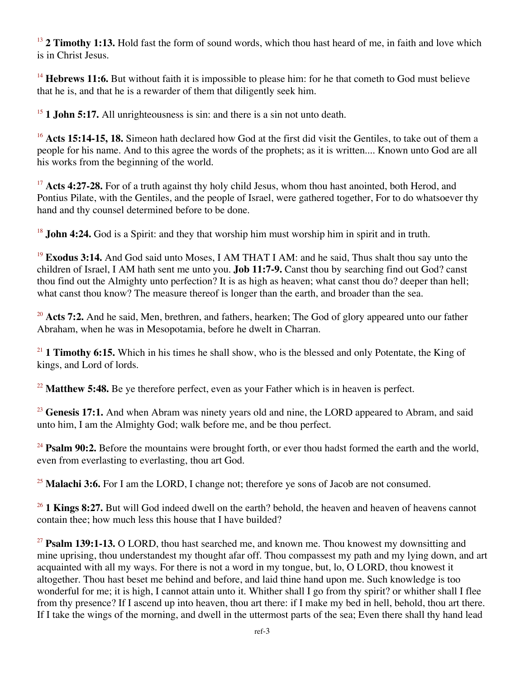<sup>13</sup> **2 Timothy 1:13.** Hold fast the form of sound words, which thou hast heard of me, in faith and love which is in Christ Jesus.

<sup>14</sup> Hebrews 11:6. But without faith it is impossible to please him: for he that cometh to God must believe that he is, and that he is a rewarder of them that diligently seek him.

<sup>15</sup> **1 John 5:17.** All unrighteousness is sin: and there is a sin not unto death.

<sup>16</sup> Acts 15:14-15, 18. Simeon hath declared how God at the first did visit the Gentiles, to take out of them a people for his name. And to this agree the words of the prophets; as it is written.... Known unto God are all his works from the beginning of the world.

<sup>17</sup> Acts 4:27-28. For of a truth against thy holy child Jesus, whom thou hast anointed, both Herod, and Pontius Pilate, with the Gentiles, and the people of Israel, were gathered together, For to do whatsoever thy hand and thy counsel determined before to be done.

<sup>18</sup> **John 4:24.** God is a Spirit: and they that worship him must worship him in spirit and in truth.

<sup>19</sup> **Exodus 3:14.** And God said unto Moses, I AM THAT I AM: and he said, Thus shalt thou say unto the children of Israel, I AM hath sent me unto you. **Job 11:7-9.** Canst thou by searching find out God? canst thou find out the Almighty unto perfection? It is as high as heaven; what canst thou do? deeper than hell; what canst thou know? The measure thereof is longer than the earth, and broader than the sea.

<sup>20</sup> Acts 7:2. And he said, Men, brethren, and fathers, hearken; The God of glory appeared unto our father Abraham, when he was in Mesopotamia, before he dwelt in Charran.

<sup>21</sup> **1 Timothy 6:15.** Which in his times he shall show, who is the blessed and only Potentate, the King of kings, and Lord of lords.

<sup>22</sup> Matthew 5:48. Be ye therefore perfect, even as your Father which is in heaven is perfect.

<sup>23</sup> Genesis 17:1. And when Abram was ninety years old and nine, the LORD appeared to Abram, and said unto him, I am the Almighty God; walk before me, and be thou perfect.

<sup>24</sup> **Psalm 90:2.** Before the mountains were brought forth, or ever thou hadst formed the earth and the world, even from everlasting to everlasting, thou art God.

<sup>25</sup> Malachi 3:6. For I am the LORD, I change not; therefore ye sons of Jacob are not consumed.

<sup>26</sup> **1 Kings 8:27.** But will God indeed dwell on the earth? behold, the heaven and heaven of heavens cannot contain thee; how much less this house that I have builded?

<sup>27</sup> **Psalm 139:1-13.** O LORD, thou hast searched me, and known me. Thou knowest my downsitting and mine uprising, thou understandest my thought afar off. Thou compassest my path and my lying down, and art acquainted with all my ways. For there is not a word in my tongue, but, lo, O LORD, thou knowest it altogether. Thou hast beset me behind and before, and laid thine hand upon me. Such knowledge is too wonderful for me; it is high, I cannot attain unto it. Whither shall I go from thy spirit? or whither shall I flee from thy presence? If I ascend up into heaven, thou art there: if I make my bed in hell, behold, thou art there. If I take the wings of the morning, and dwell in the uttermost parts of the sea; Even there shall thy hand lead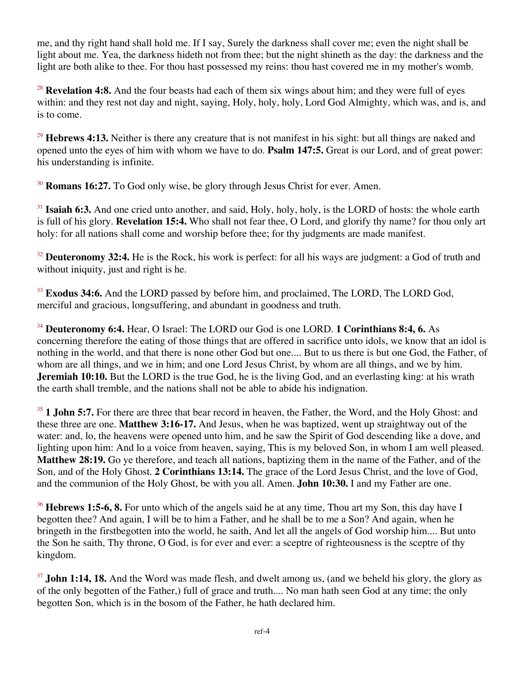me, and thy right hand shall hold me. If I say, Surely the darkness shall cover me; even the night shall be light about me. Yea, the darkness hideth not from thee; but the night shineth as the day: the darkness and the light are both alike to thee. For thou hast possessed my reins: thou hast covered me in my mother's womb.

<sup>28</sup> **Revelation 4:8.** And the four beasts had each of them six wings about him; and they were full of eves within: and they rest not day and night, saying, Holy, holy, holy, Lord God Almighty, which was, and is, and is to come.

<sup>29</sup> **Hebrews 4:13.** Neither is there any creature that is not manifest in his sight: but all things are naked and opened unto the eyes of him with whom we have to do. **Psalm 147:5.** Great is our Lord, and of great power: his understanding is infinite.

<sup>30</sup> **Romans 16:27.** To God only wise, be glory through Jesus Christ for ever. Amen.

<sup>31</sup> **Isaiah 6:3.** And one cried unto another, and said, Holy, holy, holy, is the LORD of hosts: the whole earth is full of his glory. **Revelation 15:4.** Who shall not fear thee, O Lord, and glorify thy name? for thou only art holy: for all nations shall come and worship before thee; for thy judgments are made manifest.

<sup>32</sup> **Deuteronomy 32:4.** He is the Rock, his work is perfect: for all his ways are judgment: a God of truth and without iniquity, just and right is he.

<sup>33</sup> Exodus 34:6. And the LORD passed by before him, and proclaimed, The LORD, The LORD God, merciful and gracious, longsuffering, and abundant in goodness and truth.

<sup>34</sup> **Deuteronomy 6:4.** Hear, O Israel: The LORD our God is one LORD. **1 Corinthians 8:4, 6.** As concerning therefore the eating of those things that are offered in sacrifice unto idols, we know that an idol is nothing in the world, and that there is none other God but one.... But to us there is but one God, the Father, of whom are all things, and we in him; and one Lord Jesus Christ, by whom are all things, and we by him. **Jeremiah 10:10.** But the LORD is the true God, he is the living God, and an everlasting king: at his wrath the earth shall tremble, and the nations shall not be able to abide his indignation.

<sup>35</sup> **1 John 5:7.** For there are three that bear record in heaven, the Father, the Word, and the Holy Ghost: and these three are one. **Matthew 3:16-17.** And Jesus, when he was baptized, went up straightway out of the water: and, lo, the heavens were opened unto him, and he saw the Spirit of God descending like a dove, and lighting upon him: And lo a voice from heaven, saying, This is my beloved Son, in whom I am well pleased. **Matthew 28:19.** Go ye therefore, and teach all nations, baptizing them in the name of the Father, and of the Son, and of the Holy Ghost. **2 Corinthians 13:14.** The grace of the Lord Jesus Christ, and the love of God, and the communion of the Holy Ghost, be with you all. Amen. **John 10:30.** I and my Father are one.

<sup>36</sup> **Hebrews 1:5-6, 8.** For unto which of the angels said he at any time, Thou art my Son, this day have I begotten thee? And again, I will be to him a Father, and he shall be to me a Son? And again, when he bringeth in the firstbegotten into the world, he saith, And let all the angels of God worship him.... But unto the Son he saith, Thy throne, O God, is for ever and ever: a sceptre of righteousness is the sceptre of thy kingdom.

<sup>37</sup> **John 1:14, 18.** And the Word was made flesh, and dwelt among us, (and we beheld his glory, the glory as of the only begotten of the Father,) full of grace and truth.... No man hath seen God at any time; the only begotten Son, which is in the bosom of the Father, he hath declared him.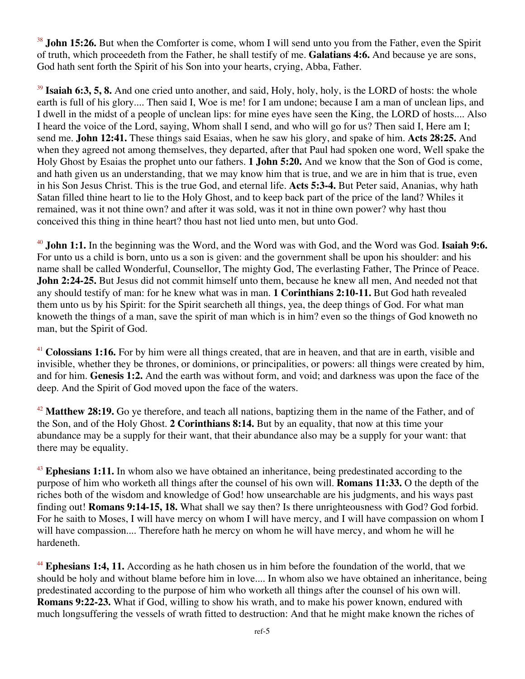<sup>38</sup> **John 15:26.** But when the Comforter is come, whom I will send unto you from the Father, even the Spirit of truth, which proceedeth from the Father, he shall testify of me. **Galatians 4:6.** And because ye are sons, God hath sent forth the Spirit of his Son into your hearts, crying, Abba, Father.

<sup>39</sup> **Isaiah 6:3, 5, 8.** And one cried unto another, and said, Holy, holy, holy, is the LORD of hosts: the whole earth is full of his glory.... Then said I, Woe is me! for I am undone; because I am a man of unclean lips, and I dwell in the midst of a people of unclean lips: for mine eyes have seen the King, the LORD of hosts.... Also I heard the voice of the Lord, saying, Whom shall I send, and who will go for us? Then said I, Here am I; send me. **John 12:41.** These things said Esaias, when he saw his glory, and spake of him. **Acts 28:25.** And when they agreed not among themselves, they departed, after that Paul had spoken one word, Well spake the Holy Ghost by Esaias the prophet unto our fathers. **1 John 5:20.** And we know that the Son of God is come, and hath given us an understanding, that we may know him that is true, and we are in him that is true, even in his Son Jesus Christ. This is the true God, and eternal life. **Acts 5:3-4.** But Peter said, Ananias, why hath Satan filled thine heart to lie to the Holy Ghost, and to keep back part of the price of the land? Whiles it remained, was it not thine own? and after it was sold, was it not in thine own power? why hast thou conceived this thing in thine heart? thou hast not lied unto men, but unto God.

<sup>40</sup> **John 1:1.** In the beginning was the Word, and the Word was with God, and the Word was God. **Isaiah 9:6.** For unto us a child is born, unto us a son is given: and the government shall be upon his shoulder: and his name shall be called Wonderful, Counsellor, The mighty God, The everlasting Father, The Prince of Peace. **John 2:24-25.** But Jesus did not commit himself unto them, because he knew all men, And needed not that any should testify of man: for he knew what was in man. **1 Corinthians 2:10-11.** But God hath revealed them unto us by his Spirit: for the Spirit searcheth all things, yea, the deep things of God. For what man knoweth the things of a man, save the spirit of man which is in him? even so the things of God knoweth no man, but the Spirit of God.

<sup>41</sup> Colossians 1:16. For by him were all things created, that are in heaven, and that are in earth, visible and invisible, whether they be thrones, or dominions, or principalities, or powers: all things were created by him, and for him. **Genesis 1:2.** And the earth was without form, and void; and darkness was upon the face of the deep. And the Spirit of God moved upon the face of the waters.

<sup>42</sup> Matthew 28:19. Go ye therefore, and teach all nations, baptizing them in the name of the Father, and of the Son, and of the Holy Ghost. **2 Corinthians 8:14.** But by an equality, that now at this time your abundance may be a supply for their want, that their abundance also may be a supply for your want: that there may be equality.

<sup>43</sup> **Ephesians 1:11.** In whom also we have obtained an inheritance, being predestinated according to the purpose of him who worketh all things after the counsel of his own will. **Romans 11:33.** O the depth of the riches both of the wisdom and knowledge of God! how unsearchable are his judgments, and his ways past finding out! **Romans 9:14-15, 18.** What shall we say then? Is there unrighteousness with God? God forbid. For he saith to Moses, I will have mercy on whom I will have mercy, and I will have compassion on whom I will have compassion.... Therefore hath he mercy on whom he will have mercy, and whom he will he hardeneth.

<sup>44</sup> Ephesians 1:4, 11. According as he hath chosen us in him before the foundation of the world, that we should be holy and without blame before him in love.... In whom also we have obtained an inheritance, being predestinated according to the purpose of him who worketh all things after the counsel of his own will. **Romans 9:22-23.** What if God, willing to show his wrath, and to make his power known, endured with much longsuffering the vessels of wrath fitted to destruction: And that he might make known the riches of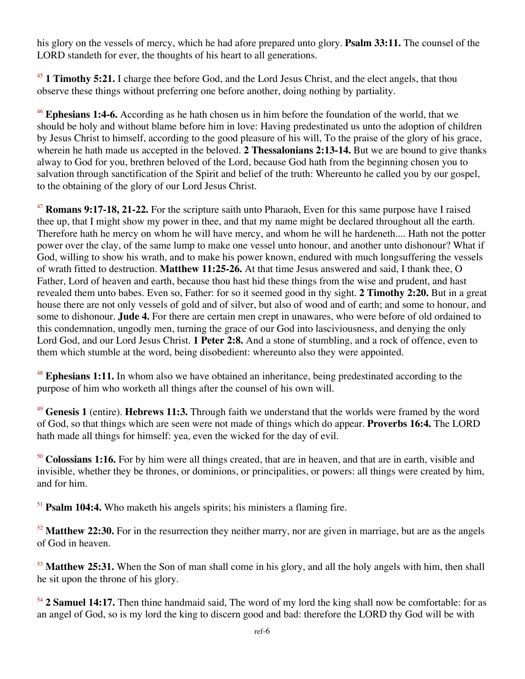his glory on the vessels of mercy, which he had afore prepared unto glory. **Psalm 33:11.** The counsel of the LORD standeth for ever, the thoughts of his heart to all generations.

<sup>45</sup> **1 Timothy 5:21.** I charge thee before God, and the Lord Jesus Christ, and the elect angels, that thou observe these things without preferring one before another, doing nothing by partiality.

<sup>46</sup> **Ephesians 1:4-6.** According as he hath chosen us in him before the foundation of the world, that we should be holy and without blame before him in love: Having predestinated us unto the adoption of children by Jesus Christ to himself, according to the good pleasure of his will, To the praise of the glory of his grace, wherein he hath made us accepted in the beloved. **2 Thessalonians 2:13-14.** But we are bound to give thanks alway to God for you, brethren beloved of the Lord, because God hath from the beginning chosen you to salvation through sanctification of the Spirit and belief of the truth: Whereunto he called you by our gospel, to the obtaining of the glory of our Lord Jesus Christ.

<sup>47</sup> **Romans 9:17-18, 21-22.** For the scripture saith unto Pharaoh, Even for this same purpose have I raised thee up, that I might show my power in thee, and that my name might be declared throughout all the earth. Therefore hath he mercy on whom he will have mercy, and whom he will he hardeneth.... Hath not the potter power over the clay, of the same lump to make one vessel unto honour, and another unto dishonour? What if God, willing to show his wrath, and to make his power known, endured with much longsuffering the vessels of wrath fitted to destruction. **Matthew 11:25-26.** At that time Jesus answered and said, I thank thee, O Father, Lord of heaven and earth, because thou hast hid these things from the wise and prudent, and hast revealed them unto babes. Even so, Father: for so it seemed good in thy sight. **2 Timothy 2:20.** But in a great house there are not only vessels of gold and of silver, but also of wood and of earth; and some to honour, and some to dishonour. **Jude 4.** For there are certain men crept in unawares, who were before of old ordained to this condemnation, ungodly men, turning the grace of our God into lasciviousness, and denying the only Lord God, and our Lord Jesus Christ. **1 Peter 2:8.** And a stone of stumbling, and a rock of offence, even to them which stumble at the word, being disobedient: whereunto also they were appointed.

<sup>48</sup> **Ephesians 1:11.** In whom also we have obtained an inheritance, being predestinated according to the purpose of him who worketh all things after the counsel of his own will.

<sup>49</sup> **Genesis 1** (entire). **Hebrews 11:3.** Through faith we understand that the worlds were framed by the word of God, so that things which are seen were not made of things which do appear. **Proverbs 16:4.** The LORD hath made all things for himself: yea, even the wicked for the day of evil.

<sup>50</sup> Colossians 1:16. For by him were all things created, that are in heaven, and that are in earth, visible and invisible, whether they be thrones, or dominions, or principalities, or powers: all things were created by him, and for him.

<sup>51</sup> **Psalm 104:4.** Who maketh his angels spirits; his ministers a flaming fire.

<sup>52</sup> **Matthew 22:30.** For in the resurrection they neither marry, nor are given in marriage, but are as the angels of God in heaven.

<sup>53</sup> **Matthew 25:31.** When the Son of man shall come in his glory, and all the holy angels with him, then shall he sit upon the throne of his glory.

<sup>54</sup> **2 Samuel 14:17.** Then thine handmaid said, The word of my lord the king shall now be comfortable: for as an angel of God, so is my lord the king to discern good and bad: therefore the LORD thy God will be with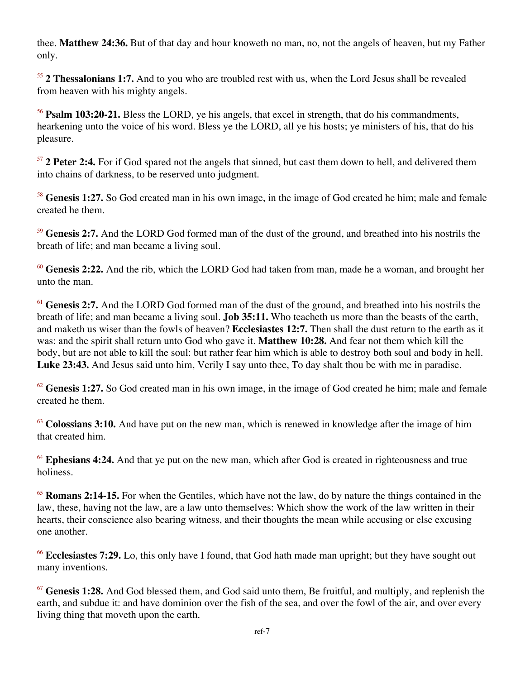thee. **Matthew 24:36.** But of that day and hour knoweth no man, no, not the angels of heaven, but my Father only.

<sup>55</sup> **2 Thessalonians 1:7.** And to you who are troubled rest with us, when the Lord Jesus shall be revealed from heaven with his mighty angels.

<sup>56</sup> **Psalm 103:20-21.** Bless the LORD, ye his angels, that excel in strength, that do his commandments, hearkening unto the voice of his word. Bless ye the LORD, all ye his hosts; ye ministers of his, that do his pleasure.

<sup>57</sup> **2 Peter 2:4.** For if God spared not the angels that sinned, but cast them down to hell, and delivered them into chains of darkness, to be reserved unto judgment.

<sup>58</sup> Genesis 1:27. So God created man in his own image, in the image of God created he him; male and female created he them.

<sup>59</sup> **Genesis 2:7.** And the LORD God formed man of the dust of the ground, and breathed into his nostrils the breath of life; and man became a living soul.

<sup>60</sup> **Genesis 2:22.** And the rib, which the LORD God had taken from man, made he a woman, and brought her unto the man.

<sup>61</sup> Genesis 2:7. And the LORD God formed man of the dust of the ground, and breathed into his nostrils the breath of life; and man became a living soul. **Job 35:11.** Who teacheth us more than the beasts of the earth, and maketh us wiser than the fowls of heaven? **Ecclesiastes 12:7.** Then shall the dust return to the earth as it was: and the spirit shall return unto God who gave it. **Matthew 10:28.** And fear not them which kill the body, but are not able to kill the soul: but rather fear him which is able to destroy both soul and body in hell. **Luke 23:43.** And Jesus said unto him, Verily I say unto thee, To day shalt thou be with me in paradise.

 $62$  **Genesis 1:27.** So God created man in his own image, in the image of God created he him; male and female created he them.

<sup>63</sup> Colossians 3:10. And have put on the new man, which is renewed in knowledge after the image of him that created him.

<sup>64</sup> Ephesians 4:24. And that ye put on the new man, which after God is created in righteousness and true holiness.

<sup>65</sup> **Romans 2:14-15.** For when the Gentiles, which have not the law, do by nature the things contained in the law, these, having not the law, are a law unto themselves: Which show the work of the law written in their hearts, their conscience also bearing witness, and their thoughts the mean while accusing or else excusing one another.

<sup>66</sup> **Ecclesiastes 7:29.** Lo, this only have I found, that God hath made man upright; but they have sought out many inventions.

<sup>67</sup> **Genesis 1:28.** And God blessed them, and God said unto them, Be fruitful, and multiply, and replenish the earth, and subdue it: and have dominion over the fish of the sea, and over the fowl of the air, and over every living thing that moveth upon the earth.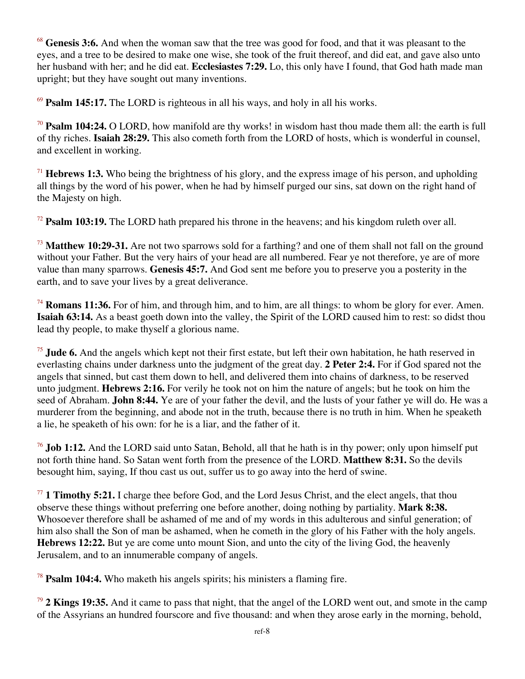<sup>68</sup> **Genesis 3:6.** And when the woman saw that the tree was good for food, and that it was pleasant to the eyes, and a tree to be desired to make one wise, she took of the fruit thereof, and did eat, and gave also unto her husband with her; and he did eat. **Ecclesiastes 7:29.** Lo, this only have I found, that God hath made man upright; but they have sought out many inventions.

<sup>69</sup> **Psalm 145:17.** The LORD is righteous in all his ways, and holy in all his works.

<sup>70</sup> **Psalm 104:24.** O LORD, how manifold are thy works! in wisdom hast thou made them all: the earth is full of thy riches. **Isaiah 28:29.** This also cometh forth from the LORD of hosts, which is wonderful in counsel, and excellent in working.

<sup>71</sup> **Hebrews 1:3.** Who being the brightness of his glory, and the express image of his person, and upholding all things by the word of his power, when he had by himself purged our sins, sat down on the right hand of the Majesty on high.

<sup>72</sup> **Psalm 103:19.** The LORD hath prepared his throne in the heavens; and his kingdom ruleth over all.

<sup>73</sup> **Matthew 10:29-31.** Are not two sparrows sold for a farthing? and one of them shall not fall on the ground without your Father. But the very hairs of your head are all numbered. Fear ye not therefore, ye are of more value than many sparrows. **Genesis 45:7.** And God sent me before you to preserve you a posterity in the earth, and to save your lives by a great deliverance.

<sup>74</sup> **Romans 11:36.** For of him, and through him, and to him, are all things: to whom be glory for ever. Amen. **Isaiah 63:14.** As a beast goeth down into the valley, the Spirit of the LORD caused him to rest: so didst thou lead thy people, to make thyself a glorious name.

<sup>75</sup> Jude 6. And the angels which kept not their first estate, but left their own habitation, he hath reserved in everlasting chains under darkness unto the judgment of the great day. **2 Peter 2:4.** For if God spared not the angels that sinned, but cast them down to hell, and delivered them into chains of darkness, to be reserved unto judgment. **Hebrews 2:16.** For verily he took not on him the nature of angels; but he took on him the seed of Abraham. **John 8:44.** Ye are of your father the devil, and the lusts of your father ye will do. He was a murderer from the beginning, and abode not in the truth, because there is no truth in him. When he speaketh a lie, he speaketh of his own: for he is a liar, and the father of it.

<sup>76</sup> **Job 1:12.** And the LORD said unto Satan, Behold, all that he hath is in thy power; only upon himself put not forth thine hand. So Satan went forth from the presence of the LORD. **Matthew 8:31.** So the devils besought him, saying, If thou cast us out, suffer us to go away into the herd of swine.

<sup>77</sup> 1 Timothy 5:21. I charge thee before God, and the Lord Jesus Christ, and the elect angels, that thou observe these things without preferring one before another, doing nothing by partiality. **Mark 8:38.** Whosoever therefore shall be ashamed of me and of my words in this adulterous and sinful generation; of him also shall the Son of man be ashamed, when he cometh in the glory of his Father with the holy angels. **Hebrews 12:22.** But ye are come unto mount Sion, and unto the city of the living God, the heavenly Jerusalem, and to an innumerable company of angels.

<sup>78</sup> **Psalm 104:4.** Who maketh his angels spirits; his ministers a flaming fire.

<sup>79</sup> **2 Kings 19:35.** And it came to pass that night, that the angel of the LORD went out, and smote in the camp of the Assyrians an hundred fourscore and five thousand: and when they arose early in the morning, behold,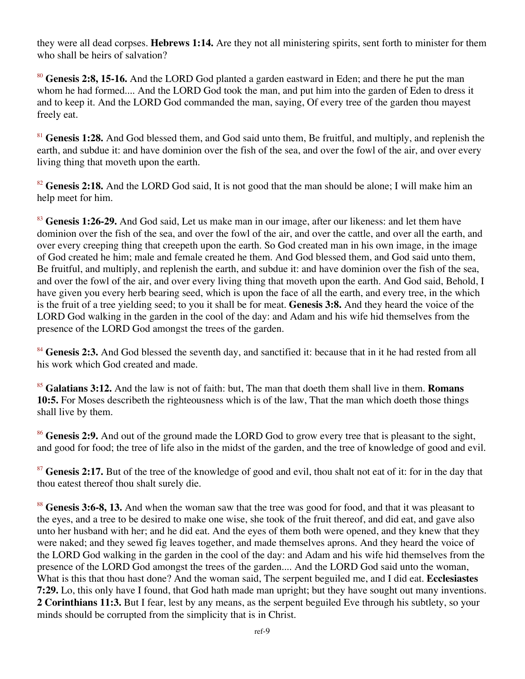they were all dead corpses. **Hebrews 1:14.** Are they not all ministering spirits, sent forth to minister for them who shall be heirs of salvation?

<sup>80</sup> **Genesis 2:8, 15-16.** And the LORD God planted a garden eastward in Eden; and there he put the man whom he had formed.... And the LORD God took the man, and put him into the garden of Eden to dress it and to keep it. And the LORD God commanded the man, saying, Of every tree of the garden thou mayest freely eat.

<sup>81</sup> Genesis 1:28. And God blessed them, and God said unto them, Be fruitful, and multiply, and replenish the earth, and subdue it: and have dominion over the fish of the sea, and over the fowl of the air, and over every living thing that moveth upon the earth.

<sup>82</sup> Genesis 2:18. And the LORD God said, It is not good that the man should be alone; I will make him an help meet for him.

<sup>83</sup> **Genesis 1:26-29.** And God said, Let us make man in our image, after our likeness: and let them have dominion over the fish of the sea, and over the fowl of the air, and over the cattle, and over all the earth, and over every creeping thing that creepeth upon the earth. So God created man in his own image, in the image of God created he him; male and female created he them. And God blessed them, and God said unto them, Be fruitful, and multiply, and replenish the earth, and subdue it: and have dominion over the fish of the sea, and over the fowl of the air, and over every living thing that moveth upon the earth. And God said, Behold, I have given you every herb bearing seed, which is upon the face of all the earth, and every tree, in the which is the fruit of a tree yielding seed; to you it shall be for meat. **Genesis 3:8.** And they heard the voice of the LORD God walking in the garden in the cool of the day: and Adam and his wife hid themselves from the presence of the LORD God amongst the trees of the garden.

<sup>84</sup> Genesis 2:3. And God blessed the seventh day, and sanctified it: because that in it he had rested from all his work which God created and made.

<sup>85</sup> **Galatians 3:12.** And the law is not of faith: but, The man that doeth them shall live in them. **Romans 10:5.** For Moses describeth the righteousness which is of the law, That the man which doeth those things shall live by them.

<sup>86</sup> Genesis 2:9. And out of the ground made the LORD God to grow every tree that is pleasant to the sight, and good for food; the tree of life also in the midst of the garden, and the tree of knowledge of good and evil.

<sup>87</sup> Genesis 2:17. But of the tree of the knowledge of good and evil, thou shalt not eat of it: for in the day that thou eatest thereof thou shalt surely die.

<sup>88</sup> Genesis 3:6-8, 13. And when the woman saw that the tree was good for food, and that it was pleasant to the eyes, and a tree to be desired to make one wise, she took of the fruit thereof, and did eat, and gave also unto her husband with her; and he did eat. And the eyes of them both were opened, and they knew that they were naked; and they sewed fig leaves together, and made themselves aprons. And they heard the voice of the LORD God walking in the garden in the cool of the day: and Adam and his wife hid themselves from the presence of the LORD God amongst the trees of the garden.... And the LORD God said unto the woman, What is this that thou hast done? And the woman said, The serpent beguiled me, and I did eat. **Ecclesiastes 7:29.** Lo, this only have I found, that God hath made man upright; but they have sought out many inventions. **2 Corinthians 11:3.** But I fear, lest by any means, as the serpent beguiled Eve through his subtlety, so your minds should be corrupted from the simplicity that is in Christ.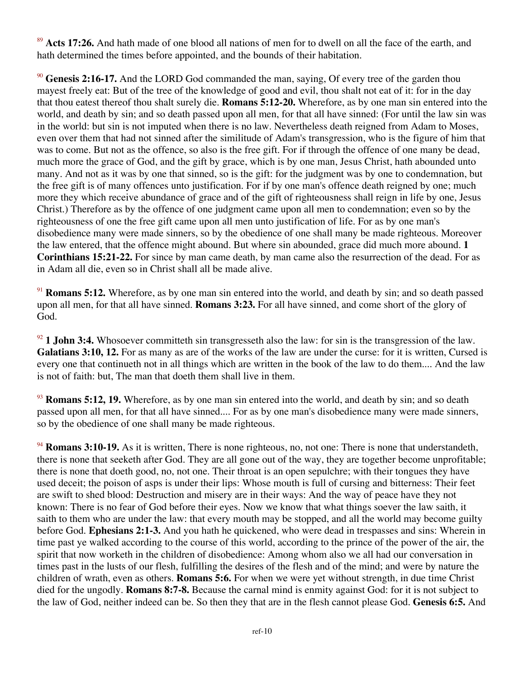<sup>89</sup> Acts 17:26. And hath made of one blood all nations of men for to dwell on all the face of the earth, and hath determined the times before appointed, and the bounds of their habitation.

<sup>90</sup> Genesis 2:16-17. And the LORD God commanded the man, saying, Of every tree of the garden thou mayest freely eat: But of the tree of the knowledge of good and evil, thou shalt not eat of it: for in the day that thou eatest thereof thou shalt surely die. **Romans 5:12-20.** Wherefore, as by one man sin entered into the world, and death by sin; and so death passed upon all men, for that all have sinned: (For until the law sin was in the world: but sin is not imputed when there is no law. Nevertheless death reigned from Adam to Moses, even over them that had not sinned after the similitude of Adam's transgression, who is the figure of him that was to come. But not as the offence, so also is the free gift. For if through the offence of one many be dead, much more the grace of God, and the gift by grace, which is by one man, Jesus Christ, hath abounded unto many. And not as it was by one that sinned, so is the gift: for the judgment was by one to condemnation, but the free gift is of many offences unto justification. For if by one man's offence death reigned by one; much more they which receive abundance of grace and of the gift of righteousness shall reign in life by one, Jesus Christ.) Therefore as by the offence of one judgment came upon all men to condemnation; even so by the righteousness of one the free gift came upon all men unto justification of life. For as by one man's disobedience many were made sinners, so by the obedience of one shall many be made righteous. Moreover the law entered, that the offence might abound. But where sin abounded, grace did much more abound. **1 Corinthians 15:21-22.** For since by man came death, by man came also the resurrection of the dead. For as in Adam all die, even so in Christ shall all be made alive.

<sup>91</sup> **Romans 5:12.** Wherefore, as by one man sin entered into the world, and death by sin; and so death passed upon all men, for that all have sinned. **Romans 3:23.** For all have sinned, and come short of the glory of God.

<sup>92</sup> **1 John 3:4.** Whosoever committeth sin transgresseth also the law: for sin is the transgression of the law. **Galatians 3:10, 12.** For as many as are of the works of the law are under the curse: for it is written, Cursed is every one that continueth not in all things which are written in the book of the law to do them.... And the law is not of faith: but, The man that doeth them shall live in them.

<sup>93</sup> **Romans 5:12, 19.** Wherefore, as by one man sin entered into the world, and death by sin; and so death passed upon all men, for that all have sinned.... For as by one man's disobedience many were made sinners, so by the obedience of one shall many be made righteous.

<sup>94</sup> **Romans 3:10-19.** As it is written, There is none righteous, no, not one: There is none that understandeth, there is none that seeketh after God. They are all gone out of the way, they are together become unprofitable; there is none that doeth good, no, not one. Their throat is an open sepulchre; with their tongues they have used deceit; the poison of asps is under their lips: Whose mouth is full of cursing and bitterness: Their feet are swift to shed blood: Destruction and misery are in their ways: And the way of peace have they not known: There is no fear of God before their eyes. Now we know that what things soever the law saith, it saith to them who are under the law: that every mouth may be stopped, and all the world may become guilty before God. **Ephesians 2:1-3.** And you hath he quickened, who were dead in trespasses and sins: Wherein in time past ye walked according to the course of this world, according to the prince of the power of the air, the spirit that now worketh in the children of disobedience: Among whom also we all had our conversation in times past in the lusts of our flesh, fulfilling the desires of the flesh and of the mind; and were by nature the children of wrath, even as others. **Romans 5:6.** For when we were yet without strength, in due time Christ died for the ungodly. **Romans 8:7-8.** Because the carnal mind is enmity against God: for it is not subject to the law of God, neither indeed can be. So then they that are in the flesh cannot please God. **Genesis 6:5.** And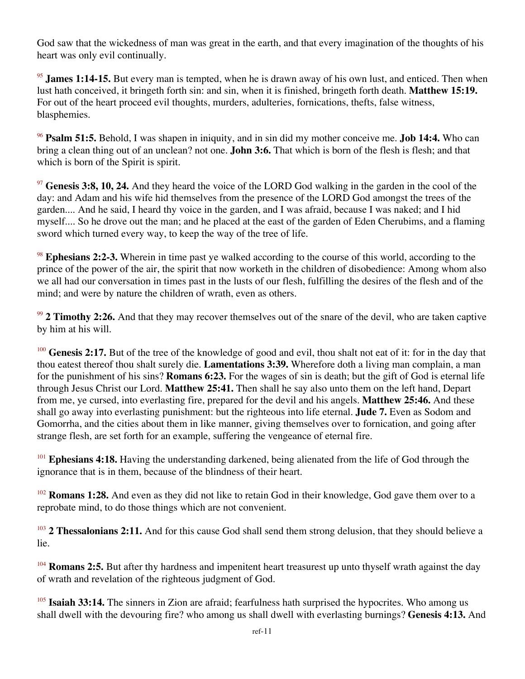God saw that the wickedness of man was great in the earth, and that every imagination of the thoughts of his heart was only evil continually.

<sup>95</sup> **James 1:14-15.** But every man is tempted, when he is drawn away of his own lust, and enticed. Then when lust hath conceived, it bringeth forth sin: and sin, when it is finished, bringeth forth death. **Matthew 15:19.** For out of the heart proceed evil thoughts, murders, adulteries, fornications, thefts, false witness, blasphemies.

<sup>96</sup> **Psalm 51:5.** Behold, I was shapen in iniquity, and in sin did my mother conceive me. **Job 14:4.** Who can bring a clean thing out of an unclean? not one. **John 3:6.** That which is born of the flesh is flesh; and that which is born of the Spirit is spirit.

<sup>97</sup> Genesis 3:8, 10, 24. And they heard the voice of the LORD God walking in the garden in the cool of the day: and Adam and his wife hid themselves from the presence of the LORD God amongst the trees of the garden.... And he said, I heard thy voice in the garden, and I was afraid, because I was naked; and I hid myself.... So he drove out the man; and he placed at the east of the garden of Eden Cherubims, and a flaming sword which turned every way, to keep the way of the tree of life.

<sup>98</sup> **Ephesians 2:2-3.** Wherein in time past ye walked according to the course of this world, according to the prince of the power of the air, the spirit that now worketh in the children of disobedience: Among whom also we all had our conversation in times past in the lusts of our flesh, fulfilling the desires of the flesh and of the mind; and were by nature the children of wrath, even as others.

<sup>99</sup> **2 Timothy 2:26.** And that they may recover themselves out of the snare of the devil, who are taken captive by him at his will.

<sup>100</sup> Genesis 2:17. But of the tree of the knowledge of good and evil, thou shalt not eat of it: for in the day that thou eatest thereof thou shalt surely die. **Lamentations 3:39.** Wherefore doth a living man complain, a man for the punishment of his sins? **Romans 6:23.** For the wages of sin is death; but the gift of God is eternal life through Jesus Christ our Lord. **Matthew 25:41.** Then shall he say also unto them on the left hand, Depart from me, ye cursed, into everlasting fire, prepared for the devil and his angels. **Matthew 25:46.** And these shall go away into everlasting punishment: but the righteous into life eternal. **Jude 7.** Even as Sodom and Gomorrha, and the cities about them in like manner, giving themselves over to fornication, and going after strange flesh, are set forth for an example, suffering the vengeance of eternal fire.

<sup>101</sup> Ephesians 4:18. Having the understanding darkened, being alienated from the life of God through the ignorance that is in them, because of the blindness of their heart.

<sup>102</sup> **Romans 1:28.** And even as they did not like to retain God in their knowledge, God gave them over to a reprobate mind, to do those things which are not convenient.

<sup>103</sup> **2 Thessalonians 2:11.** And for this cause God shall send them strong delusion, that they should believe a lie.

<sup>104</sup> **Romans 2:5.** But after thy hardness and impenitent heart treasurest up unto thyself wrath against the day of wrath and revelation of the righteous judgment of God.

<sup>105</sup> **Isaiah 33:14.** The sinners in Zion are afraid; fearfulness hath surprised the hypocrites. Who among us shall dwell with the devouring fire? who among us shall dwell with everlasting burnings? **Genesis 4:13.** And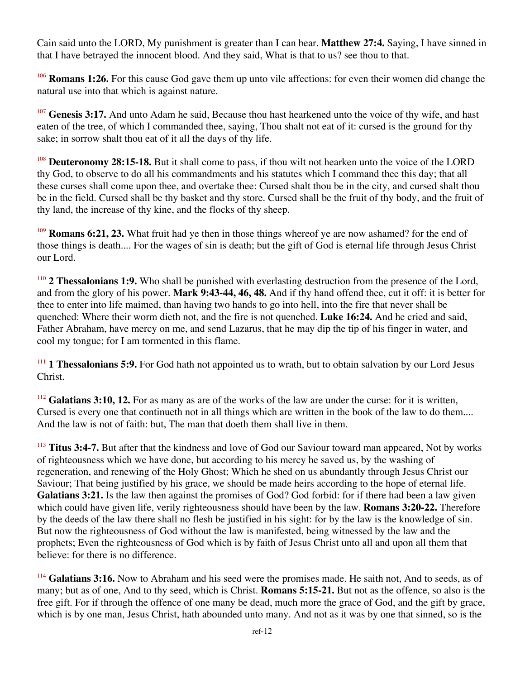Cain said unto the LORD, My punishment is greater than I can bear. **Matthew 27:4.** Saying, I have sinned in that I have betrayed the innocent blood. And they said, What is that to us? see thou to that.

<sup>106</sup> **Romans 1:26.** For this cause God gave them up unto vile affections: for even their women did change the natural use into that which is against nature.

<sup>107</sup> Genesis 3:17. And unto Adam he said, Because thou hast hearkened unto the voice of thy wife, and hast eaten of the tree, of which I commanded thee, saying, Thou shalt not eat of it: cursed is the ground for thy sake; in sorrow shalt thou eat of it all the days of thy life.

<sup>108</sup> **Deuteronomy 28:15-18.** But it shall come to pass, if thou wilt not hearken unto the voice of the LORD thy God, to observe to do all his commandments and his statutes which I command thee this day; that all these curses shall come upon thee, and overtake thee: Cursed shalt thou be in the city, and cursed shalt thou be in the field. Cursed shall be thy basket and thy store. Cursed shall be the fruit of thy body, and the fruit of thy land, the increase of thy kine, and the flocks of thy sheep.

<sup>109</sup> **Romans 6:21, 23.** What fruit had ye then in those things whereof ye are now ashamed? for the end of those things is death.... For the wages of sin is death; but the gift of God is eternal life through Jesus Christ our Lord.

<sup>110</sup> **2 Thessalonians 1:9.** Who shall be punished with everlasting destruction from the presence of the Lord, and from the glory of his power. **Mark 9:43-44, 46, 48.** And if thy hand offend thee, cut it off: it is better for thee to enter into life maimed, than having two hands to go into hell, into the fire that never shall be quenched: Where their worm dieth not, and the fire is not quenched. **Luke 16:24.** And he cried and said, Father Abraham, have mercy on me, and send Lazarus, that he may dip the tip of his finger in water, and cool my tongue; for I am tormented in this flame.

<sup>111</sup> **1 Thessalonians 5:9.** For God hath not appointed us to wrath, but to obtain salvation by our Lord Jesus Christ.

<sup>112</sup> Galatians 3:10, 12. For as many as are of the works of the law are under the curse: for it is written, Cursed is every one that continueth not in all things which are written in the book of the law to do them.... And the law is not of faith: but, The man that doeth them shall live in them.

<sup>113</sup> **Titus 3:4-7.** But after that the kindness and love of God our Saviour toward man appeared, Not by works of righteousness which we have done, but according to his mercy he saved us, by the washing of regeneration, and renewing of the Holy Ghost; Which he shed on us abundantly through Jesus Christ our Saviour; That being justified by his grace, we should be made heirs according to the hope of eternal life. **Galatians 3:21.** Is the law then against the promises of God? God forbid: for if there had been a law given which could have given life, verily righteousness should have been by the law. **Romans 3:20-22.** Therefore by the deeds of the law there shall no flesh be justified in his sight: for by the law is the knowledge of sin. But now the righteousness of God without the law is manifested, being witnessed by the law and the prophets; Even the righteousness of God which is by faith of Jesus Christ unto all and upon all them that believe: for there is no difference.

<sup>114</sup> Galatians 3:16. Now to Abraham and his seed were the promises made. He saith not, And to seeds, as of many; but as of one, And to thy seed, which is Christ. **Romans 5:15-21.** But not as the offence, so also is the free gift. For if through the offence of one many be dead, much more the grace of God, and the gift by grace, which is by one man, Jesus Christ, hath abounded unto many. And not as it was by one that sinned, so is the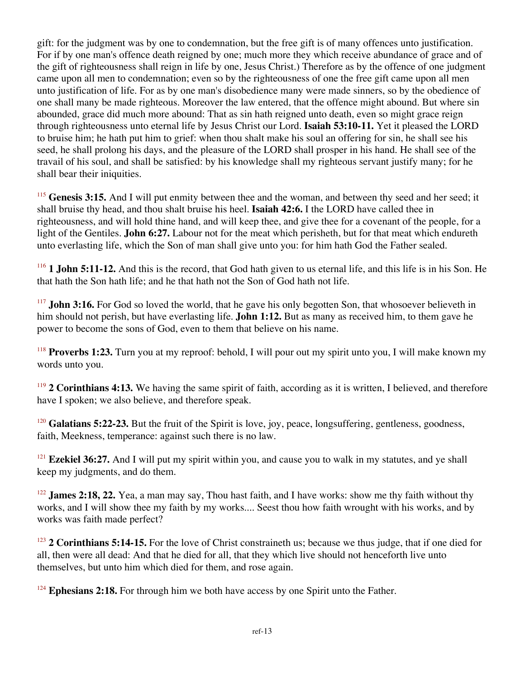gift: for the judgment was by one to condemnation, but the free gift is of many offences unto justification. For if by one man's offence death reigned by one; much more they which receive abundance of grace and of the gift of righteousness shall reign in life by one, Jesus Christ.) Therefore as by the offence of one judgment came upon all men to condemnation; even so by the righteousness of one the free gift came upon all men unto justification of life. For as by one man's disobedience many were made sinners, so by the obedience of one shall many be made righteous. Moreover the law entered, that the offence might abound. But where sin abounded, grace did much more abound: That as sin hath reigned unto death, even so might grace reign through righteousness unto eternal life by Jesus Christ our Lord. **Isaiah 53:10-11.** Yet it pleased the LORD to bruise him; he hath put him to grief: when thou shalt make his soul an offering for sin, he shall see his seed, he shall prolong his days, and the pleasure of the LORD shall prosper in his hand. He shall see of the travail of his soul, and shall be satisfied: by his knowledge shall my righteous servant justify many; for he shall bear their iniquities.

<sup>115</sup> Genesis 3:15. And I will put enmity between thee and the woman, and between thy seed and her seed; it shall bruise thy head, and thou shalt bruise his heel. **Isaiah 42:6.** I the LORD have called thee in righteousness, and will hold thine hand, and will keep thee, and give thee for a covenant of the people, for a light of the Gentiles. **John 6:27.** Labour not for the meat which perisheth, but for that meat which endureth unto everlasting life, which the Son of man shall give unto you: for him hath God the Father sealed.

<sup>116</sup> **1 John 5:11-12.** And this is the record, that God hath given to us eternal life, and this life is in his Son. He that hath the Son hath life; and he that hath not the Son of God hath not life.

<sup>117</sup> **John 3:16.** For God so loved the world, that he gave his only begotten Son, that whosoever believeth in him should not perish, but have everlasting life. **John 1:12.** But as many as received him, to them gave he power to become the sons of God, even to them that believe on his name.

<sup>118</sup> **Proverbs 1:23.** Turn you at my reproof: behold, I will pour out my spirit unto you, I will make known my words unto you.

<sup>119</sup> **2 Corinthians 4:13.** We having the same spirit of faith, according as it is written, I believed, and therefore have I spoken; we also believe, and therefore speak.

<sup>120</sup> Galatians 5:22-23. But the fruit of the Spirit is love, joy, peace, longsuffering, gentleness, goodness, faith, Meekness, temperance: against such there is no law.

<sup>121</sup> **Ezekiel 36:27.** And I will put my spirit within you, and cause you to walk in my statutes, and ye shall keep my judgments, and do them.

<sup>122</sup> **James 2:18, 22.** Yea, a man may say, Thou hast faith, and I have works: show me thy faith without thy works, and I will show thee my faith by my works.... Seest thou how faith wrought with his works, and by works was faith made perfect?

<sup>123</sup> **2 Corinthians 5:14-15.** For the love of Christ constraineth us; because we thus judge, that if one died for all, then were all dead: And that he died for all, that they which live should not henceforth live unto themselves, but unto him which died for them, and rose again.

<sup>124</sup> Ephesians 2:18. For through him we both have access by one Spirit unto the Father.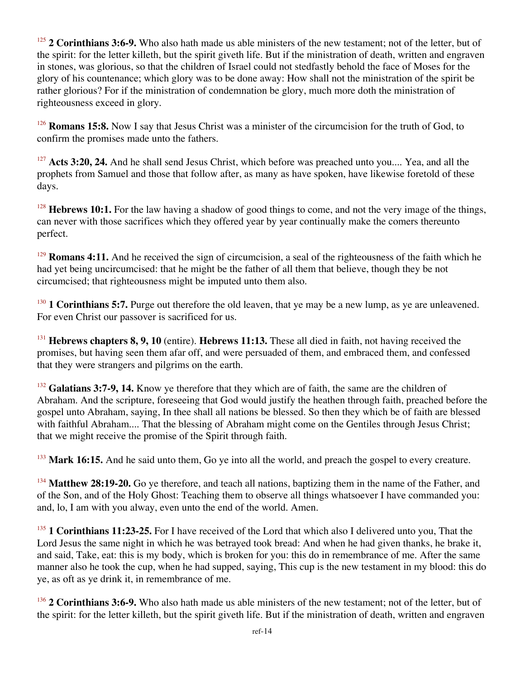<sup>125</sup> **2 Corinthians 3:6-9.** Who also hath made us able ministers of the new testament; not of the letter, but of the spirit: for the letter killeth, but the spirit giveth life. But if the ministration of death, written and engraven in stones, was glorious, so that the children of Israel could not stedfastly behold the face of Moses for the glory of his countenance; which glory was to be done away: How shall not the ministration of the spirit be rather glorious? For if the ministration of condemnation be glory, much more doth the ministration of righteousness exceed in glory.

<sup>126</sup> **Romans 15:8.** Now I say that Jesus Christ was a minister of the circumcision for the truth of God, to confirm the promises made unto the fathers.

<sup>127</sup> **Acts 3:20, 24.** And he shall send Jesus Christ, which before was preached unto you.... Yea, and all the prophets from Samuel and those that follow after, as many as have spoken, have likewise foretold of these days.

<sup>128</sup> **Hebrews 10:1.** For the law having a shadow of good things to come, and not the very image of the things, can never with those sacrifices which they offered year by year continually make the comers thereunto perfect.

<sup>129</sup> **Romans 4:11.** And he received the sign of circumcision, a seal of the righteousness of the faith which he had yet being uncircumcised: that he might be the father of all them that believe, though they be not circumcised; that righteousness might be imputed unto them also.

<sup>130</sup> **1 Corinthians 5:7.** Purge out therefore the old leaven, that ye may be a new lump, as ye are unleavened. For even Christ our passover is sacrificed for us.

<sup>131</sup> **Hebrews chapters 8, 9, 10** (entire). **Hebrews 11:13.** These all died in faith, not having received the promises, but having seen them afar off, and were persuaded of them, and embraced them, and confessed that they were strangers and pilgrims on the earth.

<sup>132</sup> Galatians 3:7-9, 14. Know ye therefore that they which are of faith, the same are the children of Abraham. And the scripture, foreseeing that God would justify the heathen through faith, preached before the gospel unto Abraham, saying, In thee shall all nations be blessed. So then they which be of faith are blessed with faithful Abraham.... That the blessing of Abraham might come on the Gentiles through Jesus Christ; that we might receive the promise of the Spirit through faith.

<sup>133</sup> Mark 16:15. And he said unto them, Go ye into all the world, and preach the gospel to every creature.

<sup>134</sup> Matthew 28:19-20. Go ye therefore, and teach all nations, baptizing them in the name of the Father, and of the Son, and of the Holy Ghost: Teaching them to observe all things whatsoever I have commanded you: and, lo, I am with you alway, even unto the end of the world. Amen.

<sup>135</sup> **1 Corinthians 11:23-25.** For I have received of the Lord that which also I delivered unto you, That the Lord Jesus the same night in which he was betrayed took bread: And when he had given thanks, he brake it, and said, Take, eat: this is my body, which is broken for you: this do in remembrance of me. After the same manner also he took the cup, when he had supped, saying, This cup is the new testament in my blood: this do ye, as oft as ye drink it, in remembrance of me.

<sup>136</sup> **2 Corinthians 3:6-9.** Who also hath made us able ministers of the new testament; not of the letter, but of the spirit: for the letter killeth, but the spirit giveth life. But if the ministration of death, written and engraven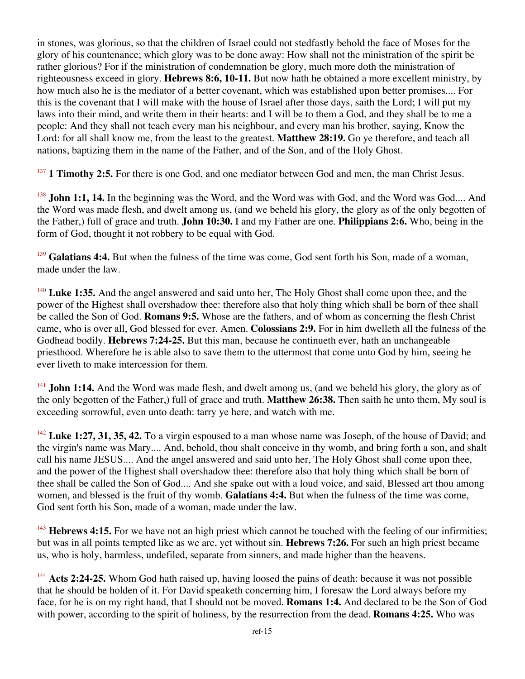in stones, was glorious, so that the children of Israel could not stedfastly behold the face of Moses for the glory of his countenance; which glory was to be done away: How shall not the ministration of the spirit be rather glorious? For if the ministration of condemnation be glory, much more doth the ministration of righteousness exceed in glory. **Hebrews 8:6, 10-11.** But now hath he obtained a more excellent ministry, by how much also he is the mediator of a better covenant, which was established upon better promises.... For this is the covenant that I will make with the house of Israel after those days, saith the Lord; I will put my laws into their mind, and write them in their hearts: and I will be to them a God, and they shall be to me a people: And they shall not teach every man his neighbour, and every man his brother, saying, Know the Lord: for all shall know me, from the least to the greatest. **Matthew 28:19.** Go ye therefore, and teach all nations, baptizing them in the name of the Father, and of the Son, and of the Holy Ghost.

<sup>137</sup> **1 Timothy 2:5.** For there is one God, and one mediator between God and men, the man Christ Jesus.

<sup>138</sup> **John 1:1, 14.** In the beginning was the Word, and the Word was with God, and the Word was God.... And the Word was made flesh, and dwelt among us, (and we beheld his glory, the glory as of the only begotten of the Father,) full of grace and truth. **John 10:30.** I and my Father are one. **Philippians 2:6.** Who, being in the form of God, thought it not robbery to be equal with God.

<sup>139</sup> Galatians 4:4. But when the fulness of the time was come, God sent forth his Son, made of a woman, made under the law.

<sup>140</sup> Luke 1:35. And the angel answered and said unto her, The Holy Ghost shall come upon thee, and the power of the Highest shall overshadow thee: therefore also that holy thing which shall be born of thee shall be called the Son of God. **Romans 9:5.** Whose are the fathers, and of whom as concerning the flesh Christ came, who is over all, God blessed for ever. Amen. **Colossians 2:9.** For in him dwelleth all the fulness of the Godhead bodily. **Hebrews 7:24-25.** But this man, because he continueth ever, hath an unchangeable priesthood. Wherefore he is able also to save them to the uttermost that come unto God by him, seeing he ever liveth to make intercession for them.

<sup>141</sup> **John 1:14.** And the Word was made flesh, and dwelt among us, (and we beheld his glory, the glory as of the only begotten of the Father,) full of grace and truth. **Matthew 26:38.** Then saith he unto them, My soul is exceeding sorrowful, even unto death: tarry ye here, and watch with me.

<sup>142</sup> Luke 1:27, 31, 35, 42. To a virgin espoused to a man whose name was Joseph, of the house of David; and the virgin's name was Mary.... And, behold, thou shalt conceive in thy womb, and bring forth a son, and shalt call his name JESUS.... And the angel answered and said unto her, The Holy Ghost shall come upon thee, and the power of the Highest shall overshadow thee: therefore also that holy thing which shall be born of thee shall be called the Son of God.... And she spake out with a loud voice, and said, Blessed art thou among women, and blessed is the fruit of thy womb. **Galatians 4:4.** But when the fulness of the time was come, God sent forth his Son, made of a woman, made under the law.

<sup>143</sup> Hebrews 4:15. For we have not an high priest which cannot be touched with the feeling of our infirmities; but was in all points tempted like as we are, yet without sin. **Hebrews 7:26.** For such an high priest became us, who is holy, harmless, undefiled, separate from sinners, and made higher than the heavens.

<sup>144</sup> Acts 2:24-25. Whom God hath raised up, having loosed the pains of death: because it was not possible that he should be holden of it. For David speaketh concerning him, I foresaw the Lord always before my face, for he is on my right hand, that I should not be moved. **Romans 1:4.** And declared to be the Son of God with power, according to the spirit of holiness, by the resurrection from the dead. **Romans 4:25.** Who was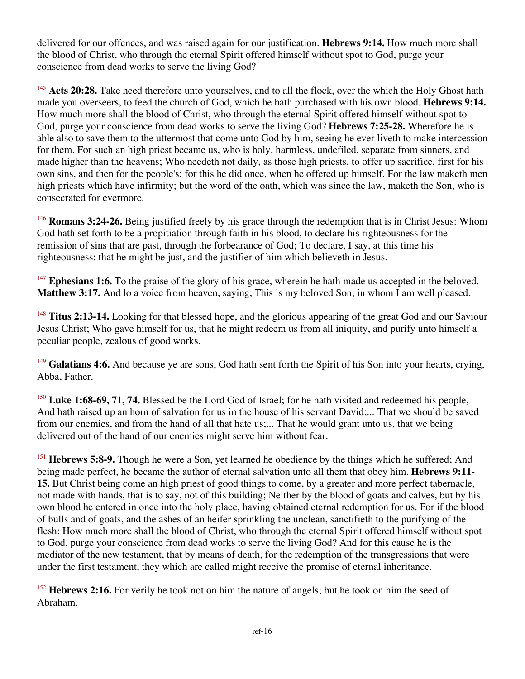delivered for our offences, and was raised again for our justification. **Hebrews 9:14.** How much more shall the blood of Christ, who through the eternal Spirit offered himself without spot to God, purge your conscience from dead works to serve the living God?

<sup>145</sup> Acts 20:28. Take heed therefore unto yourselves, and to all the flock, over the which the Holy Ghost hath made you overseers, to feed the church of God, which he hath purchased with his own blood. **Hebrews 9:14.** How much more shall the blood of Christ, who through the eternal Spirit offered himself without spot to God, purge your conscience from dead works to serve the living God? **Hebrews 7:25-28.** Wherefore he is able also to save them to the uttermost that come unto God by him, seeing he ever liveth to make intercession for them. For such an high priest became us, who is holy, harmless, undefiled, separate from sinners, and made higher than the heavens; Who needeth not daily, as those high priests, to offer up sacrifice, first for his own sins, and then for the people's: for this he did once, when he offered up himself. For the law maketh men high priests which have infirmity; but the word of the oath, which was since the law, maketh the Son, who is consecrated for evermore.

<sup>146</sup> **Romans 3:24-26.** Being justified freely by his grace through the redemption that is in Christ Jesus: Whom God hath set forth to be a propitiation through faith in his blood, to declare his righteousness for the remission of sins that are past, through the forbearance of God; To declare, I say, at this time his righteousness: that he might be just, and the justifier of him which believeth in Jesus.

<sup>147</sup> **Ephesians 1:6.** To the praise of the glory of his grace, wherein he hath made us accepted in the beloved. **Matthew 3:17.** And lo a voice from heaven, saying, This is my beloved Son, in whom I am well pleased.

<sup>148</sup> **Titus 2:13-14.** Looking for that blessed hope, and the glorious appearing of the great God and our Saviour Jesus Christ; Who gave himself for us, that he might redeem us from all iniquity, and purify unto himself a peculiar people, zealous of good works.

<sup>149</sup> Galatians 4:6. And because ye are sons, God hath sent forth the Spirit of his Son into your hearts, crying, Abba, Father.

<sup>150</sup> Luke 1:68-69, 71, 74. Blessed be the Lord God of Israel; for he hath visited and redeemed his people, And hath raised up an horn of salvation for us in the house of his servant David;... That we should be saved from our enemies, and from the hand of all that hate us;... That he would grant unto us, that we being delivered out of the hand of our enemies might serve him without fear.

<sup>151</sup> **Hebrews 5:8-9.** Though he were a Son, yet learned he obedience by the things which he suffered; And being made perfect, he became the author of eternal salvation unto all them that obey him. **Hebrews 9:11- 15.** But Christ being come an high priest of good things to come, by a greater and more perfect tabernacle, not made with hands, that is to say, not of this building; Neither by the blood of goats and calves, but by his own blood he entered in once into the holy place, having obtained eternal redemption for us. For if the blood of bulls and of goats, and the ashes of an heifer sprinkling the unclean, sanctifieth to the purifying of the flesh: How much more shall the blood of Christ, who through the eternal Spirit offered himself without spot to God, purge your conscience from dead works to serve the living God? And for this cause he is the mediator of the new testament, that by means of death, for the redemption of the transgressions that were under the first testament, they which are called might receive the promise of eternal inheritance.

<sup>152</sup> **Hebrews 2:16.** For verily he took not on him the nature of angels; but he took on him the seed of Abraham.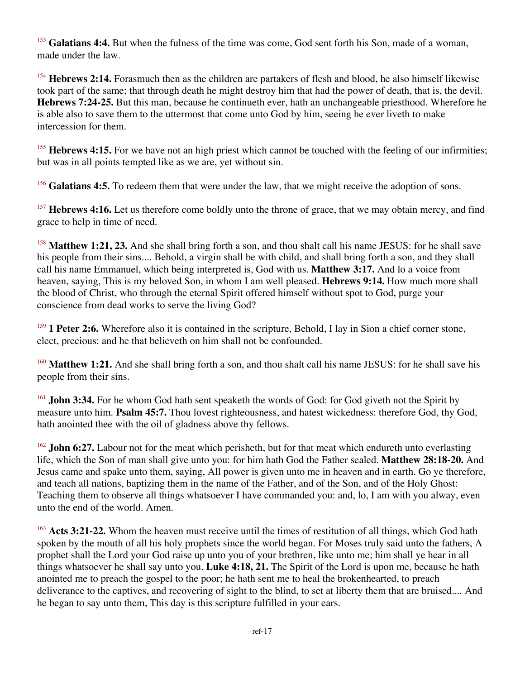<sup>153</sup> Galatians 4:4. But when the fulness of the time was come, God sent forth his Son, made of a woman, made under the law.

<sup>154</sup> **Hebrews 2:14.** Forasmuch then as the children are partakers of flesh and blood, he also himself likewise took part of the same; that through death he might destroy him that had the power of death, that is, the devil. **Hebrews 7:24-25.** But this man, because he continueth ever, hath an unchangeable priesthood. Wherefore he is able also to save them to the uttermost that come unto God by him, seeing he ever liveth to make intercession for them.

<sup>155</sup> Hebrews 4:15. For we have not an high priest which cannot be touched with the feeling of our infirmities; but was in all points tempted like as we are, yet without sin.

<sup>156</sup> Galatians 4:5. To redeem them that were under the law, that we might receive the adoption of sons.

<sup>157</sup> **Hebrews 4:16.** Let us therefore come boldly unto the throne of grace, that we may obtain mercy, and find grace to help in time of need.

<sup>158</sup> Matthew 1:21, 23. And she shall bring forth a son, and thou shalt call his name JESUS: for he shall save his people from their sins.... Behold, a virgin shall be with child, and shall bring forth a son, and they shall call his name Emmanuel, which being interpreted is, God with us. **Matthew 3:17.** And lo a voice from heaven, saying, This is my beloved Son, in whom I am well pleased. **Hebrews 9:14.** How much more shall the blood of Christ, who through the eternal Spirit offered himself without spot to God, purge your conscience from dead works to serve the living God?

<sup>159</sup> **1 Peter 2:6.** Wherefore also it is contained in the scripture, Behold, I lay in Sion a chief corner stone, elect, precious: and he that believeth on him shall not be confounded.

<sup>160</sup> **Matthew 1:21.** And she shall bring forth a son, and thou shalt call his name JESUS: for he shall save his people from their sins.

<sup>161</sup> **John 3:34.** For he whom God hath sent speaketh the words of God: for God giveth not the Spirit by measure unto him. **Psalm 45:7.** Thou lovest righteousness, and hatest wickedness: therefore God, thy God, hath anointed thee with the oil of gladness above thy fellows.

<sup>162</sup> **John 6:27.** Labour not for the meat which perisheth, but for that meat which endureth unto everlasting life, which the Son of man shall give unto you: for him hath God the Father sealed. **Matthew 28:18-20.** And Jesus came and spake unto them, saying, All power is given unto me in heaven and in earth. Go ye therefore, and teach all nations, baptizing them in the name of the Father, and of the Son, and of the Holy Ghost: Teaching them to observe all things whatsoever I have commanded you: and, lo, I am with you alway, even unto the end of the world. Amen.

<sup>163</sup> **Acts 3:21-22.** Whom the heaven must receive until the times of restitution of all things, which God hath spoken by the mouth of all his holy prophets since the world began. For Moses truly said unto the fathers, A prophet shall the Lord your God raise up unto you of your brethren, like unto me; him shall ye hear in all things whatsoever he shall say unto you. **Luke 4:18, 21.** The Spirit of the Lord is upon me, because he hath anointed me to preach the gospel to the poor; he hath sent me to heal the brokenhearted, to preach deliverance to the captives, and recovering of sight to the blind, to set at liberty them that are bruised.... And he began to say unto them, This day is this scripture fulfilled in your ears.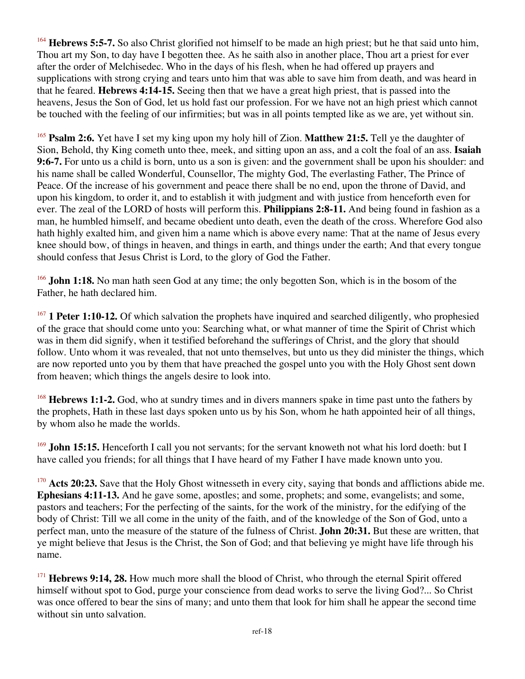<sup>164</sup> **Hebrews 5:5-7.** So also Christ glorified not himself to be made an high priest; but he that said unto him, Thou art my Son, to day have I begotten thee. As he saith also in another place, Thou art a priest for ever after the order of Melchisedec. Who in the days of his flesh, when he had offered up prayers and supplications with strong crying and tears unto him that was able to save him from death, and was heard in that he feared. **Hebrews 4:14-15.** Seeing then that we have a great high priest, that is passed into the heavens, Jesus the Son of God, let us hold fast our profession. For we have not an high priest which cannot be touched with the feeling of our infirmities; but was in all points tempted like as we are, yet without sin.

<sup>165</sup> **Psalm 2:6.** Yet have I set my king upon my holy hill of Zion. **Matthew 21:5.** Tell ye the daughter of Sion, Behold, thy King cometh unto thee, meek, and sitting upon an ass, and a colt the foal of an ass. **Isaiah 9:6-7.** For unto us a child is born, unto us a son is given: and the government shall be upon his shoulder: and his name shall be called Wonderful, Counsellor, The mighty God, The everlasting Father, The Prince of Peace. Of the increase of his government and peace there shall be no end, upon the throne of David, and upon his kingdom, to order it, and to establish it with judgment and with justice from henceforth even for ever. The zeal of the LORD of hosts will perform this. **Philippians 2:8-11.** And being found in fashion as a man, he humbled himself, and became obedient unto death, even the death of the cross. Wherefore God also hath highly exalted him, and given him a name which is above every name: That at the name of Jesus every knee should bow, of things in heaven, and things in earth, and things under the earth; And that every tongue should confess that Jesus Christ is Lord, to the glory of God the Father.

<sup>166</sup> **John 1:18.** No man hath seen God at any time; the only begotten Son, which is in the bosom of the Father, he hath declared him.

<sup>167</sup> **1 Peter 1:10-12.** Of which salvation the prophets have inquired and searched diligently, who prophesied of the grace that should come unto you: Searching what, or what manner of time the Spirit of Christ which was in them did signify, when it testified beforehand the sufferings of Christ, and the glory that should follow. Unto whom it was revealed, that not unto themselves, but unto us they did minister the things, which are now reported unto you by them that have preached the gospel unto you with the Holy Ghost sent down from heaven; which things the angels desire to look into.

<sup>168</sup> **Hebrews 1:1-2.** God, who at sundry times and in divers manners spake in time past unto the fathers by the prophets, Hath in these last days spoken unto us by his Son, whom he hath appointed heir of all things, by whom also he made the worlds.

<sup>169</sup> **John 15:15.** Henceforth I call you not servants; for the servant knoweth not what his lord doeth: but I have called you friends; for all things that I have heard of my Father I have made known unto you.

<sup>170</sup> **Acts 20:23.** Save that the Holy Ghost witnesseth in every city, saying that bonds and afflictions abide me. **Ephesians 4:11-13.** And he gave some, apostles; and some, prophets; and some, evangelists; and some, pastors and teachers; For the perfecting of the saints, for the work of the ministry, for the edifying of the body of Christ: Till we all come in the unity of the faith, and of the knowledge of the Son of God, unto a perfect man, unto the measure of the stature of the fulness of Christ. **John 20:31.** But these are written, that ye might believe that Jesus is the Christ, the Son of God; and that believing ye might have life through his name.

<sup>171</sup> Hebrews 9:14, 28. How much more shall the blood of Christ, who through the eternal Spirit offered himself without spot to God, purge your conscience from dead works to serve the living God?... So Christ was once offered to bear the sins of many; and unto them that look for him shall he appear the second time without sin unto salvation.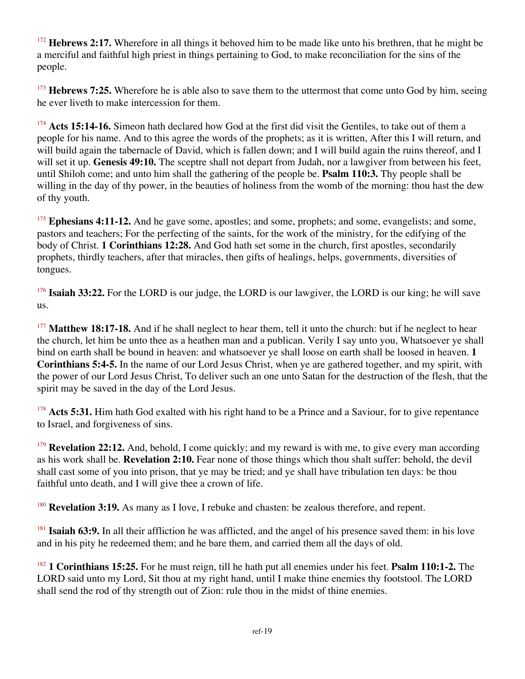<sup>172</sup> **Hebrews 2:17.** Wherefore in all things it behoved him to be made like unto his brethren, that he might be a merciful and faithful high priest in things pertaining to God, to make reconciliation for the sins of the people.

<sup>173</sup> **Hebrews 7:25.** Wherefore he is able also to save them to the uttermost that come unto God by him, seeing he ever liveth to make intercession for them.

<sup>174</sup> Acts 15:14-16. Simeon hath declared how God at the first did visit the Gentiles, to take out of them a people for his name. And to this agree the words of the prophets; as it is written, After this I will return, and will build again the tabernacle of David, which is fallen down; and I will build again the ruins thereof, and I will set it up. **Genesis 49:10.** The sceptre shall not depart from Judah, nor a lawgiver from between his feet, until Shiloh come; and unto him shall the gathering of the people be. **Psalm 110:3.** Thy people shall be willing in the day of thy power, in the beauties of holiness from the womb of the morning: thou hast the dew of thy youth.

<sup>175</sup> Ephesians 4:11-12. And he gave some, apostles; and some, prophets; and some, evangelists; and some, pastors and teachers; For the perfecting of the saints, for the work of the ministry, for the edifying of the body of Christ. **1 Corinthians 12:28.** And God hath set some in the church, first apostles, secondarily prophets, thirdly teachers, after that miracles, then gifts of healings, helps, governments, diversities of tongues.

<sup>176</sup> **Isaiah 33:22.** For the LORD is our judge, the LORD is our lawgiver, the LORD is our king; he will save us.

<sup>177</sup> Matthew 18:17-18. And if he shall neglect to hear them, tell it unto the church: but if he neglect to hear the church, let him be unto thee as a heathen man and a publican. Verily I say unto you, Whatsoever ye shall bind on earth shall be bound in heaven: and whatsoever ye shall loose on earth shall be loosed in heaven. **1 Corinthians 5:4-5.** In the name of our Lord Jesus Christ, when ye are gathered together, and my spirit, with the power of our Lord Jesus Christ, To deliver such an one unto Satan for the destruction of the flesh, that the spirit may be saved in the day of the Lord Jesus.

<sup>178</sup> Acts 5:31. Him hath God exalted with his right hand to be a Prince and a Saviour, for to give repentance to Israel, and forgiveness of sins.

<sup>179</sup> **Revelation 22:12.** And, behold, I come quickly; and my reward is with me, to give every man according as his work shall be. **Revelation 2:10.** Fear none of those things which thou shalt suffer: behold, the devil shall cast some of you into prison, that ye may be tried; and ye shall have tribulation ten days: be thou faithful unto death, and I will give thee a crown of life.

<sup>180</sup> **Revelation 3:19.** As many as I love, I rebuke and chasten: be zealous therefore, and repent.

<sup>181</sup> **Isaiah 63:9.** In all their affliction he was afflicted, and the angel of his presence saved them: in his love and in his pity he redeemed them; and he bare them, and carried them all the days of old.

<sup>182</sup> **1 Corinthians 15:25.** For he must reign, till he hath put all enemies under his feet. **Psalm 110:1-2.** The LORD said unto my Lord, Sit thou at my right hand, until I make thine enemies thy footstool. The LORD shall send the rod of thy strength out of Zion: rule thou in the midst of thine enemies.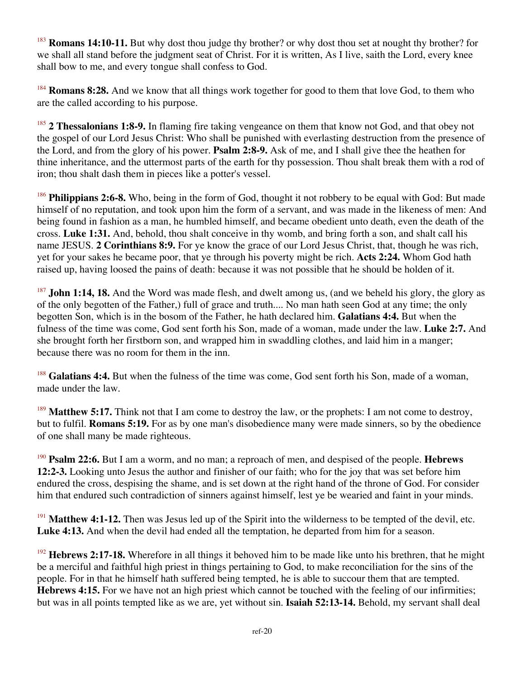<sup>183</sup> **Romans 14:10-11.** But why dost thou judge thy brother? or why dost thou set at nought thy brother? for we shall all stand before the judgment seat of Christ. For it is written, As I live, saith the Lord, every knee shall bow to me, and every tongue shall confess to God.

<sup>184</sup> **Romans 8:28.** And we know that all things work together for good to them that love God, to them who are the called according to his purpose.

<sup>185</sup> **2 Thessalonians 1:8-9.** In flaming fire taking vengeance on them that know not God, and that obey not the gospel of our Lord Jesus Christ: Who shall be punished with everlasting destruction from the presence of the Lord, and from the glory of his power. **Psalm 2:8-9.** Ask of me, and I shall give thee the heathen for thine inheritance, and the uttermost parts of the earth for thy possession. Thou shalt break them with a rod of iron; thou shalt dash them in pieces like a potter's vessel.

<sup>186</sup> **Philippians 2:6-8.** Who, being in the form of God, thought it not robbery to be equal with God: But made himself of no reputation, and took upon him the form of a servant, and was made in the likeness of men: And being found in fashion as a man, he humbled himself, and became obedient unto death, even the death of the cross. **Luke 1:31.** And, behold, thou shalt conceive in thy womb, and bring forth a son, and shalt call his name JESUS. **2 Corinthians 8:9.** For ye know the grace of our Lord Jesus Christ, that, though he was rich, yet for your sakes he became poor, that ye through his poverty might be rich. **Acts 2:24.** Whom God hath raised up, having loosed the pains of death: because it was not possible that he should be holden of it.

<sup>187</sup> **John 1:14, 18.** And the Word was made flesh, and dwelt among us, (and we beheld his glory, the glory as of the only begotten of the Father,) full of grace and truth.... No man hath seen God at any time; the only begotten Son, which is in the bosom of the Father, he hath declared him. **Galatians 4:4.** But when the fulness of the time was come, God sent forth his Son, made of a woman, made under the law. **Luke 2:7.** And she brought forth her firstborn son, and wrapped him in swaddling clothes, and laid him in a manger; because there was no room for them in the inn.

<sup>188</sup> Galatians 4:4. But when the fulness of the time was come, God sent forth his Son, made of a woman, made under the law.

<sup>189</sup> **Matthew 5:17.** Think not that I am come to destroy the law, or the prophets: I am not come to destroy, but to fulfil. **Romans 5:19.** For as by one man's disobedience many were made sinners, so by the obedience of one shall many be made righteous.

<sup>190</sup> **Psalm 22:6.** But I am a worm, and no man; a reproach of men, and despised of the people. **Hebrews 12:2-3.** Looking unto Jesus the author and finisher of our faith; who for the joy that was set before him endured the cross, despising the shame, and is set down at the right hand of the throne of God. For consider him that endured such contradiction of sinners against himself, lest ye be wearied and faint in your minds.

<sup>191</sup> **Matthew 4:1-12.** Then was Jesus led up of the Spirit into the wilderness to be tempted of the devil, etc. **Luke 4:13.** And when the devil had ended all the temptation, he departed from him for a season.

<sup>192</sup> **Hebrews 2:17-18.** Wherefore in all things it behoved him to be made like unto his brethren, that he might be a merciful and faithful high priest in things pertaining to God, to make reconciliation for the sins of the people. For in that he himself hath suffered being tempted, he is able to succour them that are tempted. **Hebrews 4:15.** For we have not an high priest which cannot be touched with the feeling of our infirmities; but was in all points tempted like as we are, yet without sin. **Isaiah 52:13-14.** Behold, my servant shall deal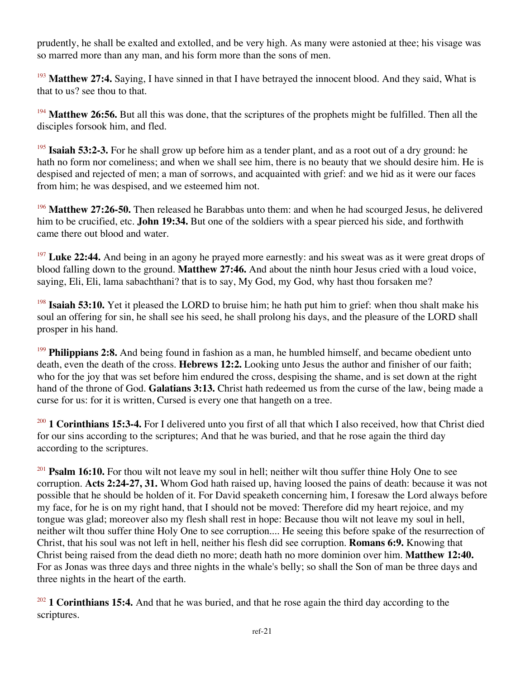prudently, he shall be exalted and extolled, and be very high. As many were astonied at thee; his visage was so marred more than any man, and his form more than the sons of men.

<sup>193</sup> Matthew 27:4. Saying, I have sinned in that I have betrayed the innocent blood. And they said, What is that to us? see thou to that.

<sup>194</sup> Matthew 26:56. But all this was done, that the scriptures of the prophets might be fulfilled. Then all the disciples forsook him, and fled.

<sup>195</sup> **Isaiah 53:2-3.** For he shall grow up before him as a tender plant, and as a root out of a dry ground: he hath no form nor comeliness; and when we shall see him, there is no beauty that we should desire him. He is despised and rejected of men; a man of sorrows, and acquainted with grief: and we hid as it were our faces from him; he was despised, and we esteemed him not.

<sup>196</sup> **Matthew 27:26-50.** Then released he Barabbas unto them: and when he had scourged Jesus, he delivered him to be crucified, etc. **John 19:34.** But one of the soldiers with a spear pierced his side, and forthwith came there out blood and water.

<sup>197</sup> Luke 22:44. And being in an agony he prayed more earnestly: and his sweat was as it were great drops of blood falling down to the ground. **Matthew 27:46.** And about the ninth hour Jesus cried with a loud voice, saying, Eli, Eli, lama sabachthani? that is to say, My God, my God, why hast thou forsaken me?

<sup>198</sup> **Isaiah 53:10.** Yet it pleased the LORD to bruise him; he hath put him to grief: when thou shalt make his soul an offering for sin, he shall see his seed, he shall prolong his days, and the pleasure of the LORD shall prosper in his hand.

<sup>199</sup> **Philippians 2:8.** And being found in fashion as a man, he humbled himself, and became obedient unto death, even the death of the cross. **Hebrews 12:2.** Looking unto Jesus the author and finisher of our faith; who for the joy that was set before him endured the cross, despising the shame, and is set down at the right hand of the throne of God. **Galatians 3:13.** Christ hath redeemed us from the curse of the law, being made a curse for us: for it is written, Cursed is every one that hangeth on a tree.

<sup>200</sup> **1 Corinthians 15:3-4.** For I delivered unto you first of all that which I also received, how that Christ died for our sins according to the scriptures; And that he was buried, and that he rose again the third day according to the scriptures.

<sup>201</sup> **Psalm 16:10.** For thou wilt not leave my soul in hell; neither wilt thou suffer thine Holy One to see corruption. **Acts 2:24-27, 31.** Whom God hath raised up, having loosed the pains of death: because it was not possible that he should be holden of it. For David speaketh concerning him, I foresaw the Lord always before my face, for he is on my right hand, that I should not be moved: Therefore did my heart rejoice, and my tongue was glad; moreover also my flesh shall rest in hope: Because thou wilt not leave my soul in hell, neither wilt thou suffer thine Holy One to see corruption.... He seeing this before spake of the resurrection of Christ, that his soul was not left in hell, neither his flesh did see corruption. **Romans 6:9.** Knowing that Christ being raised from the dead dieth no more; death hath no more dominion over him. **Matthew 12:40.** For as Jonas was three days and three nights in the whale's belly; so shall the Son of man be three days and three nights in the heart of the earth.

<sup>202</sup> **1 Corinthians 15:4.** And that he was buried, and that he rose again the third day according to the scriptures.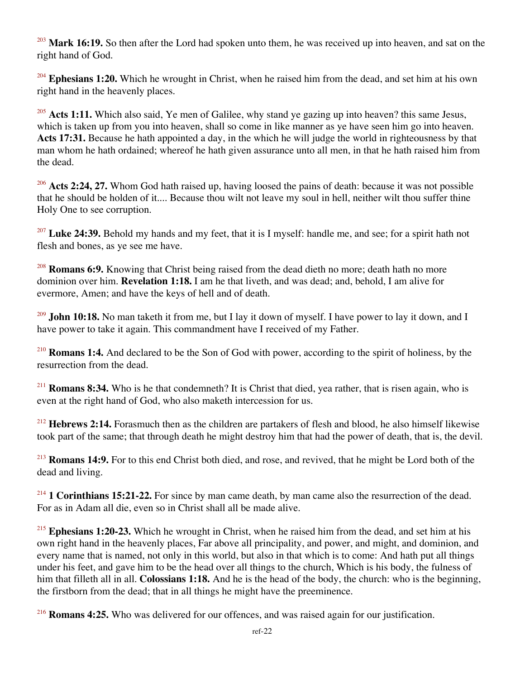<sup>203</sup> Mark 16:19. So then after the Lord had spoken unto them, he was received up into heaven, and sat on the right hand of God.

<sup>204</sup> Ephesians 1:20. Which he wrought in Christ, when he raised him from the dead, and set him at his own right hand in the heavenly places.

<sup>205</sup> **Acts 1:11.** Which also said, Ye men of Galilee, why stand ye gazing up into heaven? this same Jesus, which is taken up from you into heaven, shall so come in like manner as ye have seen him go into heaven. **Acts 17:31.** Because he hath appointed a day, in the which he will judge the world in righteousness by that man whom he hath ordained; whereof he hath given assurance unto all men, in that he hath raised him from the dead.

<sup>206</sup> Acts 2:24, 27. Whom God hath raised up, having loosed the pains of death: because it was not possible that he should be holden of it.... Because thou wilt not leave my soul in hell, neither wilt thou suffer thine Holy One to see corruption.

<sup>207</sup> Luke 24:39. Behold my hands and my feet, that it is I myself: handle me, and see; for a spirit hath not flesh and bones, as ye see me have.

<sup>208</sup> **Romans 6:9.** Knowing that Christ being raised from the dead dieth no more; death hath no more dominion over him. **Revelation 1:18.** I am he that liveth, and was dead; and, behold, I am alive for evermore, Amen; and have the keys of hell and of death.

<sup>209</sup> **John 10:18.** No man taketh it from me, but I lay it down of myself. I have power to lay it down, and I have power to take it again. This commandment have I received of my Father.

<sup>210</sup> **Romans 1:4.** And declared to be the Son of God with power, according to the spirit of holiness, by the resurrection from the dead.

<sup>211</sup> **Romans 8:34.** Who is he that condemneth? It is Christ that died, yea rather, that is risen again, who is even at the right hand of God, who also maketh intercession for us.

<sup>212</sup> Hebrews 2:14. Forasmuch then as the children are partakers of flesh and blood, he also himself likewise took part of the same; that through death he might destroy him that had the power of death, that is, the devil.

<sup>213</sup> **Romans 14:9.** For to this end Christ both died, and rose, and revived, that he might be Lord both of the dead and living.

<sup>214</sup> **1 Corinthians 15:21-22.** For since by man came death, by man came also the resurrection of the dead. For as in Adam all die, even so in Christ shall all be made alive.

<sup>215</sup> **Ephesians 1:20-23.** Which he wrought in Christ, when he raised him from the dead, and set him at his own right hand in the heavenly places, Far above all principality, and power, and might, and dominion, and every name that is named, not only in this world, but also in that which is to come: And hath put all things under his feet, and gave him to be the head over all things to the church, Which is his body, the fulness of him that filleth all in all. **Colossians 1:18.** And he is the head of the body, the church: who is the beginning, the firstborn from the dead; that in all things he might have the preeminence.

<sup>216</sup> **Romans 4:25.** Who was delivered for our offences, and was raised again for our justification.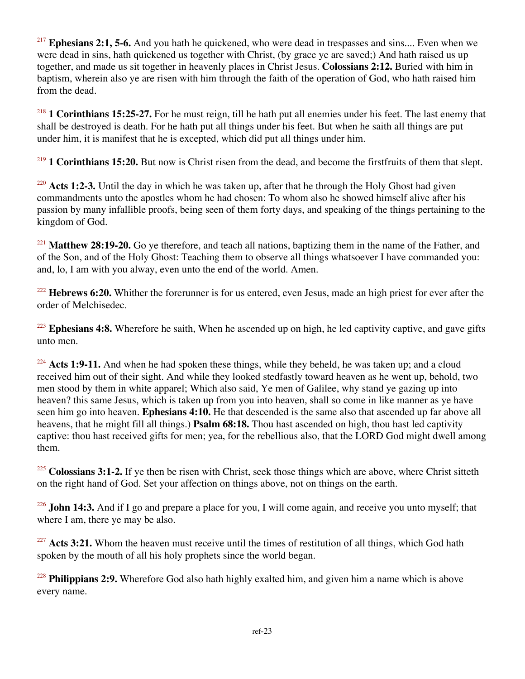<sup>217</sup> Ephesians 2:1, 5-6. And you hath he quickened, who were dead in trespasses and sins.... Even when we were dead in sins, hath quickened us together with Christ, (by grace ye are saved;) And hath raised us up together, and made us sit together in heavenly places in Christ Jesus. **Colossians 2:12.** Buried with him in baptism, wherein also ye are risen with him through the faith of the operation of God, who hath raised him from the dead.

<sup>218</sup> **1 Corinthians 15:25-27.** For he must reign, till he hath put all enemies under his feet. The last enemy that shall be destroyed is death. For he hath put all things under his feet. But when he saith all things are put under him, it is manifest that he is excepted, which did put all things under him.

<sup>219</sup> **1 Corinthians 15:20.** But now is Christ risen from the dead, and become the firstfruits of them that slept.

<sup>220</sup> Acts 1:2-3. Until the day in which he was taken up, after that he through the Holy Ghost had given commandments unto the apostles whom he had chosen: To whom also he showed himself alive after his passion by many infallible proofs, being seen of them forty days, and speaking of the things pertaining to the kingdom of God.

<sup>221</sup> Matthew 28:19-20. Go ye therefore, and teach all nations, baptizing them in the name of the Father, and of the Son, and of the Holy Ghost: Teaching them to observe all things whatsoever I have commanded you: and, lo, I am with you alway, even unto the end of the world. Amen.

<sup>222</sup> Hebrews 6:20. Whither the forerunner is for us entered, even Jesus, made an high priest for ever after the order of Melchisedec.

<sup>223</sup> **Ephesians 4:8.** Wherefore he saith, When he ascended up on high, he led captivity captive, and gave gifts unto men.

<sup>224</sup> Acts 1:9-11. And when he had spoken these things, while they beheld, he was taken up; and a cloud received him out of their sight. And while they looked stedfastly toward heaven as he went up, behold, two men stood by them in white apparel; Which also said, Ye men of Galilee, why stand ye gazing up into heaven? this same Jesus, which is taken up from you into heaven, shall so come in like manner as ye have seen him go into heaven. **Ephesians 4:10.** He that descended is the same also that ascended up far above all heavens, that he might fill all things.) **Psalm 68:18.** Thou hast ascended on high, thou hast led captivity captive: thou hast received gifts for men; yea, for the rebellious also, that the LORD God might dwell among them.

<sup>225</sup> Colossians 3:1-2. If ye then be risen with Christ, seek those things which are above, where Christ sitteth on the right hand of God. Set your affection on things above, not on things on the earth.

<sup>226</sup> John 14:3. And if I go and prepare a place for you, I will come again, and receive you unto myself; that where I am, there ye may be also.

<sup>227</sup> Acts 3:21. Whom the heaven must receive until the times of restitution of all things, which God hath spoken by the mouth of all his holy prophets since the world began.

<sup>228</sup> **Philippians 2:9.** Wherefore God also hath highly exalted him, and given him a name which is above every name.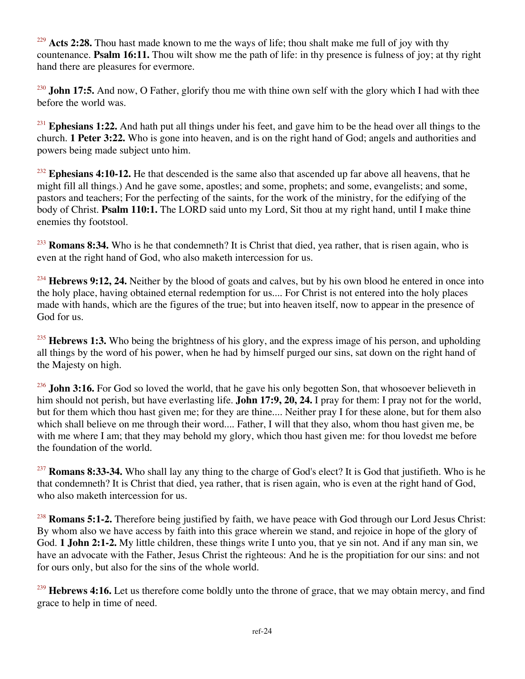<sup>229</sup> Acts 2:28. Thou hast made known to me the ways of life; thou shalt make me full of joy with thy countenance. **Psalm 16:11.** Thou wilt show me the path of life: in thy presence is fulness of joy; at thy right hand there are pleasures for evermore.

<sup>230</sup> **John 17:5.** And now, O Father, glorify thou me with thine own self with the glory which I had with thee before the world was.

<sup>231</sup> **Ephesians 1:22.** And hath put all things under his feet, and gave him to be the head over all things to the church. **1 Peter 3:22.** Who is gone into heaven, and is on the right hand of God; angels and authorities and powers being made subject unto him.

<sup>232</sup> Ephesians 4:10-12. He that descended is the same also that ascended up far above all heavens, that he might fill all things.) And he gave some, apostles; and some, prophets; and some, evangelists; and some, pastors and teachers; For the perfecting of the saints, for the work of the ministry, for the edifying of the body of Christ. **Psalm 110:1.** The LORD said unto my Lord, Sit thou at my right hand, until I make thine enemies thy footstool.

<sup>233</sup> **Romans 8:34.** Who is he that condemneth? It is Christ that died, yea rather, that is risen again, who is even at the right hand of God, who also maketh intercession for us.

<sup>234</sup> **Hebrews 9:12, 24.** Neither by the blood of goats and calves, but by his own blood he entered in once into the holy place, having obtained eternal redemption for us.... For Christ is not entered into the holy places made with hands, which are the figures of the true; but into heaven itself, now to appear in the presence of God for us.

<sup>235</sup> **Hebrews 1:3.** Who being the brightness of his glory, and the express image of his person, and upholding all things by the word of his power, when he had by himself purged our sins, sat down on the right hand of the Majesty on high.

<sup>236</sup> **John 3:16.** For God so loved the world, that he gave his only begotten Son, that whosoever believeth in him should not perish, but have everlasting life. **John 17:9, 20, 24.** I pray for them: I pray not for the world, but for them which thou hast given me; for they are thine.... Neither pray I for these alone, but for them also which shall believe on me through their word.... Father, I will that they also, whom thou hast given me, be with me where I am; that they may behold my glory, which thou hast given me: for thou lovedst me before the foundation of the world.

<sup>237</sup> **Romans 8:33-34.** Who shall lay any thing to the charge of God's elect? It is God that justifieth. Who is he that condemneth? It is Christ that died, yea rather, that is risen again, who is even at the right hand of God, who also maketh intercession for us.

<sup>238</sup> **Romans 5:1-2.** Therefore being justified by faith, we have peace with God through our Lord Jesus Christ: By whom also we have access by faith into this grace wherein we stand, and rejoice in hope of the glory of God. **1 John 2:1-2.** My little children, these things write I unto you, that ye sin not. And if any man sin, we have an advocate with the Father, Jesus Christ the righteous: And he is the propitiation for our sins: and not for ours only, but also for the sins of the whole world.

<sup>239</sup> **Hebrews 4:16.** Let us therefore come boldly unto the throne of grace, that we may obtain mercy, and find grace to help in time of need.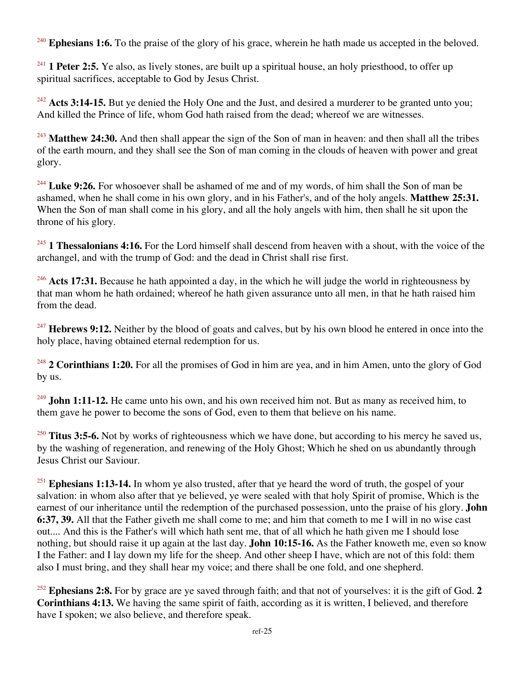<sup>240</sup> Ephesians 1:6. To the praise of the glory of his grace, wherein he hath made us accepted in the beloved.

<sup>241</sup> **1 Peter 2:5.** Ye also, as lively stones, are built up a spiritual house, an holy priesthood, to offer up spiritual sacrifices, acceptable to God by Jesus Christ.

<sup>242</sup> Acts 3:14-15. But ye denied the Holy One and the Just, and desired a murderer to be granted unto you; And killed the Prince of life, whom God hath raised from the dead; whereof we are witnesses.

<sup>243</sup> Matthew 24:30. And then shall appear the sign of the Son of man in heaven: and then shall all the tribes of the earth mourn, and they shall see the Son of man coming in the clouds of heaven with power and great glory.

<sup>244</sup> Luke 9:26. For whosoever shall be ashamed of me and of my words, of him shall the Son of man be ashamed, when he shall come in his own glory, and in his Father's, and of the holy angels. **Matthew 25:31.** When the Son of man shall come in his glory, and all the holy angels with him, then shall he sit upon the throne of his glory.

<sup>245</sup> **1 Thessalonians 4:16.** For the Lord himself shall descend from heaven with a shout, with the voice of the archangel, and with the trump of God: and the dead in Christ shall rise first.

<sup>246</sup> Acts 17:31. Because he hath appointed a day, in the which he will judge the world in righteousness by that man whom he hath ordained; whereof he hath given assurance unto all men, in that he hath raised him from the dead.

<sup>247</sup> **Hebrews 9:12.** Neither by the blood of goats and calves, but by his own blood he entered in once into the holy place, having obtained eternal redemption for us.

<sup>248</sup> **2 Corinthians 1:20.** For all the promises of God in him are yea, and in him Amen, unto the glory of God by us.

<sup>249</sup> **John 1:11-12.** He came unto his own, and his own received him not. But as many as received him, to them gave he power to become the sons of God, even to them that believe on his name.

<sup>250</sup> **Titus 3:5-6.** Not by works of righteousness which we have done, but according to his mercy he saved us, by the washing of regeneration, and renewing of the Holy Ghost; Which he shed on us abundantly through Jesus Christ our Saviour.

<sup>251</sup> **Ephesians 1:13-14.** In whom ye also trusted, after that ye heard the word of truth, the gospel of your salvation: in whom also after that ye believed, ye were sealed with that holy Spirit of promise, Which is the earnest of our inheritance until the redemption of the purchased possession, unto the praise of his glory. **John 6:37, 39.** All that the Father giveth me shall come to me; and him that cometh to me I will in no wise cast out.... And this is the Father's will which hath sent me, that of all which he hath given me I should lose nothing, but should raise it up again at the last day. **John 10:15-16.** As the Father knoweth me, even so know I the Father: and I lay down my life for the sheep. And other sheep I have, which are not of this fold: them also I must bring, and they shall hear my voice; and there shall be one fold, and one shepherd.

<sup>252</sup> **Ephesians 2:8.** For by grace are ye saved through faith; and that not of yourselves: it is the gift of God. **2 Corinthians 4:13.** We having the same spirit of faith, according as it is written, I believed, and therefore have I spoken; we also believe, and therefore speak.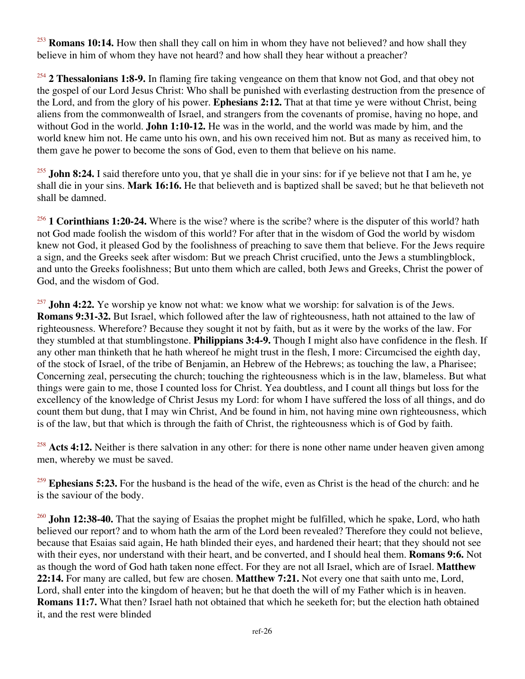<sup>253</sup> **Romans 10:14.** How then shall they call on him in whom they have not believed? and how shall they believe in him of whom they have not heard? and how shall they hear without a preacher?

<sup>254</sup> **2 Thessalonians 1:8-9.** In flaming fire taking vengeance on them that know not God, and that obey not the gospel of our Lord Jesus Christ: Who shall be punished with everlasting destruction from the presence of the Lord, and from the glory of his power. **Ephesians 2:12.** That at that time ye were without Christ, being aliens from the commonwealth of Israel, and strangers from the covenants of promise, having no hope, and without God in the world. **John 1:10-12.** He was in the world, and the world was made by him, and the world knew him not. He came unto his own, and his own received him not. But as many as received him, to them gave he power to become the sons of God, even to them that believe on his name.

<sup>255</sup> **John 8:24.** I said therefore unto you, that ye shall die in your sins: for if ye believe not that I am he, ye shall die in your sins. **Mark 16:16.** He that believeth and is baptized shall be saved; but he that believeth not shall be damned.

<sup>256</sup> **1 Corinthians 1:20-24.** Where is the wise? where is the scribe? where is the disputer of this world? hath not God made foolish the wisdom of this world? For after that in the wisdom of God the world by wisdom knew not God, it pleased God by the foolishness of preaching to save them that believe. For the Jews require a sign, and the Greeks seek after wisdom: But we preach Christ crucified, unto the Jews a stumblingblock, and unto the Greeks foolishness; But unto them which are called, both Jews and Greeks, Christ the power of God, and the wisdom of God.

<sup>257</sup> **John 4:22.** Ye worship ye know not what: we know what we worship: for salvation is of the Jews. **Romans 9:31-32.** But Israel, which followed after the law of righteousness, hath not attained to the law of righteousness. Wherefore? Because they sought it not by faith, but as it were by the works of the law. For they stumbled at that stumblingstone. **Philippians 3:4-9.** Though I might also have confidence in the flesh. If any other man thinketh that he hath whereof he might trust in the flesh, I more: Circumcised the eighth day, of the stock of Israel, of the tribe of Benjamin, an Hebrew of the Hebrews; as touching the law, a Pharisee; Concerning zeal, persecuting the church; touching the righteousness which is in the law, blameless. But what things were gain to me, those I counted loss for Christ. Yea doubtless, and I count all things but loss for the excellency of the knowledge of Christ Jesus my Lord: for whom I have suffered the loss of all things, and do count them but dung, that I may win Christ, And be found in him, not having mine own righteousness, which is of the law, but that which is through the faith of Christ, the righteousness which is of God by faith.

<sup>258</sup> Acts 4:12. Neither is there salvation in any other: for there is none other name under heaven given among men, whereby we must be saved.

<sup>259</sup> **Ephesians 5:23.** For the husband is the head of the wife, even as Christ is the head of the church: and he is the saviour of the body.

<sup>260</sup> **John 12:38-40.** That the saying of Esaias the prophet might be fulfilled, which he spake, Lord, who hath believed our report? and to whom hath the arm of the Lord been revealed? Therefore they could not believe, because that Esaias said again, He hath blinded their eyes, and hardened their heart; that they should not see with their eyes, nor understand with their heart, and be converted, and I should heal them. **Romans 9:6.** Not as though the word of God hath taken none effect. For they are not all Israel, which are of Israel. **Matthew 22:14.** For many are called, but few are chosen. **Matthew 7:21.** Not every one that saith unto me, Lord, Lord, shall enter into the kingdom of heaven; but he that doeth the will of my Father which is in heaven. **Romans 11:7.** What then? Israel hath not obtained that which he seeketh for; but the election hath obtained it, and the rest were blinded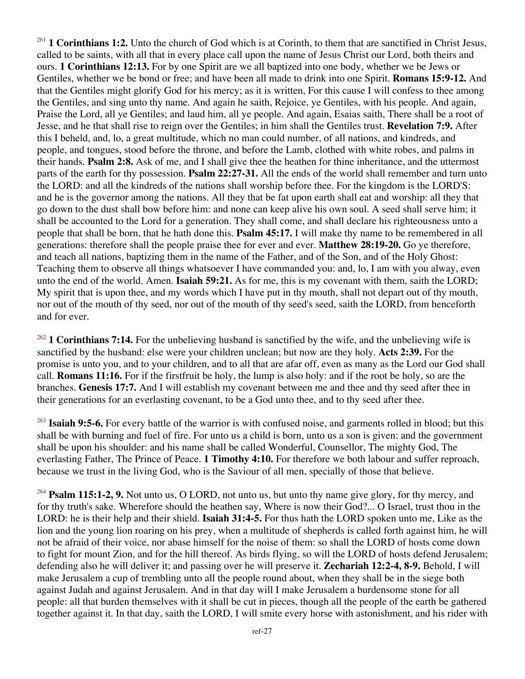<sup>261</sup> **1 Corinthians 1:2.** Unto the church of God which is at Corinth, to them that are sanctified in Christ Jesus, called to be saints, with all that in every place call upon the name of Jesus Christ our Lord, both theirs and ours. **1 Corinthians 12:13.** For by one Spirit are we all baptized into one body, whether we be Jews or Gentiles, whether we be bond or free; and have been all made to drink into one Spirit. **Romans 15:9-12.** And that the Gentiles might glorify God for his mercy; as it is written, For this cause I will confess to thee among the Gentiles, and sing unto thy name. And again he saith, Rejoice, ye Gentiles, with his people. And again, Praise the Lord, all ye Gentiles; and laud him, all ye people. And again, Esaias saith, There shall be a root of Jesse, and he that shall rise to reign over the Gentiles; in him shall the Gentiles trust. **Revelation 7:9.** After this I beheld, and, lo, a great multitude, which no man could number, of all nations, and kindreds, and people, and tongues, stood before the throne, and before the Lamb, clothed with white robes, and palms in their hands. **Psalm 2:8.** Ask of me, and I shall give thee the heathen for thine inheritance, and the uttermost parts of the earth for thy possession. **Psalm 22:27-31.** All the ends of the world shall remember and turn unto the LORD: and all the kindreds of the nations shall worship before thee. For the kingdom is the LORD'S: and he is the governor among the nations. All they that be fat upon earth shall eat and worship: all they that go down to the dust shall bow before him: and none can keep alive his own soul. A seed shall serve him; it shall be accounted to the Lord for a generation. They shall come, and shall declare his righteousness unto a people that shall be born, that he hath done this. **Psalm 45:17.** I will make thy name to be remembered in all generations: therefore shall the people praise thee for ever and ever. **Matthew 28:19-20.** Go ye therefore, and teach all nations, baptizing them in the name of the Father, and of the Son, and of the Holy Ghost: Teaching them to observe all things whatsoever I have commanded you: and, lo, I am with you alway, even unto the end of the world. Amen. **Isaiah 59:21.** As for me, this is my covenant with them, saith the LORD; My spirit that is upon thee, and my words which I have put in thy mouth, shall not depart out of thy mouth, nor out of the mouth of thy seed, nor out of the mouth of thy seed's seed, saith the LORD, from henceforth and for ever.

<sup>262</sup> **1 Corinthians 7:14.** For the unbelieving husband is sanctified by the wife, and the unbelieving wife is sanctified by the husband: else were your children unclean; but now are they holy. **Acts 2:39.** For the promise is unto you, and to your children, and to all that are afar off, even as many as the Lord our God shall call. **Romans 11:16.** For if the firstfruit be holy, the lump is also holy: and if the root be holy, so are the branches. **Genesis 17:7.** And I will establish my covenant between me and thee and thy seed after thee in their generations for an everlasting covenant, to be a God unto thee, and to thy seed after thee.

<sup>263</sup> **Isaiah 9:5-6.** For every battle of the warrior is with confused noise, and garments rolled in blood; but this shall be with burning and fuel of fire. For unto us a child is born, unto us a son is given: and the government shall be upon his shoulder: and his name shall be called Wonderful, Counsellor, The mighty God, The everlasting Father, The Prince of Peace. **1 Timothy 4:10.** For therefore we both labour and suffer reproach, because we trust in the living God, who is the Saviour of all men, specially of those that believe.

<sup>264</sup> **Psalm 115:1-2, 9.** Not unto us, O LORD, not unto us, but unto thy name give glory, for thy mercy, and for thy truth's sake. Wherefore should the heathen say, Where is now their God?... O Israel, trust thou in the LORD: he is their help and their shield. **Isaiah 31:4-5.** For thus hath the LORD spoken unto me, Like as the lion and the young lion roaring on his prey, when a multitude of shepherds is called forth against him, he will not be afraid of their voice, nor abase himself for the noise of them: so shall the LORD of hosts come down to fight for mount Zion, and for the hill thereof. As birds flying, so will the LORD of hosts defend Jerusalem; defending also he will deliver it; and passing over he will preserve it. **Zechariah 12:2-4, 8-9.** Behold, I will make Jerusalem a cup of trembling unto all the people round about, when they shall be in the siege both against Judah and against Jerusalem. And in that day will I make Jerusalem a burdensome stone for all people: all that burden themselves with it shall be cut in pieces, though all the people of the earth be gathered together against it. In that day, saith the LORD, I will smite every horse with astonishment, and his rider with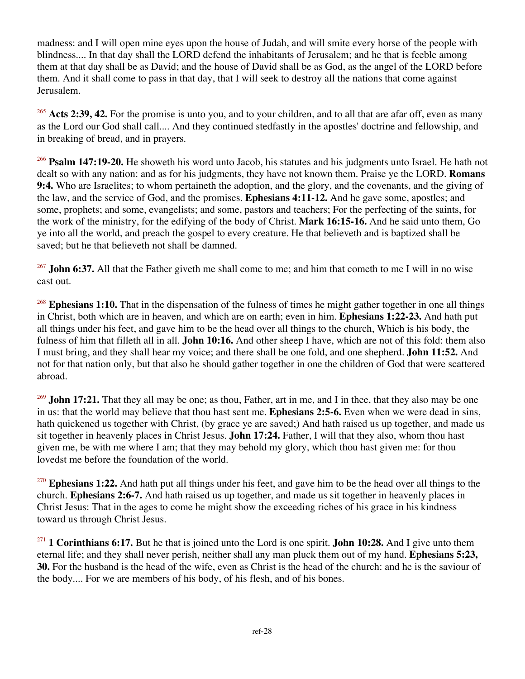madness: and I will open mine eyes upon the house of Judah, and will smite every horse of the people with blindness.... In that day shall the LORD defend the inhabitants of Jerusalem; and he that is feeble among them at that day shall be as David; and the house of David shall be as God, as the angel of the LORD before them. And it shall come to pass in that day, that I will seek to destroy all the nations that come against Jerusalem.

<sup>265</sup> Acts 2:39, 42. For the promise is unto you, and to your children, and to all that are afar off, even as many as the Lord our God shall call.... And they continued stedfastly in the apostles' doctrine and fellowship, and in breaking of bread, and in prayers.

<sup>266</sup> **Psalm 147:19-20.** He showeth his word unto Jacob, his statutes and his judgments unto Israel. He hath not dealt so with any nation: and as for his judgments, they have not known them. Praise ye the LORD. **Romans 9:4.** Who are Israelites; to whom pertaineth the adoption, and the glory, and the covenants, and the giving of the law, and the service of God, and the promises. **Ephesians 4:11-12.** And he gave some, apostles; and some, prophets; and some, evangelists; and some, pastors and teachers; For the perfecting of the saints, for the work of the ministry, for the edifying of the body of Christ. **Mark 16:15-16.** And he said unto them, Go ye into all the world, and preach the gospel to every creature. He that believeth and is baptized shall be saved; but he that believeth not shall be damned.

<sup>267</sup> **John 6:37.** All that the Father giveth me shall come to me; and him that cometh to me I will in no wise cast out.

<sup>268</sup> Ephesians 1:10. That in the dispensation of the fulness of times he might gather together in one all things in Christ, both which are in heaven, and which are on earth; even in him. **Ephesians 1:22-23.** And hath put all things under his feet, and gave him to be the head over all things to the church, Which is his body, the fulness of him that filleth all in all. **John 10:16.** And other sheep I have, which are not of this fold: them also I must bring, and they shall hear my voice; and there shall be one fold, and one shepherd. **John 11:52.** And not for that nation only, but that also he should gather together in one the children of God that were scattered abroad.

<sup>269</sup> **John 17:21.** That they all may be one; as thou, Father, art in me, and I in thee, that they also may be one in us: that the world may believe that thou hast sent me. **Ephesians 2:5-6.** Even when we were dead in sins, hath quickened us together with Christ, (by grace ye are saved;) And hath raised us up together, and made us sit together in heavenly places in Christ Jesus. **John 17:24.** Father, I will that they also, whom thou hast given me, be with me where I am; that they may behold my glory, which thou hast given me: for thou lovedst me before the foundation of the world.

<sup>270</sup> Ephesians 1:22. And hath put all things under his feet, and gave him to be the head over all things to the church. **Ephesians 2:6-7.** And hath raised us up together, and made us sit together in heavenly places in Christ Jesus: That in the ages to come he might show the exceeding riches of his grace in his kindness toward us through Christ Jesus.

<sup>271</sup> **1 Corinthians 6:17.** But he that is joined unto the Lord is one spirit. **John 10:28.** And I give unto them eternal life; and they shall never perish, neither shall any man pluck them out of my hand. **Ephesians 5:23, 30.** For the husband is the head of the wife, even as Christ is the head of the church: and he is the saviour of the body.... For we are members of his body, of his flesh, and of his bones.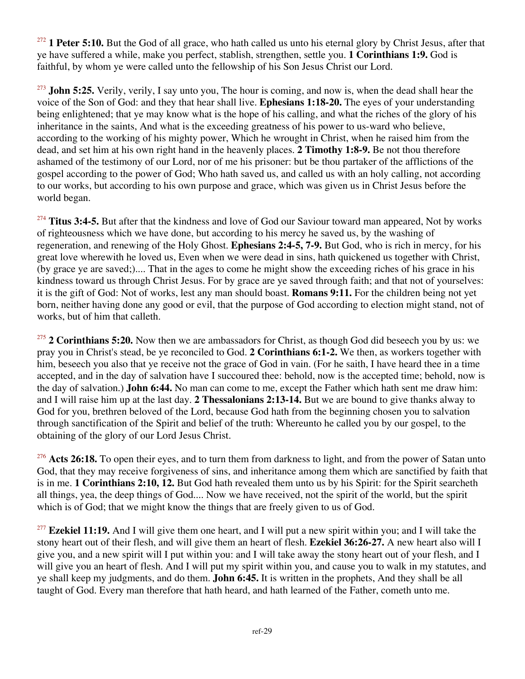<sup>272</sup> **1 Peter 5:10.** But the God of all grace, who hath called us unto his eternal glory by Christ Jesus, after that ye have suffered a while, make you perfect, stablish, strengthen, settle you. **1 Corinthians 1:9.** God is faithful, by whom ye were called unto the fellowship of his Son Jesus Christ our Lord.

<sup>273</sup> **John 5:25.** Verily, verily, I say unto you, The hour is coming, and now is, when the dead shall hear the voice of the Son of God: and they that hear shall live. **Ephesians 1:18-20.** The eyes of your understanding being enlightened; that ye may know what is the hope of his calling, and what the riches of the glory of his inheritance in the saints, And what is the exceeding greatness of his power to us-ward who believe, according to the working of his mighty power, Which he wrought in Christ, when he raised him from the dead, and set him at his own right hand in the heavenly places. **2 Timothy 1:8-9.** Be not thou therefore ashamed of the testimony of our Lord, nor of me his prisoner: but be thou partaker of the afflictions of the gospel according to the power of God; Who hath saved us, and called us with an holy calling, not according to our works, but according to his own purpose and grace, which was given us in Christ Jesus before the world began.

<sup>274</sup> Titus 3:4-5. But after that the kindness and love of God our Saviour toward man appeared, Not by works of righteousness which we have done, but according to his mercy he saved us, by the washing of regeneration, and renewing of the Holy Ghost. **Ephesians 2:4-5, 7-9.** But God, who is rich in mercy, for his great love wherewith he loved us, Even when we were dead in sins, hath quickened us together with Christ, (by grace ye are saved;).... That in the ages to come he might show the exceeding riches of his grace in his kindness toward us through Christ Jesus. For by grace are ye saved through faith; and that not of yourselves: it is the gift of God: Not of works, lest any man should boast. **Romans 9:11.** For the children being not yet born, neither having done any good or evil, that the purpose of God according to election might stand, not of works, but of him that calleth.

<sup>275</sup> **2 Corinthians 5:20.** Now then we are ambassadors for Christ, as though God did beseech you by us: we pray you in Christ's stead, be ye reconciled to God. **2 Corinthians 6:1-2.** We then, as workers together with him, beseech you also that ye receive not the grace of God in vain. (For he saith, I have heard thee in a time accepted, and in the day of salvation have I succoured thee: behold, now is the accepted time; behold, now is the day of salvation.) **John 6:44.** No man can come to me, except the Father which hath sent me draw him: and I will raise him up at the last day. **2 Thessalonians 2:13-14.** But we are bound to give thanks alway to God for you, brethren beloved of the Lord, because God hath from the beginning chosen you to salvation through sanctification of the Spirit and belief of the truth: Whereunto he called you by our gospel, to the obtaining of the glory of our Lord Jesus Christ.

<sup>276</sup> Acts 26:18. To open their eyes, and to turn them from darkness to light, and from the power of Satan unto God, that they may receive forgiveness of sins, and inheritance among them which are sanctified by faith that is in me. **1 Corinthians 2:10, 12.** But God hath revealed them unto us by his Spirit: for the Spirit searcheth all things, yea, the deep things of God.... Now we have received, not the spirit of the world, but the spirit which is of God; that we might know the things that are freely given to us of God.

<sup>277</sup> **Ezekiel 11:19.** And I will give them one heart, and I will put a new spirit within you; and I will take the stony heart out of their flesh, and will give them an heart of flesh. **Ezekiel 36:26-27.** A new heart also will I give you, and a new spirit will I put within you: and I will take away the stony heart out of your flesh, and I will give you an heart of flesh. And I will put my spirit within you, and cause you to walk in my statutes, and ye shall keep my judgments, and do them. **John 6:45.** It is written in the prophets, And they shall be all taught of God. Every man therefore that hath heard, and hath learned of the Father, cometh unto me.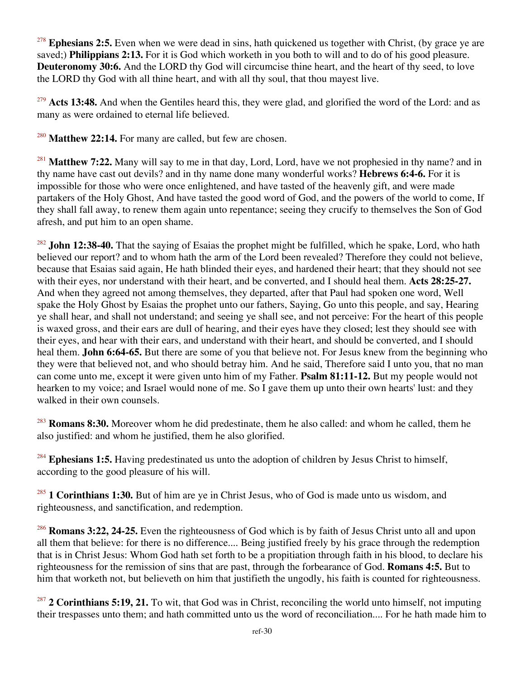<sup>278</sup> Ephesians 2:5. Even when we were dead in sins, hath quickened us together with Christ, (by grace ye are saved;) **Philippians 2:13.** For it is God which worketh in you both to will and to do of his good pleasure. **Deuteronomy 30:6.** And the LORD thy God will circumcise thine heart, and the heart of thy seed, to love the LORD thy God with all thine heart, and with all thy soul, that thou mayest live.

<sup>279</sup> **Acts 13:48.** And when the Gentiles heard this, they were glad, and glorified the word of the Lord: and as many as were ordained to eternal life believed.

<sup>280</sup> Matthew 22:14. For many are called, but few are chosen.

<sup>281</sup> Matthew 7:22. Many will say to me in that day, Lord, Lord, have we not prophesied in thy name? and in thy name have cast out devils? and in thy name done many wonderful works? **Hebrews 6:4-6.** For it is impossible for those who were once enlightened, and have tasted of the heavenly gift, and were made partakers of the Holy Ghost, And have tasted the good word of God, and the powers of the world to come, If they shall fall away, to renew them again unto repentance; seeing they crucify to themselves the Son of God afresh, and put him to an open shame.

<sup>282</sup> **John 12:38-40.** That the saying of Esaias the prophet might be fulfilled, which he spake, Lord, who hath believed our report? and to whom hath the arm of the Lord been revealed? Therefore they could not believe, because that Esaias said again, He hath blinded their eyes, and hardened their heart; that they should not see with their eyes, nor understand with their heart, and be converted, and I should heal them. **Acts 28:25-27.** And when they agreed not among themselves, they departed, after that Paul had spoken one word, Well spake the Holy Ghost by Esaias the prophet unto our fathers, Saying, Go unto this people, and say, Hearing ye shall hear, and shall not understand; and seeing ye shall see, and not perceive: For the heart of this people is waxed gross, and their ears are dull of hearing, and their eyes have they closed; lest they should see with their eyes, and hear with their ears, and understand with their heart, and should be converted, and I should heal them. **John 6:64-65.** But there are some of you that believe not. For Jesus knew from the beginning who they were that believed not, and who should betray him. And he said, Therefore said I unto you, that no man can come unto me, except it were given unto him of my Father. **Psalm 81:11-12.** But my people would not hearken to my voice; and Israel would none of me. So I gave them up unto their own hearts' lust: and they walked in their own counsels.

<sup>283</sup> **Romans 8:30.** Moreover whom he did predestinate, them he also called: and whom he called, them he also justified: and whom he justified, them he also glorified.

<sup>284</sup> Ephesians 1:5. Having predestinated us unto the adoption of children by Jesus Christ to himself, according to the good pleasure of his will.

<sup>285</sup> **1 Corinthians 1:30.** But of him are ye in Christ Jesus, who of God is made unto us wisdom, and righteousness, and sanctification, and redemption.

<sup>286</sup> **Romans 3:22, 24-25.** Even the righteousness of God which is by faith of Jesus Christ unto all and upon all them that believe: for there is no difference.... Being justified freely by his grace through the redemption that is in Christ Jesus: Whom God hath set forth to be a propitiation through faith in his blood, to declare his righteousness for the remission of sins that are past, through the forbearance of God. **Romans 4:5.** But to him that worketh not, but believeth on him that justifieth the ungodly, his faith is counted for righteousness.

<sup>287</sup> **2 Corinthians 5:19, 21.** To wit, that God was in Christ, reconciling the world unto himself, not imputing their trespasses unto them; and hath committed unto us the word of reconciliation.... For he hath made him to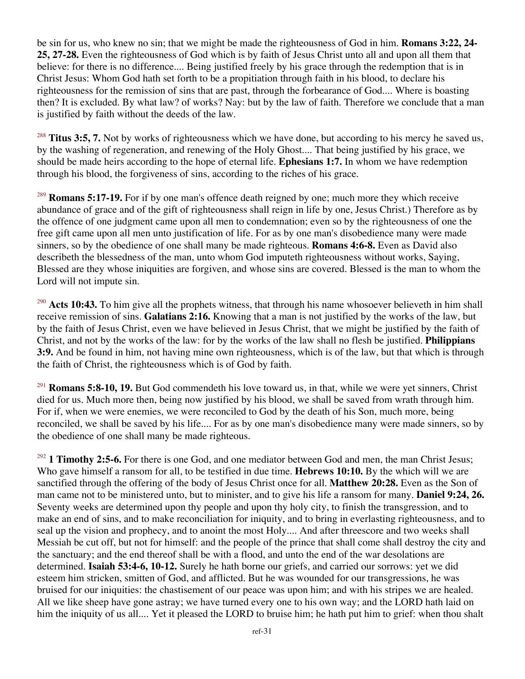be sin for us, who knew no sin; that we might be made the righteousness of God in him. **Romans 3:22, 24- 25, 27-28.** Even the righteousness of God which is by faith of Jesus Christ unto all and upon all them that believe: for there is no difference.... Being justified freely by his grace through the redemption that is in Christ Jesus: Whom God hath set forth to be a propitiation through faith in his blood, to declare his righteousness for the remission of sins that are past, through the forbearance of God.... Where is boasting then? It is excluded. By what law? of works? Nay: but by the law of faith. Therefore we conclude that a man is justified by faith without the deeds of the law.

<sup>288</sup> **Titus 3:5, 7.** Not by works of righteousness which we have done, but according to his mercy he saved us, by the washing of regeneration, and renewing of the Holy Ghost.... That being justified by his grace, we should be made heirs according to the hope of eternal life. **Ephesians 1:7.** In whom we have redemption through his blood, the forgiveness of sins, according to the riches of his grace.

<sup>289</sup> **Romans 5:17-19.** For if by one man's offence death reigned by one; much more they which receive abundance of grace and of the gift of righteousness shall reign in life by one, Jesus Christ.) Therefore as by the offence of one judgment came upon all men to condemnation; even so by the righteousness of one the free gift came upon all men unto justification of life. For as by one man's disobedience many were made sinners, so by the obedience of one shall many be made righteous. **Romans 4:6-8.** Even as David also describeth the blessedness of the man, unto whom God imputeth righteousness without works, Saying, Blessed are they whose iniquities are forgiven, and whose sins are covered. Blessed is the man to whom the Lord will not impute sin.

<sup>290</sup> Acts 10:43. To him give all the prophets witness, that through his name whosoever believeth in him shall receive remission of sins. **Galatians 2:16.** Knowing that a man is not justified by the works of the law, but by the faith of Jesus Christ, even we have believed in Jesus Christ, that we might be justified by the faith of Christ, and not by the works of the law: for by the works of the law shall no flesh be justified. **Philippians 3:9.** And be found in him, not having mine own righteousness, which is of the law, but that which is through the faith of Christ, the righteousness which is of God by faith.

<sup>291</sup> **Romans 5:8-10, 19.** But God commendeth his love toward us, in that, while we were yet sinners, Christ died for us. Much more then, being now justified by his blood, we shall be saved from wrath through him. For if, when we were enemies, we were reconciled to God by the death of his Son, much more, being reconciled, we shall be saved by his life.... For as by one man's disobedience many were made sinners, so by the obedience of one shall many be made righteous.

<sup>292</sup> 1 Timothy 2:5-6. For there is one God, and one mediator between God and men, the man Christ Jesus; Who gave himself a ransom for all, to be testified in due time. **Hebrews 10:10.** By the which will we are sanctified through the offering of the body of Jesus Christ once for all. **Matthew 20:28.** Even as the Son of man came not to be ministered unto, but to minister, and to give his life a ransom for many. **Daniel 9:24, 26.** Seventy weeks are determined upon thy people and upon thy holy city, to finish the transgression, and to make an end of sins, and to make reconciliation for iniquity, and to bring in everlasting righteousness, and to seal up the vision and prophecy, and to anoint the most Holy.... And after threescore and two weeks shall Messiah be cut off, but not for himself: and the people of the prince that shall come shall destroy the city and the sanctuary; and the end thereof shall be with a flood, and unto the end of the war desolations are determined. **Isaiah 53:4-6, 10-12.** Surely he hath borne our griefs, and carried our sorrows: yet we did esteem him stricken, smitten of God, and afflicted. But he was wounded for our transgressions, he was bruised for our iniquities: the chastisement of our peace was upon him; and with his stripes we are healed. All we like sheep have gone astray; we have turned every one to his own way; and the LORD hath laid on him the iniquity of us all.... Yet it pleased the LORD to bruise him; he hath put him to grief: when thou shalt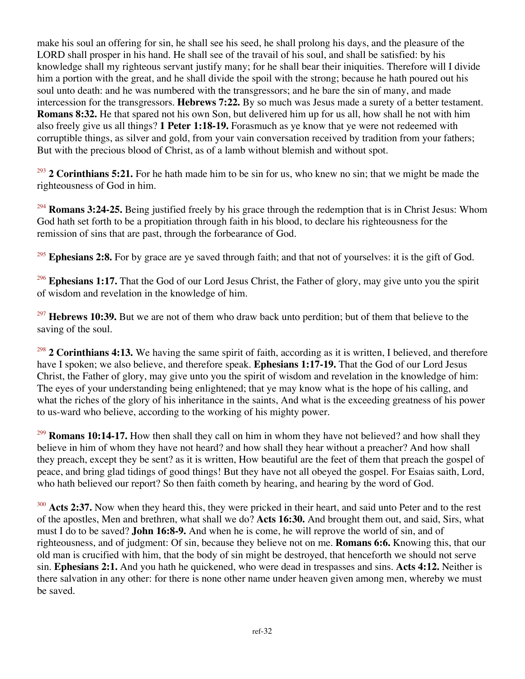make his soul an offering for sin, he shall see his seed, he shall prolong his days, and the pleasure of the LORD shall prosper in his hand. He shall see of the travail of his soul, and shall be satisfied: by his knowledge shall my righteous servant justify many; for he shall bear their iniquities. Therefore will I divide him a portion with the great, and he shall divide the spoil with the strong; because he hath poured out his soul unto death: and he was numbered with the transgressors; and he bare the sin of many, and made intercession for the transgressors. **Hebrews 7:22.** By so much was Jesus made a surety of a better testament. **Romans 8:32.** He that spared not his own Son, but delivered him up for us all, how shall he not with him also freely give us all things? **1 Peter 1:18-19.** Forasmuch as ye know that ye were not redeemed with corruptible things, as silver and gold, from your vain conversation received by tradition from your fathers; But with the precious blood of Christ, as of a lamb without blemish and without spot.

<sup>293</sup> **2 Corinthians 5:21.** For he hath made him to be sin for us, who knew no sin; that we might be made the righteousness of God in him.

<sup>294</sup> **Romans 3:24-25.** Being justified freely by his grace through the redemption that is in Christ Jesus: Whom God hath set forth to be a propitiation through faith in his blood, to declare his righteousness for the remission of sins that are past, through the forbearance of God.

<sup>295</sup> Ephesians 2:8. For by grace are ye saved through faith; and that not of yourselves: it is the gift of God.

<sup>296</sup> Ephesians 1:17. That the God of our Lord Jesus Christ, the Father of glory, may give unto you the spirit of wisdom and revelation in the knowledge of him.

<sup>297</sup> **Hebrews 10:39.** But we are not of them who draw back unto perdition; but of them that believe to the saving of the soul.

<sup>298</sup> **2 Corinthians 4:13.** We having the same spirit of faith, according as it is written, I believed, and therefore have I spoken; we also believe, and therefore speak. **Ephesians 1:17-19.** That the God of our Lord Jesus Christ, the Father of glory, may give unto you the spirit of wisdom and revelation in the knowledge of him: The eyes of your understanding being enlightened; that ye may know what is the hope of his calling, and what the riches of the glory of his inheritance in the saints, And what is the exceeding greatness of his power to us-ward who believe, according to the working of his mighty power.

<sup>299</sup> **Romans 10:14-17.** How then shall they call on him in whom they have not believed? and how shall they believe in him of whom they have not heard? and how shall they hear without a preacher? And how shall they preach, except they be sent? as it is written, How beautiful are the feet of them that preach the gospel of peace, and bring glad tidings of good things! But they have not all obeyed the gospel. For Esaias saith, Lord, who hath believed our report? So then faith cometh by hearing, and hearing by the word of God.

<sup>300</sup> **Acts 2:37.** Now when they heard this, they were pricked in their heart, and said unto Peter and to the rest of the apostles, Men and brethren, what shall we do? **Acts 16:30.** And brought them out, and said, Sirs, what must I do to be saved? **John 16:8-9.** And when he is come, he will reprove the world of sin, and of righteousness, and of judgment: Of sin, because they believe not on me. **Romans 6:6.** Knowing this, that our old man is crucified with him, that the body of sin might be destroyed, that henceforth we should not serve sin. **Ephesians 2:1.** And you hath he quickened, who were dead in trespasses and sins. **Acts 4:12.** Neither is there salvation in any other: for there is none other name under heaven given among men, whereby we must be saved.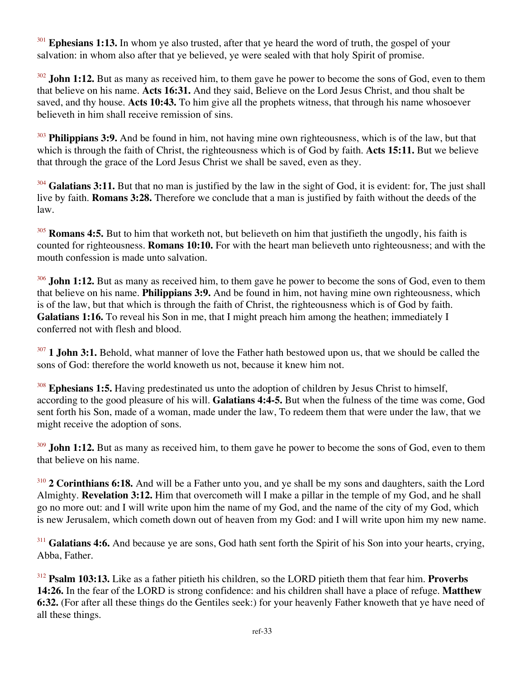Ephesians 1:13. In whom ye also trusted, after that ye heard the word of truth, the gospel of your salvation: in whom also after that ye believed, ye were sealed with that holy Spirit of promise.

<sup>302</sup> **John 1:12.** But as many as received him, to them gave he power to become the sons of God, even to them that believe on his name. **Acts 16:31.** And they said, Believe on the Lord Jesus Christ, and thou shalt be saved, and thy house. **Acts 10:43.** To him give all the prophets witness, that through his name whosoever believeth in him shall receive remission of sins.

<sup>303</sup> **Philippians 3:9.** And be found in him, not having mine own righteousness, which is of the law, but that which is through the faith of Christ, the righteousness which is of God by faith. **Acts 15:11.** But we believe that through the grace of the Lord Jesus Christ we shall be saved, even as they.

<sup>304</sup> Galatians 3:11. But that no man is justified by the law in the sight of God, it is evident: for, The just shall live by faith. **Romans 3:28.** Therefore we conclude that a man is justified by faith without the deeds of the law.

<sup>305</sup> **Romans 4:5.** But to him that worketh not, but believeth on him that justifieth the ungodly, his faith is counted for righteousness. **Romans 10:10.** For with the heart man believeth unto righteousness; and with the mouth confession is made unto salvation.

<sup>306</sup> **John 1:12.** But as many as received him, to them gave he power to become the sons of God, even to them that believe on his name. **Philippians 3:9.** And be found in him, not having mine own righteousness, which is of the law, but that which is through the faith of Christ, the righteousness which is of God by faith. **Galatians 1:16.** To reveal his Son in me, that I might preach him among the heathen; immediately I conferred not with flesh and blood.

<sup>307</sup> **1 John 3:1.** Behold, what manner of love the Father hath bestowed upon us, that we should be called the sons of God: therefore the world knoweth us not, because it knew him not.

<sup>308</sup> Ephesians 1:5. Having predestinated us unto the adoption of children by Jesus Christ to himself, according to the good pleasure of his will. **Galatians 4:4-5.** But when the fulness of the time was come, God sent forth his Son, made of a woman, made under the law, To redeem them that were under the law, that we might receive the adoption of sons.

<sup>309</sup> **John 1:12.** But as many as received him, to them gave he power to become the sons of God, even to them that believe on his name.

<sup>310</sup> **2 Corinthians 6:18.** And will be a Father unto you, and ye shall be my sons and daughters, saith the Lord Almighty. **Revelation 3:12.** Him that overcometh will I make a pillar in the temple of my God, and he shall go no more out: and I will write upon him the name of my God, and the name of the city of my God, which is new Jerusalem, which cometh down out of heaven from my God: and I will write upon him my new name.

<sup>311</sup> Galatians 4:6. And because ye are sons, God hath sent forth the Spirit of his Son into your hearts, crying, Abba, Father.

<sup>312</sup> **Psalm 103:13.** Like as a father pitieth his children, so the LORD pitieth them that fear him. **Proverbs 14:26.** In the fear of the LORD is strong confidence: and his children shall have a place of refuge. **Matthew 6:32.** (For after all these things do the Gentiles seek:) for your heavenly Father knoweth that ye have need of all these things.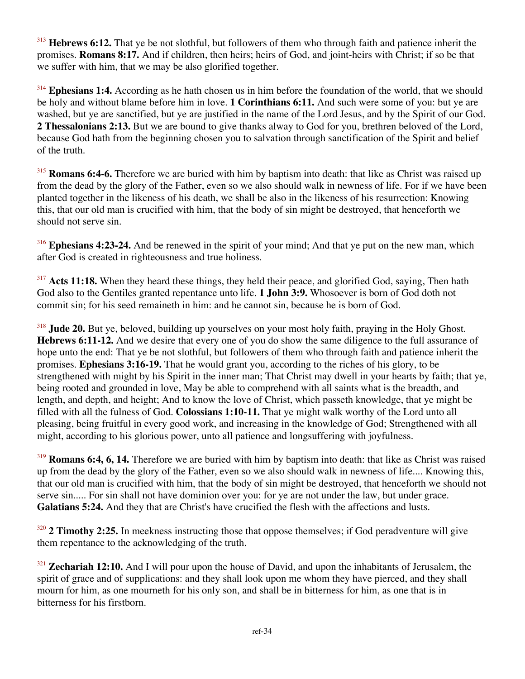<sup>313</sup> Hebrews 6:12. That ye be not slothful, but followers of them who through faith and patience inherit the promises. **Romans 8:17.** And if children, then heirs; heirs of God, and joint-heirs with Christ; if so be that we suffer with him, that we may be also glorified together.

<sup>314</sup> **Ephesians 1:4.** According as he hath chosen us in him before the foundation of the world, that we should be holy and without blame before him in love. **1 Corinthians 6:11.** And such were some of you: but ye are washed, but ye are sanctified, but ye are justified in the name of the Lord Jesus, and by the Spirit of our God. **2 Thessalonians 2:13.** But we are bound to give thanks alway to God for you, brethren beloved of the Lord, because God hath from the beginning chosen you to salvation through sanctification of the Spirit and belief of the truth.

<sup>315</sup> **Romans 6:4-6.** Therefore we are buried with him by baptism into death: that like as Christ was raised up from the dead by the glory of the Father, even so we also should walk in newness of life. For if we have been planted together in the likeness of his death, we shall be also in the likeness of his resurrection: Knowing this, that our old man is crucified with him, that the body of sin might be destroyed, that henceforth we should not serve sin.

<sup>316</sup> **Ephesians 4:23-24.** And be renewed in the spirit of your mind; And that ye put on the new man, which after God is created in righteousness and true holiness.

<sup>317</sup> Acts 11:18. When they heard these things, they held their peace, and glorified God, saying, Then hath God also to the Gentiles granted repentance unto life. **1 John 3:9.** Whosoever is born of God doth not commit sin; for his seed remaineth in him: and he cannot sin, because he is born of God.

<sup>318</sup> **Jude 20.** But ye, beloved, building up yourselves on your most holy faith, praying in the Holy Ghost. **Hebrews 6:11-12.** And we desire that every one of you do show the same diligence to the full assurance of hope unto the end: That ye be not slothful, but followers of them who through faith and patience inherit the promises. **Ephesians 3:16-19.** That he would grant you, according to the riches of his glory, to be strengthened with might by his Spirit in the inner man; That Christ may dwell in your hearts by faith; that ye, being rooted and grounded in love, May be able to comprehend with all saints what is the breadth, and length, and depth, and height; And to know the love of Christ, which passeth knowledge, that ye might be filled with all the fulness of God. **Colossians 1:10-11.** That ye might walk worthy of the Lord unto all pleasing, being fruitful in every good work, and increasing in the knowledge of God; Strengthened with all might, according to his glorious power, unto all patience and longsuffering with joyfulness.

<sup>319</sup> **Romans 6:4, 6, 14.** Therefore we are buried with him by baptism into death: that like as Christ was raised up from the dead by the glory of the Father, even so we also should walk in newness of life.... Knowing this, that our old man is crucified with him, that the body of sin might be destroyed, that henceforth we should not serve sin..... For sin shall not have dominion over you: for ye are not under the law, but under grace. **Galatians 5:24.** And they that are Christ's have crucified the flesh with the affections and lusts.

<sup>320</sup> **2 Timothy 2:25.** In meekness instructing those that oppose themselves; if God peradventure will give them repentance to the acknowledging of the truth.

<sup>321</sup> **Zechariah 12:10.** And I will pour upon the house of David, and upon the inhabitants of Jerusalem, the spirit of grace and of supplications: and they shall look upon me whom they have pierced, and they shall mourn for him, as one mourneth for his only son, and shall be in bitterness for him, as one that is in bitterness for his firstborn.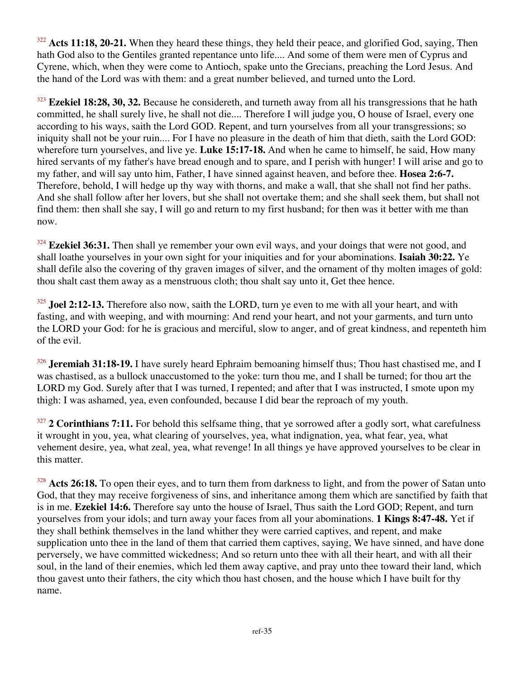<sup>322</sup> Acts 11:18, 20-21. When they heard these things, they held their peace, and glorified God, saying, Then hath God also to the Gentiles granted repentance unto life.... And some of them were men of Cyprus and Cyrene, which, when they were come to Antioch, spake unto the Grecians, preaching the Lord Jesus. And the hand of the Lord was with them: and a great number believed, and turned unto the Lord.

<sup>323</sup> **Ezekiel 18:28, 30, 32.** Because he considereth, and turneth away from all his transgressions that he hath committed, he shall surely live, he shall not die.... Therefore I will judge you, O house of Israel, every one according to his ways, saith the Lord GOD. Repent, and turn yourselves from all your transgressions; so iniquity shall not be your ruin.... For I have no pleasure in the death of him that dieth, saith the Lord GOD: wherefore turn yourselves, and live ye. **Luke 15:17-18.** And when he came to himself, he said, How many hired servants of my father's have bread enough and to spare, and I perish with hunger! I will arise and go to my father, and will say unto him, Father, I have sinned against heaven, and before thee. **Hosea 2:6-7.** Therefore, behold, I will hedge up thy way with thorns, and make a wall, that she shall not find her paths. And she shall follow after her lovers, but she shall not overtake them; and she shall seek them, but shall not find them: then shall she say, I will go and return to my first husband; for then was it better with me than now.

<sup>324</sup> **Ezekiel 36:31.** Then shall ye remember your own evil ways, and your doings that were not good, and shall loathe yourselves in your own sight for your iniquities and for your abominations. **Isaiah 30:22.** Ye shall defile also the covering of thy graven images of silver, and the ornament of thy molten images of gold: thou shalt cast them away as a menstruous cloth; thou shalt say unto it, Get thee hence.

<sup>325</sup> **Joel 2:12-13.** Therefore also now, saith the LORD, turn ye even to me with all your heart, and with fasting, and with weeping, and with mourning: And rend your heart, and not your garments, and turn unto the LORD your God: for he is gracious and merciful, slow to anger, and of great kindness, and repenteth him of the evil.

<sup>326</sup> **Jeremiah 31:18-19.** I have surely heard Ephraim bemoaning himself thus; Thou hast chastised me, and I was chastised, as a bullock unaccustomed to the yoke: turn thou me, and I shall be turned; for thou art the LORD my God. Surely after that I was turned, I repented; and after that I was instructed, I smote upon my thigh: I was ashamed, yea, even confounded, because I did bear the reproach of my youth.

<sup>327</sup> **2 Corinthians 7:11.** For behold this selfsame thing, that ye sorrowed after a godly sort, what carefulness it wrought in you, yea, what clearing of yourselves, yea, what indignation, yea, what fear, yea, what vehement desire, yea, what zeal, yea, what revenge! In all things ye have approved yourselves to be clear in this matter.

<sup>328</sup> Acts 26:18. To open their eyes, and to turn them from darkness to light, and from the power of Satan unto God, that they may receive forgiveness of sins, and inheritance among them which are sanctified by faith that is in me. **Ezekiel 14:6.** Therefore say unto the house of Israel, Thus saith the Lord GOD; Repent, and turn yourselves from your idols; and turn away your faces from all your abominations. **1 Kings 8:47-48.** Yet if they shall bethink themselves in the land whither they were carried captives, and repent, and make supplication unto thee in the land of them that carried them captives, saying, We have sinned, and have done perversely, we have committed wickedness; And so return unto thee with all their heart, and with all their soul, in the land of their enemies, which led them away captive, and pray unto thee toward their land, which thou gavest unto their fathers, the city which thou hast chosen, and the house which I have built for thy name.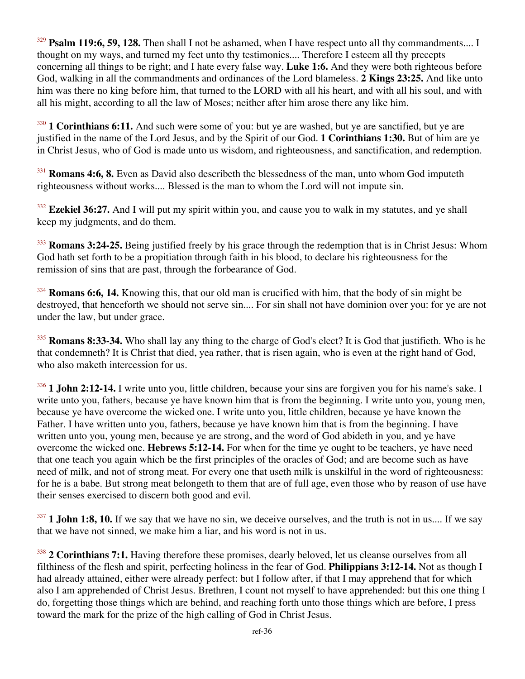<sup>329</sup> **Psalm 119:6, 59, 128.** Then shall I not be ashamed, when I have respect unto all thy commandments.... I thought on my ways, and turned my feet unto thy testimonies.... Therefore I esteem all thy precepts concerning all things to be right; and I hate every false way. **Luke 1:6.** And they were both righteous before God, walking in all the commandments and ordinances of the Lord blameless. **2 Kings 23:25.** And like unto him was there no king before him, that turned to the LORD with all his heart, and with all his soul, and with all his might, according to all the law of Moses; neither after him arose there any like him.

<sup>330</sup> **1 Corinthians 6:11.** And such were some of you: but ye are washed, but ye are sanctified, but ye are justified in the name of the Lord Jesus, and by the Spirit of our God. **1 Corinthians 1:30.** But of him are ye in Christ Jesus, who of God is made unto us wisdom, and righteousness, and sanctification, and redemption.

<sup>331</sup> **Romans 4:6, 8.** Even as David also describeth the blessedness of the man, unto whom God imputeth righteousness without works.... Blessed is the man to whom the Lord will not impute sin.

<sup>332</sup> **Ezekiel 36:27.** And I will put my spirit within you, and cause you to walk in my statutes, and ye shall keep my judgments, and do them.

<sup>333</sup> **Romans 3:24-25.** Being justified freely by his grace through the redemption that is in Christ Jesus: Whom God hath set forth to be a propitiation through faith in his blood, to declare his righteousness for the remission of sins that are past, through the forbearance of God.

<sup>334</sup> **Romans 6:6, 14.** Knowing this, that our old man is crucified with him, that the body of sin might be destroyed, that henceforth we should not serve sin.... For sin shall not have dominion over you: for ye are not under the law, but under grace.

<sup>335</sup> **Romans 8:33-34.** Who shall lay any thing to the charge of God's elect? It is God that justifieth. Who is he that condemneth? It is Christ that died, yea rather, that is risen again, who is even at the right hand of God, who also maketh intercession for us.

<sup>336</sup> **1 John 2:12-14.** I write unto you, little children, because your sins are forgiven you for his name's sake. I write unto you, fathers, because ye have known him that is from the beginning. I write unto you, young men, because ye have overcome the wicked one. I write unto you, little children, because ye have known the Father. I have written unto you, fathers, because ye have known him that is from the beginning. I have written unto you, young men, because ye are strong, and the word of God abideth in you, and ye have overcome the wicked one. **Hebrews 5:12-14.** For when for the time ye ought to be teachers, ye have need that one teach you again which be the first principles of the oracles of God; and are become such as have need of milk, and not of strong meat. For every one that useth milk is unskilful in the word of righteousness: for he is a babe. But strong meat belongeth to them that are of full age, even those who by reason of use have their senses exercised to discern both good and evil.

<sup>337</sup> **1 John 1:8, 10.** If we say that we have no sin, we deceive ourselves, and the truth is not in us.... If we say that we have not sinned, we make him a liar, and his word is not in us.

<sup>338</sup> **2 Corinthians 7:1.** Having therefore these promises, dearly beloved, let us cleanse ourselves from all filthiness of the flesh and spirit, perfecting holiness in the fear of God. **Philippians 3:12-14.** Not as though I had already attained, either were already perfect: but I follow after, if that I may apprehend that for which also I am apprehended of Christ Jesus. Brethren, I count not myself to have apprehended: but this one thing I do, forgetting those things which are behind, and reaching forth unto those things which are before, I press toward the mark for the prize of the high calling of God in Christ Jesus.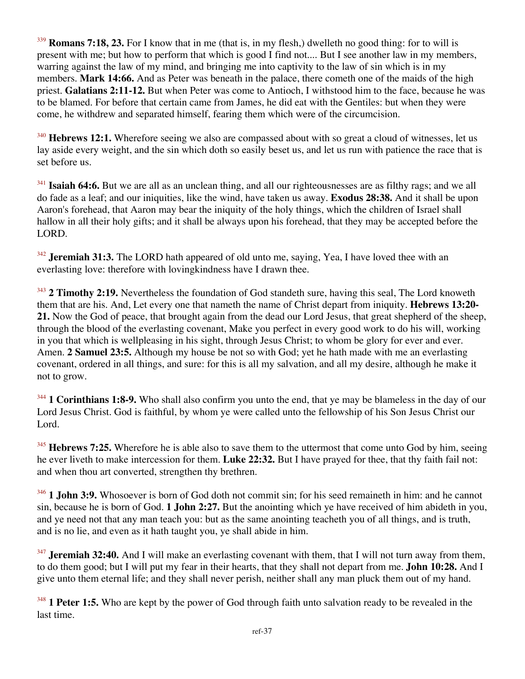<sup>339</sup> **Romans 7:18, 23.** For I know that in me (that is, in my flesh,) dwelleth no good thing: for to will is present with me; but how to perform that which is good I find not.... But I see another law in my members, warring against the law of my mind, and bringing me into captivity to the law of sin which is in my members. **Mark 14:66.** And as Peter was beneath in the palace, there cometh one of the maids of the high priest. **Galatians 2:11-12.** But when Peter was come to Antioch, I withstood him to the face, because he was to be blamed. For before that certain came from James, he did eat with the Gentiles: but when they were come, he withdrew and separated himself, fearing them which were of the circumcision.

<sup>340</sup> **Hebrews 12:1.** Wherefore seeing we also are compassed about with so great a cloud of witnesses, let us lay aside every weight, and the sin which doth so easily beset us, and let us run with patience the race that is set before us.

<sup>341</sup> **Isaiah 64:6.** But we are all as an unclean thing, and all our righteousnesses are as filthy rags; and we all do fade as a leaf; and our iniquities, like the wind, have taken us away. **Exodus 28:38.** And it shall be upon Aaron's forehead, that Aaron may bear the iniquity of the holy things, which the children of Israel shall hallow in all their holy gifts; and it shall be always upon his forehead, that they may be accepted before the LORD.

<sup>342</sup> **Jeremiah 31:3.** The LORD hath appeared of old unto me, saying, Yea, I have loved thee with an everlasting love: therefore with lovingkindness have I drawn thee.

<sup>343</sup> **2 Timothy 2:19.** Nevertheless the foundation of God standeth sure, having this seal, The Lord knoweth them that are his. And, Let every one that nameth the name of Christ depart from iniquity. **Hebrews 13:20- 21.** Now the God of peace, that brought again from the dead our Lord Jesus, that great shepherd of the sheep, through the blood of the everlasting covenant, Make you perfect in every good work to do his will, working in you that which is wellpleasing in his sight, through Jesus Christ; to whom be glory for ever and ever. Amen. **2 Samuel 23:5.** Although my house be not so with God; yet he hath made with me an everlasting covenant, ordered in all things, and sure: for this is all my salvation, and all my desire, although he make it not to grow.

<sup>344</sup> **1 Corinthians 1:8-9.** Who shall also confirm you unto the end, that ye may be blameless in the day of our Lord Jesus Christ. God is faithful, by whom ye were called unto the fellowship of his Son Jesus Christ our Lord.

<sup>345</sup> **Hebrews 7:25.** Wherefore he is able also to save them to the uttermost that come unto God by him, seeing he ever liveth to make intercession for them. **Luke 22:32.** But I have prayed for thee, that thy faith fail not: and when thou art converted, strengthen thy brethren.

<sup>346</sup> **1 John 3:9.** Whosoever is born of God doth not commit sin; for his seed remaineth in him: and he cannot sin, because he is born of God. **1 John 2:27.** But the anointing which ye have received of him abideth in you, and ye need not that any man teach you: but as the same anointing teacheth you of all things, and is truth, and is no lie, and even as it hath taught you, ye shall abide in him.

<sup>347</sup> **Jeremiah 32:40.** And I will make an everlasting covenant with them, that I will not turn away from them, to do them good; but I will put my fear in their hearts, that they shall not depart from me. **John 10:28.** And I give unto them eternal life; and they shall never perish, neither shall any man pluck them out of my hand.

<sup>348</sup> **1 Peter 1:5.** Who are kept by the power of God through faith unto salvation ready to be revealed in the last time.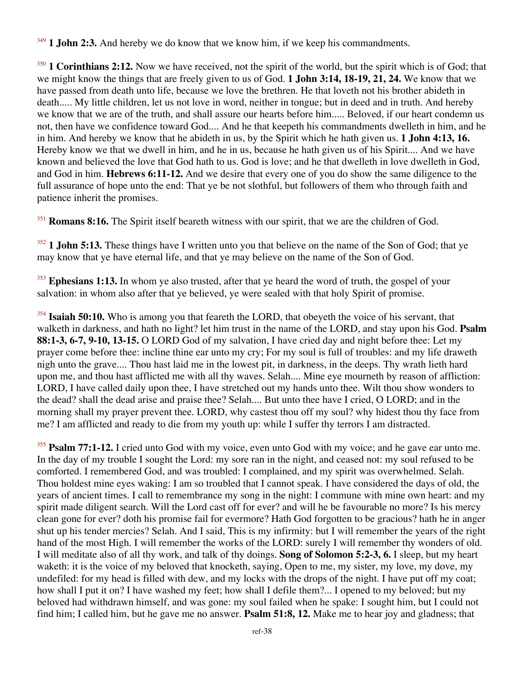<sup>349</sup> **1 John 2:3.** And hereby we do know that we know him, if we keep his commandments.

<sup>350</sup> **1 Corinthians 2:12.** Now we have received, not the spirit of the world, but the spirit which is of God; that we might know the things that are freely given to us of God. **1 John 3:14, 18-19, 21, 24.** We know that we have passed from death unto life, because we love the brethren. He that loveth not his brother abideth in death..... My little children, let us not love in word, neither in tongue; but in deed and in truth. And hereby we know that we are of the truth, and shall assure our hearts before him..... Beloved, if our heart condemn us not, then have we confidence toward God.... And he that keepeth his commandments dwelleth in him, and he in him. And hereby we know that he abideth in us, by the Spirit which he hath given us. **1 John 4:13, 16.** Hereby know we that we dwell in him, and he in us, because he hath given us of his Spirit.... And we have known and believed the love that God hath to us. God is love; and he that dwelleth in love dwelleth in God, and God in him. **Hebrews 6:11-12.** And we desire that every one of you do show the same diligence to the full assurance of hope unto the end: That ye be not slothful, but followers of them who through faith and patience inherit the promises.

<sup>351</sup> **Romans 8:16.** The Spirit itself beareth witness with our spirit, that we are the children of God.

<sup>352</sup> **1 John 5:13.** These things have I written unto you that believe on the name of the Son of God; that ye may know that ye have eternal life, and that ye may believe on the name of the Son of God.

<sup>353</sup> Ephesians 1:13. In whom ye also trusted, after that ye heard the word of truth, the gospel of your salvation: in whom also after that ye believed, ye were sealed with that holy Spirit of promise.

<sup>354</sup> **Isaiah 50:10.** Who is among you that feareth the LORD, that obeyeth the voice of his servant, that walketh in darkness, and hath no light? let him trust in the name of the LORD, and stay upon his God. **Psalm 88:1-3, 6-7, 9-10, 13-15.** O LORD God of my salvation, I have cried day and night before thee: Let my prayer come before thee: incline thine ear unto my cry; For my soul is full of troubles: and my life draweth nigh unto the grave.... Thou hast laid me in the lowest pit, in darkness, in the deeps. Thy wrath lieth hard upon me, and thou hast afflicted me with all thy waves. Selah.... Mine eye mourneth by reason of affliction: LORD, I have called daily upon thee, I have stretched out my hands unto thee. Wilt thou show wonders to the dead? shall the dead arise and praise thee? Selah.... But unto thee have I cried, O LORD; and in the morning shall my prayer prevent thee. LORD, why castest thou off my soul? why hidest thou thy face from me? I am afflicted and ready to die from my youth up: while I suffer thy terrors I am distracted.

<sup>355</sup> **Psalm 77:1-12.** I cried unto God with my voice, even unto God with my voice; and he gave ear unto me. In the day of my trouble I sought the Lord: my sore ran in the night, and ceased not: my soul refused to be comforted. I remembered God, and was troubled: I complained, and my spirit was overwhelmed. Selah. Thou holdest mine eyes waking: I am so troubled that I cannot speak. I have considered the days of old, the years of ancient times. I call to remembrance my song in the night: I commune with mine own heart: and my spirit made diligent search. Will the Lord cast off for ever? and will he be favourable no more? Is his mercy clean gone for ever? doth his promise fail for evermore? Hath God forgotten to be gracious? hath he in anger shut up his tender mercies? Selah. And I said, This is my infirmity: but I will remember the years of the right hand of the most High. I will remember the works of the LORD: surely I will remember thy wonders of old. I will meditate also of all thy work, and talk of thy doings. **Song of Solomon 5:2-3, 6.** I sleep, but my heart waketh: it is the voice of my beloved that knocketh, saying, Open to me, my sister, my love, my dove, my undefiled: for my head is filled with dew, and my locks with the drops of the night. I have put off my coat; how shall I put it on? I have washed my feet; how shall I defile them?... I opened to my beloved; but my beloved had withdrawn himself, and was gone: my soul failed when he spake: I sought him, but I could not find him; I called him, but he gave me no answer. **Psalm 51:8, 12.** Make me to hear joy and gladness; that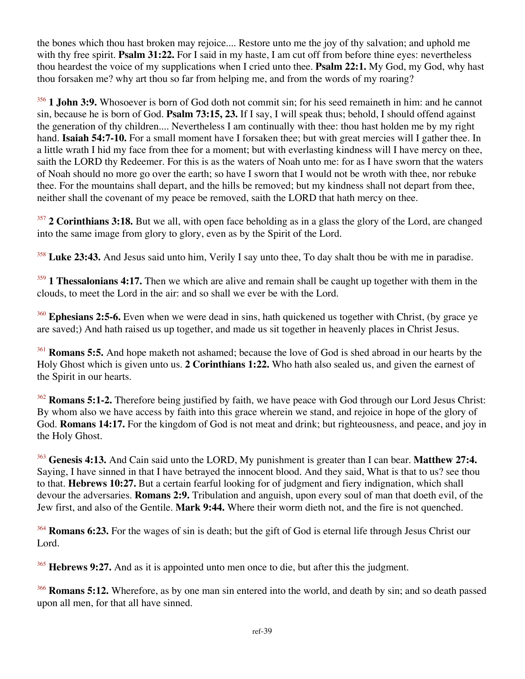the bones which thou hast broken may rejoice.... Restore unto me the joy of thy salvation; and uphold me with thy free spirit. **Psalm 31:22.** For I said in my haste, I am cut off from before thine eyes: nevertheless thou heardest the voice of my supplications when I cried unto thee. **Psalm 22:1.** My God, my God, why hast thou forsaken me? why art thou so far from helping me, and from the words of my roaring?

<sup>356</sup> **1 John 3:9.** Whosoever is born of God doth not commit sin; for his seed remaineth in him: and he cannot sin, because he is born of God. **Psalm 73:15, 23.** If I say, I will speak thus; behold, I should offend against the generation of thy children.... Nevertheless I am continually with thee: thou hast holden me by my right hand. **Isaiah 54:7-10.** For a small moment have I forsaken thee; but with great mercies will I gather thee. In a little wrath I hid my face from thee for a moment; but with everlasting kindness will I have mercy on thee, saith the LORD thy Redeemer. For this is as the waters of Noah unto me: for as I have sworn that the waters of Noah should no more go over the earth; so have I sworn that I would not be wroth with thee, nor rebuke thee. For the mountains shall depart, and the hills be removed; but my kindness shall not depart from thee, neither shall the covenant of my peace be removed, saith the LORD that hath mercy on thee.

<sup>357</sup> **2 Corinthians 3:18.** But we all, with open face beholding as in a glass the glory of the Lord, are changed into the same image from glory to glory, even as by the Spirit of the Lord.

<sup>358</sup> **Luke 23:43.** And Jesus said unto him, Verily I say unto thee, To day shalt thou be with me in paradise.

<sup>359</sup> **1 Thessalonians 4:17.** Then we which are alive and remain shall be caught up together with them in the clouds, to meet the Lord in the air: and so shall we ever be with the Lord.

<sup>360</sup> Ephesians 2:5-6. Even when we were dead in sins, hath quickened us together with Christ, (by grace ye are saved;) And hath raised us up together, and made us sit together in heavenly places in Christ Jesus.

<sup>361</sup> **Romans 5:5.** And hope maketh not ashamed; because the love of God is shed abroad in our hearts by the Holy Ghost which is given unto us. **2 Corinthians 1:22.** Who hath also sealed us, and given the earnest of the Spirit in our hearts.

<sup>362</sup> **Romans 5:1-2.** Therefore being justified by faith, we have peace with God through our Lord Jesus Christ: By whom also we have access by faith into this grace wherein we stand, and rejoice in hope of the glory of God. **Romans 14:17.** For the kingdom of God is not meat and drink; but righteousness, and peace, and joy in the Holy Ghost.

<sup>363</sup> **Genesis 4:13.** And Cain said unto the LORD, My punishment is greater than I can bear. **Matthew 27:4.** Saying, I have sinned in that I have betrayed the innocent blood. And they said, What is that to us? see thou to that. **Hebrews 10:27.** But a certain fearful looking for of judgment and fiery indignation, which shall devour the adversaries. **Romans 2:9.** Tribulation and anguish, upon every soul of man that doeth evil, of the Jew first, and also of the Gentile. **Mark 9:44.** Where their worm dieth not, and the fire is not quenched.

<sup>364</sup> **Romans 6:23.** For the wages of sin is death; but the gift of God is eternal life through Jesus Christ our Lord.

<sup>365</sup> **Hebrews 9:27.** And as it is appointed unto men once to die, but after this the judgment.

<sup>366</sup> **Romans 5:12.** Wherefore, as by one man sin entered into the world, and death by sin; and so death passed upon all men, for that all have sinned.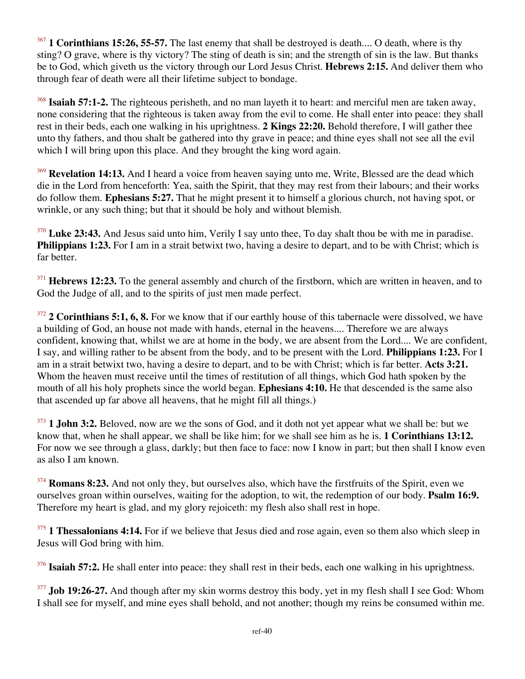<sup>367</sup> **1 Corinthians 15:26, 55-57.** The last enemy that shall be destroyed is death.... O death, where is thy sting? O grave, where is thy victory? The sting of death is sin; and the strength of sin is the law. But thanks be to God, which giveth us the victory through our Lord Jesus Christ. **Hebrews 2:15.** And deliver them who through fear of death were all their lifetime subject to bondage.

<sup>368</sup> **Isaiah 57:1-2.** The righteous perisheth, and no man layeth it to heart: and merciful men are taken away, none considering that the righteous is taken away from the evil to come. He shall enter into peace: they shall rest in their beds, each one walking in his uprightness. **2 Kings 22:20.** Behold therefore, I will gather thee unto thy fathers, and thou shalt be gathered into thy grave in peace; and thine eyes shall not see all the evil which I will bring upon this place. And they brought the king word again.

<sup>369</sup> Revelation 14:13. And I heard a voice from heaven saying unto me, Write, Blessed are the dead which die in the Lord from henceforth: Yea, saith the Spirit, that they may rest from their labours; and their works do follow them. **Ephesians 5:27.** That he might present it to himself a glorious church, not having spot, or wrinkle, or any such thing; but that it should be holy and without blemish.

<sup>370</sup> Luke 23:43. And Jesus said unto him, Verily I say unto thee, To day shalt thou be with me in paradise. **Philippians 1:23.** For I am in a strait betwixt two, having a desire to depart, and to be with Christ; which is far better.

<sup>371</sup> **Hebrews 12:23.** To the general assembly and church of the firstborn, which are written in heaven, and to God the Judge of all, and to the spirits of just men made perfect.

<sup>372</sup> **2 Corinthians 5:1, 6, 8.** For we know that if our earthly house of this tabernacle were dissolved, we have a building of God, an house not made with hands, eternal in the heavens.... Therefore we are always confident, knowing that, whilst we are at home in the body, we are absent from the Lord.... We are confident, I say, and willing rather to be absent from the body, and to be present with the Lord. **Philippians 1:23.** For I am in a strait betwixt two, having a desire to depart, and to be with Christ; which is far better. **Acts 3:21.** Whom the heaven must receive until the times of restitution of all things, which God hath spoken by the mouth of all his holy prophets since the world began. **Ephesians 4:10.** He that descended is the same also that ascended up far above all heavens, that he might fill all things.)

<sup>373</sup> **1 John 3:2.** Beloved, now are we the sons of God, and it doth not yet appear what we shall be: but we know that, when he shall appear, we shall be like him; for we shall see him as he is. **1 Corinthians 13:12.** For now we see through a glass, darkly; but then face to face: now I know in part; but then shall I know even as also I am known.

<sup>374</sup> **Romans 8:23.** And not only they, but ourselves also, which have the firstfruits of the Spirit, even we ourselves groan within ourselves, waiting for the adoption, to wit, the redemption of our body. **Psalm 16:9.** Therefore my heart is glad, and my glory rejoiceth: my flesh also shall rest in hope.

<sup>375</sup> **1 Thessalonians 4:14.** For if we believe that Jesus died and rose again, even so them also which sleep in Jesus will God bring with him.

<sup>376</sup> **Isaiah 57:2.** He shall enter into peace: they shall rest in their beds, each one walking in his uprightness.

<sup>377</sup> **Job 19:26-27.** And though after my skin worms destroy this body, yet in my flesh shall I see God: Whom I shall see for myself, and mine eyes shall behold, and not another; though my reins be consumed within me.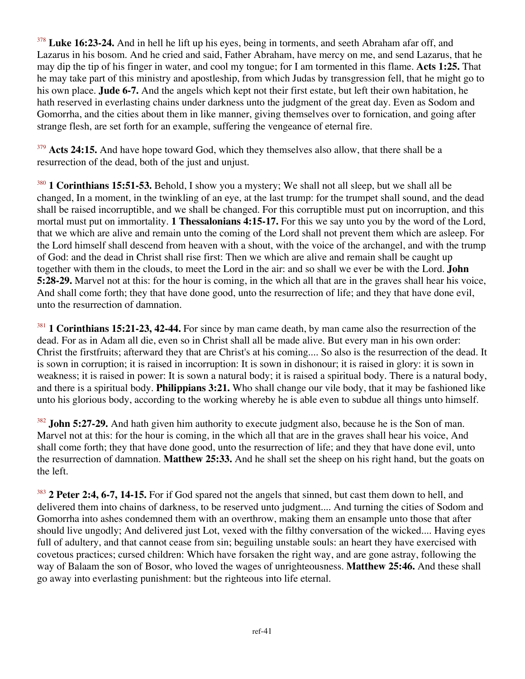<sup>378</sup> **Luke 16:23-24.** And in hell he lift up his eyes, being in torments, and seeth Abraham afar off, and Lazarus in his bosom. And he cried and said, Father Abraham, have mercy on me, and send Lazarus, that he may dip the tip of his finger in water, and cool my tongue; for I am tormented in this flame. **Acts 1:25.** That he may take part of this ministry and apostleship, from which Judas by transgression fell, that he might go to his own place. **Jude 6-7.** And the angels which kept not their first estate, but left their own habitation, he hath reserved in everlasting chains under darkness unto the judgment of the great day. Even as Sodom and Gomorrha, and the cities about them in like manner, giving themselves over to fornication, and going after strange flesh, are set forth for an example, suffering the vengeance of eternal fire.

<sup>379</sup> Acts 24:15. And have hope toward God, which they themselves also allow, that there shall be a resurrection of the dead, both of the just and unjust.

<sup>380</sup> **1 Corinthians 15:51-53.** Behold, I show you a mystery; We shall not all sleep, but we shall all be changed, In a moment, in the twinkling of an eye, at the last trump: for the trumpet shall sound, and the dead shall be raised incorruptible, and we shall be changed. For this corruptible must put on incorruption, and this mortal must put on immortality. **1 Thessalonians 4:15-17.** For this we say unto you by the word of the Lord, that we which are alive and remain unto the coming of the Lord shall not prevent them which are asleep. For the Lord himself shall descend from heaven with a shout, with the voice of the archangel, and with the trump of God: and the dead in Christ shall rise first: Then we which are alive and remain shall be caught up together with them in the clouds, to meet the Lord in the air: and so shall we ever be with the Lord. **John 5:28-29.** Marvel not at this: for the hour is coming, in the which all that are in the graves shall hear his voice, And shall come forth; they that have done good, unto the resurrection of life; and they that have done evil, unto the resurrection of damnation.

<sup>381</sup> **1 Corinthians 15:21-23, 42-44.** For since by man came death, by man came also the resurrection of the dead. For as in Adam all die, even so in Christ shall all be made alive. But every man in his own order: Christ the firstfruits; afterward they that are Christ's at his coming.... So also is the resurrection of the dead. It is sown in corruption; it is raised in incorruption: It is sown in dishonour; it is raised in glory: it is sown in weakness; it is raised in power: It is sown a natural body; it is raised a spiritual body. There is a natural body, and there is a spiritual body. **Philippians 3:21.** Who shall change our vile body, that it may be fashioned like unto his glorious body, according to the working whereby he is able even to subdue all things unto himself.

<sup>382</sup> **John 5:27-29.** And hath given him authority to execute judgment also, because he is the Son of man. Marvel not at this: for the hour is coming, in the which all that are in the graves shall hear his voice, And shall come forth; they that have done good, unto the resurrection of life; and they that have done evil, unto the resurrection of damnation. **Matthew 25:33.** And he shall set the sheep on his right hand, but the goats on the left.

<sup>383</sup> **2 Peter 2:4, 6-7, 14-15.** For if God spared not the angels that sinned, but cast them down to hell, and delivered them into chains of darkness, to be reserved unto judgment.... And turning the cities of Sodom and Gomorrha into ashes condemned them with an overthrow, making them an ensample unto those that after should live ungodly; And delivered just Lot, vexed with the filthy conversation of the wicked.... Having eyes full of adultery, and that cannot cease from sin; beguiling unstable souls: an heart they have exercised with covetous practices; cursed children: Which have forsaken the right way, and are gone astray, following the way of Balaam the son of Bosor, who loved the wages of unrighteousness. **Matthew 25:46.** And these shall go away into everlasting punishment: but the righteous into life eternal.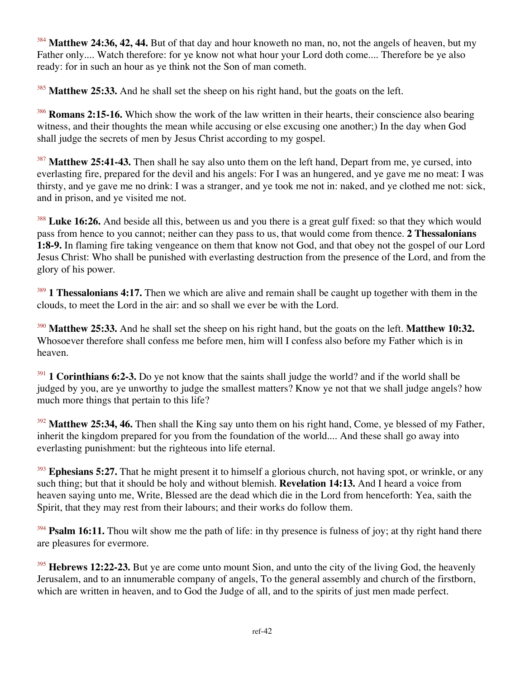<sup>384</sup> Matthew 24:36, 42, 44. But of that day and hour knoweth no man, no, not the angels of heaven, but my Father only.... Watch therefore: for ye know not what hour your Lord doth come.... Therefore be ye also ready: for in such an hour as ye think not the Son of man cometh.

<sup>385</sup> Matthew 25:33. And he shall set the sheep on his right hand, but the goats on the left.

<sup>386</sup> **Romans 2:15-16.** Which show the work of the law written in their hearts, their conscience also bearing witness, and their thoughts the mean while accusing or else excusing one another;) In the day when God shall judge the secrets of men by Jesus Christ according to my gospel.

<sup>387</sup> **Matthew 25:41-43.** Then shall he say also unto them on the left hand, Depart from me, ye cursed, into everlasting fire, prepared for the devil and his angels: For I was an hungered, and ye gave me no meat: I was thirsty, and ye gave me no drink: I was a stranger, and ye took me not in: naked, and ye clothed me not: sick, and in prison, and ye visited me not.

<sup>388</sup> Luke 16:26. And beside all this, between us and you there is a great gulf fixed: so that they which would pass from hence to you cannot; neither can they pass to us, that would come from thence. **2 Thessalonians 1:8-9.** In flaming fire taking vengeance on them that know not God, and that obey not the gospel of our Lord Jesus Christ: Who shall be punished with everlasting destruction from the presence of the Lord, and from the glory of his power.

<sup>389</sup> **1 Thessalonians 4:17.** Then we which are alive and remain shall be caught up together with them in the clouds, to meet the Lord in the air: and so shall we ever be with the Lord.

<sup>390</sup> **Matthew 25:33.** And he shall set the sheep on his right hand, but the goats on the left. **Matthew 10:32.** Whosoever therefore shall confess me before men, him will I confess also before my Father which is in heaven.

<sup>391</sup> **1 Corinthians 6:2-3.** Do ye not know that the saints shall judge the world? and if the world shall be judged by you, are ye unworthy to judge the smallest matters? Know ye not that we shall judge angels? how much more things that pertain to this life?

<sup>392</sup> Matthew 25:34, 46. Then shall the King say unto them on his right hand, Come, ye blessed of my Father, inherit the kingdom prepared for you from the foundation of the world.... And these shall go away into everlasting punishment: but the righteous into life eternal.

<sup>393</sup> Ephesians 5:27. That he might present it to himself a glorious church, not having spot, or wrinkle, or any such thing; but that it should be holy and without blemish. **Revelation 14:13.** And I heard a voice from heaven saying unto me, Write, Blessed are the dead which die in the Lord from henceforth: Yea, saith the Spirit, that they may rest from their labours; and their works do follow them.

<sup>394</sup> **Psalm 16:11.** Thou wilt show me the path of life: in thy presence is fulness of joy; at thy right hand there are pleasures for evermore.

<sup>395</sup> **Hebrews 12:22-23.** But ye are come unto mount Sion, and unto the city of the living God, the heavenly Jerusalem, and to an innumerable company of angels, To the general assembly and church of the firstborn, which are written in heaven, and to God the Judge of all, and to the spirits of just men made perfect.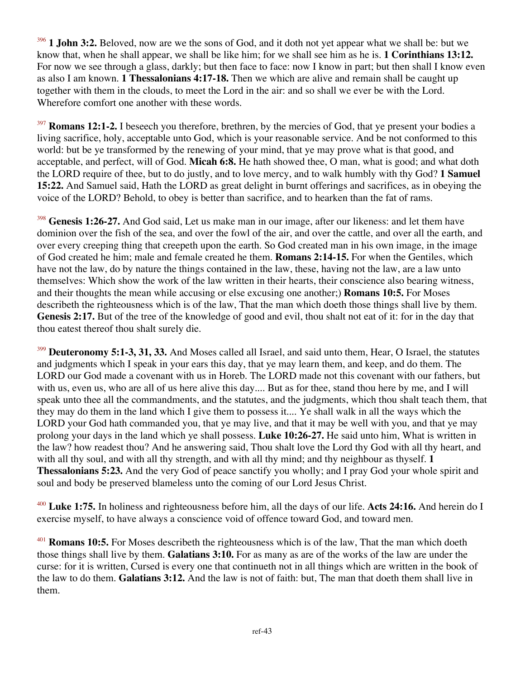1 **John 3:2.** Beloved, now are we the sons of God, and it doth not yet appear what we shall be: but we know that, when he shall appear, we shall be like him; for we shall see him as he is. **1 Corinthians 13:12.** For now we see through a glass, darkly; but then face to face: now I know in part; but then shall I know even as also I am known. **1 Thessalonians 4:17-18.** Then we which are alive and remain shall be caught up together with them in the clouds, to meet the Lord in the air: and so shall we ever be with the Lord. Wherefore comfort one another with these words.

<sup>397</sup> **Romans 12:1-2.** I beseech you therefore, brethren, by the mercies of God, that ye present your bodies a living sacrifice, holy, acceptable unto God, which is your reasonable service. And be not conformed to this world: but be ye transformed by the renewing of your mind, that ye may prove what is that good, and acceptable, and perfect, will of God. **Micah 6:8.** He hath showed thee, O man, what is good; and what doth the LORD require of thee, but to do justly, and to love mercy, and to walk humbly with thy God? **1 Samuel 15:22.** And Samuel said, Hath the LORD as great delight in burnt offerings and sacrifices, as in obeying the voice of the LORD? Behold, to obey is better than sacrifice, and to hearken than the fat of rams.

<sup>398</sup> **Genesis 1:26-27.** And God said, Let us make man in our image, after our likeness: and let them have dominion over the fish of the sea, and over the fowl of the air, and over the cattle, and over all the earth, and over every creeping thing that creepeth upon the earth. So God created man in his own image, in the image of God created he him; male and female created he them. **Romans 2:14-15.** For when the Gentiles, which have not the law, do by nature the things contained in the law, these, having not the law, are a law unto themselves: Which show the work of the law written in their hearts, their conscience also bearing witness, and their thoughts the mean while accusing or else excusing one another;) **Romans 10:5.** For Moses describeth the righteousness which is of the law, That the man which doeth those things shall live by them. **Genesis 2:17.** But of the tree of the knowledge of good and evil, thou shalt not eat of it: for in the day that thou eatest thereof thou shalt surely die.

<sup>399</sup> **Deuteronomy 5:1-3, 31, 33.** And Moses called all Israel, and said unto them, Hear, O Israel, the statutes and judgments which I speak in your ears this day, that ye may learn them, and keep, and do them. The LORD our God made a covenant with us in Horeb. The LORD made not this covenant with our fathers, but with us, even us, who are all of us here alive this day.... But as for thee, stand thou here by me, and I will speak unto thee all the commandments, and the statutes, and the judgments, which thou shalt teach them, that they may do them in the land which I give them to possess it.... Ye shall walk in all the ways which the LORD your God hath commanded you, that ye may live, and that it may be well with you, and that ye may prolong your days in the land which ye shall possess. **Luke 10:26-27.** He said unto him, What is written in the law? how readest thou? And he answering said, Thou shalt love the Lord thy God with all thy heart, and with all thy soul, and with all thy strength, and with all thy mind; and thy neighbour as thyself. **1 Thessalonians 5:23.** And the very God of peace sanctify you wholly; and I pray God your whole spirit and soul and body be preserved blameless unto the coming of our Lord Jesus Christ.

<sup>400</sup> **Luke 1:75.** In holiness and righteousness before him, all the days of our life. **Acts 24:16.** And herein do I exercise myself, to have always a conscience void of offence toward God, and toward men.

<sup>401</sup> **Romans 10:5.** For Moses describeth the righteousness which is of the law, That the man which doeth those things shall live by them. **Galatians 3:10.** For as many as are of the works of the law are under the curse: for it is written, Cursed is every one that continueth not in all things which are written in the book of the law to do them. **Galatians 3:12.** And the law is not of faith: but, The man that doeth them shall live in them.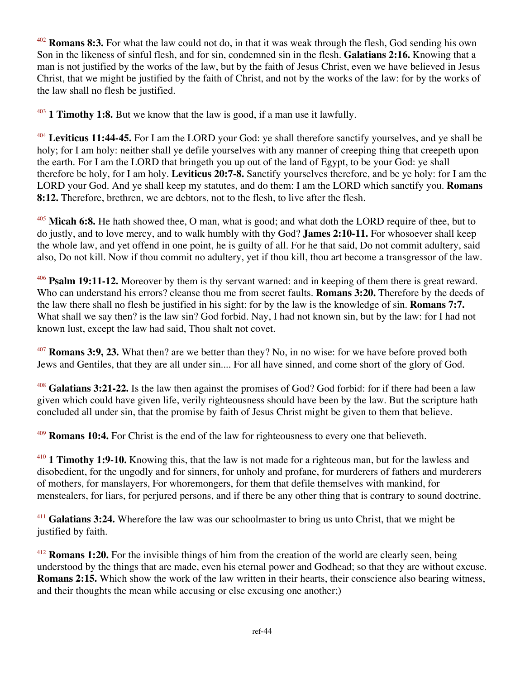<sup>402</sup> **Romans 8:3.** For what the law could not do, in that it was weak through the flesh, God sending his own Son in the likeness of sinful flesh, and for sin, condemned sin in the flesh. **Galatians 2:16.** Knowing that a man is not justified by the works of the law, but by the faith of Jesus Christ, even we have believed in Jesus Christ, that we might be justified by the faith of Christ, and not by the works of the law: for by the works of the law shall no flesh be justified.

<sup>403</sup> **1 Timothy 1:8.** But we know that the law is good, if a man use it lawfully.

<sup>404</sup> **Leviticus 11:44-45.** For I am the LORD your God: ye shall therefore sanctify yourselves, and ye shall be holy; for I am holy: neither shall ye defile yourselves with any manner of creeping thing that creepeth upon the earth. For I am the LORD that bringeth you up out of the land of Egypt, to be your God: ye shall therefore be holy, for I am holy. **Leviticus 20:7-8.** Sanctify yourselves therefore, and be ye holy: for I am the LORD your God. And ye shall keep my statutes, and do them: I am the LORD which sanctify you. **Romans 8:12.** Therefore, brethren, we are debtors, not to the flesh, to live after the flesh.

<sup>405</sup> **Micah 6:8.** He hath showed thee, O man, what is good; and what doth the LORD require of thee, but to do justly, and to love mercy, and to walk humbly with thy God? **James 2:10-11.** For whosoever shall keep the whole law, and yet offend in one point, he is guilty of all. For he that said, Do not commit adultery, said also, Do not kill. Now if thou commit no adultery, yet if thou kill, thou art become a transgressor of the law.

<sup>406</sup> **Psalm 19:11-12.** Moreover by them is thy servant warned: and in keeping of them there is great reward. Who can understand his errors? cleanse thou me from secret faults. **Romans 3:20.** Therefore by the deeds of the law there shall no flesh be justified in his sight: for by the law is the knowledge of sin. **Romans 7:7.** What shall we say then? is the law sin? God forbid. Nay, I had not known sin, but by the law: for I had not known lust, except the law had said, Thou shalt not covet.

<sup>407</sup> **Romans 3:9, 23.** What then? are we better than they? No, in no wise: for we have before proved both Jews and Gentiles, that they are all under sin.... For all have sinned, and come short of the glory of God.

<sup>408</sup> **Galatians 3:21-22.** Is the law then against the promises of God? God forbid: for if there had been a law given which could have given life, verily righteousness should have been by the law. But the scripture hath concluded all under sin, that the promise by faith of Jesus Christ might be given to them that believe.

<sup>409</sup> **Romans 10:4.** For Christ is the end of the law for righteousness to every one that believeth.

<sup>410</sup> **1 Timothy 1:9-10.** Knowing this, that the law is not made for a righteous man, but for the lawless and disobedient, for the ungodly and for sinners, for unholy and profane, for murderers of fathers and murderers of mothers, for manslayers, For whoremongers, for them that defile themselves with mankind, for menstealers, for liars, for perjured persons, and if there be any other thing that is contrary to sound doctrine.

<sup>411</sup> Galatians 3:24. Wherefore the law was our schoolmaster to bring us unto Christ, that we might be justified by faith.

<sup>412</sup> **Romans 1:20.** For the invisible things of him from the creation of the world are clearly seen, being understood by the things that are made, even his eternal power and Godhead; so that they are without excuse. **Romans 2:15.** Which show the work of the law written in their hearts, their conscience also bearing witness, and their thoughts the mean while accusing or else excusing one another;)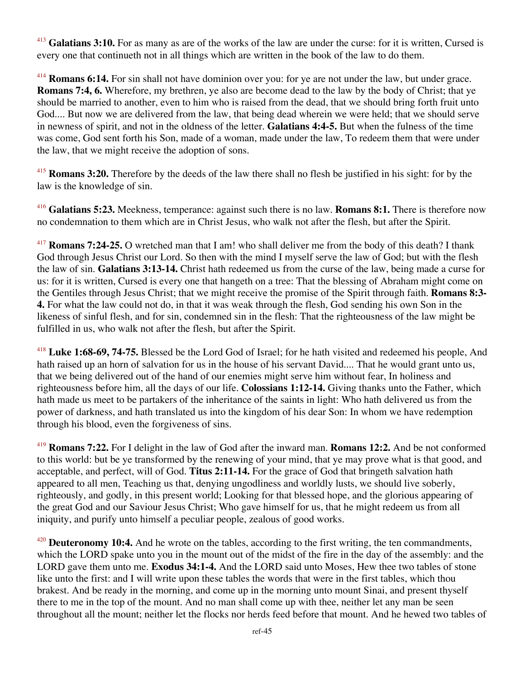<sup>413</sup> **Galatians 3:10.** For as many as are of the works of the law are under the curse: for it is written, Cursed is every one that continueth not in all things which are written in the book of the law to do them.

<sup>414</sup> **Romans 6:14.** For sin shall not have dominion over you: for ye are not under the law, but under grace. **Romans 7:4, 6.** Wherefore, my brethren, ye also are become dead to the law by the body of Christ; that ye should be married to another, even to him who is raised from the dead, that we should bring forth fruit unto God.... But now we are delivered from the law, that being dead wherein we were held; that we should serve in newness of spirit, and not in the oldness of the letter. **Galatians 4:4-5.** But when the fulness of the time was come, God sent forth his Son, made of a woman, made under the law, To redeem them that were under the law, that we might receive the adoption of sons.

<sup>415</sup> **Romans 3:20.** Therefore by the deeds of the law there shall no flesh be justified in his sight: for by the law is the knowledge of sin.

<sup>416</sup> **Galatians 5:23.** Meekness, temperance: against such there is no law. **Romans 8:1.** There is therefore now no condemnation to them which are in Christ Jesus, who walk not after the flesh, but after the Spirit.

<sup>417</sup> **Romans 7:24-25.** O wretched man that I am! who shall deliver me from the body of this death? I thank God through Jesus Christ our Lord. So then with the mind I myself serve the law of God; but with the flesh the law of sin. **Galatians 3:13-14.** Christ hath redeemed us from the curse of the law, being made a curse for us: for it is written, Cursed is every one that hangeth on a tree: That the blessing of Abraham might come on the Gentiles through Jesus Christ; that we might receive the promise of the Spirit through faith. **Romans 8:3- 4.** For what the law could not do, in that it was weak through the flesh, God sending his own Son in the likeness of sinful flesh, and for sin, condemned sin in the flesh: That the righteousness of the law might be fulfilled in us, who walk not after the flesh, but after the Spirit.

<sup>418</sup> **Luke 1:68-69, 74-75.** Blessed be the Lord God of Israel; for he hath visited and redeemed his people, And hath raised up an horn of salvation for us in the house of his servant David.... That he would grant unto us, that we being delivered out of the hand of our enemies might serve him without fear, In holiness and righteousness before him, all the days of our life. **Colossians 1:12-14.** Giving thanks unto the Father, which hath made us meet to be partakers of the inheritance of the saints in light: Who hath delivered us from the power of darkness, and hath translated us into the kingdom of his dear Son: In whom we have redemption through his blood, even the forgiveness of sins.

<sup>419</sup> **Romans 7:22.** For I delight in the law of God after the inward man. **Romans 12:2.** And be not conformed to this world: but be ye transformed by the renewing of your mind, that ye may prove what is that good, and acceptable, and perfect, will of God. **Titus 2:11-14.** For the grace of God that bringeth salvation hath appeared to all men, Teaching us that, denying ungodliness and worldly lusts, we should live soberly, righteously, and godly, in this present world; Looking for that blessed hope, and the glorious appearing of the great God and our Saviour Jesus Christ; Who gave himself for us, that he might redeem us from all iniquity, and purify unto himself a peculiar people, zealous of good works.

<sup>420</sup> **Deuteronomy 10:4.** And he wrote on the tables, according to the first writing, the ten commandments, which the LORD spake unto you in the mount out of the midst of the fire in the day of the assembly: and the LORD gave them unto me. **Exodus 34:1-4.** And the LORD said unto Moses, Hew thee two tables of stone like unto the first: and I will write upon these tables the words that were in the first tables, which thou brakest. And be ready in the morning, and come up in the morning unto mount Sinai, and present thyself there to me in the top of the mount. And no man shall come up with thee, neither let any man be seen throughout all the mount; neither let the flocks nor herds feed before that mount. And he hewed two tables of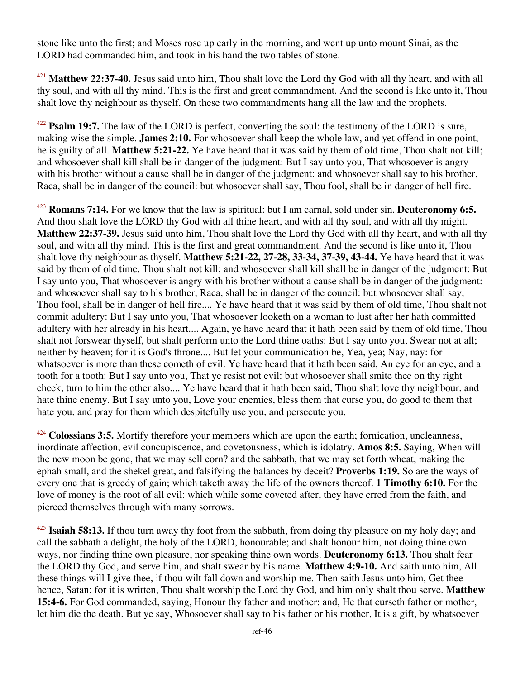stone like unto the first; and Moses rose up early in the morning, and went up unto mount Sinai, as the LORD had commanded him, and took in his hand the two tables of stone.

<sup>421</sup> **Matthew 22:37-40.** Jesus said unto him, Thou shalt love the Lord thy God with all thy heart, and with all thy soul, and with all thy mind. This is the first and great commandment. And the second is like unto it, Thou shalt love thy neighbour as thyself. On these two commandments hang all the law and the prophets.

<sup>422</sup> **Psalm 19:7.** The law of the LORD is perfect, converting the soul: the testimony of the LORD is sure, making wise the simple. **James 2:10.** For whosoever shall keep the whole law, and yet offend in one point, he is guilty of all. **Matthew 5:21-22.** Ye have heard that it was said by them of old time, Thou shalt not kill; and whosoever shall kill shall be in danger of the judgment: But I say unto you, That whosoever is angry with his brother without a cause shall be in danger of the judgment: and whosoever shall say to his brother, Raca, shall be in danger of the council: but whosoever shall say, Thou fool, shall be in danger of hell fire.

<sup>423</sup> **Romans 7:14.** For we know that the law is spiritual: but I am carnal, sold under sin. **Deuteronomy 6:5.** And thou shalt love the LORD thy God with all thine heart, and with all thy soul, and with all thy might. **Matthew 22:37-39.** Jesus said unto him, Thou shalt love the Lord thy God with all thy heart, and with all thy soul, and with all thy mind. This is the first and great commandment. And the second is like unto it, Thou shalt love thy neighbour as thyself. **Matthew 5:21-22, 27-28, 33-34, 37-39, 43-44.** Ye have heard that it was said by them of old time, Thou shalt not kill; and whosoever shall kill shall be in danger of the judgment: But I say unto you, That whosoever is angry with his brother without a cause shall be in danger of the judgment: and whosoever shall say to his brother, Raca, shall be in danger of the council: but whosoever shall say, Thou fool, shall be in danger of hell fire.... Ye have heard that it was said by them of old time, Thou shalt not commit adultery: But I say unto you, That whosoever looketh on a woman to lust after her hath committed adultery with her already in his heart.... Again, ye have heard that it hath been said by them of old time, Thou shalt not forswear thyself, but shalt perform unto the Lord thine oaths: But I say unto you, Swear not at all; neither by heaven; for it is God's throne.... But let your communication be, Yea, yea; Nay, nay: for whatsoever is more than these cometh of evil. Ye have heard that it hath been said, An eye for an eye, and a tooth for a tooth: But I say unto you, That ye resist not evil: but whosoever shall smite thee on thy right cheek, turn to him the other also.... Ye have heard that it hath been said, Thou shalt love thy neighbour, and hate thine enemy. But I say unto you, Love your enemies, bless them that curse you, do good to them that hate you, and pray for them which despitefully use you, and persecute you.

<sup>424</sup> **Colossians 3:5.** Mortify therefore your members which are upon the earth; fornication, uncleanness, inordinate affection, evil concupiscence, and covetousness, which is idolatry. **Amos 8:5.** Saying, When will the new moon be gone, that we may sell corn? and the sabbath, that we may set forth wheat, making the ephah small, and the shekel great, and falsifying the balances by deceit? **Proverbs 1:19.** So are the ways of every one that is greedy of gain; which taketh away the life of the owners thereof. **1 Timothy 6:10.** For the love of money is the root of all evil: which while some coveted after, they have erred from the faith, and pierced themselves through with many sorrows.

<sup>425</sup> **Isaiah 58:13.** If thou turn away thy foot from the sabbath, from doing thy pleasure on my holy day; and call the sabbath a delight, the holy of the LORD, honourable; and shalt honour him, not doing thine own ways, nor finding thine own pleasure, nor speaking thine own words. **Deuteronomy 6:13.** Thou shalt fear the LORD thy God, and serve him, and shalt swear by his name. **Matthew 4:9-10.** And saith unto him, All these things will I give thee, if thou wilt fall down and worship me. Then saith Jesus unto him, Get thee hence, Satan: for it is written, Thou shalt worship the Lord thy God, and him only shalt thou serve. **Matthew 15:4-6.** For God commanded, saying, Honour thy father and mother: and, He that curseth father or mother, let him die the death. But ye say, Whosoever shall say to his father or his mother, It is a gift, by whatsoever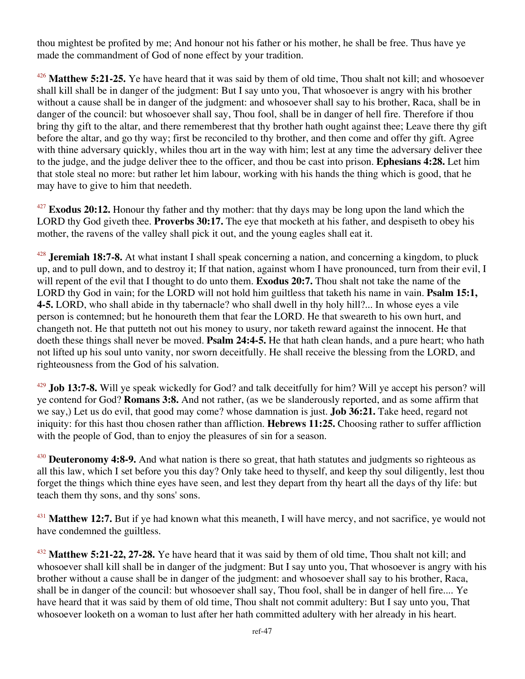thou mightest be profited by me; And honour not his father or his mother, he shall be free. Thus have ye made the commandment of God of none effect by your tradition.

<sup>426</sup> **Matthew 5:21-25.** Ye have heard that it was said by them of old time, Thou shalt not kill; and whosoever shall kill shall be in danger of the judgment: But I say unto you, That whosoever is angry with his brother without a cause shall be in danger of the judgment: and whosoever shall say to his brother, Raca, shall be in danger of the council: but whosoever shall say, Thou fool, shall be in danger of hell fire. Therefore if thou bring thy gift to the altar, and there rememberest that thy brother hath ought against thee; Leave there thy gift before the altar, and go thy way; first be reconciled to thy brother, and then come and offer thy gift. Agree with thine adversary quickly, whiles thou art in the way with him; lest at any time the adversary deliver thee to the judge, and the judge deliver thee to the officer, and thou be cast into prison. **Ephesians 4:28.** Let him that stole steal no more: but rather let him labour, working with his hands the thing which is good, that he may have to give to him that needeth.

<sup>427</sup> **Exodus 20:12.** Honour thy father and thy mother: that thy days may be long upon the land which the LORD thy God giveth thee. **Proverbs 30:17.** The eye that mocketh at his father, and despiseth to obey his mother, the ravens of the valley shall pick it out, and the young eagles shall eat it.

<sup>428</sup> **Jeremiah 18:7-8.** At what instant I shall speak concerning a nation, and concerning a kingdom, to pluck up, and to pull down, and to destroy it; If that nation, against whom I have pronounced, turn from their evil, I will repent of the evil that I thought to do unto them. **Exodus 20:7.** Thou shalt not take the name of the LORD thy God in vain; for the LORD will not hold him guiltless that taketh his name in vain. **Psalm 15:1, 4-5.** LORD, who shall abide in thy tabernacle? who shall dwell in thy holy hill?... In whose eyes a vile person is contemned; but he honoureth them that fear the LORD. He that sweareth to his own hurt, and changeth not. He that putteth not out his money to usury, nor taketh reward against the innocent. He that doeth these things shall never be moved. **Psalm 24:4-5.** He that hath clean hands, and a pure heart; who hath not lifted up his soul unto vanity, nor sworn deceitfully. He shall receive the blessing from the LORD, and righteousness from the God of his salvation.

<sup>429</sup> **Job 13:7-8.** Will ye speak wickedly for God? and talk deceitfully for him? Will ye accept his person? will ye contend for God? **Romans 3:8.** And not rather, (as we be slanderously reported, and as some affirm that we say,) Let us do evil, that good may come? whose damnation is just. **Job 36:21.** Take heed, regard not iniquity: for this hast thou chosen rather than affliction. **Hebrews 11:25.** Choosing rather to suffer affliction with the people of God, than to enjoy the pleasures of sin for a season.

<sup>430</sup> **Deuteronomy 4:8-9.** And what nation is there so great, that hath statutes and judgments so righteous as all this law, which I set before you this day? Only take heed to thyself, and keep thy soul diligently, lest thou forget the things which thine eyes have seen, and lest they depart from thy heart all the days of thy life: but teach them thy sons, and thy sons' sons.

<sup>431</sup> Matthew 12:7. But if ye had known what this meaneth, I will have mercy, and not sacrifice, ye would not have condemned the guiltless.

<sup>432</sup> **Matthew 5:21-22, 27-28.** Ye have heard that it was said by them of old time, Thou shalt not kill; and whosoever shall kill shall be in danger of the judgment: But I say unto you, That whosoever is angry with his brother without a cause shall be in danger of the judgment: and whosoever shall say to his brother, Raca, shall be in danger of the council: but whosoever shall say, Thou fool, shall be in danger of hell fire.... Ye have heard that it was said by them of old time, Thou shalt not commit adultery: But I say unto you, That whosoever looketh on a woman to lust after her hath committed adultery with her already in his heart.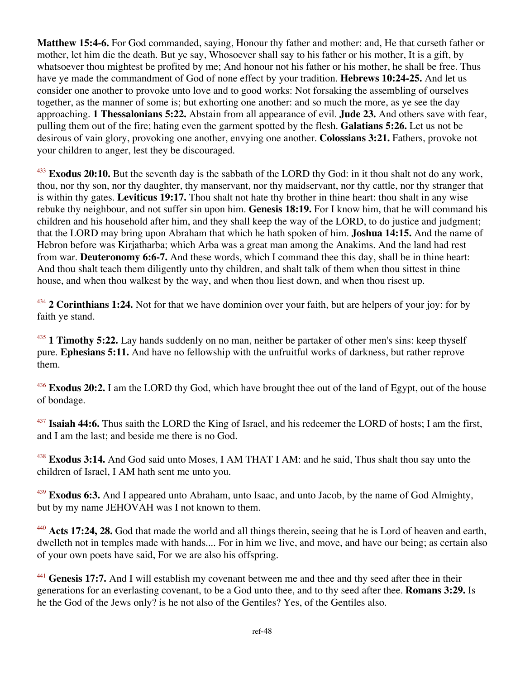**Matthew 15:4-6.** For God commanded, saying, Honour thy father and mother: and, He that curseth father or mother, let him die the death. But ye say, Whosoever shall say to his father or his mother, It is a gift, by whatsoever thou mightest be profited by me; And honour not his father or his mother, he shall be free. Thus have ye made the commandment of God of none effect by your tradition. **Hebrews 10:24-25.** And let us consider one another to provoke unto love and to good works: Not forsaking the assembling of ourselves together, as the manner of some is; but exhorting one another: and so much the more, as ye see the day approaching. **1 Thessalonians 5:22.** Abstain from all appearance of evil. **Jude 23.** And others save with fear, pulling them out of the fire; hating even the garment spotted by the flesh. **Galatians 5:26.** Let us not be desirous of vain glory, provoking one another, envying one another. **Colossians 3:21.** Fathers, provoke not your children to anger, lest they be discouraged.

<sup>433</sup> **Exodus 20:10.** But the seventh day is the sabbath of the LORD thy God: in it thou shalt not do any work, thou, nor thy son, nor thy daughter, thy manservant, nor thy maidservant, nor thy cattle, nor thy stranger that is within thy gates. **Leviticus 19:17.** Thou shalt not hate thy brother in thine heart: thou shalt in any wise rebuke thy neighbour, and not suffer sin upon him. **Genesis 18:19.** For I know him, that he will command his children and his household after him, and they shall keep the way of the LORD, to do justice and judgment; that the LORD may bring upon Abraham that which he hath spoken of him. **Joshua 14:15.** And the name of Hebron before was Kirjatharba; which Arba was a great man among the Anakims. And the land had rest from war. **Deuteronomy 6:6-7.** And these words, which I command thee this day, shall be in thine heart: And thou shalt teach them diligently unto thy children, and shalt talk of them when thou sittest in thine house, and when thou walkest by the way, and when thou liest down, and when thou risest up.

<sup>434</sup> **2 Corinthians 1:24.** Not for that we have dominion over your faith, but are helpers of your joy: for by faith ye stand.

<sup>435</sup> **1 Timothy 5:22.** Lay hands suddenly on no man, neither be partaker of other men's sins: keep thyself pure. **Ephesians 5:11.** And have no fellowship with the unfruitful works of darkness, but rather reprove them.

<sup>436</sup> **Exodus 20:2.** I am the LORD thy God, which have brought thee out of the land of Egypt, out of the house of bondage.

<sup>437</sup> **Isaiah 44:6.** Thus saith the LORD the King of Israel, and his redeemer the LORD of hosts; I am the first, and I am the last; and beside me there is no God.

<sup>438</sup> **Exodus 3:14.** And God said unto Moses, I AM THAT I AM: and he said, Thus shalt thou say unto the children of Israel, I AM hath sent me unto you.

<sup>439</sup> **Exodus 6:3.** And I appeared unto Abraham, unto Isaac, and unto Jacob, by the name of God Almighty, but by my name JEHOVAH was I not known to them.

<sup>440</sup> **Acts 17:24, 28.** God that made the world and all things therein, seeing that he is Lord of heaven and earth, dwelleth not in temples made with hands.... For in him we live, and move, and have our being; as certain also of your own poets have said, For we are also his offspring.

<sup>441</sup> Genesis 17:7. And I will establish my covenant between me and thee and thy seed after thee in their generations for an everlasting covenant, to be a God unto thee, and to thy seed after thee. **Romans 3:29.** Is he the God of the Jews only? is he not also of the Gentiles? Yes, of the Gentiles also.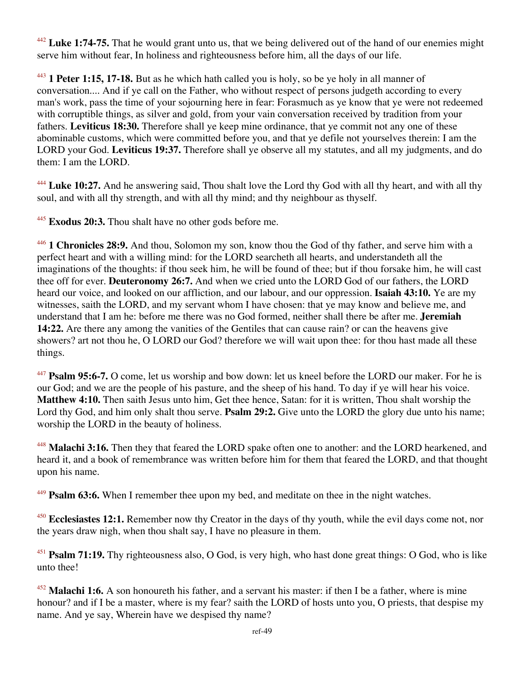<sup>442</sup> **Luke 1:74-75.** That he would grant unto us, that we being delivered out of the hand of our enemies might serve him without fear, In holiness and righteousness before him, all the days of our life.

<sup>443</sup> **1 Peter 1:15, 17-18.** But as he which hath called you is holy, so be ye holy in all manner of conversation.... And if ye call on the Father, who without respect of persons judgeth according to every man's work, pass the time of your sojourning here in fear: Forasmuch as ye know that ye were not redeemed with corruptible things, as silver and gold, from your vain conversation received by tradition from your fathers. **Leviticus 18:30.** Therefore shall ye keep mine ordinance, that ye commit not any one of these abominable customs, which were committed before you, and that ye defile not yourselves therein: I am the LORD your God. **Leviticus 19:37.** Therefore shall ye observe all my statutes, and all my judgments, and do them: I am the LORD.

<sup>444</sup> **Luke 10:27.** And he answering said, Thou shalt love the Lord thy God with all thy heart, and with all thy soul, and with all thy strength, and with all thy mind; and thy neighbour as thyself.

<sup>445</sup> **Exodus 20:3.** Thou shalt have no other gods before me.

<sup>446</sup> **1 Chronicles 28:9.** And thou, Solomon my son, know thou the God of thy father, and serve him with a perfect heart and with a willing mind: for the LORD searcheth all hearts, and understandeth all the imaginations of the thoughts: if thou seek him, he will be found of thee; but if thou forsake him, he will cast thee off for ever. **Deuteronomy 26:7.** And when we cried unto the LORD God of our fathers, the LORD heard our voice, and looked on our affliction, and our labour, and our oppression. **Isaiah 43:10.** Ye are my witnesses, saith the LORD, and my servant whom I have chosen: that ye may know and believe me, and understand that I am he: before me there was no God formed, neither shall there be after me. **Jeremiah 14:22.** Are there any among the vanities of the Gentiles that can cause rain? or can the heavens give showers? art not thou he, O LORD our God? therefore we will wait upon thee: for thou hast made all these things.

<sup>447</sup> **Psalm 95:6-7.** O come, let us worship and bow down: let us kneel before the LORD our maker. For he is our God; and we are the people of his pasture, and the sheep of his hand. To day if ye will hear his voice. **Matthew 4:10.** Then saith Jesus unto him, Get thee hence, Satan: for it is written, Thou shalt worship the Lord thy God, and him only shalt thou serve. **Psalm 29:2.** Give unto the LORD the glory due unto his name; worship the LORD in the beauty of holiness.

<sup>448</sup> **Malachi 3:16.** Then they that feared the LORD spake often one to another: and the LORD hearkened, and heard it, and a book of remembrance was written before him for them that feared the LORD, and that thought upon his name.

<sup>449</sup> **Psalm 63:6.** When I remember thee upon my bed, and meditate on thee in the night watches.

<sup>450</sup> **Ecclesiastes 12:1.** Remember now thy Creator in the days of thy youth, while the evil days come not, nor the years draw nigh, when thou shalt say, I have no pleasure in them.

<sup>451</sup> **Psalm 71:19.** Thy righteousness also, O God, is very high, who hast done great things: O God, who is like unto thee!

<sup>452</sup> **Malachi 1:6.** A son honoureth his father, and a servant his master: if then I be a father, where is mine honour? and if I be a master, where is my fear? saith the LORD of hosts unto you, O priests, that despise my name. And ye say, Wherein have we despised thy name?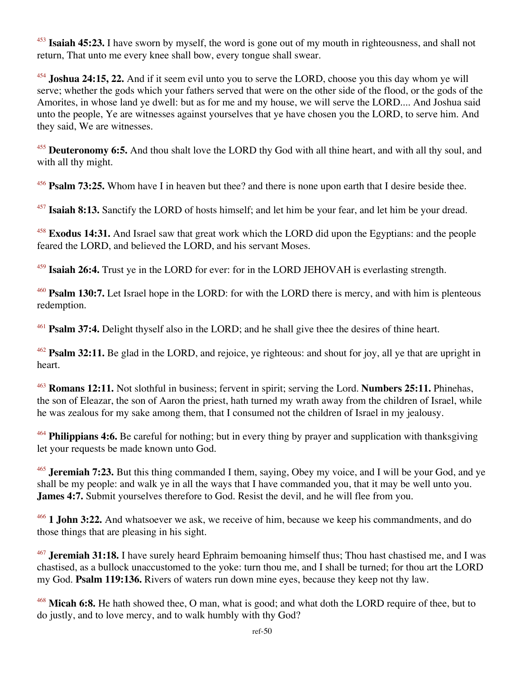<sup>453</sup> **Isaiah 45:23.** I have sworn by myself, the word is gone out of my mouth in righteousness, and shall not return, That unto me every knee shall bow, every tongue shall swear.

<sup>454</sup> **Joshua 24:15, 22.** And if it seem evil unto you to serve the LORD, choose you this day whom ye will serve; whether the gods which your fathers served that were on the other side of the flood, or the gods of the Amorites, in whose land ye dwell: but as for me and my house, we will serve the LORD.... And Joshua said unto the people, Ye are witnesses against yourselves that ye have chosen you the LORD, to serve him. And they said, We are witnesses.

<sup>455</sup> **Deuteronomy 6:5.** And thou shalt love the LORD thy God with all thine heart, and with all thy soul, and with all thy might.

<sup>456</sup> **Psalm 73:25.** Whom have I in heaven but thee? and there is none upon earth that I desire beside thee.

<sup>457</sup> **Isaiah 8:13.** Sanctify the LORD of hosts himself; and let him be your fear, and let him be your dread.

<sup>458</sup> **Exodus 14:31.** And Israel saw that great work which the LORD did upon the Egyptians: and the people feared the LORD, and believed the LORD, and his servant Moses.

<sup>459</sup> **Isaiah 26:4.** Trust ye in the LORD for ever: for in the LORD JEHOVAH is everlasting strength.

<sup>460</sup> **Psalm 130:7.** Let Israel hope in the LORD: for with the LORD there is mercy, and with him is plenteous redemption.

<sup>461</sup> **Psalm 37:4.** Delight thyself also in the LORD; and he shall give thee the desires of thine heart.

<sup>462</sup> **Psalm 32:11.** Be glad in the LORD, and rejoice, ye righteous: and shout for joy, all ye that are upright in heart.

<sup>463</sup> **Romans 12:11.** Not slothful in business; fervent in spirit; serving the Lord. **Numbers 25:11.** Phinehas, the son of Eleazar, the son of Aaron the priest, hath turned my wrath away from the children of Israel, while he was zealous for my sake among them, that I consumed not the children of Israel in my jealousy.

<sup>464</sup> **Philippians 4:6.** Be careful for nothing; but in every thing by prayer and supplication with thanksgiving let your requests be made known unto God.

<sup>465</sup> **Jeremiah 7:23.** But this thing commanded I them, saying, Obey my voice, and I will be your God, and ye shall be my people: and walk ye in all the ways that I have commanded you, that it may be well unto you. **James 4:7.** Submit yourselves therefore to God. Resist the devil, and he will flee from you.

<sup>466</sup> **1 John 3:22.** And whatsoever we ask, we receive of him, because we keep his commandments, and do those things that are pleasing in his sight.

<sup>467</sup> **Jeremiah 31:18.** I have surely heard Ephraim bemoaning himself thus; Thou hast chastised me, and I was chastised, as a bullock unaccustomed to the yoke: turn thou me, and I shall be turned; for thou art the LORD my God. **Psalm 119:136.** Rivers of waters run down mine eyes, because they keep not thy law.

<sup>468</sup> **Micah 6:8.** He hath showed thee, O man, what is good; and what doth the LORD require of thee, but to do justly, and to love mercy, and to walk humbly with thy God?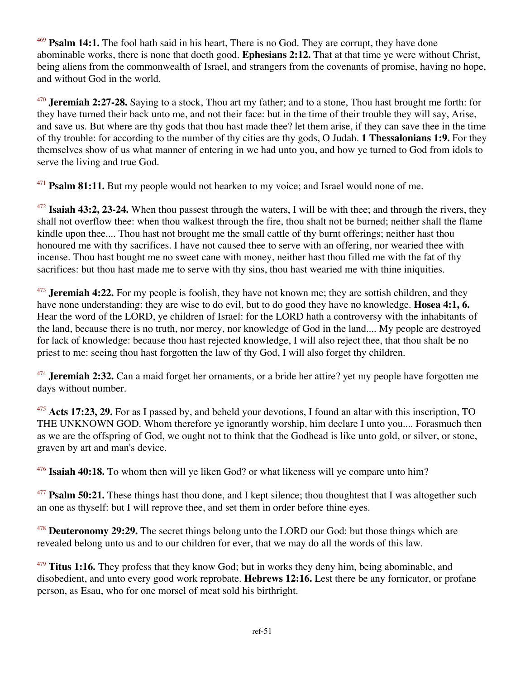<sup>469</sup> **Psalm 14:1.** The fool hath said in his heart, There is no God. They are corrupt, they have done abominable works, there is none that doeth good. **Ephesians 2:12.** That at that time ye were without Christ, being aliens from the commonwealth of Israel, and strangers from the covenants of promise, having no hope, and without God in the world.

<sup>470</sup> **Jeremiah 2:27-28.** Saying to a stock, Thou art my father; and to a stone, Thou hast brought me forth: for they have turned their back unto me, and not their face: but in the time of their trouble they will say, Arise, and save us. But where are thy gods that thou hast made thee? let them arise, if they can save thee in the time of thy trouble: for according to the number of thy cities are thy gods, O Judah. **1 Thessalonians 1:9.** For they themselves show of us what manner of entering in we had unto you, and how ye turned to God from idols to serve the living and true God.

<sup>471</sup> **Psalm 81:11.** But my people would not hearken to my voice; and Israel would none of me.

<sup>472</sup> **Isaiah 43:2, 23-24.** When thou passest through the waters, I will be with thee; and through the rivers, they shall not overflow thee: when thou walkest through the fire, thou shalt not be burned; neither shall the flame kindle upon thee.... Thou hast not brought me the small cattle of thy burnt offerings; neither hast thou honoured me with thy sacrifices. I have not caused thee to serve with an offering, nor wearied thee with incense. Thou hast bought me no sweet cane with money, neither hast thou filled me with the fat of thy sacrifices: but thou hast made me to serve with thy sins, thou hast wearied me with thine iniquities.

<sup>473</sup> **Jeremiah 4:22.** For my people is foolish, they have not known me; they are sottish children, and they have none understanding: they are wise to do evil, but to do good they have no knowledge. **Hosea 4:1, 6.** Hear the word of the LORD, ye children of Israel: for the LORD hath a controversy with the inhabitants of the land, because there is no truth, nor mercy, nor knowledge of God in the land.... My people are destroyed for lack of knowledge: because thou hast rejected knowledge, I will also reject thee, that thou shalt be no priest to me: seeing thou hast forgotten the law of thy God, I will also forget thy children.

<sup>474</sup> **Jeremiah 2:32.** Can a maid forget her ornaments, or a bride her attire? yet my people have forgotten me days without number.

<sup>475</sup> **Acts 17:23, 29.** For as I passed by, and beheld your devotions, I found an altar with this inscription, TO THE UNKNOWN GOD. Whom therefore ye ignorantly worship, him declare I unto you.... Forasmuch then as we are the offspring of God, we ought not to think that the Godhead is like unto gold, or silver, or stone, graven by art and man's device.

<sup>476</sup> **Isaiah 40:18.** To whom then will ye liken God? or what likeness will ye compare unto him?

<sup>477</sup> **Psalm 50:21.** These things hast thou done, and I kept silence; thou thoughtest that I was altogether such an one as thyself: but I will reprove thee, and set them in order before thine eyes.

<sup>478</sup> **Deuteronomy 29:29.** The secret things belong unto the LORD our God: but those things which are revealed belong unto us and to our children for ever, that we may do all the words of this law.

<sup>479</sup> **Titus 1:16.** They profess that they know God; but in works they deny him, being abominable, and disobedient, and unto every good work reprobate. **Hebrews 12:16.** Lest there be any fornicator, or profane person, as Esau, who for one morsel of meat sold his birthright.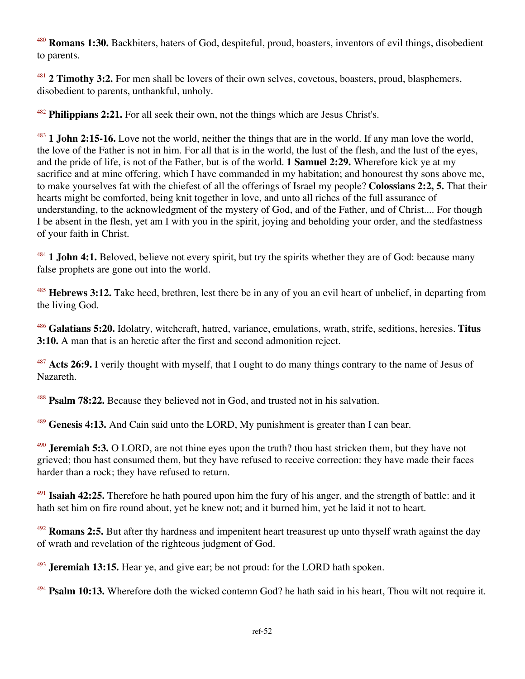<sup>480</sup> **Romans 1:30.** Backbiters, haters of God, despiteful, proud, boasters, inventors of evil things, disobedient to parents.

<sup>481</sup> **2 Timothy 3:2.** For men shall be lovers of their own selves, covetous, boasters, proud, blasphemers, disobedient to parents, unthankful, unholy.

<sup>482</sup> **Philippians 2:21.** For all seek their own, not the things which are Jesus Christ's.

<sup>483</sup> **1 John 2:15-16.** Love not the world, neither the things that are in the world. If any man love the world, the love of the Father is not in him. For all that is in the world, the lust of the flesh, and the lust of the eyes, and the pride of life, is not of the Father, but is of the world. **1 Samuel 2:29.** Wherefore kick ye at my sacrifice and at mine offering, which I have commanded in my habitation; and honourest thy sons above me, to make yourselves fat with the chiefest of all the offerings of Israel my people? **Colossians 2:2, 5.** That their hearts might be comforted, being knit together in love, and unto all riches of the full assurance of understanding, to the acknowledgment of the mystery of God, and of the Father, and of Christ.... For though I be absent in the flesh, yet am I with you in the spirit, joying and beholding your order, and the stedfastness of your faith in Christ.

<sup>484</sup> **1 John 4:1.** Beloved, believe not every spirit, but try the spirits whether they are of God: because many false prophets are gone out into the world.

<sup>485</sup> **Hebrews 3:12.** Take heed, brethren, lest there be in any of you an evil heart of unbelief, in departing from the living God.

<sup>486</sup> **Galatians 5:20.** Idolatry, witchcraft, hatred, variance, emulations, wrath, strife, seditions, heresies. **Titus 3:10.** A man that is an heretic after the first and second admonition reject.

<sup>487</sup> Acts 26:9. I verily thought with myself, that I ought to do many things contrary to the name of Jesus of Nazareth.

<sup>488</sup> **Psalm 78:22.** Because they believed not in God, and trusted not in his salvation.

<sup>489</sup> **Genesis 4:13.** And Cain said unto the LORD, My punishment is greater than I can bear.

<sup>490</sup> **Jeremiah 5:3.** O LORD, are not thine eyes upon the truth? thou hast stricken them, but they have not grieved; thou hast consumed them, but they have refused to receive correction: they have made their faces harder than a rock; they have refused to return.

<sup>491</sup> **Isaiah 42:25.** Therefore he hath poured upon him the fury of his anger, and the strength of battle: and it hath set him on fire round about, yet he knew not; and it burned him, yet he laid it not to heart.

<sup>492</sup> **Romans 2:5.** But after thy hardness and impenitent heart treasurest up unto thyself wrath against the day of wrath and revelation of the righteous judgment of God.

<sup>493</sup> **Jeremiah 13:15.** Hear ye, and give ear; be not proud: for the LORD hath spoken.

<sup>494</sup> **Psalm 10:13.** Wherefore doth the wicked contemn God? he hath said in his heart, Thou wilt not require it.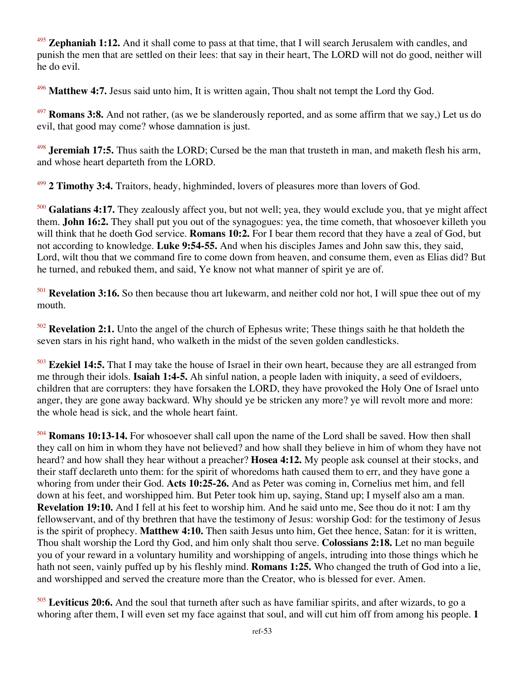Zephaniah 1:12. And it shall come to pass at that time, that I will search Jerusalem with candles, and punish the men that are settled on their lees: that say in their heart, The LORD will not do good, neither will he do evil.

Matthew 4:7. Jesus said unto him, It is written again, Thou shalt not tempt the Lord thy God.

<sup>497</sup> **Romans 3:8.** And not rather, (as we be slanderously reported, and as some affirm that we say,) Let us do evil, that good may come? whose damnation is just.

<sup>498</sup> **Jeremiah 17:5.** Thus saith the LORD; Cursed be the man that trusteth in man, and maketh flesh his arm, and whose heart departeth from the LORD.

<sup>499</sup> **2 Timothy 3:4.** Traitors, heady, highminded, lovers of pleasures more than lovers of God.

<sup>500</sup> **Galatians 4:17.** They zealously affect you, but not well; yea, they would exclude you, that ye might affect them. **John 16:2.** They shall put you out of the synagogues: yea, the time cometh, that whosoever killeth you will think that he doeth God service. **Romans 10:2.** For I bear them record that they have a zeal of God, but not according to knowledge. **Luke 9:54-55.** And when his disciples James and John saw this, they said, Lord, wilt thou that we command fire to come down from heaven, and consume them, even as Elias did? But he turned, and rebuked them, and said, Ye know not what manner of spirit ye are of.

<sup>501</sup> **Revelation 3:16.** So then because thou art lukewarm, and neither cold nor hot, I will spue thee out of my mouth.

<sup>502</sup> **Revelation 2:1.** Unto the angel of the church of Ephesus write; These things saith he that holdeth the seven stars in his right hand, who walketh in the midst of the seven golden candlesticks.

<sup>503</sup> **Ezekiel 14:5.** That I may take the house of Israel in their own heart, because they are all estranged from me through their idols. **Isaiah 1:4-5.** Ah sinful nation, a people laden with iniquity, a seed of evildoers, children that are corrupters: they have forsaken the LORD, they have provoked the Holy One of Israel unto anger, they are gone away backward. Why should ye be stricken any more? ye will revolt more and more: the whole head is sick, and the whole heart faint.

<sup>504</sup> **Romans 10:13-14.** For whosoever shall call upon the name of the Lord shall be saved. How then shall they call on him in whom they have not believed? and how shall they believe in him of whom they have not heard? and how shall they hear without a preacher? **Hosea 4:12.** My people ask counsel at their stocks, and their staff declareth unto them: for the spirit of whoredoms hath caused them to err, and they have gone a whoring from under their God. **Acts 10:25-26.** And as Peter was coming in, Cornelius met him, and fell down at his feet, and worshipped him. But Peter took him up, saying, Stand up; I myself also am a man. **Revelation 19:10.** And I fell at his feet to worship him. And he said unto me, See thou do it not: I am thy fellowservant, and of thy brethren that have the testimony of Jesus: worship God: for the testimony of Jesus is the spirit of prophecy. **Matthew 4:10.** Then saith Jesus unto him, Get thee hence, Satan: for it is written, Thou shalt worship the Lord thy God, and him only shalt thou serve. **Colossians 2:18.** Let no man beguile you of your reward in a voluntary humility and worshipping of angels, intruding into those things which he hath not seen, vainly puffed up by his fleshly mind. **Romans 1:25.** Who changed the truth of God into a lie, and worshipped and served the creature more than the Creator, who is blessed for ever. Amen.

<sup>505</sup> **Leviticus 20:6.** And the soul that turneth after such as have familiar spirits, and after wizards, to go a whoring after them, I will even set my face against that soul, and will cut him off from among his people. **1**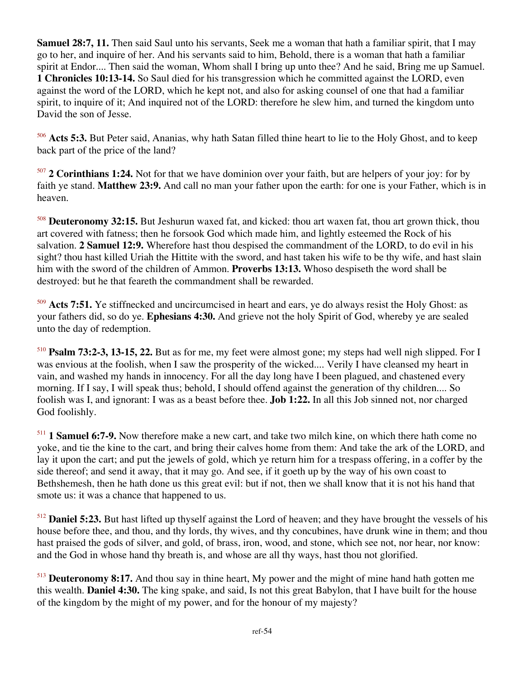**Samuel 28:7, 11.** Then said Saul unto his servants, Seek me a woman that hath a familiar spirit, that I may go to her, and inquire of her. And his servants said to him, Behold, there is a woman that hath a familiar spirit at Endor.... Then said the woman, Whom shall I bring up unto thee? And he said, Bring me up Samuel. **1 Chronicles 10:13-14.** So Saul died for his transgression which he committed against the LORD, even against the word of the LORD, which he kept not, and also for asking counsel of one that had a familiar spirit, to inquire of it; And inquired not of the LORD: therefore he slew him, and turned the kingdom unto David the son of Jesse.

<sup>506</sup> **Acts 5:3.** But Peter said, Ananias, why hath Satan filled thine heart to lie to the Holy Ghost, and to keep back part of the price of the land?

<sup>507</sup> **2 Corinthians 1:24.** Not for that we have dominion over your faith, but are helpers of your joy: for by faith ye stand. **Matthew 23:9.** And call no man your father upon the earth: for one is your Father, which is in heaven.

<sup>508</sup> **Deuteronomy 32:15.** But Jeshurun waxed fat, and kicked: thou art waxen fat, thou art grown thick, thou art covered with fatness; then he forsook God which made him, and lightly esteemed the Rock of his salvation. **2 Samuel 12:9.** Wherefore hast thou despised the commandment of the LORD, to do evil in his sight? thou hast killed Uriah the Hittite with the sword, and hast taken his wife to be thy wife, and hast slain him with the sword of the children of Ammon. **Proverbs 13:13.** Whoso despiseth the word shall be destroyed: but he that feareth the commandment shall be rewarded.

<sup>509</sup> Acts 7:51. Ye stiffnecked and uncircumcised in heart and ears, ye do always resist the Holy Ghost: as your fathers did, so do ye. **Ephesians 4:30.** And grieve not the holy Spirit of God, whereby ye are sealed unto the day of redemption.

<sup>510</sup> **Psalm 73:2-3, 13-15, 22.** But as for me, my feet were almost gone; my steps had well nigh slipped. For I was envious at the foolish, when I saw the prosperity of the wicked.... Verily I have cleansed my heart in vain, and washed my hands in innocency. For all the day long have I been plagued, and chastened every morning. If I say, I will speak thus; behold, I should offend against the generation of thy children.... So foolish was I, and ignorant: I was as a beast before thee. **Job 1:22.** In all this Job sinned not, nor charged God foolishly.

<sup>511</sup> **1 Samuel 6:7-9.** Now therefore make a new cart, and take two milch kine, on which there hath come no yoke, and tie the kine to the cart, and bring their calves home from them: And take the ark of the LORD, and lay it upon the cart; and put the jewels of gold, which ye return him for a trespass offering, in a coffer by the side thereof; and send it away, that it may go. And see, if it goeth up by the way of his own coast to Bethshemesh, then he hath done us this great evil: but if not, then we shall know that it is not his hand that smote us: it was a chance that happened to us.

<sup>512</sup> **Daniel 5:23.** But hast lifted up thyself against the Lord of heaven; and they have brought the vessels of his house before thee, and thou, and thy lords, thy wives, and thy concubines, have drunk wine in them; and thou hast praised the gods of silver, and gold, of brass, iron, wood, and stone, which see not, nor hear, nor know: and the God in whose hand thy breath is, and whose are all thy ways, hast thou not glorified.

<sup>513</sup> **Deuteronomy 8:17.** And thou say in thine heart, My power and the might of mine hand hath gotten me this wealth. **Daniel 4:30.** The king spake, and said, Is not this great Babylon, that I have built for the house of the kingdom by the might of my power, and for the honour of my majesty?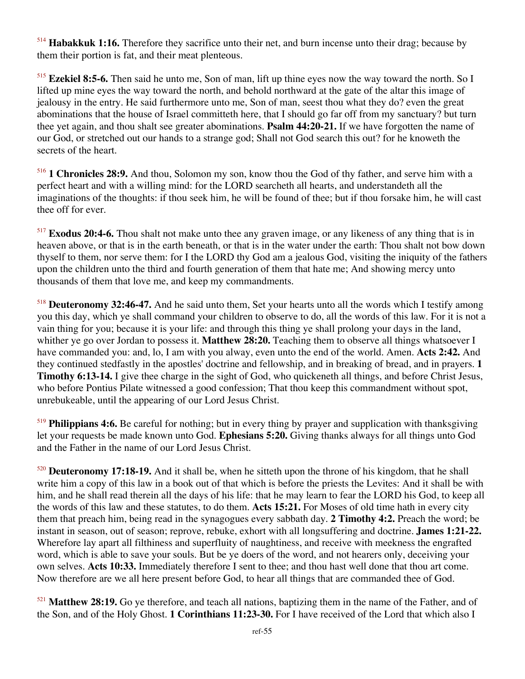<sup>514</sup> **Habakkuk 1:16.** Therefore they sacrifice unto their net, and burn incense unto their drag; because by them their portion is fat, and their meat plenteous.

<sup>515</sup> **Ezekiel 8:5-6.** Then said he unto me, Son of man, lift up thine eyes now the way toward the north. So I lifted up mine eyes the way toward the north, and behold northward at the gate of the altar this image of jealousy in the entry. He said furthermore unto me, Son of man, seest thou what they do? even the great abominations that the house of Israel committeth here, that I should go far off from my sanctuary? but turn thee yet again, and thou shalt see greater abominations. **Psalm 44:20-21.** If we have forgotten the name of our God, or stretched out our hands to a strange god; Shall not God search this out? for he knoweth the secrets of the heart.

<sup>516</sup> **1 Chronicles 28:9.** And thou, Solomon my son, know thou the God of thy father, and serve him with a perfect heart and with a willing mind: for the LORD searcheth all hearts, and understandeth all the imaginations of the thoughts: if thou seek him, he will be found of thee; but if thou forsake him, he will cast thee off for ever.

<sup>517</sup> **Exodus 20:4-6.** Thou shalt not make unto thee any graven image, or any likeness of any thing that is in heaven above, or that is in the earth beneath, or that is in the water under the earth: Thou shalt not bow down thyself to them, nor serve them: for I the LORD thy God am a jealous God, visiting the iniquity of the fathers upon the children unto the third and fourth generation of them that hate me; And showing mercy unto thousands of them that love me, and keep my commandments.

<sup>518</sup> **Deuteronomy 32:46-47.** And he said unto them, Set your hearts unto all the words which I testify among you this day, which ye shall command your children to observe to do, all the words of this law. For it is not a vain thing for you; because it is your life: and through this thing ye shall prolong your days in the land, whither ye go over Jordan to possess it. **Matthew 28:20.** Teaching them to observe all things whatsoever I have commanded you: and, lo, I am with you alway, even unto the end of the world. Amen. **Acts 2:42.** And they continued stedfastly in the apostles' doctrine and fellowship, and in breaking of bread, and in prayers. **1 Timothy 6:13-14.** I give thee charge in the sight of God, who quickeneth all things, and before Christ Jesus, who before Pontius Pilate witnessed a good confession; That thou keep this commandment without spot, unrebukeable, until the appearing of our Lord Jesus Christ.

<sup>519</sup> **Philippians 4:6.** Be careful for nothing; but in every thing by prayer and supplication with thanksgiving let your requests be made known unto God. **Ephesians 5:20.** Giving thanks always for all things unto God and the Father in the name of our Lord Jesus Christ.

<sup>520</sup> **Deuteronomy 17:18-19.** And it shall be, when he sitteth upon the throne of his kingdom, that he shall write him a copy of this law in a book out of that which is before the priests the Levites: And it shall be with him, and he shall read therein all the days of his life: that he may learn to fear the LORD his God, to keep all the words of this law and these statutes, to do them. **Acts 15:21.** For Moses of old time hath in every city them that preach him, being read in the synagogues every sabbath day. **2 Timothy 4:2.** Preach the word; be instant in season, out of season; reprove, rebuke, exhort with all longsuffering and doctrine. **James 1:21-22.** Wherefore lay apart all filthiness and superfluity of naughtiness, and receive with meekness the engrafted word, which is able to save your souls. But be ye doers of the word, and not hearers only, deceiving your own selves. **Acts 10:33.** Immediately therefore I sent to thee; and thou hast well done that thou art come. Now therefore are we all here present before God, to hear all things that are commanded thee of God.

<sup>521</sup> **Matthew 28:19.** Go ye therefore, and teach all nations, baptizing them in the name of the Father, and of the Son, and of the Holy Ghost. **1 Corinthians 11:23-30.** For I have received of the Lord that which also I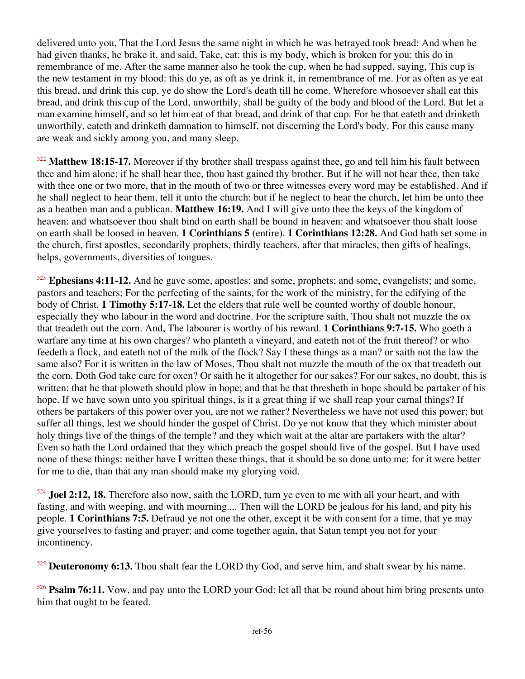delivered unto you, That the Lord Jesus the same night in which he was betrayed took bread: And when he had given thanks, he brake it, and said, Take, eat: this is my body, which is broken for you: this do in remembrance of me. After the same manner also he took the cup, when he had supped, saying, This cup is the new testament in my blood: this do ye, as oft as ye drink it, in remembrance of me. For as often as ye eat this bread, and drink this cup, ye do show the Lord's death till he come. Wherefore whosoever shall eat this bread, and drink this cup of the Lord, unworthily, shall be guilty of the body and blood of the Lord. But let a man examine himself, and so let him eat of that bread, and drink of that cup. For he that eateth and drinketh unworthily, eateth and drinketh damnation to himself, not discerning the Lord's body. For this cause many are weak and sickly among you, and many sleep.

<sup>522</sup> **Matthew 18:15-17.** Moreover if thy brother shall trespass against thee, go and tell him his fault between thee and him alone: if he shall hear thee, thou hast gained thy brother. But if he will not hear thee, then take with thee one or two more, that in the mouth of two or three witnesses every word may be established. And if he shall neglect to hear them, tell it unto the church: but if he neglect to hear the church, let him be unto thee as a heathen man and a publican. **Matthew 16:19.** And I will give unto thee the keys of the kingdom of heaven: and whatsoever thou shalt bind on earth shall be bound in heaven: and whatsoever thou shalt loose on earth shall be loosed in heaven. **1 Corinthians 5** (entire). **1 Corinthians 12:28.** And God hath set some in the church, first apostles, secondarily prophets, thirdly teachers, after that miracles, then gifts of healings, helps, governments, diversities of tongues.

<sup>523</sup> **Ephesians 4:11-12.** And he gave some, apostles; and some, prophets; and some, evangelists; and some, pastors and teachers; For the perfecting of the saints, for the work of the ministry, for the edifying of the body of Christ. **1 Timothy 5:17-18.** Let the elders that rule well be counted worthy of double honour, especially they who labour in the word and doctrine. For the scripture saith, Thou shalt not muzzle the ox that treadeth out the corn. And, The labourer is worthy of his reward. **1 Corinthians 9:7-15.** Who goeth a warfare any time at his own charges? who planteth a vineyard, and eateth not of the fruit thereof? or who feedeth a flock, and eateth not of the milk of the flock? Say I these things as a man? or saith not the law the same also? For it is written in the law of Moses, Thou shalt not muzzle the mouth of the ox that treadeth out the corn. Doth God take care for oxen? Or saith he it altogether for our sakes? For our sakes, no doubt, this is written: that he that ploweth should plow in hope; and that he that thresheth in hope should be partaker of his hope. If we have sown unto you spiritual things, is it a great thing if we shall reap your carnal things? If others be partakers of this power over you, are not we rather? Nevertheless we have not used this power; but suffer all things, lest we should hinder the gospel of Christ. Do ye not know that they which minister about holy things live of the things of the temple? and they which wait at the altar are partakers with the altar? Even so hath the Lord ordained that they which preach the gospel should live of the gospel. But I have used none of these things: neither have I written these things, that it should be so done unto me: for it were better for me to die, than that any man should make my glorying void.

<sup>524</sup> **Joel 2:12, 18.** Therefore also now, saith the LORD, turn ye even to me with all your heart, and with fasting, and with weeping, and with mourning.... Then will the LORD be jealous for his land, and pity his people. **1 Corinthians 7:5.** Defraud ye not one the other, except it be with consent for a time, that ye may give yourselves to fasting and prayer; and come together again, that Satan tempt you not for your incontinency.

<sup>525</sup> **Deuteronomy 6:13.** Thou shalt fear the LORD thy God, and serve him, and shalt swear by his name.

<sup>526</sup> **Psalm 76:11.** Vow, and pay unto the LORD your God: let all that be round about him bring presents unto him that ought to be feared.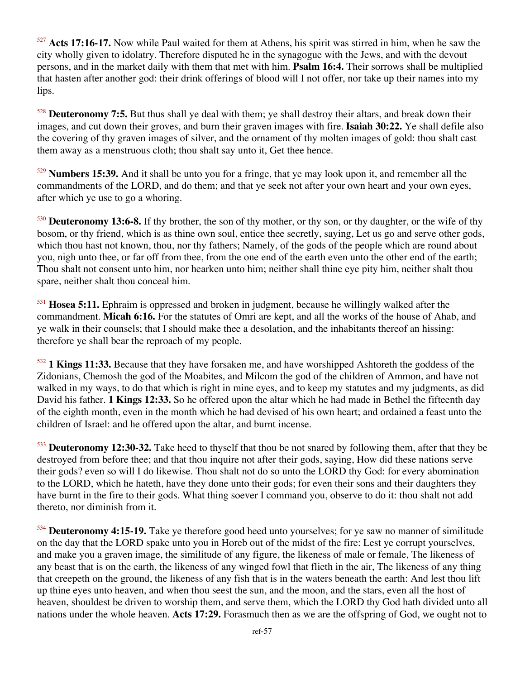<sup>527</sup> **Acts 17:16-17.** Now while Paul waited for them at Athens, his spirit was stirred in him, when he saw the city wholly given to idolatry. Therefore disputed he in the synagogue with the Jews, and with the devout persons, and in the market daily with them that met with him. **Psalm 16:4.** Their sorrows shall be multiplied that hasten after another god: their drink offerings of blood will I not offer, nor take up their names into my lips.

<sup>528</sup> **Deuteronomy 7:5.** But thus shall ye deal with them; ye shall destroy their altars, and break down their images, and cut down their groves, and burn their graven images with fire. **Isaiah 30:22.** Ye shall defile also the covering of thy graven images of silver, and the ornament of thy molten images of gold: thou shalt cast them away as a menstruous cloth; thou shalt say unto it, Get thee hence.

<sup>529</sup> **Numbers 15:39.** And it shall be unto you for a fringe, that ye may look upon it, and remember all the commandments of the LORD, and do them; and that ye seek not after your own heart and your own eyes, after which ye use to go a whoring.

<sup>530</sup> **Deuteronomy 13:6-8.** If thy brother, the son of thy mother, or thy son, or thy daughter, or the wife of thy bosom, or thy friend, which is as thine own soul, entice thee secretly, saying, Let us go and serve other gods, which thou hast not known, thou, nor thy fathers; Namely, of the gods of the people which are round about you, nigh unto thee, or far off from thee, from the one end of the earth even unto the other end of the earth; Thou shalt not consent unto him, nor hearken unto him; neither shall thine eye pity him, neither shalt thou spare, neither shalt thou conceal him.

<sup>531</sup> **Hosea 5:11.** Ephraim is oppressed and broken in judgment, because he willingly walked after the commandment. **Micah 6:16.** For the statutes of Omri are kept, and all the works of the house of Ahab, and ye walk in their counsels; that I should make thee a desolation, and the inhabitants thereof an hissing: therefore ye shall bear the reproach of my people.

<sup>532</sup> **1 Kings 11:33.** Because that they have forsaken me, and have worshipped Ashtoreth the goddess of the Zidonians, Chemosh the god of the Moabites, and Milcom the god of the children of Ammon, and have not walked in my ways, to do that which is right in mine eyes, and to keep my statutes and my judgments, as did David his father. **1 Kings 12:33.** So he offered upon the altar which he had made in Bethel the fifteenth day of the eighth month, even in the month which he had devised of his own heart; and ordained a feast unto the children of Israel: and he offered upon the altar, and burnt incense.

<sup>533</sup> **Deuteronomy 12:30-32.** Take heed to thyself that thou be not snared by following them, after that they be destroyed from before thee; and that thou inquire not after their gods, saying, How did these nations serve their gods? even so will I do likewise. Thou shalt not do so unto the LORD thy God: for every abomination to the LORD, which he hateth, have they done unto their gods; for even their sons and their daughters they have burnt in the fire to their gods. What thing soever I command you, observe to do it: thou shalt not add thereto, nor diminish from it.

<sup>534</sup> **Deuteronomy 4:15-19.** Take ye therefore good heed unto yourselves; for ye saw no manner of similitude on the day that the LORD spake unto you in Horeb out of the midst of the fire: Lest ye corrupt yourselves, and make you a graven image, the similitude of any figure, the likeness of male or female, The likeness of any beast that is on the earth, the likeness of any winged fowl that flieth in the air, The likeness of any thing that creepeth on the ground, the likeness of any fish that is in the waters beneath the earth: And lest thou lift up thine eyes unto heaven, and when thou seest the sun, and the moon, and the stars, even all the host of heaven, shouldest be driven to worship them, and serve them, which the LORD thy God hath divided unto all nations under the whole heaven. **Acts 17:29.** Forasmuch then as we are the offspring of God, we ought not to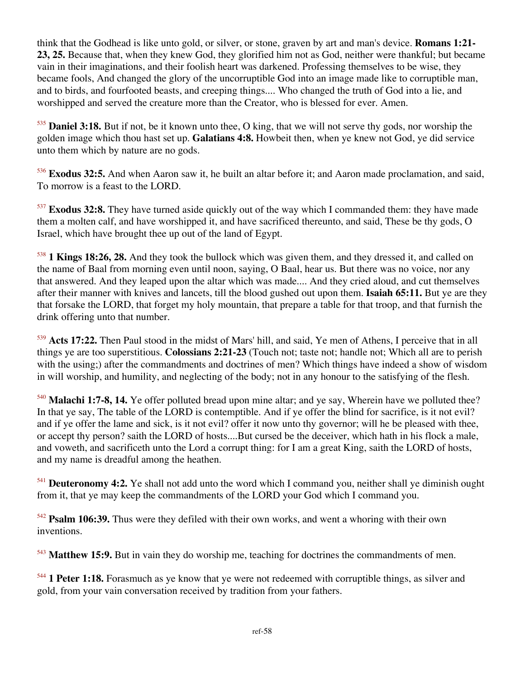think that the Godhead is like unto gold, or silver, or stone, graven by art and man's device. **Romans 1:21- 23, 25.** Because that, when they knew God, they glorified him not as God, neither were thankful; but became vain in their imaginations, and their foolish heart was darkened. Professing themselves to be wise, they became fools, And changed the glory of the uncorruptible God into an image made like to corruptible man, and to birds, and fourfooted beasts, and creeping things.... Who changed the truth of God into a lie, and worshipped and served the creature more than the Creator, who is blessed for ever. Amen.

<sup>535</sup> **Daniel 3:18.** But if not, be it known unto thee, O king, that we will not serve thy gods, nor worship the golden image which thou hast set up. **Galatians 4:8.** Howbeit then, when ye knew not God, ye did service unto them which by nature are no gods.

<sup>536</sup> **Exodus 32:5.** And when Aaron saw it, he built an altar before it; and Aaron made proclamation, and said, To morrow is a feast to the LORD.

<sup>537</sup> **Exodus 32:8.** They have turned aside quickly out of the way which I commanded them: they have made them a molten calf, and have worshipped it, and have sacrificed thereunto, and said, These be thy gods, O Israel, which have brought thee up out of the land of Egypt.

<sup>538</sup> **1 Kings 18:26, 28.** And they took the bullock which was given them, and they dressed it, and called on the name of Baal from morning even until noon, saying, O Baal, hear us. But there was no voice, nor any that answered. And they leaped upon the altar which was made.... And they cried aloud, and cut themselves after their manner with knives and lancets, till the blood gushed out upon them. **Isaiah 65:11.** But ye are they that forsake the LORD, that forget my holy mountain, that prepare a table for that troop, and that furnish the drink offering unto that number.

<sup>539</sup> **Acts 17:22.** Then Paul stood in the midst of Mars' hill, and said, Ye men of Athens, I perceive that in all things ye are too superstitious. **Colossians 2:21-23** (Touch not; taste not; handle not; Which all are to perish with the using;) after the commandments and doctrines of men? Which things have indeed a show of wisdom in will worship, and humility, and neglecting of the body; not in any honour to the satisfying of the flesh.

<sup>540</sup> Malachi 1:7-8, 14. Ye offer polluted bread upon mine altar; and ye say, Wherein have we polluted thee? In that ye say, The table of the LORD is contemptible. And if ye offer the blind for sacrifice, is it not evil? and if ye offer the lame and sick, is it not evil? offer it now unto thy governor; will he be pleased with thee, or accept thy person? saith the LORD of hosts....But cursed be the deceiver, which hath in his flock a male, and voweth, and sacrificeth unto the Lord a corrupt thing: for I am a great King, saith the LORD of hosts, and my name is dreadful among the heathen.

<sup>541</sup> **Deuteronomy 4:2.** Ye shall not add unto the word which I command you, neither shall ye diminish ought from it, that ye may keep the commandments of the LORD your God which I command you.

<sup>542</sup> **Psalm 106:39.** Thus were they defiled with their own works, and went a whoring with their own inventions.

<sup>543</sup> **Matthew 15:9.** But in vain they do worship me, teaching for doctrines the commandments of men.

<sup>544</sup> 1 Peter 1:18. Forasmuch as ye know that ye were not redeemed with corruptible things, as silver and gold, from your vain conversation received by tradition from your fathers.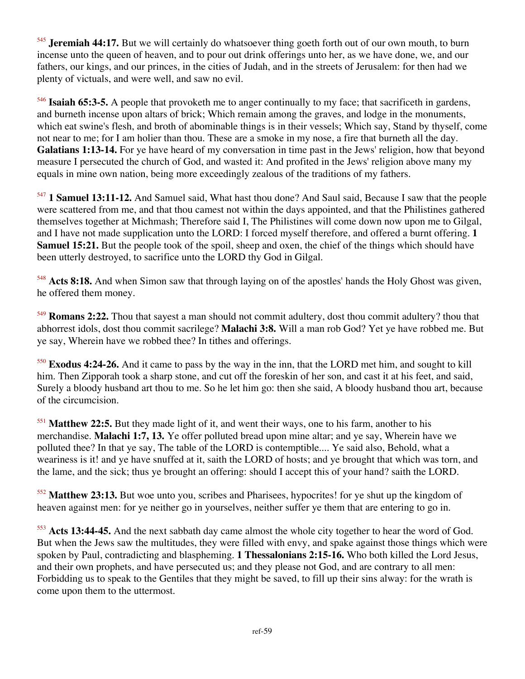<sup>545</sup> **Jeremiah 44:17.** But we will certainly do whatsoever thing goeth forth out of our own mouth, to burn incense unto the queen of heaven, and to pour out drink offerings unto her, as we have done, we, and our fathers, our kings, and our princes, in the cities of Judah, and in the streets of Jerusalem: for then had we plenty of victuals, and were well, and saw no evil.

<sup>546</sup> **Isaiah 65:3-5.** A people that provoketh me to anger continually to my face; that sacrificeth in gardens, and burneth incense upon altars of brick; Which remain among the graves, and lodge in the monuments, which eat swine's flesh, and broth of abominable things is in their vessels; Which say, Stand by thyself, come not near to me; for I am holier than thou. These are a smoke in my nose, a fire that burneth all the day. **Galatians 1:13-14.** For ye have heard of my conversation in time past in the Jews' religion, how that beyond measure I persecuted the church of God, and wasted it: And profited in the Jews' religion above many my equals in mine own nation, being more exceedingly zealous of the traditions of my fathers.

<sup>547</sup> **1 Samuel 13:11-12.** And Samuel said, What hast thou done? And Saul said, Because I saw that the people were scattered from me, and that thou camest not within the days appointed, and that the Philistines gathered themselves together at Michmash; Therefore said I, The Philistines will come down now upon me to Gilgal, and I have not made supplication unto the LORD: I forced myself therefore, and offered a burnt offering. **1 Samuel 15:21.** But the people took of the spoil, sheep and oxen, the chief of the things which should have been utterly destroyed, to sacrifice unto the LORD thy God in Gilgal.

<sup>548</sup> **Acts 8:18.** And when Simon saw that through laying on of the apostles' hands the Holy Ghost was given, he offered them money.

<sup>549</sup> **Romans 2:22.** Thou that sayest a man should not commit adultery, dost thou commit adultery? thou that abhorrest idols, dost thou commit sacrilege? **Malachi 3:8.** Will a man rob God? Yet ye have robbed me. But ye say, Wherein have we robbed thee? In tithes and offerings.

<sup>550</sup> **Exodus 4:24-26.** And it came to pass by the way in the inn, that the LORD met him, and sought to kill him. Then Zipporah took a sharp stone, and cut off the foreskin of her son, and cast it at his feet, and said, Surely a bloody husband art thou to me. So he let him go: then she said, A bloody husband thou art, because of the circumcision.

<sup>551</sup> **Matthew 22:5.** But they made light of it, and went their ways, one to his farm, another to his merchandise. **Malachi 1:7, 13.** Ye offer polluted bread upon mine altar; and ye say, Wherein have we polluted thee? In that ye say, The table of the LORD is contemptible.... Ye said also, Behold, what a weariness is it! and ye have snuffed at it, saith the LORD of hosts; and ye brought that which was torn, and the lame, and the sick; thus ye brought an offering: should I accept this of your hand? saith the LORD.

<sup>552</sup> **Matthew 23:13.** But woe unto you, scribes and Pharisees, hypocrites! for ye shut up the kingdom of heaven against men: for ye neither go in yourselves, neither suffer ye them that are entering to go in.

<sup>553</sup> **Acts 13:44-45.** And the next sabbath day came almost the whole city together to hear the word of God. But when the Jews saw the multitudes, they were filled with envy, and spake against those things which were spoken by Paul, contradicting and blaspheming. **1 Thessalonians 2:15-16.** Who both killed the Lord Jesus, and their own prophets, and have persecuted us; and they please not God, and are contrary to all men: Forbidding us to speak to the Gentiles that they might be saved, to fill up their sins alway: for the wrath is come upon them to the uttermost.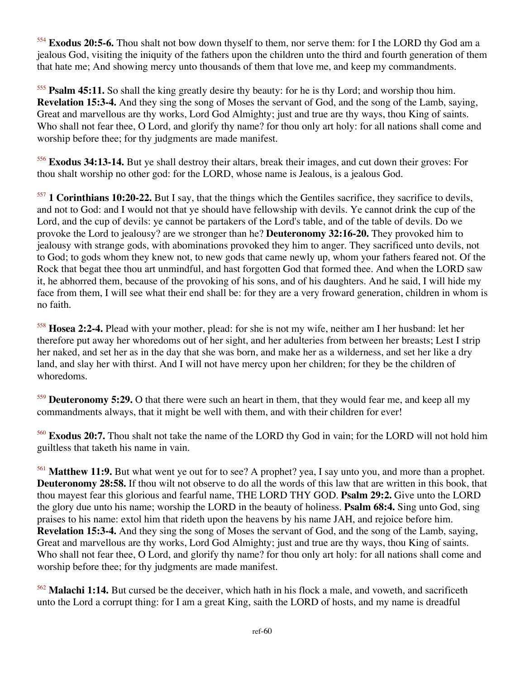<sup>554</sup> **Exodus 20:5-6.** Thou shalt not bow down thyself to them, nor serve them: for I the LORD thy God am a jealous God, visiting the iniquity of the fathers upon the children unto the third and fourth generation of them that hate me; And showing mercy unto thousands of them that love me, and keep my commandments.

<sup>555</sup> **Psalm 45:11.** So shall the king greatly desire thy beauty: for he is thy Lord; and worship thou him. **Revelation 15:3-4.** And they sing the song of Moses the servant of God, and the song of the Lamb, saying, Great and marvellous are thy works, Lord God Almighty; just and true are thy ways, thou King of saints. Who shall not fear thee, O Lord, and glorify thy name? for thou only art holy: for all nations shall come and worship before thee; for thy judgments are made manifest.

<sup>556</sup> **Exodus 34:13-14.** But ye shall destroy their altars, break their images, and cut down their groves: For thou shalt worship no other god: for the LORD, whose name is Jealous, is a jealous God.

<sup>557</sup> **1 Corinthians 10:20-22.** But I say, that the things which the Gentiles sacrifice, they sacrifice to devils, and not to God: and I would not that ye should have fellowship with devils. Ye cannot drink the cup of the Lord, and the cup of devils: ye cannot be partakers of the Lord's table, and of the table of devils. Do we provoke the Lord to jealousy? are we stronger than he? **Deuteronomy 32:16-20.** They provoked him to jealousy with strange gods, with abominations provoked they him to anger. They sacrificed unto devils, not to God; to gods whom they knew not, to new gods that came newly up, whom your fathers feared not. Of the Rock that begat thee thou art unmindful, and hast forgotten God that formed thee. And when the LORD saw it, he abhorred them, because of the provoking of his sons, and of his daughters. And he said, I will hide my face from them, I will see what their end shall be: for they are a very froward generation, children in whom is no faith.

<sup>558</sup> **Hosea 2:2-4.** Plead with your mother, plead: for she is not my wife, neither am I her husband: let her therefore put away her whoredoms out of her sight, and her adulteries from between her breasts; Lest I strip her naked, and set her as in the day that she was born, and make her as a wilderness, and set her like a dry land, and slay her with thirst. And I will not have mercy upon her children; for they be the children of whoredoms.

<sup>559</sup> **Deuteronomy 5:29.** O that there were such an heart in them, that they would fear me, and keep all my commandments always, that it might be well with them, and with their children for ever!

<sup>560</sup> **Exodus 20:7.** Thou shalt not take the name of the LORD thy God in vain; for the LORD will not hold him guiltless that taketh his name in vain.

<sup>561</sup> **Matthew 11:9.** But what went ye out for to see? A prophet? yea, I say unto you, and more than a prophet. **Deuteronomy 28:58.** If thou wilt not observe to do all the words of this law that are written in this book, that thou mayest fear this glorious and fearful name, THE LORD THY GOD. **Psalm 29:2.** Give unto the LORD the glory due unto his name; worship the LORD in the beauty of holiness. **Psalm 68:4.** Sing unto God, sing praises to his name: extol him that rideth upon the heavens by his name JAH, and rejoice before him. **Revelation 15:3-4.** And they sing the song of Moses the servant of God, and the song of the Lamb, saying, Great and marvellous are thy works, Lord God Almighty; just and true are thy ways, thou King of saints. Who shall not fear thee, O Lord, and glorify thy name? for thou only art holy: for all nations shall come and worship before thee; for thy judgments are made manifest.

<sup>562</sup> **Malachi 1:14.** But cursed be the deceiver, which hath in his flock a male, and voweth, and sacrificeth unto the Lord a corrupt thing: for I am a great King, saith the LORD of hosts, and my name is dreadful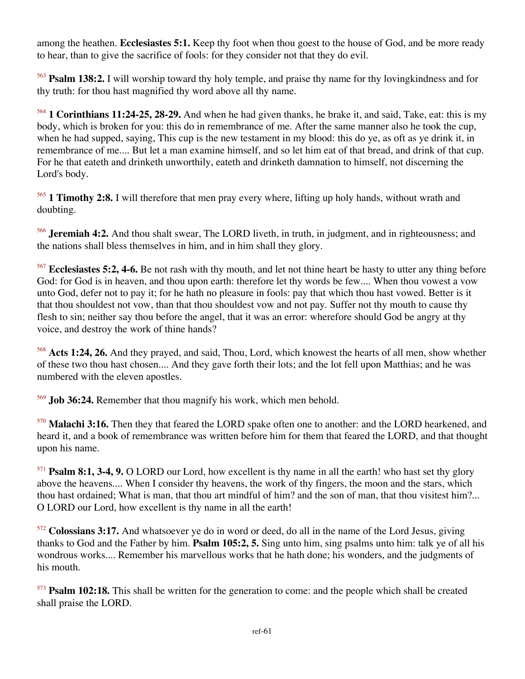among the heathen. **Ecclesiastes 5:1.** Keep thy foot when thou goest to the house of God, and be more ready to hear, than to give the sacrifice of fools: for they consider not that they do evil.

<sup>563</sup> **Psalm 138:2.** I will worship toward thy holy temple, and praise thy name for thy lovingkindness and for thy truth: for thou hast magnified thy word above all thy name.

<sup>564</sup> **1 Corinthians 11:24-25, 28-29.** And when he had given thanks, he brake it, and said, Take, eat: this is my body, which is broken for you: this do in remembrance of me. After the same manner also he took the cup, when he had supped, saying, This cup is the new testament in my blood: this do ye, as oft as ye drink it, in remembrance of me.... But let a man examine himself, and so let him eat of that bread, and drink of that cup. For he that eateth and drinketh unworthily, eateth and drinketh damnation to himself, not discerning the Lord's body.

<sup>565</sup> **1 Timothy 2:8.** I will therefore that men pray every where, lifting up holy hands, without wrath and doubting.

<sup>566</sup> **Jeremiah 4:2.** And thou shalt swear, The LORD liveth, in truth, in judgment, and in righteousness; and the nations shall bless themselves in him, and in him shall they glory.

<sup>567</sup> **Ecclesiastes 5:2, 4-6.** Be not rash with thy mouth, and let not thine heart be hasty to utter any thing before God: for God is in heaven, and thou upon earth: therefore let thy words be few.... When thou vowest a vow unto God, defer not to pay it; for he hath no pleasure in fools: pay that which thou hast vowed. Better is it that thou shouldest not vow, than that thou shouldest vow and not pay. Suffer not thy mouth to cause thy flesh to sin; neither say thou before the angel, that it was an error: wherefore should God be angry at thy voice, and destroy the work of thine hands?

<sup>568</sup> **Acts 1:24, 26.** And they prayed, and said, Thou, Lord, which knowest the hearts of all men, show whether of these two thou hast chosen.... And they gave forth their lots; and the lot fell upon Matthias; and he was numbered with the eleven apostles.

<sup>569</sup> **Job 36:24.** Remember that thou magnify his work, which men behold.

<sup>570</sup> **Malachi 3:16.** Then they that feared the LORD spake often one to another: and the LORD hearkened, and heard it, and a book of remembrance was written before him for them that feared the LORD, and that thought upon his name.

<sup>571</sup> **Psalm 8:1, 3-4, 9.** O LORD our Lord, how excellent is thy name in all the earth! who hast set thy glory above the heavens.... When I consider thy heavens, the work of thy fingers, the moon and the stars, which thou hast ordained; What is man, that thou art mindful of him? and the son of man, that thou visitest him?... O LORD our Lord, how excellent is thy name in all the earth!

<sup>572</sup> **Colossians 3:17.** And whatsoever ye do in word or deed, do all in the name of the Lord Jesus, giving thanks to God and the Father by him. **Psalm 105:2, 5.** Sing unto him, sing psalms unto him: talk ye of all his wondrous works.... Remember his marvellous works that he hath done; his wonders, and the judgments of his mouth.

<sup>573</sup> **Psalm 102:18.** This shall be written for the generation to come: and the people which shall be created shall praise the LORD.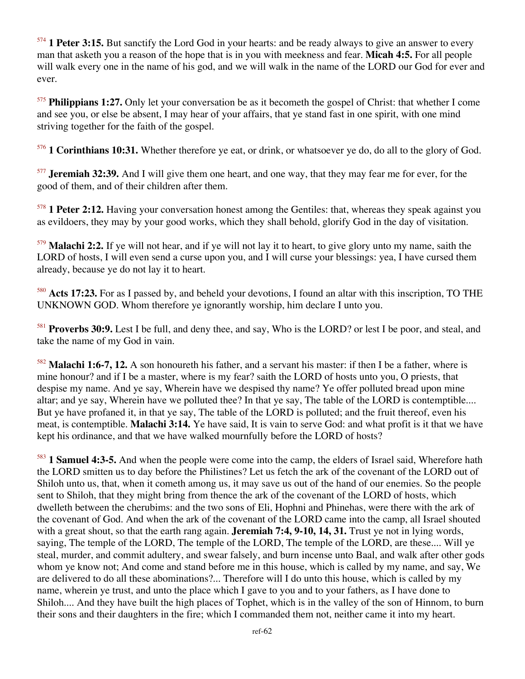<sup>574</sup> **1 Peter 3:15.** But sanctify the Lord God in your hearts: and be ready always to give an answer to every man that asketh you a reason of the hope that is in you with meekness and fear. **Micah 4:5.** For all people will walk every one in the name of his god, and we will walk in the name of the LORD our God for ever and ever.

<sup>575</sup> **Philippians 1:27.** Only let your conversation be as it becometh the gospel of Christ: that whether I come and see you, or else be absent, I may hear of your affairs, that ye stand fast in one spirit, with one mind striving together for the faith of the gospel.

<sup>576</sup> **1 Corinthians 10:31.** Whether therefore ye eat, or drink, or whatsoever ye do, do all to the glory of God.

<sup>577</sup> **Jeremiah 32:39.** And I will give them one heart, and one way, that they may fear me for ever, for the good of them, and of their children after them.

<sup>578</sup> **1 Peter 2:12.** Having your conversation honest among the Gentiles: that, whereas they speak against you as evildoers, they may by your good works, which they shall behold, glorify God in the day of visitation.

<sup>579</sup> **Malachi 2:2.** If ye will not hear, and if ye will not lay it to heart, to give glory unto my name, saith the LORD of hosts, I will even send a curse upon you, and I will curse your blessings: yea, I have cursed them already, because ye do not lay it to heart.

<sup>580</sup> **Acts 17:23.** For as I passed by, and beheld your devotions, I found an altar with this inscription, TO THE UNKNOWN GOD. Whom therefore ye ignorantly worship, him declare I unto you.

<sup>581</sup> **Proverbs 30:9.** Lest I be full, and deny thee, and say, Who is the LORD? or lest I be poor, and steal, and take the name of my God in vain.

<sup>582</sup> **Malachi 1:6-7, 12.** A son honoureth his father, and a servant his master: if then I be a father, where is mine honour? and if I be a master, where is my fear? saith the LORD of hosts unto you, O priests, that despise my name. And ye say, Wherein have we despised thy name? Ye offer polluted bread upon mine altar; and ye say, Wherein have we polluted thee? In that ye say, The table of the LORD is contemptible.... But ye have profaned it, in that ye say, The table of the LORD is polluted; and the fruit thereof, even his meat, is contemptible. **Malachi 3:14.** Ye have said, It is vain to serve God: and what profit is it that we have kept his ordinance, and that we have walked mournfully before the LORD of hosts?

<sup>583</sup> **1 Samuel 4:3-5.** And when the people were come into the camp, the elders of Israel said, Wherefore hath the LORD smitten us to day before the Philistines? Let us fetch the ark of the covenant of the LORD out of Shiloh unto us, that, when it cometh among us, it may save us out of the hand of our enemies. So the people sent to Shiloh, that they might bring from thence the ark of the covenant of the LORD of hosts, which dwelleth between the cherubims: and the two sons of Eli, Hophni and Phinehas, were there with the ark of the covenant of God. And when the ark of the covenant of the LORD came into the camp, all Israel shouted with a great shout, so that the earth rang again. **Jeremiah 7:4, 9-10, 14, 31.** Trust ye not in lying words, saying, The temple of the LORD, The temple of the LORD, The temple of the LORD, are these.... Will ye steal, murder, and commit adultery, and swear falsely, and burn incense unto Baal, and walk after other gods whom ye know not; And come and stand before me in this house, which is called by my name, and say, We are delivered to do all these abominations?... Therefore will I do unto this house, which is called by my name, wherein ye trust, and unto the place which I gave to you and to your fathers, as I have done to Shiloh.... And they have built the high places of Tophet, which is in the valley of the son of Hinnom, to burn their sons and their daughters in the fire; which I commanded them not, neither came it into my heart.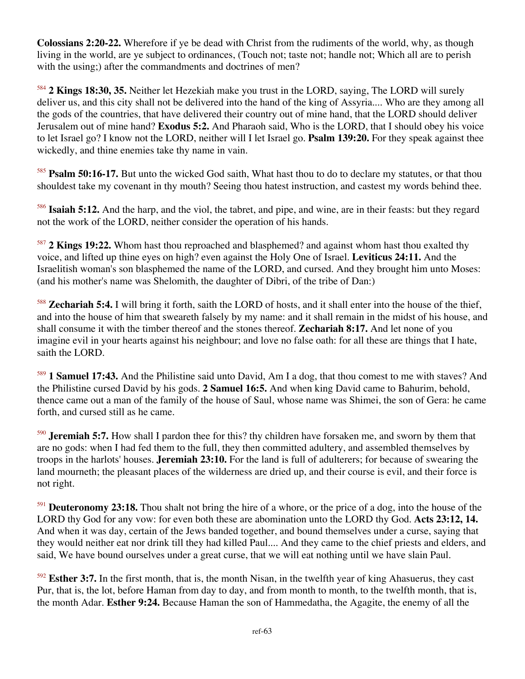**Colossians 2:20-22.** Wherefore if ye be dead with Christ from the rudiments of the world, why, as though living in the world, are ye subject to ordinances, (Touch not; taste not; handle not; Which all are to perish with the using;) after the commandments and doctrines of men?

<sup>584</sup> **2 Kings 18:30, 35.** Neither let Hezekiah make you trust in the LORD, saying, The LORD will surely deliver us, and this city shall not be delivered into the hand of the king of Assyria.... Who are they among all the gods of the countries, that have delivered their country out of mine hand, that the LORD should deliver Jerusalem out of mine hand? **Exodus 5:2.** And Pharaoh said, Who is the LORD, that I should obey his voice to let Israel go? I know not the LORD, neither will I let Israel go. **Psalm 139:20.** For they speak against thee wickedly, and thine enemies take thy name in vain.

<sup>585</sup> **Psalm 50:16-17.** But unto the wicked God saith, What hast thou to do to declare my statutes, or that thou shouldest take my covenant in thy mouth? Seeing thou hatest instruction, and castest my words behind thee.

<sup>586</sup> **Isaiah 5:12.** And the harp, and the viol, the tabret, and pipe, and wine, are in their feasts: but they regard not the work of the LORD, neither consider the operation of his hands.

<sup>587</sup> **2 Kings 19:22.** Whom hast thou reproached and blasphemed? and against whom hast thou exalted thy voice, and lifted up thine eyes on high? even against the Holy One of Israel. **Leviticus 24:11.** And the Israelitish woman's son blasphemed the name of the LORD, and cursed. And they brought him unto Moses: (and his mother's name was Shelomith, the daughter of Dibri, of the tribe of Dan:)

<sup>588</sup> **Zechariah 5:4.** I will bring it forth, saith the LORD of hosts, and it shall enter into the house of the thief, and into the house of him that sweareth falsely by my name: and it shall remain in the midst of his house, and shall consume it with the timber thereof and the stones thereof. **Zechariah 8:17.** And let none of you imagine evil in your hearts against his neighbour; and love no false oath: for all these are things that I hate, saith the LORD.

<sup>589</sup> **1 Samuel 17:43.** And the Philistine said unto David, Am I a dog, that thou comest to me with staves? And the Philistine cursed David by his gods. **2 Samuel 16:5.** And when king David came to Bahurim, behold, thence came out a man of the family of the house of Saul, whose name was Shimei, the son of Gera: he came forth, and cursed still as he came.

<sup>590</sup> **Jeremiah 5:7.** How shall I pardon thee for this? thy children have forsaken me, and sworn by them that are no gods: when I had fed them to the full, they then committed adultery, and assembled themselves by troops in the harlots' houses. **Jeremiah 23:10.** For the land is full of adulterers; for because of swearing the land mourneth; the pleasant places of the wilderness are dried up, and their course is evil, and their force is not right.

<sup>591</sup> **Deuteronomy 23:18.** Thou shalt not bring the hire of a whore, or the price of a dog, into the house of the LORD thy God for any vow: for even both these are abomination unto the LORD thy God. **Acts 23:12, 14.** And when it was day, certain of the Jews banded together, and bound themselves under a curse, saying that they would neither eat nor drink till they had killed Paul.... And they came to the chief priests and elders, and said, We have bound ourselves under a great curse, that we will eat nothing until we have slain Paul.

<sup>592</sup> **Esther 3:7.** In the first month, that is, the month Nisan, in the twelfth year of king Ahasuerus, they cast Pur, that is, the lot, before Haman from day to day, and from month to month, to the twelfth month, that is, the month Adar. **Esther 9:24.** Because Haman the son of Hammedatha, the Agagite, the enemy of all the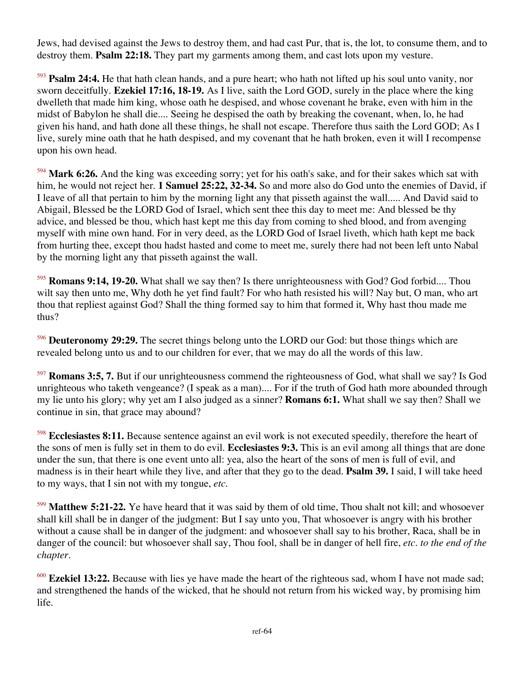Jews, had devised against the Jews to destroy them, and had cast Pur, that is, the lot, to consume them, and to destroy them. **Psalm 22:18.** They part my garments among them, and cast lots upon my vesture.

<sup>593</sup> **Psalm 24:4.** He that hath clean hands, and a pure heart; who hath not lifted up his soul unto vanity, nor sworn deceitfully. **Ezekiel 17:16, 18-19.** As I live, saith the Lord GOD, surely in the place where the king dwelleth that made him king, whose oath he despised, and whose covenant he brake, even with him in the midst of Babylon he shall die.... Seeing he despised the oath by breaking the covenant, when, lo, he had given his hand, and hath done all these things, he shall not escape. Therefore thus saith the Lord GOD; As I live, surely mine oath that he hath despised, and my covenant that he hath broken, even it will I recompense upon his own head.

<sup>594</sup> **Mark 6:26.** And the king was exceeding sorry; yet for his oath's sake, and for their sakes which sat with him, he would not reject her. **1 Samuel 25:22, 32-34.** So and more also do God unto the enemies of David, if I leave of all that pertain to him by the morning light any that pisseth against the wall..... And David said to Abigail, Blessed be the LORD God of Israel, which sent thee this day to meet me: And blessed be thy advice, and blessed be thou, which hast kept me this day from coming to shed blood, and from avenging myself with mine own hand. For in very deed, as the LORD God of Israel liveth, which hath kept me back from hurting thee, except thou hadst hasted and come to meet me, surely there had not been left unto Nabal by the morning light any that pisseth against the wall.

<sup>595</sup> **Romans 9:14, 19-20.** What shall we say then? Is there unrighteousness with God? God forbid.... Thou wilt say then unto me, Why doth he yet find fault? For who hath resisted his will? Nay but, O man, who art thou that repliest against God? Shall the thing formed say to him that formed it, Why hast thou made me thus?

<sup>596</sup> **Deuteronomy 29:29.** The secret things belong unto the LORD our God: but those things which are revealed belong unto us and to our children for ever, that we may do all the words of this law.

<sup>597</sup> **Romans 3:5, 7.** But if our unrighteousness commend the righteousness of God, what shall we say? Is God unrighteous who taketh vengeance? (I speak as a man).... For if the truth of God hath more abounded through my lie unto his glory; why yet am I also judged as a sinner? **Romans 6:1.** What shall we say then? Shall we continue in sin, that grace may abound?

<sup>598</sup> **Ecclesiastes 8:11.** Because sentence against an evil work is not executed speedily, therefore the heart of the sons of men is fully set in them to do evil. **Ecclesiastes 9:3.** This is an evil among all things that are done under the sun, that there is one event unto all: yea, also the heart of the sons of men is full of evil, and madness is in their heart while they live, and after that they go to the dead. **Psalm 39.** I said, I will take heed to my ways, that I sin not with my tongue, *etc*.

<sup>599</sup> **Matthew 5:21-22.** Ye have heard that it was said by them of old time, Thou shalt not kill; and whosoever shall kill shall be in danger of the judgment: But I say unto you, That whosoever is angry with his brother without a cause shall be in danger of the judgment: and whosoever shall say to his brother, Raca, shall be in danger of the council: but whosoever shall say, Thou fool, shall be in danger of hell fire, *etc. to the end of the chapter*.

<sup>600</sup> **Ezekiel 13:22.** Because with lies ye have made the heart of the righteous sad, whom I have not made sad; and strengthened the hands of the wicked, that he should not return from his wicked way, by promising him life.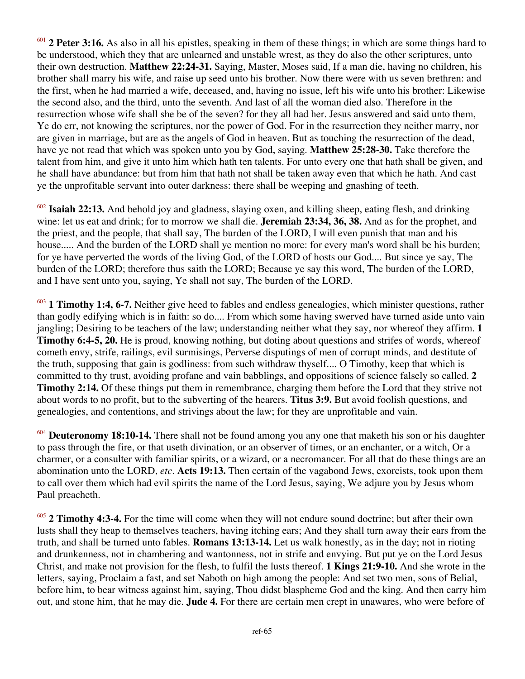2 Peter 3:16. As also in all his epistles, speaking in them of these things; in which are some things hard to be understood, which they that are unlearned and unstable wrest, as they do also the other scriptures, unto their own destruction. **Matthew 22:24-31.** Saying, Master, Moses said, If a man die, having no children, his brother shall marry his wife, and raise up seed unto his brother. Now there were with us seven brethren: and the first, when he had married a wife, deceased, and, having no issue, left his wife unto his brother: Likewise the second also, and the third, unto the seventh. And last of all the woman died also. Therefore in the resurrection whose wife shall she be of the seven? for they all had her. Jesus answered and said unto them, Ye do err, not knowing the scriptures, nor the power of God. For in the resurrection they neither marry, nor are given in marriage, but are as the angels of God in heaven. But as touching the resurrection of the dead, have ye not read that which was spoken unto you by God, saying. **Matthew 25:28-30.** Take therefore the talent from him, and give it unto him which hath ten talents. For unto every one that hath shall be given, and he shall have abundance: but from him that hath not shall be taken away even that which he hath. And cast ye the unprofitable servant into outer darkness: there shall be weeping and gnashing of teeth.

<sup>602</sup> **Isaiah 22:13.** And behold joy and gladness, slaying oxen, and killing sheep, eating flesh, and drinking wine: let us eat and drink; for to morrow we shall die. **Jeremiah 23:34, 36, 38.** And as for the prophet, and the priest, and the people, that shall say, The burden of the LORD, I will even punish that man and his house..... And the burden of the LORD shall ye mention no more: for every man's word shall be his burden; for ye have perverted the words of the living God, of the LORD of hosts our God.... But since ye say, The burden of the LORD; therefore thus saith the LORD; Because ye say this word, The burden of the LORD, and I have sent unto you, saying, Ye shall not say, The burden of the LORD.

<sup>603</sup> **1 Timothy 1:4, 6-7.** Neither give heed to fables and endless genealogies, which minister questions, rather than godly edifying which is in faith: so do.... From which some having swerved have turned aside unto vain jangling; Desiring to be teachers of the law; understanding neither what they say, nor whereof they affirm. **1 Timothy 6:4-5, 20.** He is proud, knowing nothing, but doting about questions and strifes of words, whereof cometh envy, strife, railings, evil surmisings, Perverse disputings of men of corrupt minds, and destitute of the truth, supposing that gain is godliness: from such withdraw thyself.... O Timothy, keep that which is committed to thy trust, avoiding profane and vain babblings, and oppositions of science falsely so called. **2 Timothy 2:14.** Of these things put them in remembrance, charging them before the Lord that they strive not about words to no profit, but to the subverting of the hearers. **Titus 3:9.** But avoid foolish questions, and genealogies, and contentions, and strivings about the law; for they are unprofitable and vain.

<sup>604</sup> **Deuteronomy 18:10-14.** There shall not be found among you any one that maketh his son or his daughter to pass through the fire, or that useth divination, or an observer of times, or an enchanter, or a witch, Or a charmer, or a consulter with familiar spirits, or a wizard, or a necromancer. For all that do these things are an abomination unto the LORD, *etc*. **Acts 19:13.** Then certain of the vagabond Jews, exorcists, took upon them to call over them which had evil spirits the name of the Lord Jesus, saying, We adjure you by Jesus whom Paul preacheth.

<sup>605</sup> **2 Timothy 4:3-4.** For the time will come when they will not endure sound doctrine; but after their own lusts shall they heap to themselves teachers, having itching ears; And they shall turn away their ears from the truth, and shall be turned unto fables. **Romans 13:13-14.** Let us walk honestly, as in the day; not in rioting and drunkenness, not in chambering and wantonness, not in strife and envying. But put ye on the Lord Jesus Christ, and make not provision for the flesh, to fulfil the lusts thereof. **1 Kings 21:9-10.** And she wrote in the letters, saying, Proclaim a fast, and set Naboth on high among the people: And set two men, sons of Belial, before him, to bear witness against him, saying, Thou didst blaspheme God and the king. And then carry him out, and stone him, that he may die. **Jude 4.** For there are certain men crept in unawares, who were before of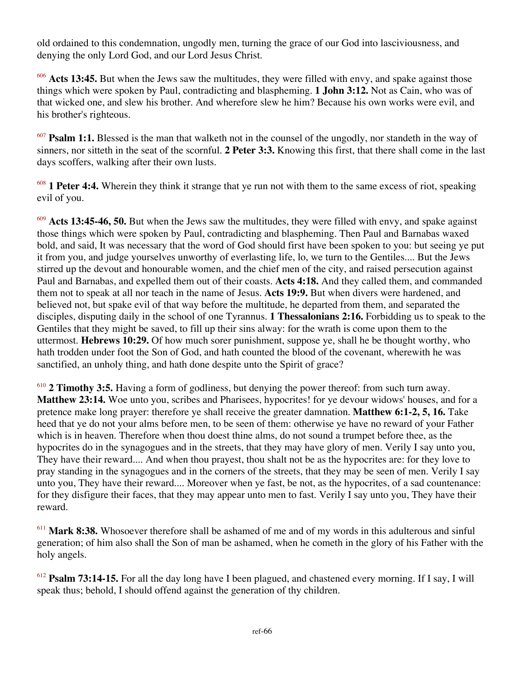old ordained to this condemnation, ungodly men, turning the grace of our God into lasciviousness, and denying the only Lord God, and our Lord Jesus Christ.

<sup>606</sup> Acts 13:45. But when the Jews saw the multitudes, they were filled with envy, and spake against those things which were spoken by Paul, contradicting and blaspheming. **1 John 3:12.** Not as Cain, who was of that wicked one, and slew his brother. And wherefore slew he him? Because his own works were evil, and his brother's righteous.

<sup>607</sup> **Psalm 1:1.** Blessed is the man that walketh not in the counsel of the ungodly, nor standeth in the way of sinners, nor sitteth in the seat of the scornful. **2 Peter 3:3.** Knowing this first, that there shall come in the last days scoffers, walking after their own lusts.

<sup>608</sup> **1 Peter 4:4.** Wherein they think it strange that ye run not with them to the same excess of riot, speaking evil of you.

<sup>609</sup> **Acts 13:45-46, 50.** But when the Jews saw the multitudes, they were filled with envy, and spake against those things which were spoken by Paul, contradicting and blaspheming. Then Paul and Barnabas waxed bold, and said, It was necessary that the word of God should first have been spoken to you: but seeing ye put it from you, and judge yourselves unworthy of everlasting life, lo, we turn to the Gentiles.... But the Jews stirred up the devout and honourable women, and the chief men of the city, and raised persecution against Paul and Barnabas, and expelled them out of their coasts. **Acts 4:18.** And they called them, and commanded them not to speak at all nor teach in the name of Jesus. **Acts 19:9.** But when divers were hardened, and believed not, but spake evil of that way before the multitude, he departed from them, and separated the disciples, disputing daily in the school of one Tyrannus. **1 Thessalonians 2:16.** Forbidding us to speak to the Gentiles that they might be saved, to fill up their sins alway: for the wrath is come upon them to the uttermost. **Hebrews 10:29.** Of how much sorer punishment, suppose ye, shall he be thought worthy, who hath trodden under foot the Son of God, and hath counted the blood of the covenant, wherewith he was sanctified, an unholy thing, and hath done despite unto the Spirit of grace?

<sup>610</sup> **2 Timothy 3:5.** Having a form of godliness, but denying the power thereof: from such turn away. **Matthew 23:14.** Woe unto you, scribes and Pharisees, hypocrites! for ye devour widows' houses, and for a pretence make long prayer: therefore ye shall receive the greater damnation. **Matthew 6:1-2, 5, 16.** Take heed that ye do not your alms before men, to be seen of them: otherwise ye have no reward of your Father which is in heaven. Therefore when thou doest thine alms, do not sound a trumpet before thee, as the hypocrites do in the synagogues and in the streets, that they may have glory of men. Verily I say unto you, They have their reward.... And when thou prayest, thou shalt not be as the hypocrites are: for they love to pray standing in the synagogues and in the corners of the streets, that they may be seen of men. Verily I say unto you, They have their reward.... Moreover when ye fast, be not, as the hypocrites, of a sad countenance: for they disfigure their faces, that they may appear unto men to fast. Verily I say unto you, They have their reward.

<sup>611</sup> **Mark 8:38.** Whosoever therefore shall be ashamed of me and of my words in this adulterous and sinful generation; of him also shall the Son of man be ashamed, when he cometh in the glory of his Father with the holy angels.

<sup>612</sup> **Psalm 73:14-15.** For all the day long have I been plagued, and chastened every morning. If I say, I will speak thus; behold, I should offend against the generation of thy children.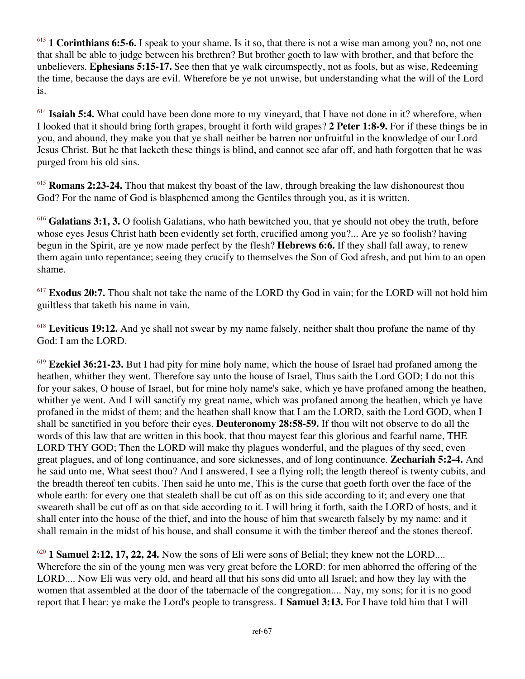<sup>613</sup> **1 Corinthians 6:5-6.** I speak to your shame. Is it so, that there is not a wise man among you? no, not one that shall be able to judge between his brethren? But brother goeth to law with brother, and that before the unbelievers. **Ephesians 5:15-17.** See then that ye walk circumspectly, not as fools, but as wise, Redeeming the time, because the days are evil. Wherefore be ye not unwise, but understanding what the will of the Lord is.

<sup>614</sup> **Isaiah 5:4.** What could have been done more to my vineyard, that I have not done in it? wherefore, when I looked that it should bring forth grapes, brought it forth wild grapes? **2 Peter 1:8-9.** For if these things be in you, and abound, they make you that ye shall neither be barren nor unfruitful in the knowledge of our Lord Jesus Christ. But he that lacketh these things is blind, and cannot see afar off, and hath forgotten that he was purged from his old sins.

<sup>615</sup> **Romans 2:23-24.** Thou that makest thy boast of the law, through breaking the law dishonourest thou God? For the name of God is blasphemed among the Gentiles through you, as it is written.

<sup>616</sup> **Galatians 3:1, 3.** O foolish Galatians, who hath bewitched you, that ye should not obey the truth, before whose eyes Jesus Christ hath been evidently set forth, crucified among you?... Are ye so foolish? having begun in the Spirit, are ye now made perfect by the flesh? **Hebrews 6:6.** If they shall fall away, to renew them again unto repentance; seeing they crucify to themselves the Son of God afresh, and put him to an open shame.

<sup>617</sup> **Exodus 20:7.** Thou shalt not take the name of the LORD thy God in vain; for the LORD will not hold him guiltless that taketh his name in vain.

<sup>618</sup> **Leviticus 19:12.** And ye shall not swear by my name falsely, neither shalt thou profane the name of thy God: I am the LORD.

<sup>619</sup> **Ezekiel 36:21-23.** But I had pity for mine holy name, which the house of Israel had profaned among the heathen, whither they went. Therefore say unto the house of Israel, Thus saith the Lord GOD; I do not this for your sakes, O house of Israel, but for mine holy name's sake, which ye have profaned among the heathen, whither ye went. And I will sanctify my great name, which was profaned among the heathen, which ye have profaned in the midst of them; and the heathen shall know that I am the LORD, saith the Lord GOD, when I shall be sanctified in you before their eyes. **Deuteronomy 28:58-59.** If thou wilt not observe to do all the words of this law that are written in this book, that thou mayest fear this glorious and fearful name, THE LORD THY GOD; Then the LORD will make thy plagues wonderful, and the plagues of thy seed, even great plagues, and of long continuance, and sore sicknesses, and of long continuance. **Zechariah 5:2-4.** And he said unto me, What seest thou? And I answered, I see a flying roll; the length thereof is twenty cubits, and the breadth thereof ten cubits. Then said he unto me, This is the curse that goeth forth over the face of the whole earth: for every one that stealeth shall be cut off as on this side according to it; and every one that sweareth shall be cut off as on that side according to it. I will bring it forth, saith the LORD of hosts, and it shall enter into the house of the thief, and into the house of him that sweareth falsely by my name: and it shall remain in the midst of his house, and shall consume it with the timber thereof and the stones thereof.

<sup>620</sup> **1 Samuel 2:12, 17, 22, 24.** Now the sons of Eli were sons of Belial; they knew not the LORD.... Wherefore the sin of the young men was very great before the LORD: for men abhorred the offering of the LORD.... Now Eli was very old, and heard all that his sons did unto all Israel; and how they lay with the women that assembled at the door of the tabernacle of the congregation.... Nay, my sons; for it is no good report that I hear: ye make the Lord's people to transgress. **1 Samuel 3:13.** For I have told him that I will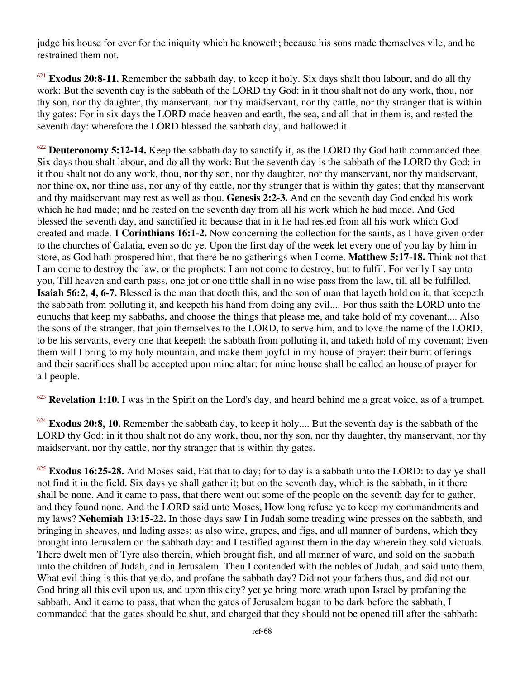judge his house for ever for the iniquity which he knoweth; because his sons made themselves vile, and he restrained them not.

<sup>621</sup> **Exodus 20:8-11.** Remember the sabbath day, to keep it holy. Six days shalt thou labour, and do all thy work: But the seventh day is the sabbath of the LORD thy God: in it thou shalt not do any work, thou, nor thy son, nor thy daughter, thy manservant, nor thy maidservant, nor thy cattle, nor thy stranger that is within thy gates: For in six days the LORD made heaven and earth, the sea, and all that in them is, and rested the seventh day: wherefore the LORD blessed the sabbath day, and hallowed it.

<sup>622</sup> **Deuteronomy 5:12-14.** Keep the sabbath day to sanctify it, as the LORD thy God hath commanded thee. Six days thou shalt labour, and do all thy work: But the seventh day is the sabbath of the LORD thy God: in it thou shalt not do any work, thou, nor thy son, nor thy daughter, nor thy manservant, nor thy maidservant, nor thine ox, nor thine ass, nor any of thy cattle, nor thy stranger that is within thy gates; that thy manservant and thy maidservant may rest as well as thou. **Genesis 2:2-3.** And on the seventh day God ended his work which he had made; and he rested on the seventh day from all his work which he had made. And God blessed the seventh day, and sanctified it: because that in it he had rested from all his work which God created and made. **1 Corinthians 16:1-2.** Now concerning the collection for the saints, as I have given order to the churches of Galatia, even so do ye. Upon the first day of the week let every one of you lay by him in store, as God hath prospered him, that there be no gatherings when I come. **Matthew 5:17-18.** Think not that I am come to destroy the law, or the prophets: I am not come to destroy, but to fulfil. For verily I say unto you, Till heaven and earth pass, one jot or one tittle shall in no wise pass from the law, till all be fulfilled. **Isaiah 56:2, 4, 6-7.** Blessed is the man that doeth this, and the son of man that layeth hold on it; that keepeth the sabbath from polluting it, and keepeth his hand from doing any evil.... For thus saith the LORD unto the eunuchs that keep my sabbaths, and choose the things that please me, and take hold of my covenant.... Also the sons of the stranger, that join themselves to the LORD, to serve him, and to love the name of the LORD, to be his servants, every one that keepeth the sabbath from polluting it, and taketh hold of my covenant; Even them will I bring to my holy mountain, and make them joyful in my house of prayer: their burnt offerings and their sacrifices shall be accepted upon mine altar; for mine house shall be called an house of prayer for all people.

<sup>623</sup> **Revelation 1:10.** I was in the Spirit on the Lord's day, and heard behind me a great voice, as of a trumpet.

<sup>624</sup> **Exodus 20:8, 10.** Remember the sabbath day, to keep it holy.... But the seventh day is the sabbath of the LORD thy God: in it thou shalt not do any work, thou, nor thy son, nor thy daughter, thy manservant, nor thy maidservant, nor thy cattle, nor thy stranger that is within thy gates.

<sup>625</sup> **Exodus 16:25-28.** And Moses said, Eat that to day; for to day is a sabbath unto the LORD: to day ye shall not find it in the field. Six days ye shall gather it; but on the seventh day, which is the sabbath, in it there shall be none. And it came to pass, that there went out some of the people on the seventh day for to gather, and they found none. And the LORD said unto Moses, How long refuse ye to keep my commandments and my laws? **Nehemiah 13:15-22.** In those days saw I in Judah some treading wine presses on the sabbath, and bringing in sheaves, and lading asses; as also wine, grapes, and figs, and all manner of burdens, which they brought into Jerusalem on the sabbath day: and I testified against them in the day wherein they sold victuals. There dwelt men of Tyre also therein, which brought fish, and all manner of ware, and sold on the sabbath unto the children of Judah, and in Jerusalem. Then I contended with the nobles of Judah, and said unto them, What evil thing is this that ye do, and profane the sabbath day? Did not your fathers thus, and did not our God bring all this evil upon us, and upon this city? yet ye bring more wrath upon Israel by profaning the sabbath. And it came to pass, that when the gates of Jerusalem began to be dark before the sabbath, I commanded that the gates should be shut, and charged that they should not be opened till after the sabbath: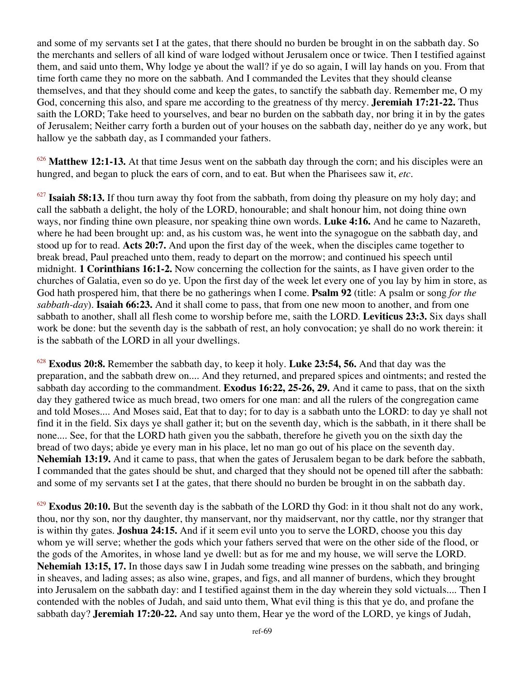and some of my servants set I at the gates, that there should no burden be brought in on the sabbath day. So the merchants and sellers of all kind of ware lodged without Jerusalem once or twice. Then I testified against them, and said unto them, Why lodge ye about the wall? if ye do so again, I will lay hands on you. From that time forth came they no more on the sabbath. And I commanded the Levites that they should cleanse themselves, and that they should come and keep the gates, to sanctify the sabbath day. Remember me, O my God, concerning this also, and spare me according to the greatness of thy mercy. **Jeremiah 17:21-22.** Thus saith the LORD; Take heed to yourselves, and bear no burden on the sabbath day, nor bring it in by the gates of Jerusalem; Neither carry forth a burden out of your houses on the sabbath day, neither do ye any work, but hallow ye the sabbath day, as I commanded your fathers.

<sup>626</sup> Matthew 12:1-13. At that time Jesus went on the sabbath day through the corn; and his disciples were an hungred, and began to pluck the ears of corn, and to eat. But when the Pharisees saw it, *etc*.

<sup>627</sup> **Isaiah 58:13.** If thou turn away thy foot from the sabbath, from doing thy pleasure on my holy day; and call the sabbath a delight, the holy of the LORD, honourable; and shalt honour him, not doing thine own ways, nor finding thine own pleasure, nor speaking thine own words. **Luke 4:16.** And he came to Nazareth, where he had been brought up: and, as his custom was, he went into the synagogue on the sabbath day, and stood up for to read. **Acts 20:7.** And upon the first day of the week, when the disciples came together to break bread, Paul preached unto them, ready to depart on the morrow; and continued his speech until midnight. **1 Corinthians 16:1-2.** Now concerning the collection for the saints, as I have given order to the churches of Galatia, even so do ye. Upon the first day of the week let every one of you lay by him in store, as God hath prospered him, that there be no gatherings when I come. **Psalm 92** (title: A psalm or song *for the sabbath-day*). **Isaiah 66:23.** And it shall come to pass, that from one new moon to another, and from one sabbath to another, shall all flesh come to worship before me, saith the LORD. **Leviticus 23:3.** Six days shall work be done: but the seventh day is the sabbath of rest, an holy convocation; ye shall do no work therein: it is the sabbath of the LORD in all your dwellings.

<sup>628</sup> **Exodus 20:8.** Remember the sabbath day, to keep it holy. **Luke 23:54, 56.** And that day was the preparation, and the sabbath drew on.... And they returned, and prepared spices and ointments; and rested the sabbath day according to the commandment. **Exodus 16:22, 25-26, 29.** And it came to pass, that on the sixth day they gathered twice as much bread, two omers for one man: and all the rulers of the congregation came and told Moses.... And Moses said, Eat that to day; for to day is a sabbath unto the LORD: to day ye shall not find it in the field. Six days ye shall gather it; but on the seventh day, which is the sabbath, in it there shall be none.... See, for that the LORD hath given you the sabbath, therefore he giveth you on the sixth day the bread of two days; abide ye every man in his place, let no man go out of his place on the seventh day. **Nehemiah 13:19.** And it came to pass, that when the gates of Jerusalem began to be dark before the sabbath, I commanded that the gates should be shut, and charged that they should not be opened till after the sabbath: and some of my servants set I at the gates, that there should no burden be brought in on the sabbath day.

<sup>629</sup> **Exodus 20:10.** But the seventh day is the sabbath of the LORD thy God: in it thou shalt not do any work, thou, nor thy son, nor thy daughter, thy manservant, nor thy maidservant, nor thy cattle, nor thy stranger that is within thy gates. **Joshua 24:15.** And if it seem evil unto you to serve the LORD, choose you this day whom ye will serve; whether the gods which your fathers served that were on the other side of the flood, or the gods of the Amorites, in whose land ye dwell: but as for me and my house, we will serve the LORD. **Nehemiah 13:15, 17.** In those days saw I in Judah some treading wine presses on the sabbath, and bringing in sheaves, and lading asses; as also wine, grapes, and figs, and all manner of burdens, which they brought into Jerusalem on the sabbath day: and I testified against them in the day wherein they sold victuals.... Then I contended with the nobles of Judah, and said unto them, What evil thing is this that ye do, and profane the sabbath day? **Jeremiah 17:20-22.** And say unto them, Hear ye the word of the LORD, ye kings of Judah,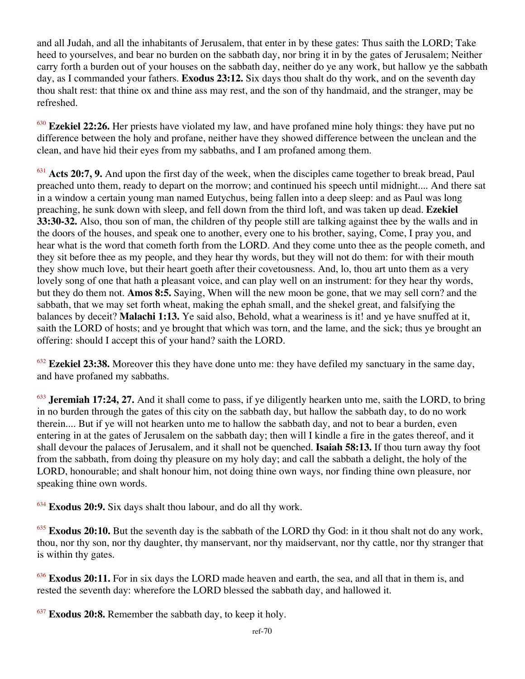and all Judah, and all the inhabitants of Jerusalem, that enter in by these gates: Thus saith the LORD; Take heed to yourselves, and bear no burden on the sabbath day, nor bring it in by the gates of Jerusalem; Neither carry forth a burden out of your houses on the sabbath day, neither do ye any work, but hallow ye the sabbath day, as I commanded your fathers. **Exodus 23:12.** Six days thou shalt do thy work, and on the seventh day thou shalt rest: that thine ox and thine ass may rest, and the son of thy handmaid, and the stranger, may be refreshed.

<sup>630</sup> **Ezekiel 22:26.** Her priests have violated my law, and have profaned mine holy things: they have put no difference between the holy and profane, neither have they showed difference between the unclean and the clean, and have hid their eyes from my sabbaths, and I am profaned among them.

<sup>631</sup> **Acts 20:7, 9.** And upon the first day of the week, when the disciples came together to break bread, Paul preached unto them, ready to depart on the morrow; and continued his speech until midnight.... And there sat in a window a certain young man named Eutychus, being fallen into a deep sleep: and as Paul was long preaching, he sunk down with sleep, and fell down from the third loft, and was taken up dead. **Ezekiel 33:30-32.** Also, thou son of man, the children of thy people still are talking against thee by the walls and in the doors of the houses, and speak one to another, every one to his brother, saying, Come, I pray you, and hear what is the word that cometh forth from the LORD. And they come unto thee as the people cometh, and they sit before thee as my people, and they hear thy words, but they will not do them: for with their mouth they show much love, but their heart goeth after their covetousness. And, lo, thou art unto them as a very lovely song of one that hath a pleasant voice, and can play well on an instrument: for they hear thy words, but they do them not. **Amos 8:5.** Saying, When will the new moon be gone, that we may sell corn? and the sabbath, that we may set forth wheat, making the ephah small, and the shekel great, and falsifying the balances by deceit? **Malachi 1:13.** Ye said also, Behold, what a weariness is it! and ye have snuffed at it, saith the LORD of hosts; and ye brought that which was torn, and the lame, and the sick; thus ye brought an offering: should I accept this of your hand? saith the LORD.

<sup>632</sup> **Ezekiel 23:38.** Moreover this they have done unto me: they have defiled my sanctuary in the same day, and have profaned my sabbaths.

<sup>633</sup> **Jeremiah 17:24, 27.** And it shall come to pass, if ye diligently hearken unto me, saith the LORD, to bring in no burden through the gates of this city on the sabbath day, but hallow the sabbath day, to do no work therein.... But if ye will not hearken unto me to hallow the sabbath day, and not to bear a burden, even entering in at the gates of Jerusalem on the sabbath day; then will I kindle a fire in the gates thereof, and it shall devour the palaces of Jerusalem, and it shall not be quenched. **Isaiah 58:13.** If thou turn away thy foot from the sabbath, from doing thy pleasure on my holy day; and call the sabbath a delight, the holy of the LORD, honourable; and shalt honour him, not doing thine own ways, nor finding thine own pleasure, nor speaking thine own words.

<sup>634</sup> **Exodus 20:9.** Six days shalt thou labour, and do all thy work.

<sup>635</sup> **Exodus 20:10.** But the seventh day is the sabbath of the LORD thy God: in it thou shalt not do any work, thou, nor thy son, nor thy daughter, thy manservant, nor thy maidservant, nor thy cattle, nor thy stranger that is within thy gates.

<sup>636</sup> **Exodus 20:11.** For in six days the LORD made heaven and earth, the sea, and all that in them is, and rested the seventh day: wherefore the LORD blessed the sabbath day, and hallowed it.

<sup>637</sup> **Exodus 20:8.** Remember the sabbath day, to keep it holy.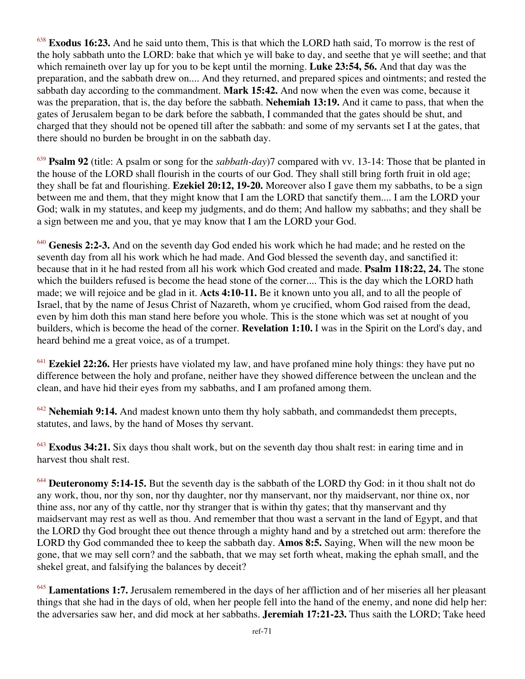<sup>638</sup> **Exodus 16:23.** And he said unto them, This is that which the LORD hath said, To morrow is the rest of the holy sabbath unto the LORD: bake that which ye will bake to day, and seethe that ye will seethe; and that which remaineth over lay up for you to be kept until the morning. **Luke 23:54, 56.** And that day was the preparation, and the sabbath drew on.... And they returned, and prepared spices and ointments; and rested the sabbath day according to the commandment. **Mark 15:42.** And now when the even was come, because it was the preparation, that is, the day before the sabbath. **Nehemiah 13:19.** And it came to pass, that when the gates of Jerusalem began to be dark before the sabbath, I commanded that the gates should be shut, and charged that they should not be opened till after the sabbath: and some of my servants set I at the gates, that there should no burden be brought in on the sabbath day.

<sup>639</sup> **Psalm 92** (title: A psalm or song for the *sabbath-day*)7 compared with vv. 13-14: Those that be planted in the house of the LORD shall flourish in the courts of our God. They shall still bring forth fruit in old age; they shall be fat and flourishing. **Ezekiel 20:12, 19-20.** Moreover also I gave them my sabbaths, to be a sign between me and them, that they might know that I am the LORD that sanctify them.... I am the LORD your God; walk in my statutes, and keep my judgments, and do them; And hallow my sabbaths; and they shall be a sign between me and you, that ye may know that I am the LORD your God.

<sup>640</sup> **Genesis 2:2-3.** And on the seventh day God ended his work which he had made; and he rested on the seventh day from all his work which he had made. And God blessed the seventh day, and sanctified it: because that in it he had rested from all his work which God created and made. **Psalm 118:22, 24.** The stone which the builders refused is become the head stone of the corner.... This is the day which the LORD hath made; we will rejoice and be glad in it. **Acts 4:10-11.** Be it known unto you all, and to all the people of Israel, that by the name of Jesus Christ of Nazareth, whom ye crucified, whom God raised from the dead, even by him doth this man stand here before you whole. This is the stone which was set at nought of you builders, which is become the head of the corner. **Revelation 1:10.** I was in the Spirit on the Lord's day, and heard behind me a great voice, as of a trumpet.

<sup>641</sup> **Ezekiel 22:26.** Her priests have violated my law, and have profaned mine holy things: they have put no difference between the holy and profane, neither have they showed difference between the unclean and the clean, and have hid their eyes from my sabbaths, and I am profaned among them.

<sup>642</sup> **Nehemiah 9:14.** And madest known unto them thy holy sabbath, and commandedst them precepts, statutes, and laws, by the hand of Moses thy servant.

<sup>643</sup> **Exodus 34:21.** Six days thou shalt work, but on the seventh day thou shalt rest: in earing time and in harvest thou shalt rest.

<sup>644</sup> **Deuteronomy 5:14-15.** But the seventh day is the sabbath of the LORD thy God: in it thou shalt not do any work, thou, nor thy son, nor thy daughter, nor thy manservant, nor thy maidservant, nor thine ox, nor thine ass, nor any of thy cattle, nor thy stranger that is within thy gates; that thy manservant and thy maidservant may rest as well as thou. And remember that thou wast a servant in the land of Egypt, and that the LORD thy God brought thee out thence through a mighty hand and by a stretched out arm: therefore the LORD thy God commanded thee to keep the sabbath day. **Amos 8:5.** Saying, When will the new moon be gone, that we may sell corn? and the sabbath, that we may set forth wheat, making the ephah small, and the shekel great, and falsifying the balances by deceit?

<sup>645</sup> **Lamentations 1:7.** Jerusalem remembered in the days of her affliction and of her miseries all her pleasant things that she had in the days of old, when her people fell into the hand of the enemy, and none did help her: the adversaries saw her, and did mock at her sabbaths. **Jeremiah 17:21-23.** Thus saith the LORD; Take heed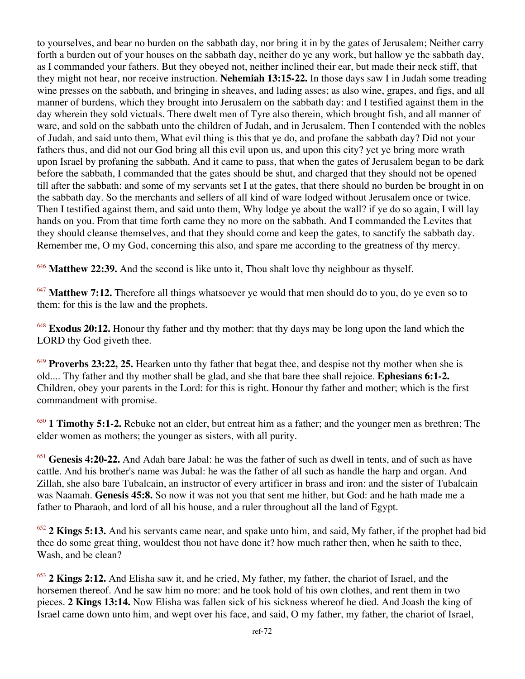to yourselves, and bear no burden on the sabbath day, nor bring it in by the gates of Jerusalem; Neither carry forth a burden out of your houses on the sabbath day, neither do ye any work, but hallow ye the sabbath day, as I commanded your fathers. But they obeyed not, neither inclined their ear, but made their neck stiff, that they might not hear, nor receive instruction. **Nehemiah 13:15-22.** In those days saw I in Judah some treading wine presses on the sabbath, and bringing in sheaves, and lading asses; as also wine, grapes, and figs, and all manner of burdens, which they brought into Jerusalem on the sabbath day: and I testified against them in the day wherein they sold victuals. There dwelt men of Tyre also therein, which brought fish, and all manner of ware, and sold on the sabbath unto the children of Judah, and in Jerusalem. Then I contended with the nobles of Judah, and said unto them, What evil thing is this that ye do, and profane the sabbath day? Did not your fathers thus, and did not our God bring all this evil upon us, and upon this city? yet ye bring more wrath upon Israel by profaning the sabbath. And it came to pass, that when the gates of Jerusalem began to be dark before the sabbath, I commanded that the gates should be shut, and charged that they should not be opened till after the sabbath: and some of my servants set I at the gates, that there should no burden be brought in on the sabbath day. So the merchants and sellers of all kind of ware lodged without Jerusalem once or twice. Then I testified against them, and said unto them, Why lodge ye about the wall? if ye do so again, I will lay hands on you. From that time forth came they no more on the sabbath. And I commanded the Levites that they should cleanse themselves, and that they should come and keep the gates, to sanctify the sabbath day. Remember me, O my God, concerning this also, and spare me according to the greatness of thy mercy.

<sup>646</sup> **Matthew 22:39.** And the second is like unto it, Thou shalt love thy neighbour as thyself.

<sup>647</sup> Matthew 7:12. Therefore all things whatsoever ye would that men should do to you, do ye even so to them: for this is the law and the prophets.

<sup>648</sup> **Exodus 20:12.** Honour thy father and thy mother: that thy days may be long upon the land which the LORD thy God giveth thee.

<sup>649</sup> **Proverbs 23:22, 25.** Hearken unto thy father that begat thee, and despise not thy mother when she is old.... Thy father and thy mother shall be glad, and she that bare thee shall rejoice. **Ephesians 6:1-2.** Children, obey your parents in the Lord: for this is right. Honour thy father and mother; which is the first commandment with promise.

<sup>650</sup> **1 Timothy 5:1-2.** Rebuke not an elder, but entreat him as a father; and the younger men as brethren; The elder women as mothers; the younger as sisters, with all purity.

<sup>651</sup> **Genesis 4:20-22.** And Adah bare Jabal: he was the father of such as dwell in tents, and of such as have cattle. And his brother's name was Jubal: he was the father of all such as handle the harp and organ. And Zillah, she also bare Tubalcain, an instructor of every artificer in brass and iron: and the sister of Tubalcain was Naamah. **Genesis 45:8.** So now it was not you that sent me hither, but God: and he hath made me a father to Pharaoh, and lord of all his house, and a ruler throughout all the land of Egypt.

<sup>652</sup> **2 Kings 5:13.** And his servants came near, and spake unto him, and said, My father, if the prophet had bid thee do some great thing, wouldest thou not have done it? how much rather then, when he saith to thee, Wash, and be clean?

<sup>653</sup> **2 Kings 2:12.** And Elisha saw it, and he cried, My father, my father, the chariot of Israel, and the horsemen thereof. And he saw him no more: and he took hold of his own clothes, and rent them in two pieces. **2 Kings 13:14.** Now Elisha was fallen sick of his sickness whereof he died. And Joash the king of Israel came down unto him, and wept over his face, and said, O my father, my father, the chariot of Israel,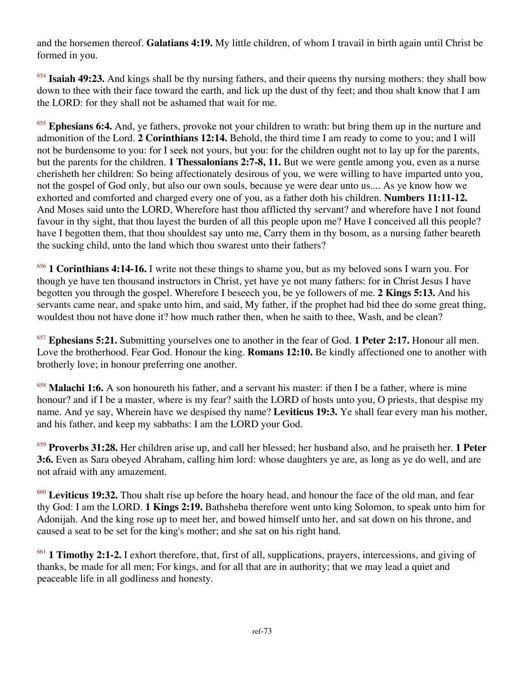and the horsemen thereof. **Galatians 4:19.** My little children, of whom I travail in birth again until Christ be formed in you.

<sup>654</sup> **Isaiah 49:23.** And kings shall be thy nursing fathers, and their queens thy nursing mothers: they shall bow down to thee with their face toward the earth, and lick up the dust of thy feet; and thou shalt know that I am the LORD: for they shall not be ashamed that wait for me.

<sup>655</sup> **Ephesians 6:4.** And, ye fathers, provoke not your children to wrath: but bring them up in the nurture and admonition of the Lord. **2 Corinthians 12:14.** Behold, the third time I am ready to come to you; and I will not be burdensome to you: for I seek not yours, but you: for the children ought not to lay up for the parents, but the parents for the children. **1 Thessalonians 2:7-8, 11.** But we were gentle among you, even as a nurse cherisheth her children: So being affectionately desirous of you, we were willing to have imparted unto you, not the gospel of God only, but also our own souls, because ye were dear unto us.... As ye know how we exhorted and comforted and charged every one of you, as a father doth his children. **Numbers 11:11-12.** And Moses said unto the LORD, Wherefore hast thou afflicted thy servant? and wherefore have I not found favour in thy sight, that thou layest the burden of all this people upon me? Have I conceived all this people? have I begotten them, that thou shouldest say unto me, Carry them in thy bosom, as a nursing father beareth the sucking child, unto the land which thou swarest unto their fathers?

<sup>656</sup> **1 Corinthians 4:14-16.** I write not these things to shame you, but as my beloved sons I warn you. For though ye have ten thousand instructors in Christ, yet have ye not many fathers: for in Christ Jesus I have begotten you through the gospel. Wherefore I beseech you, be ye followers of me. **2 Kings 5:13.** And his servants came near, and spake unto him, and said, My father, if the prophet had bid thee do some great thing, wouldest thou not have done it? how much rather then, when he saith to thee, Wash, and be clean?

<sup>657</sup> **Ephesians 5:21.** Submitting yourselves one to another in the fear of God. **1 Peter 2:17.** Honour all men. Love the brotherhood. Fear God. Honour the king. **Romans 12:10.** Be kindly affectioned one to another with brotherly love; in honour preferring one another.

<sup>658</sup> Malachi 1:6. A son honoureth his father, and a servant his master: if then I be a father, where is mine honour? and if I be a master, where is my fear? saith the LORD of hosts unto you, O priests, that despise my name. And ye say, Wherein have we despised thy name? **Leviticus 19:3.** Ye shall fear every man his mother, and his father, and keep my sabbaths: I am the LORD your God.

<sup>659</sup> **Proverbs 31:28.** Her children arise up, and call her blessed; her husband also, and he praiseth her. **1 Peter 3:6.** Even as Sara obeyed Abraham, calling him lord: whose daughters ye are, as long as ye do well, and are not afraid with any amazement.

<sup>660</sup> **Leviticus 19:32.** Thou shalt rise up before the hoary head, and honour the face of the old man, and fear thy God: I am the LORD. **1 Kings 2:19.** Bathsheba therefore went unto king Solomon, to speak unto him for Adonijah. And the king rose up to meet her, and bowed himself unto her, and sat down on his throne, and caused a seat to be set for the king's mother; and she sat on his right hand.

<sup>661</sup> **1 Timothy 2:1-2.** I exhort therefore, that, first of all, supplications, prayers, intercessions, and giving of thanks, be made for all men; For kings, and for all that are in authority; that we may lead a quiet and peaceable life in all godliness and honesty.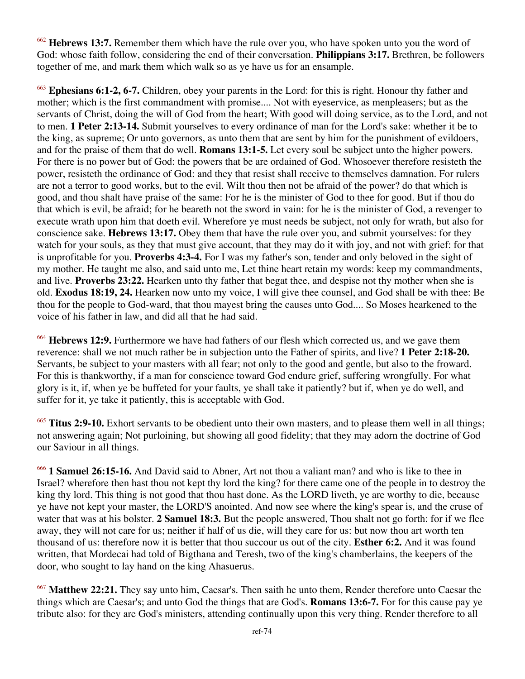<sup>662</sup> **Hebrews 13:7.** Remember them which have the rule over you, who have spoken unto you the word of God: whose faith follow, considering the end of their conversation. **Philippians 3:17.** Brethren, be followers together of me, and mark them which walk so as ye have us for an ensample.

<sup>663</sup> **Ephesians 6:1-2, 6-7.** Children, obey your parents in the Lord: for this is right. Honour thy father and mother; which is the first commandment with promise.... Not with eyeservice, as menpleasers; but as the servants of Christ, doing the will of God from the heart; With good will doing service, as to the Lord, and not to men. **1 Peter 2:13-14.** Submit yourselves to every ordinance of man for the Lord's sake: whether it be to the king, as supreme; Or unto governors, as unto them that are sent by him for the punishment of evildoers, and for the praise of them that do well. **Romans 13:1-5.** Let every soul be subject unto the higher powers. For there is no power but of God: the powers that be are ordained of God. Whosoever therefore resisteth the power, resisteth the ordinance of God: and they that resist shall receive to themselves damnation. For rulers are not a terror to good works, but to the evil. Wilt thou then not be afraid of the power? do that which is good, and thou shalt have praise of the same: For he is the minister of God to thee for good. But if thou do that which is evil, be afraid; for he beareth not the sword in vain: for he is the minister of God, a revenger to execute wrath upon him that doeth evil. Wherefore ye must needs be subject, not only for wrath, but also for conscience sake. **Hebrews 13:17.** Obey them that have the rule over you, and submit yourselves: for they watch for your souls, as they that must give account, that they may do it with joy, and not with grief: for that is unprofitable for you. **Proverbs 4:3-4.** For I was my father's son, tender and only beloved in the sight of my mother. He taught me also, and said unto me, Let thine heart retain my words: keep my commandments, and live. **Proverbs 23:22.** Hearken unto thy father that begat thee, and despise not thy mother when she is old. **Exodus 18:19, 24.** Hearken now unto my voice, I will give thee counsel, and God shall be with thee: Be thou for the people to God-ward, that thou mayest bring the causes unto God.... So Moses hearkened to the voice of his father in law, and did all that he had said.

<sup>664</sup> **Hebrews 12:9.** Furthermore we have had fathers of our flesh which corrected us, and we gave them reverence: shall we not much rather be in subjection unto the Father of spirits, and live? **1 Peter 2:18-20.** Servants, be subject to your masters with all fear; not only to the good and gentle, but also to the froward. For this is thankworthy, if a man for conscience toward God endure grief, suffering wrongfully. For what glory is it, if, when ye be buffeted for your faults, ye shall take it patiently? but if, when ye do well, and suffer for it, ye take it patiently, this is acceptable with God.

<sup>665</sup> **Titus 2:9-10.** Exhort servants to be obedient unto their own masters, and to please them well in all things; not answering again; Not purloining, but showing all good fidelity; that they may adorn the doctrine of God our Saviour in all things.

<sup>666</sup> **1 Samuel 26:15-16.** And David said to Abner, Art not thou a valiant man? and who is like to thee in Israel? wherefore then hast thou not kept thy lord the king? for there came one of the people in to destroy the king thy lord. This thing is not good that thou hast done. As the LORD liveth, ye are worthy to die, because ye have not kept your master, the LORD'S anointed. And now see where the king's spear is, and the cruse of water that was at his bolster. **2 Samuel 18:3.** But the people answered, Thou shalt not go forth: for if we flee away, they will not care for us; neither if half of us die, will they care for us: but now thou art worth ten thousand of us: therefore now it is better that thou succour us out of the city. **Esther 6:2.** And it was found written, that Mordecai had told of Bigthana and Teresh, two of the king's chamberlains, the keepers of the door, who sought to lay hand on the king Ahasuerus.

<sup>667</sup> **Matthew 22:21.** They say unto him, Caesar's. Then saith he unto them, Render therefore unto Caesar the things which are Caesar's; and unto God the things that are God's. **Romans 13:6-7.** For for this cause pay ye tribute also: for they are God's ministers, attending continually upon this very thing. Render therefore to all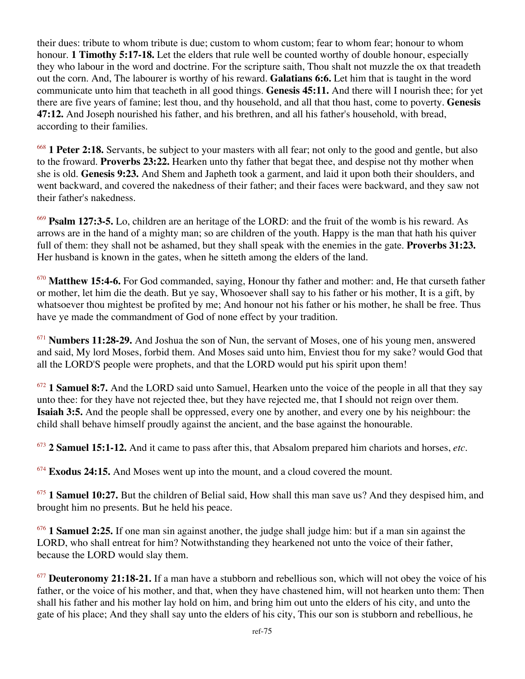their dues: tribute to whom tribute is due; custom to whom custom; fear to whom fear; honour to whom honour. **1 Timothy 5:17-18.** Let the elders that rule well be counted worthy of double honour, especially they who labour in the word and doctrine. For the scripture saith, Thou shalt not muzzle the ox that treadeth out the corn. And, The labourer is worthy of his reward. **Galatians 6:6.** Let him that is taught in the word communicate unto him that teacheth in all good things. **Genesis 45:11.** And there will I nourish thee; for yet there are five years of famine; lest thou, and thy household, and all that thou hast, come to poverty. **Genesis 47:12.** And Joseph nourished his father, and his brethren, and all his father's household, with bread, according to their families.

<sup>668</sup> **1 Peter 2:18.** Servants, be subject to your masters with all fear; not only to the good and gentle, but also to the froward. **Proverbs 23:22.** Hearken unto thy father that begat thee, and despise not thy mother when she is old. **Genesis 9:23.** And Shem and Japheth took a garment, and laid it upon both their shoulders, and went backward, and covered the nakedness of their father; and their faces were backward, and they saw not their father's nakedness.

<sup>669</sup> **Psalm 127:3-5.** Lo, children are an heritage of the LORD: and the fruit of the womb is his reward. As arrows are in the hand of a mighty man; so are children of the youth. Happy is the man that hath his quiver full of them: they shall not be ashamed, but they shall speak with the enemies in the gate. **Proverbs 31:23.** Her husband is known in the gates, when he sitteth among the elders of the land.

<sup>670</sup> **Matthew 15:4-6.** For God commanded, saying, Honour thy father and mother: and, He that curseth father or mother, let him die the death. But ye say, Whosoever shall say to his father or his mother, It is a gift, by whatsoever thou mightest be profited by me; And honour not his father or his mother, he shall be free. Thus have ye made the commandment of God of none effect by your tradition.

<sup>671</sup> **Numbers 11:28-29.** And Joshua the son of Nun, the servant of Moses, one of his young men, answered and said, My lord Moses, forbid them. And Moses said unto him, Enviest thou for my sake? would God that all the LORD'S people were prophets, and that the LORD would put his spirit upon them!

<sup>672</sup> **1 Samuel 8:7.** And the LORD said unto Samuel, Hearken unto the voice of the people in all that they say unto thee: for they have not rejected thee, but they have rejected me, that I should not reign over them. **Isaiah 3:5.** And the people shall be oppressed, every one by another, and every one by his neighbour: the child shall behave himself proudly against the ancient, and the base against the honourable.

<sup>673</sup> **2 Samuel 15:1-12.** And it came to pass after this, that Absalom prepared him chariots and horses, *etc*.

<sup>674</sup> **Exodus 24:15.** And Moses went up into the mount, and a cloud covered the mount.

<sup>675</sup> **1 Samuel 10:27.** But the children of Belial said, How shall this man save us? And they despised him, and brought him no presents. But he held his peace.

<sup>676</sup> **1 Samuel 2:25.** If one man sin against another, the judge shall judge him: but if a man sin against the LORD, who shall entreat for him? Notwithstanding they hearkened not unto the voice of their father, because the LORD would slay them.

<sup>677</sup> **Deuteronomy 21:18-21.** If a man have a stubborn and rebellious son, which will not obey the voice of his father, or the voice of his mother, and that, when they have chastened him, will not hearken unto them: Then shall his father and his mother lay hold on him, and bring him out unto the elders of his city, and unto the gate of his place; And they shall say unto the elders of his city, This our son is stubborn and rebellious, he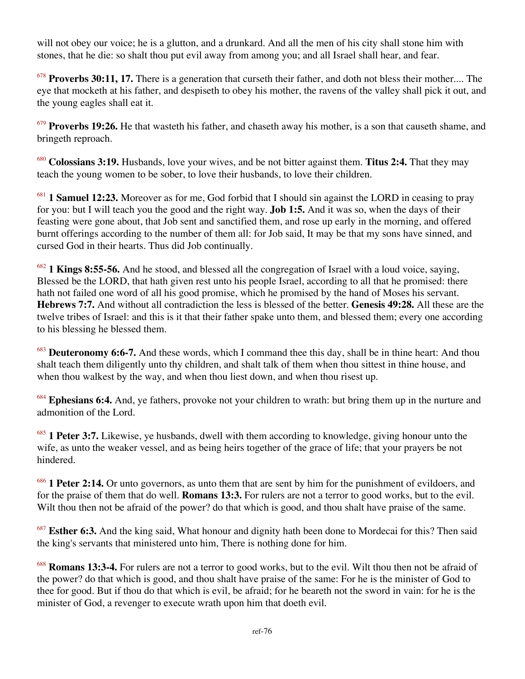will not obey our voice; he is a glutton, and a drunkard. And all the men of his city shall stone him with stones, that he die: so shalt thou put evil away from among you; and all Israel shall hear, and fear.

<sup>678</sup> Proverbs 30:11, 17. There is a generation that curseth their father, and doth not bless their mother.... The eye that mocketh at his father, and despiseth to obey his mother, the ravens of the valley shall pick it out, and the young eagles shall eat it.

<sup>679</sup> **Proverbs 19:26.** He that wasteth his father, and chaseth away his mother, is a son that causeth shame, and bringeth reproach.

<sup>680</sup> **Colossians 3:19.** Husbands, love your wives, and be not bitter against them. **Titus 2:4.** That they may teach the young women to be sober, to love their husbands, to love their children.

<sup>681</sup> **1 Samuel 12:23.** Moreover as for me, God forbid that I should sin against the LORD in ceasing to pray for you: but I will teach you the good and the right way. **Job 1:5.** And it was so, when the days of their feasting were gone about, that Job sent and sanctified them, and rose up early in the morning, and offered burnt offerings according to the number of them all: for Job said, It may be that my sons have sinned, and cursed God in their hearts. Thus did Job continually.

<sup>682</sup> **1 Kings 8:55-56.** And he stood, and blessed all the congregation of Israel with a loud voice, saying, Blessed be the LORD, that hath given rest unto his people Israel, according to all that he promised: there hath not failed one word of all his good promise, which he promised by the hand of Moses his servant. **Hebrews 7:7.** And without all contradiction the less is blessed of the better. **Genesis 49:28.** All these are the twelve tribes of Israel: and this is it that their father spake unto them, and blessed them; every one according to his blessing he blessed them.

<sup>683</sup> **Deuteronomy 6:6-7.** And these words, which I command thee this day, shall be in thine heart: And thou shalt teach them diligently unto thy children, and shalt talk of them when thou sittest in thine house, and when thou walkest by the way, and when thou liest down, and when thou risest up.

<sup>684</sup> **Ephesians 6:4.** And, ye fathers, provoke not your children to wrath: but bring them up in the nurture and admonition of the Lord.

<sup>685</sup> **1 Peter 3:7.** Likewise, ye husbands, dwell with them according to knowledge, giving honour unto the wife, as unto the weaker vessel, and as being heirs together of the grace of life; that your prayers be not hindered.

<sup>686</sup> **1 Peter 2:14.** Or unto governors, as unto them that are sent by him for the punishment of evildoers, and for the praise of them that do well. **Romans 13:3.** For rulers are not a terror to good works, but to the evil. Wilt thou then not be afraid of the power? do that which is good, and thou shalt have praise of the same.

<sup>687</sup> **Esther 6:3.** And the king said, What honour and dignity hath been done to Mordecai for this? Then said the king's servants that ministered unto him, There is nothing done for him.

<sup>688</sup> **Romans 13:3-4.** For rulers are not a terror to good works, but to the evil. Wilt thou then not be afraid of the power? do that which is good, and thou shalt have praise of the same: For he is the minister of God to thee for good. But if thou do that which is evil, be afraid; for he beareth not the sword in vain: for he is the minister of God, a revenger to execute wrath upon him that doeth evil.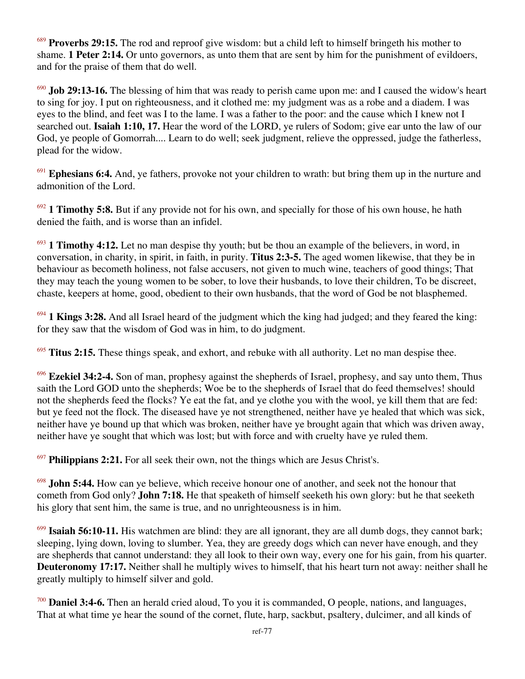<sup>689</sup> **Proverbs 29:15.** The rod and reproof give wisdom: but a child left to himself bringeth his mother to shame. **1 Peter 2:14.** Or unto governors, as unto them that are sent by him for the punishment of evildoers, and for the praise of them that do well.

<sup>690</sup> **Job 29:13-16.** The blessing of him that was ready to perish came upon me: and I caused the widow's heart to sing for joy. I put on righteousness, and it clothed me: my judgment was as a robe and a diadem. I was eyes to the blind, and feet was I to the lame. I was a father to the poor: and the cause which I knew not I searched out. **Isaiah 1:10, 17.** Hear the word of the LORD, ye rulers of Sodom; give ear unto the law of our God, ye people of Gomorrah.... Learn to do well; seek judgment, relieve the oppressed, judge the fatherless, plead for the widow.

<sup>691</sup> **Ephesians 6:4.** And, ye fathers, provoke not your children to wrath: but bring them up in the nurture and admonition of the Lord.

<sup>692</sup> **1 Timothy 5:8.** But if any provide not for his own, and specially for those of his own house, he hath denied the faith, and is worse than an infidel.

<sup>693</sup> **1 Timothy 4:12.** Let no man despise thy youth; but be thou an example of the believers, in word, in conversation, in charity, in spirit, in faith, in purity. **Titus 2:3-5.** The aged women likewise, that they be in behaviour as becometh holiness, not false accusers, not given to much wine, teachers of good things; That they may teach the young women to be sober, to love their husbands, to love their children, To be discreet, chaste, keepers at home, good, obedient to their own husbands, that the word of God be not blasphemed.

<sup>694</sup> **1 Kings 3:28.** And all Israel heard of the judgment which the king had judged; and they feared the king: for they saw that the wisdom of God was in him, to do judgment.

<sup>695</sup> **Titus 2:15.** These things speak, and exhort, and rebuke with all authority. Let no man despise thee.

<sup>696</sup> **Ezekiel 34:2-4.** Son of man, prophesy against the shepherds of Israel, prophesy, and say unto them, Thus saith the Lord GOD unto the shepherds; Woe be to the shepherds of Israel that do feed themselves! should not the shepherds feed the flocks? Ye eat the fat, and ye clothe you with the wool, ye kill them that are fed: but ye feed not the flock. The diseased have ye not strengthened, neither have ye healed that which was sick, neither have ye bound up that which was broken, neither have ye brought again that which was driven away, neither have ye sought that which was lost; but with force and with cruelty have ye ruled them.

<sup>697</sup> **Philippians 2:21.** For all seek their own, not the things which are Jesus Christ's.

<sup>698</sup> **John 5:44.** How can ye believe, which receive honour one of another, and seek not the honour that cometh from God only? **John 7:18.** He that speaketh of himself seeketh his own glory: but he that seeketh his glory that sent him, the same is true, and no unrighteousness is in him.

<sup>699</sup> **Isaiah 56:10-11.** His watchmen are blind: they are all ignorant, they are all dumb dogs, they cannot bark; sleeping, lying down, loving to slumber. Yea, they are greedy dogs which can never have enough, and they are shepherds that cannot understand: they all look to their own way, every one for his gain, from his quarter. **Deuteronomy 17:17.** Neither shall he multiply wives to himself, that his heart turn not away: neither shall he greatly multiply to himself silver and gold.

<sup>700</sup> **Daniel 3:4-6.** Then an herald cried aloud, To you it is commanded, O people, nations, and languages, That at what time ye hear the sound of the cornet, flute, harp, sackbut, psaltery, dulcimer, and all kinds of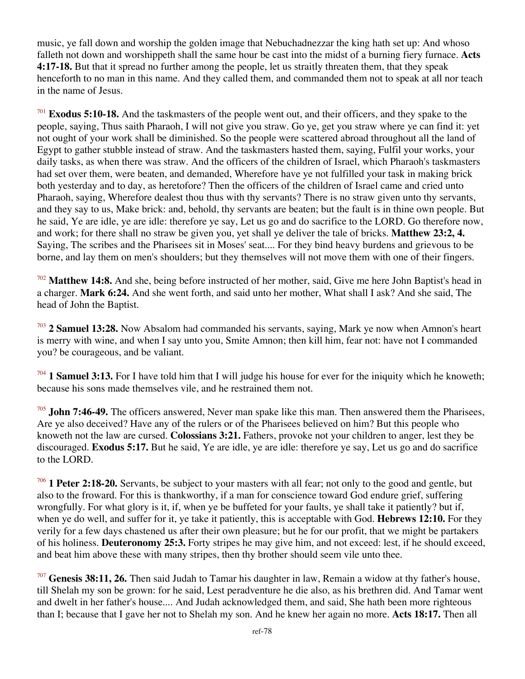music, ye fall down and worship the golden image that Nebuchadnezzar the king hath set up: And whoso falleth not down and worshippeth shall the same hour be cast into the midst of a burning fiery furnace. **Acts 4:17-18.** But that it spread no further among the people, let us straitly threaten them, that they speak henceforth to no man in this name. And they called them, and commanded them not to speak at all nor teach in the name of Jesus.

<sup>701</sup> **Exodus 5:10-18.** And the taskmasters of the people went out, and their officers, and they spake to the people, saying, Thus saith Pharaoh, I will not give you straw. Go ye, get you straw where ye can find it: yet not ought of your work shall be diminished. So the people were scattered abroad throughout all the land of Egypt to gather stubble instead of straw. And the taskmasters hasted them, saying, Fulfil your works, your daily tasks, as when there was straw. And the officers of the children of Israel, which Pharaoh's taskmasters had set over them, were beaten, and demanded, Wherefore have ye not fulfilled your task in making brick both yesterday and to day, as heretofore? Then the officers of the children of Israel came and cried unto Pharaoh, saying, Wherefore dealest thou thus with thy servants? There is no straw given unto thy servants, and they say to us, Make brick: and, behold, thy servants are beaten; but the fault is in thine own people. But he said, Ye are idle, ye are idle: therefore ye say, Let us go and do sacrifice to the LORD. Go therefore now, and work; for there shall no straw be given you, yet shall ye deliver the tale of bricks. **Matthew 23:2, 4.** Saying, The scribes and the Pharisees sit in Moses' seat.... For they bind heavy burdens and grievous to be borne, and lay them on men's shoulders; but they themselves will not move them with one of their fingers.

<sup>702</sup> **Matthew 14:8.** And she, being before instructed of her mother, said, Give me here John Baptist's head in a charger. **Mark 6:24.** And she went forth, and said unto her mother, What shall I ask? And she said, The head of John the Baptist.

<sup>703</sup> **2 Samuel 13:28.** Now Absalom had commanded his servants, saying, Mark ye now when Amnon's heart is merry with wine, and when I say unto you, Smite Amnon; then kill him, fear not: have not I commanded you? be courageous, and be valiant.

<sup>704</sup> **1 Samuel 3:13.** For I have told him that I will judge his house for ever for the iniquity which he knoweth; because his sons made themselves vile, and he restrained them not.

<sup>705</sup> **John 7:46-49.** The officers answered, Never man spake like this man. Then answered them the Pharisees, Are ye also deceived? Have any of the rulers or of the Pharisees believed on him? But this people who knoweth not the law are cursed. **Colossians 3:21.** Fathers, provoke not your children to anger, lest they be discouraged. **Exodus 5:17.** But he said, Ye are idle, ye are idle: therefore ye say, Let us go and do sacrifice to the LORD.

<sup>706</sup> **1 Peter 2:18-20.** Servants, be subject to your masters with all fear; not only to the good and gentle, but also to the froward. For this is thankworthy, if a man for conscience toward God endure grief, suffering wrongfully. For what glory is it, if, when ye be buffeted for your faults, ye shall take it patiently? but if, when ye do well, and suffer for it, ye take it patiently, this is acceptable with God. **Hebrews 12:10.** For they verily for a few days chastened us after their own pleasure; but he for our profit, that we might be partakers of his holiness. **Deuteronomy 25:3.** Forty stripes he may give him, and not exceed: lest, if he should exceed, and beat him above these with many stripes, then thy brother should seem vile unto thee.

<sup>707</sup> **Genesis 38:11, 26.** Then said Judah to Tamar his daughter in law, Remain a widow at thy father's house, till Shelah my son be grown: for he said, Lest peradventure he die also, as his brethren did. And Tamar went and dwelt in her father's house.... And Judah acknowledged them, and said, She hath been more righteous than I; because that I gave her not to Shelah my son. And he knew her again no more. **Acts 18:17.** Then all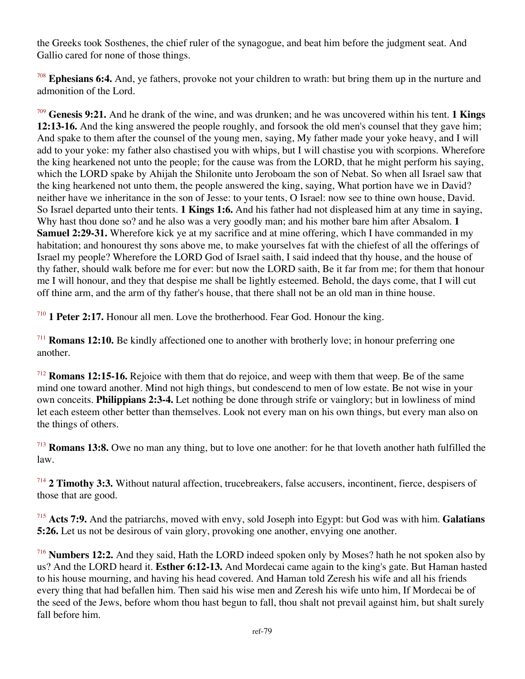the Greeks took Sosthenes, the chief ruler of the synagogue, and beat him before the judgment seat. And Gallio cared for none of those things.

<sup>708</sup> **Ephesians 6:4.** And, ye fathers, provoke not your children to wrath: but bring them up in the nurture and admonition of the Lord.

<sup>709</sup> **Genesis 9:21.** And he drank of the wine, and was drunken; and he was uncovered within his tent. **1 Kings 12:13-16.** And the king answered the people roughly, and forsook the old men's counsel that they gave him; And spake to them after the counsel of the young men, saying, My father made your yoke heavy, and I will add to your yoke: my father also chastised you with whips, but I will chastise you with scorpions. Wherefore the king hearkened not unto the people; for the cause was from the LORD, that he might perform his saying, which the LORD spake by Ahijah the Shilonite unto Jeroboam the son of Nebat. So when all Israel saw that the king hearkened not unto them, the people answered the king, saying, What portion have we in David? neither have we inheritance in the son of Jesse: to your tents, O Israel: now see to thine own house, David. So Israel departed unto their tents. **1 Kings 1:6.** And his father had not displeased him at any time in saying, Why hast thou done so? and he also was a very goodly man; and his mother bare him after Absalom. **1 Samuel 2:29-31.** Wherefore kick ye at my sacrifice and at mine offering, which I have commanded in my habitation; and honourest thy sons above me, to make yourselves fat with the chiefest of all the offerings of Israel my people? Wherefore the LORD God of Israel saith, I said indeed that thy house, and the house of thy father, should walk before me for ever: but now the LORD saith, Be it far from me; for them that honour me I will honour, and they that despise me shall be lightly esteemed. Behold, the days come, that I will cut off thine arm, and the arm of thy father's house, that there shall not be an old man in thine house.

<sup>710</sup> **1 Peter 2:17.** Honour all men. Love the brotherhood. Fear God. Honour the king.

<sup>711</sup> **Romans 12:10.** Be kindly affectioned one to another with brotherly love; in honour preferring one another.

<sup>712</sup> **Romans 12:15-16.** Rejoice with them that do rejoice, and weep with them that weep. Be of the same mind one toward another. Mind not high things, but condescend to men of low estate. Be not wise in your own conceits. **Philippians 2:3-4.** Let nothing be done through strife or vainglory; but in lowliness of mind let each esteem other better than themselves. Look not every man on his own things, but every man also on the things of others.

<sup>713</sup> **Romans 13:8.** Owe no man any thing, but to love one another: for he that loveth another hath fulfilled the law.

<sup>714</sup> **2 Timothy 3:3.** Without natural affection, trucebreakers, false accusers, incontinent, fierce, despisers of those that are good.

<sup>715</sup> **Acts 7:9.** And the patriarchs, moved with envy, sold Joseph into Egypt: but God was with him. **Galatians 5:26.** Let us not be desirous of vain glory, provoking one another, envying one another.

<sup>716</sup> **Numbers 12:2.** And they said, Hath the LORD indeed spoken only by Moses? hath he not spoken also by us? And the LORD heard it. **Esther 6:12-13.** And Mordecai came again to the king's gate. But Haman hasted to his house mourning, and having his head covered. And Haman told Zeresh his wife and all his friends every thing that had befallen him. Then said his wise men and Zeresh his wife unto him, If Mordecai be of the seed of the Jews, before whom thou hast begun to fall, thou shalt not prevail against him, but shalt surely fall before him.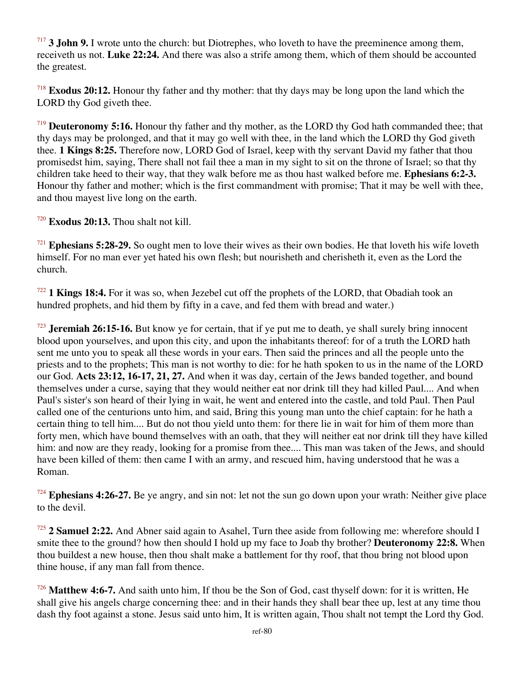<sup>717</sup> **3 John 9.** I wrote unto the church: but Diotrephes, who loveth to have the preeminence among them, receiveth us not. **Luke 22:24.** And there was also a strife among them, which of them should be accounted the greatest.

<sup>718</sup> **Exodus 20:12.** Honour thy father and thy mother: that thy days may be long upon the land which the LORD thy God giveth thee.

<sup>719</sup> **Deuteronomy 5:16.** Honour thy father and thy mother, as the LORD thy God hath commanded thee; that thy days may be prolonged, and that it may go well with thee, in the land which the LORD thy God giveth thee. **1 Kings 8:25.** Therefore now, LORD God of Israel, keep with thy servant David my father that thou promisedst him, saying, There shall not fail thee a man in my sight to sit on the throne of Israel; so that thy children take heed to their way, that they walk before me as thou hast walked before me. **Ephesians 6:2-3.** Honour thy father and mother; which is the first commandment with promise; That it may be well with thee, and thou mayest live long on the earth.

<sup>720</sup> **Exodus 20:13.** Thou shalt not kill.

<sup>721</sup> **Ephesians 5:28-29.** So ought men to love their wives as their own bodies. He that loveth his wife loveth himself. For no man ever yet hated his own flesh; but nourisheth and cherisheth it, even as the Lord the church.

<sup>722</sup> **1 Kings 18:4.** For it was so, when Jezebel cut off the prophets of the LORD, that Obadiah took an hundred prophets, and hid them by fifty in a cave, and fed them with bread and water.)

<sup>723</sup> **Jeremiah 26:15-16.** But know ye for certain, that if ye put me to death, ye shall surely bring innocent blood upon yourselves, and upon this city, and upon the inhabitants thereof: for of a truth the LORD hath sent me unto you to speak all these words in your ears. Then said the princes and all the people unto the priests and to the prophets; This man is not worthy to die: for he hath spoken to us in the name of the LORD our God. **Acts 23:12, 16-17, 21, 27.** And when it was day, certain of the Jews banded together, and bound themselves under a curse, saying that they would neither eat nor drink till they had killed Paul.... And when Paul's sister's son heard of their lying in wait, he went and entered into the castle, and told Paul. Then Paul called one of the centurions unto him, and said, Bring this young man unto the chief captain: for he hath a certain thing to tell him.... But do not thou yield unto them: for there lie in wait for him of them more than forty men, which have bound themselves with an oath, that they will neither eat nor drink till they have killed him: and now are they ready, looking for a promise from thee.... This man was taken of the Jews, and should have been killed of them: then came I with an army, and rescued him, having understood that he was a Roman.

<sup>724</sup> **Ephesians 4:26-27.** Be ye angry, and sin not: let not the sun go down upon your wrath: Neither give place to the devil.

<sup>725</sup> **2 Samuel 2:22.** And Abner said again to Asahel, Turn thee aside from following me: wherefore should I smite thee to the ground? how then should I hold up my face to Joab thy brother? **Deuteronomy 22:8.** When thou buildest a new house, then thou shalt make a battlement for thy roof, that thou bring not blood upon thine house, if any man fall from thence.

<sup>726</sup> **Matthew 4:6-7.** And saith unto him, If thou be the Son of God, cast thyself down: for it is written, He shall give his angels charge concerning thee: and in their hands they shall bear thee up, lest at any time thou dash thy foot against a stone. Jesus said unto him, It is written again, Thou shalt not tempt the Lord thy God.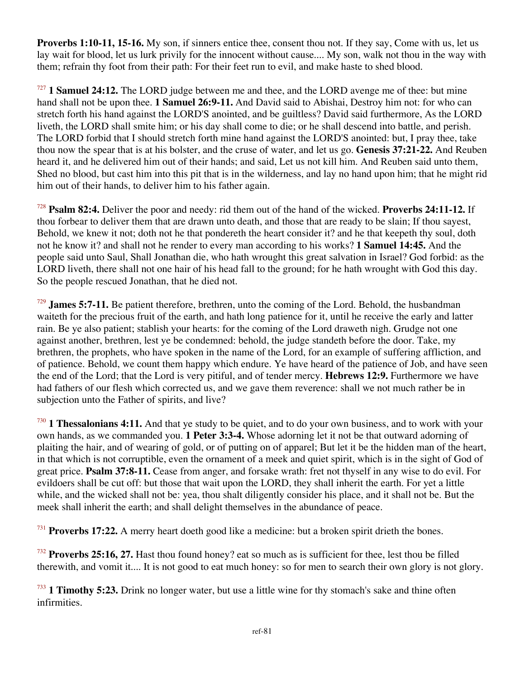**Proverbs 1:10-11, 15-16.** My son, if sinners entice thee, consent thou not. If they say, Come with us, let us lay wait for blood, let us lurk privily for the innocent without cause.... My son, walk not thou in the way with them; refrain thy foot from their path: For their feet run to evil, and make haste to shed blood.

<sup>727</sup> **1 Samuel 24:12.** The LORD judge between me and thee, and the LORD avenge me of thee: but mine hand shall not be upon thee. **1 Samuel 26:9-11.** And David said to Abishai, Destroy him not: for who can stretch forth his hand against the LORD'S anointed, and be guiltless? David said furthermore, As the LORD liveth, the LORD shall smite him; or his day shall come to die; or he shall descend into battle, and perish. The LORD forbid that I should stretch forth mine hand against the LORD'S anointed: but, I pray thee, take thou now the spear that is at his bolster, and the cruse of water, and let us go. **Genesis 37:21-22.** And Reuben heard it, and he delivered him out of their hands; and said, Let us not kill him. And Reuben said unto them, Shed no blood, but cast him into this pit that is in the wilderness, and lay no hand upon him; that he might rid him out of their hands, to deliver him to his father again.

<sup>728</sup> **Psalm 82:4.** Deliver the poor and needy: rid them out of the hand of the wicked. **Proverbs 24:11-12.** If thou forbear to deliver them that are drawn unto death, and those that are ready to be slain; If thou sayest, Behold, we knew it not; doth not he that pondereth the heart consider it? and he that keepeth thy soul, doth not he know it? and shall not he render to every man according to his works? **1 Samuel 14:45.** And the people said unto Saul, Shall Jonathan die, who hath wrought this great salvation in Israel? God forbid: as the LORD liveth, there shall not one hair of his head fall to the ground; for he hath wrought with God this day. So the people rescued Jonathan, that he died not.

<sup>729</sup> **James 5:7-11.** Be patient therefore, brethren, unto the coming of the Lord. Behold, the husbandman waiteth for the precious fruit of the earth, and hath long patience for it, until he receive the early and latter rain. Be ye also patient; stablish your hearts: for the coming of the Lord draweth nigh. Grudge not one against another, brethren, lest ye be condemned: behold, the judge standeth before the door. Take, my brethren, the prophets, who have spoken in the name of the Lord, for an example of suffering affliction, and of patience. Behold, we count them happy which endure. Ye have heard of the patience of Job, and have seen the end of the Lord; that the Lord is very pitiful, and of tender mercy. **Hebrews 12:9.** Furthermore we have had fathers of our flesh which corrected us, and we gave them reverence: shall we not much rather be in subjection unto the Father of spirits, and live?

<sup>730</sup> **1 Thessalonians 4:11.** And that ye study to be quiet, and to do your own business, and to work with your own hands, as we commanded you. **1 Peter 3:3-4.** Whose adorning let it not be that outward adorning of plaiting the hair, and of wearing of gold, or of putting on of apparel; But let it be the hidden man of the heart, in that which is not corruptible, even the ornament of a meek and quiet spirit, which is in the sight of God of great price. **Psalm 37:8-11.** Cease from anger, and forsake wrath: fret not thyself in any wise to do evil. For evildoers shall be cut off: but those that wait upon the LORD, they shall inherit the earth. For yet a little while, and the wicked shall not be: yea, thou shalt diligently consider his place, and it shall not be. But the meek shall inherit the earth; and shall delight themselves in the abundance of peace.

<sup>731</sup> **Proverbs 17:22.** A merry heart doeth good like a medicine: but a broken spirit drieth the bones.

<sup>732</sup> **Proverbs 25:16, 27.** Hast thou found honey? eat so much as is sufficient for thee, lest thou be filled therewith, and vomit it.... It is not good to eat much honey: so for men to search their own glory is not glory.

<sup>733</sup> **1 Timothy 5:23.** Drink no longer water, but use a little wine for thy stomach's sake and thine often infirmities.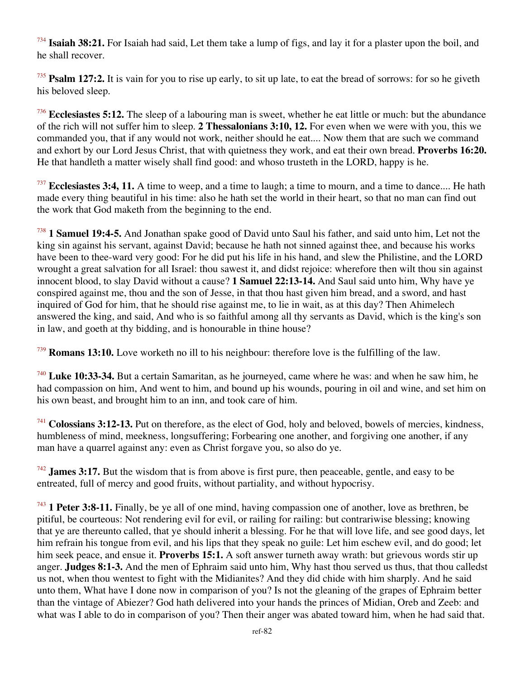<sup>734</sup> **Isaiah 38:21.** For Isaiah had said, Let them take a lump of figs, and lay it for a plaster upon the boil, and he shall recover.

<sup>735</sup> **Psalm 127:2.** It is vain for you to rise up early, to sit up late, to eat the bread of sorrows: for so he giveth his beloved sleep.

<sup>736</sup> **Ecclesiastes 5:12.** The sleep of a labouring man is sweet, whether he eat little or much: but the abundance of the rich will not suffer him to sleep. **2 Thessalonians 3:10, 12.** For even when we were with you, this we commanded you, that if any would not work, neither should he eat.... Now them that are such we command and exhort by our Lord Jesus Christ, that with quietness they work, and eat their own bread. **Proverbs 16:20.** He that handleth a matter wisely shall find good: and whoso trusteth in the LORD, happy is he.

<sup>737</sup> **Ecclesiastes 3:4, 11.** A time to weep, and a time to laugh; a time to mourn, and a time to dance.... He hath made every thing beautiful in his time: also he hath set the world in their heart, so that no man can find out the work that God maketh from the beginning to the end.

<sup>738</sup> **1 Samuel 19:4-5.** And Jonathan spake good of David unto Saul his father, and said unto him, Let not the king sin against his servant, against David; because he hath not sinned against thee, and because his works have been to thee-ward very good: For he did put his life in his hand, and slew the Philistine, and the LORD wrought a great salvation for all Israel: thou sawest it, and didst rejoice: wherefore then wilt thou sin against innocent blood, to slay David without a cause? **1 Samuel 22:13-14.** And Saul said unto him, Why have ye conspired against me, thou and the son of Jesse, in that thou hast given him bread, and a sword, and hast inquired of God for him, that he should rise against me, to lie in wait, as at this day? Then Ahimelech answered the king, and said, And who is so faithful among all thy servants as David, which is the king's son in law, and goeth at thy bidding, and is honourable in thine house?

<sup>739</sup> **Romans 13:10.** Love worketh no ill to his neighbour: therefore love is the fulfilling of the law.

<sup>740</sup> **Luke 10:33-34.** But a certain Samaritan, as he journeyed, came where he was: and when he saw him, he had compassion on him, And went to him, and bound up his wounds, pouring in oil and wine, and set him on his own beast, and brought him to an inn, and took care of him.

<sup>741</sup> **Colossians 3:12-13.** Put on therefore, as the elect of God, holy and beloved, bowels of mercies, kindness, humbleness of mind, meekness, longsuffering; Forbearing one another, and forgiving one another, if any man have a quarrel against any: even as Christ forgave you, so also do ye.

<sup>742</sup> **James 3:17.** But the wisdom that is from above is first pure, then peaceable, gentle, and easy to be entreated, full of mercy and good fruits, without partiality, and without hypocrisy.

<sup>743</sup> **1 Peter 3:8-11.** Finally, be ye all of one mind, having compassion one of another, love as brethren, be pitiful, be courteous: Not rendering evil for evil, or railing for railing: but contrariwise blessing; knowing that ye are thereunto called, that ye should inherit a blessing. For he that will love life, and see good days, let him refrain his tongue from evil, and his lips that they speak no guile: Let him eschew evil, and do good; let him seek peace, and ensue it. **Proverbs 15:1.** A soft answer turneth away wrath: but grievous words stir up anger. **Judges 8:1-3.** And the men of Ephraim said unto him, Why hast thou served us thus, that thou calledst us not, when thou wentest to fight with the Midianites? And they did chide with him sharply. And he said unto them, What have I done now in comparison of you? Is not the gleaning of the grapes of Ephraim better than the vintage of Abiezer? God hath delivered into your hands the princes of Midian, Oreb and Zeeb: and what was I able to do in comparison of you? Then their anger was abated toward him, when he had said that.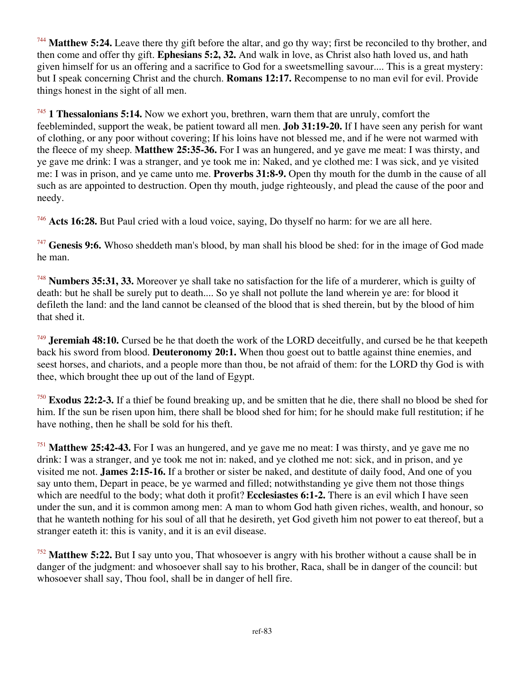<sup>744</sup> Matthew 5:24. Leave there thy gift before the altar, and go thy way; first be reconciled to thy brother, and then come and offer thy gift. **Ephesians 5:2, 32.** And walk in love, as Christ also hath loved us, and hath given himself for us an offering and a sacrifice to God for a sweetsmelling savour.... This is a great mystery: but I speak concerning Christ and the church. **Romans 12:17.** Recompense to no man evil for evil. Provide things honest in the sight of all men.

<sup>745</sup> **1 Thessalonians 5:14.** Now we exhort you, brethren, warn them that are unruly, comfort the feebleminded, support the weak, be patient toward all men. **Job 31:19-20.** If I have seen any perish for want of clothing, or any poor without covering; If his loins have not blessed me, and if he were not warmed with the fleece of my sheep. **Matthew 25:35-36.** For I was an hungered, and ye gave me meat: I was thirsty, and ye gave me drink: I was a stranger, and ye took me in: Naked, and ye clothed me: I was sick, and ye visited me: I was in prison, and ye came unto me. **Proverbs 31:8-9.** Open thy mouth for the dumb in the cause of all such as are appointed to destruction. Open thy mouth, judge righteously, and plead the cause of the poor and needy.

<sup>746</sup> **Acts 16:28.** But Paul cried with a loud voice, saying, Do thyself no harm: for we are all here.

<sup>747</sup> **Genesis 9:6.** Whoso sheddeth man's blood, by man shall his blood be shed: for in the image of God made he man.

<sup>748</sup> **Numbers 35:31, 33.** Moreover ye shall take no satisfaction for the life of a murderer, which is guilty of death: but he shall be surely put to death.... So ye shall not pollute the land wherein ye are: for blood it defileth the land: and the land cannot be cleansed of the blood that is shed therein, but by the blood of him that shed it.

<sup>749</sup> **Jeremiah 48:10.** Cursed be he that doeth the work of the LORD deceitfully, and cursed be he that keepeth back his sword from blood. **Deuteronomy 20:1.** When thou goest out to battle against thine enemies, and seest horses, and chariots, and a people more than thou, be not afraid of them: for the LORD thy God is with thee, which brought thee up out of the land of Egypt.

<sup>750</sup> **Exodus 22:2-3.** If a thief be found breaking up, and be smitten that he die, there shall no blood be shed for him. If the sun be risen upon him, there shall be blood shed for him; for he should make full restitution; if he have nothing, then he shall be sold for his theft.

<sup>751</sup> **Matthew 25:42-43.** For I was an hungered, and ye gave me no meat: I was thirsty, and ye gave me no drink: I was a stranger, and ye took me not in: naked, and ye clothed me not: sick, and in prison, and ye visited me not. **James 2:15-16.** If a brother or sister be naked, and destitute of daily food, And one of you say unto them, Depart in peace, be ye warmed and filled; notwithstanding ye give them not those things which are needful to the body; what doth it profit? **Ecclesiastes 6:1-2.** There is an evil which I have seen under the sun, and it is common among men: A man to whom God hath given riches, wealth, and honour, so that he wanteth nothing for his soul of all that he desireth, yet God giveth him not power to eat thereof, but a stranger eateth it: this is vanity, and it is an evil disease.

<sup>752</sup> **Matthew 5:22.** But I say unto you, That whosoever is angry with his brother without a cause shall be in danger of the judgment: and whosoever shall say to his brother, Raca, shall be in danger of the council: but whosoever shall say, Thou fool, shall be in danger of hell fire.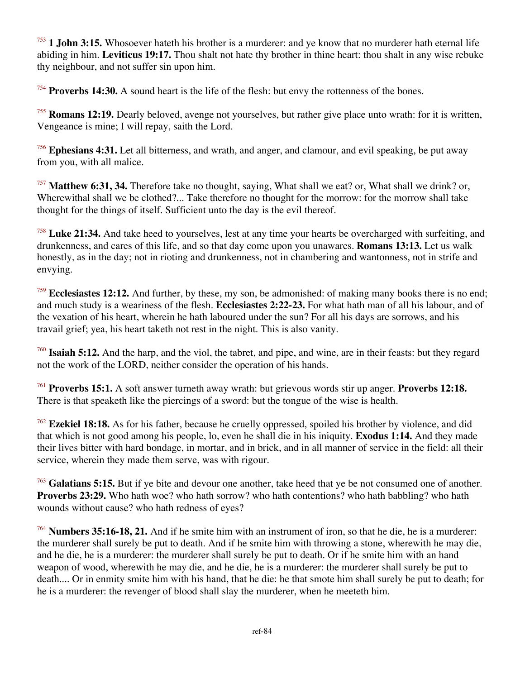<sup>753</sup> **1 John 3:15.** Whosoever hateth his brother is a murderer: and ye know that no murderer hath eternal life abiding in him. **Leviticus 19:17.** Thou shalt not hate thy brother in thine heart: thou shalt in any wise rebuke thy neighbour, and not suffer sin upon him.

<sup>754</sup> **Proverbs 14:30.** A sound heart is the life of the flesh: but envy the rottenness of the bones.

<sup>755</sup> **Romans 12:19.** Dearly beloved, avenge not yourselves, but rather give place unto wrath: for it is written, Vengeance is mine; I will repay, saith the Lord.

<sup>756</sup> **Ephesians 4:31.** Let all bitterness, and wrath, and anger, and clamour, and evil speaking, be put away from you, with all malice.

<sup>757</sup> **Matthew 6:31, 34.** Therefore take no thought, saying, What shall we eat? or, What shall we drink? or, Wherewithal shall we be clothed?... Take therefore no thought for the morrow: for the morrow shall take thought for the things of itself. Sufficient unto the day is the evil thereof.

<sup>758</sup> **Luke 21:34.** And take heed to yourselves, lest at any time your hearts be overcharged with surfeiting, and drunkenness, and cares of this life, and so that day come upon you unawares. **Romans 13:13.** Let us walk honestly, as in the day; not in rioting and drunkenness, not in chambering and wantonness, not in strife and envying.

<sup>759</sup> Ecclesiastes 12:12. And further, by these, my son, be admonished: of making many books there is no end; and much study is a weariness of the flesh. **Ecclesiastes 2:22-23.** For what hath man of all his labour, and of the vexation of his heart, wherein he hath laboured under the sun? For all his days are sorrows, and his travail grief; yea, his heart taketh not rest in the night. This is also vanity.

<sup>760</sup> **Isaiah 5:12.** And the harp, and the viol, the tabret, and pipe, and wine, are in their feasts: but they regard not the work of the LORD, neither consider the operation of his hands.

<sup>761</sup> **Proverbs 15:1.** A soft answer turneth away wrath: but grievous words stir up anger. **Proverbs 12:18.** There is that speaketh like the piercings of a sword: but the tongue of the wise is health.

<sup>762</sup> **Ezekiel 18:18.** As for his father, because he cruelly oppressed, spoiled his brother by violence, and did that which is not good among his people, lo, even he shall die in his iniquity. **Exodus 1:14.** And they made their lives bitter with hard bondage, in mortar, and in brick, and in all manner of service in the field: all their service, wherein they made them serve, was with rigour.

<sup>763</sup> **Galatians 5:15.** But if ye bite and devour one another, take heed that ye be not consumed one of another. **Proverbs 23:29.** Who hath woe? who hath sorrow? who hath contentions? who hath babbling? who hath wounds without cause? who hath redness of eyes?

<sup>764</sup> **Numbers 35:16-18, 21.** And if he smite him with an instrument of iron, so that he die, he is a murderer: the murderer shall surely be put to death. And if he smite him with throwing a stone, wherewith he may die, and he die, he is a murderer: the murderer shall surely be put to death. Or if he smite him with an hand weapon of wood, wherewith he may die, and he die, he is a murderer: the murderer shall surely be put to death.... Or in enmity smite him with his hand, that he die: he that smote him shall surely be put to death; for he is a murderer: the revenger of blood shall slay the murderer, when he meeteth him.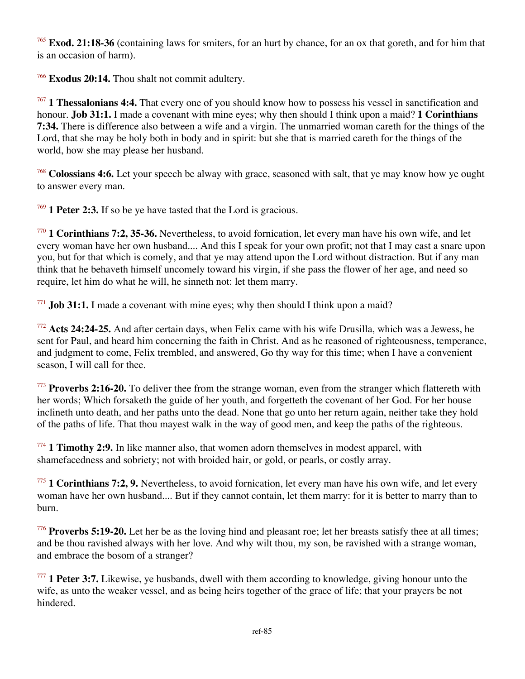<sup>765</sup> **Exod. 21:18-36** (containing laws for smiters, for an hurt by chance, for an ox that goreth, and for him that is an occasion of harm).

<sup>766</sup> **Exodus 20:14.** Thou shalt not commit adultery.

<sup>767</sup> **1 Thessalonians 4:4.** That every one of you should know how to possess his vessel in sanctification and honour. **Job 31:1.** I made a covenant with mine eyes; why then should I think upon a maid? **1 Corinthians 7:34.** There is difference also between a wife and a virgin. The unmarried woman careth for the things of the Lord, that she may be holy both in body and in spirit: but she that is married careth for the things of the world, how she may please her husband.

<sup>768</sup> **Colossians 4:6.** Let your speech be alway with grace, seasoned with salt, that ye may know how ye ought to answer every man.

<sup>769</sup> **1 Peter 2:3.** If so be ye have tasted that the Lord is gracious.

<sup>770</sup> **1 Corinthians 7:2, 35-36.** Nevertheless, to avoid fornication, let every man have his own wife, and let every woman have her own husband.... And this I speak for your own profit; not that I may cast a snare upon you, but for that which is comely, and that ye may attend upon the Lord without distraction. But if any man think that he behaveth himself uncomely toward his virgin, if she pass the flower of her age, and need so require, let him do what he will, he sinneth not: let them marry.

<sup>771</sup> **Job 31:1.** I made a covenant with mine eyes; why then should I think upon a maid?

<sup>772</sup> **Acts 24:24-25.** And after certain days, when Felix came with his wife Drusilla, which was a Jewess, he sent for Paul, and heard him concerning the faith in Christ. And as he reasoned of righteousness, temperance, and judgment to come, Felix trembled, and answered, Go thy way for this time; when I have a convenient season, I will call for thee.

<sup>773</sup> **Proverbs 2:16-20.** To deliver thee from the strange woman, even from the stranger which flattereth with her words; Which forsaketh the guide of her youth, and forgetteth the covenant of her God. For her house inclineth unto death, and her paths unto the dead. None that go unto her return again, neither take they hold of the paths of life. That thou mayest walk in the way of good men, and keep the paths of the righteous.

<sup>774</sup> **1 Timothy 2:9.** In like manner also, that women adorn themselves in modest apparel, with shamefacedness and sobriety; not with broided hair, or gold, or pearls, or costly array.

<sup>775</sup> **1 Corinthians 7:2, 9.** Nevertheless, to avoid fornication, let every man have his own wife, and let every woman have her own husband.... But if they cannot contain, let them marry: for it is better to marry than to burn.

<sup>776</sup> **Proverbs 5:19-20.** Let her be as the loving hind and pleasant roe; let her breasts satisfy thee at all times; and be thou ravished always with her love. And why wilt thou, my son, be ravished with a strange woman, and embrace the bosom of a stranger?

<sup>777</sup> **1 Peter 3:7.** Likewise, ye husbands, dwell with them according to knowledge, giving honour unto the wife, as unto the weaker vessel, and as being heirs together of the grace of life; that your prayers be not hindered.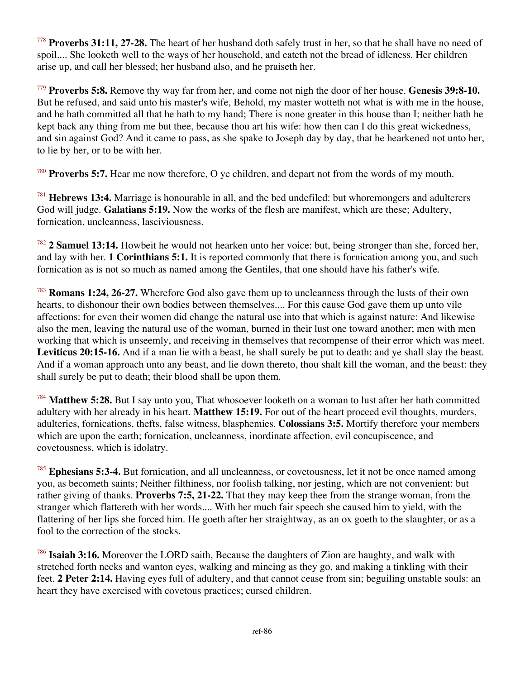<sup>778</sup> **Proverbs 31:11, 27-28.** The heart of her husband doth safely trust in her, so that he shall have no need of spoil.... She looketh well to the ways of her household, and eateth not the bread of idleness. Her children arise up, and call her blessed; her husband also, and he praiseth her.

<sup>779</sup> **Proverbs 5:8.** Remove thy way far from her, and come not nigh the door of her house. **Genesis 39:8-10.** But he refused, and said unto his master's wife, Behold, my master wotteth not what is with me in the house, and he hath committed all that he hath to my hand; There is none greater in this house than I; neither hath he kept back any thing from me but thee, because thou art his wife: how then can I do this great wickedness, and sin against God? And it came to pass, as she spake to Joseph day by day, that he hearkened not unto her, to lie by her, or to be with her.

<sup>780</sup> **Proverbs 5:7.** Hear me now therefore, O ye children, and depart not from the words of my mouth.

<sup>781</sup> **Hebrews 13:4.** Marriage is honourable in all, and the bed undefiled: but whoremongers and adulterers God will judge. **Galatians 5:19.** Now the works of the flesh are manifest, which are these; Adultery, fornication, uncleanness, lasciviousness.

<sup>782</sup> **2 Samuel 13:14.** Howbeit he would not hearken unto her voice: but, being stronger than she, forced her, and lay with her. **1 Corinthians 5:1.** It is reported commonly that there is fornication among you, and such fornication as is not so much as named among the Gentiles, that one should have his father's wife.

<sup>783</sup> **Romans 1:24, 26-27.** Wherefore God also gave them up to uncleanness through the lusts of their own hearts, to dishonour their own bodies between themselves.... For this cause God gave them up unto vile affections: for even their women did change the natural use into that which is against nature: And likewise also the men, leaving the natural use of the woman, burned in their lust one toward another; men with men working that which is unseemly, and receiving in themselves that recompense of their error which was meet. **Leviticus 20:15-16.** And if a man lie with a beast, he shall surely be put to death: and ye shall slay the beast. And if a woman approach unto any beast, and lie down thereto, thou shalt kill the woman, and the beast: they shall surely be put to death; their blood shall be upon them.

<sup>784</sup> **Matthew 5:28.** But I say unto you, That whosoever looketh on a woman to lust after her hath committed adultery with her already in his heart. **Matthew 15:19.** For out of the heart proceed evil thoughts, murders, adulteries, fornications, thefts, false witness, blasphemies. **Colossians 3:5.** Mortify therefore your members which are upon the earth; fornication, uncleanness, inordinate affection, evil concupiscence, and covetousness, which is idolatry.

<sup>785</sup> **Ephesians 5:3-4.** But fornication, and all uncleanness, or covetousness, let it not be once named among you, as becometh saints; Neither filthiness, nor foolish talking, nor jesting, which are not convenient: but rather giving of thanks. **Proverbs 7:5, 21-22.** That they may keep thee from the strange woman, from the stranger which flattereth with her words.... With her much fair speech she caused him to yield, with the flattering of her lips she forced him. He goeth after her straightway, as an ox goeth to the slaughter, or as a fool to the correction of the stocks.

<sup>786</sup> **Isaiah 3:16.** Moreover the LORD saith, Because the daughters of Zion are haughty, and walk with stretched forth necks and wanton eyes, walking and mincing as they go, and making a tinkling with their feet. **2 Peter 2:14.** Having eyes full of adultery, and that cannot cease from sin; beguiling unstable souls: an heart they have exercised with covetous practices; cursed children.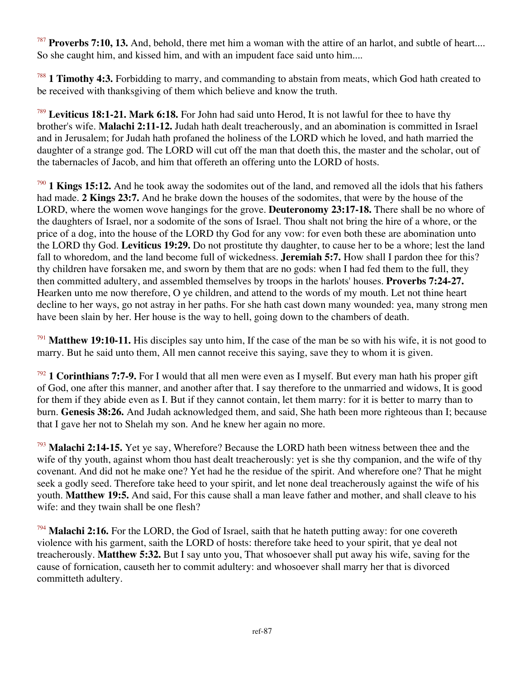<sup>787</sup> **Proverbs 7:10, 13.** And, behold, there met him a woman with the attire of an harlot, and subtle of heart.... So she caught him, and kissed him, and with an impudent face said unto him....

<sup>788</sup> **1 Timothy 4:3.** Forbidding to marry, and commanding to abstain from meats, which God hath created to be received with thanksgiving of them which believe and know the truth.

<sup>789</sup> **Leviticus 18:1-21. Mark 6:18.** For John had said unto Herod, It is not lawful for thee to have thy brother's wife. **Malachi 2:11-12.** Judah hath dealt treacherously, and an abomination is committed in Israel and in Jerusalem; for Judah hath profaned the holiness of the LORD which he loved, and hath married the daughter of a strange god. The LORD will cut off the man that doeth this, the master and the scholar, out of the tabernacles of Jacob, and him that offereth an offering unto the LORD of hosts.

<sup>790</sup> **1 Kings 15:12.** And he took away the sodomites out of the land, and removed all the idols that his fathers had made. **2 Kings 23:7.** And he brake down the houses of the sodomites, that were by the house of the LORD, where the women wove hangings for the grove. **Deuteronomy 23:17-18.** There shall be no whore of the daughters of Israel, nor a sodomite of the sons of Israel. Thou shalt not bring the hire of a whore, or the price of a dog, into the house of the LORD thy God for any vow: for even both these are abomination unto the LORD thy God. **Leviticus 19:29.** Do not prostitute thy daughter, to cause her to be a whore; lest the land fall to whoredom, and the land become full of wickedness. **Jeremiah 5:7.** How shall I pardon thee for this? thy children have forsaken me, and sworn by them that are no gods: when I had fed them to the full, they then committed adultery, and assembled themselves by troops in the harlots' houses. **Proverbs 7:24-27.** Hearken unto me now therefore, O ye children, and attend to the words of my mouth. Let not thine heart decline to her ways, go not astray in her paths. For she hath cast down many wounded: yea, many strong men have been slain by her. Her house is the way to hell, going down to the chambers of death.

<sup>791</sup> **Matthew 19:10-11.** His disciples say unto him, If the case of the man be so with his wife, it is not good to marry. But he said unto them, All men cannot receive this saying, save they to whom it is given.

<sup>792</sup> **1 Corinthians 7:7-9.** For I would that all men were even as I myself. But every man hath his proper gift of God, one after this manner, and another after that. I say therefore to the unmarried and widows, It is good for them if they abide even as I. But if they cannot contain, let them marry: for it is better to marry than to burn. **Genesis 38:26.** And Judah acknowledged them, and said, She hath been more righteous than I; because that I gave her not to Shelah my son. And he knew her again no more.

<sup>793</sup> **Malachi 2:14-15.** Yet ye say, Wherefore? Because the LORD hath been witness between thee and the wife of thy youth, against whom thou hast dealt treacherously: yet is she thy companion, and the wife of thy covenant. And did not he make one? Yet had he the residue of the spirit. And wherefore one? That he might seek a godly seed. Therefore take heed to your spirit, and let none deal treacherously against the wife of his youth. **Matthew 19:5.** And said, For this cause shall a man leave father and mother, and shall cleave to his wife: and they twain shall be one flesh?

<sup>794</sup> **Malachi 2:16.** For the LORD, the God of Israel, saith that he hateth putting away: for one covereth violence with his garment, saith the LORD of hosts: therefore take heed to your spirit, that ye deal not treacherously. **Matthew 5:32.** But I say unto you, That whosoever shall put away his wife, saving for the cause of fornication, causeth her to commit adultery: and whosoever shall marry her that is divorced committeth adultery.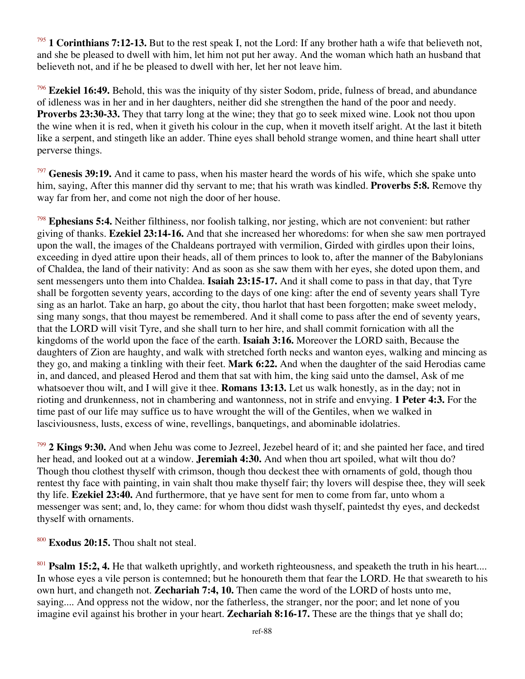1 Corinthians 7:12-13. But to the rest speak I, not the Lord: If any brother hath a wife that believeth not, and she be pleased to dwell with him, let him not put her away. And the woman which hath an husband that believeth not, and if he be pleased to dwell with her, let her not leave him.

<sup>796</sup> **Ezekiel 16:49.** Behold, this was the iniquity of thy sister Sodom, pride, fulness of bread, and abundance of idleness was in her and in her daughters, neither did she strengthen the hand of the poor and needy. **Proverbs 23:30-33.** They that tarry long at the wine; they that go to seek mixed wine. Look not thou upon the wine when it is red, when it giveth his colour in the cup, when it moveth itself aright. At the last it biteth like a serpent, and stingeth like an adder. Thine eyes shall behold strange women, and thine heart shall utter perverse things.

<sup>797</sup> **Genesis 39:19.** And it came to pass, when his master heard the words of his wife, which she spake unto him, saying, After this manner did thy servant to me; that his wrath was kindled. **Proverbs 5:8.** Remove thy way far from her, and come not nigh the door of her house.

<sup>798</sup> **Ephesians 5:4.** Neither filthiness, nor foolish talking, nor jesting, which are not convenient: but rather giving of thanks. **Ezekiel 23:14-16.** And that she increased her whoredoms: for when she saw men portrayed upon the wall, the images of the Chaldeans portrayed with vermilion, Girded with girdles upon their loins, exceeding in dyed attire upon their heads, all of them princes to look to, after the manner of the Babylonians of Chaldea, the land of their nativity: And as soon as she saw them with her eyes, she doted upon them, and sent messengers unto them into Chaldea. **Isaiah 23:15-17.** And it shall come to pass in that day, that Tyre shall be forgotten seventy years, according to the days of one king: after the end of seventy years shall Tyre sing as an harlot. Take an harp, go about the city, thou harlot that hast been forgotten; make sweet melody, sing many songs, that thou mayest be remembered. And it shall come to pass after the end of seventy years, that the LORD will visit Tyre, and she shall turn to her hire, and shall commit fornication with all the kingdoms of the world upon the face of the earth. **Isaiah 3:16.** Moreover the LORD saith, Because the daughters of Zion are haughty, and walk with stretched forth necks and wanton eyes, walking and mincing as they go, and making a tinkling with their feet. **Mark 6:22.** And when the daughter of the said Herodias came in, and danced, and pleased Herod and them that sat with him, the king said unto the damsel, Ask of me whatsoever thou wilt, and I will give it thee. **Romans 13:13.** Let us walk honestly, as in the day; not in rioting and drunkenness, not in chambering and wantonness, not in strife and envying. **1 Peter 4:3.** For the time past of our life may suffice us to have wrought the will of the Gentiles, when we walked in lasciviousness, lusts, excess of wine, revellings, banquetings, and abominable idolatries.

<sup>799</sup> **2 Kings 9:30.** And when Jehu was come to Jezreel, Jezebel heard of it; and she painted her face, and tired her head, and looked out at a window. **Jeremiah 4:30.** And when thou art spoiled, what wilt thou do? Though thou clothest thyself with crimson, though thou deckest thee with ornaments of gold, though thou rentest thy face with painting, in vain shalt thou make thyself fair; thy lovers will despise thee, they will seek thy life. **Ezekiel 23:40.** And furthermore, that ye have sent for men to come from far, unto whom a messenger was sent; and, lo, they came: for whom thou didst wash thyself, paintedst thy eyes, and deckedst thyself with ornaments.

<sup>800</sup> **Exodus 20:15.** Thou shalt not steal.

<sup>801</sup> **Psalm 15:2, 4.** He that walketh uprightly, and worketh righteousness, and speaketh the truth in his heart.... In whose eyes a vile person is contemned; but he honoureth them that fear the LORD. He that sweareth to his own hurt, and changeth not. **Zechariah 7:4, 10.** Then came the word of the LORD of hosts unto me, saying.... And oppress not the widow, nor the fatherless, the stranger, nor the poor; and let none of you imagine evil against his brother in your heart. **Zechariah 8:16-17.** These are the things that ye shall do;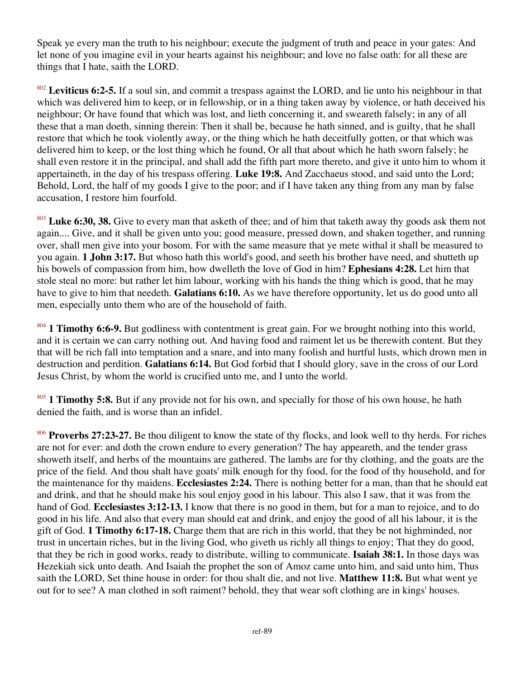Speak ye every man the truth to his neighbour; execute the judgment of truth and peace in your gates: And let none of you imagine evil in your hearts against his neighbour; and love no false oath: for all these are things that I hate, saith the LORD.

<sup>802</sup> **Leviticus 6:2-5.** If a soul sin, and commit a trespass against the LORD, and lie unto his neighbour in that which was delivered him to keep, or in fellowship, or in a thing taken away by violence, or hath deceived his neighbour; Or have found that which was lost, and lieth concerning it, and sweareth falsely; in any of all these that a man doeth, sinning therein: Then it shall be, because he hath sinned, and is guilty, that he shall restore that which he took violently away, or the thing which he hath deceitfully gotten, or that which was delivered him to keep, or the lost thing which he found, Or all that about which he hath sworn falsely; he shall even restore it in the principal, and shall add the fifth part more thereto, and give it unto him to whom it appertaineth, in the day of his trespass offering. **Luke 19:8.** And Zacchaeus stood, and said unto the Lord; Behold, Lord, the half of my goods I give to the poor; and if I have taken any thing from any man by false accusation, I restore him fourfold.

<sup>803</sup> Luke 6:30, 38. Give to every man that asketh of thee; and of him that taketh away thy goods ask them not again.... Give, and it shall be given unto you; good measure, pressed down, and shaken together, and running over, shall men give into your bosom. For with the same measure that ye mete withal it shall be measured to you again. **1 John 3:17.** But whoso hath this world's good, and seeth his brother have need, and shutteth up his bowels of compassion from him, how dwelleth the love of God in him? **Ephesians 4:28.** Let him that stole steal no more: but rather let him labour, working with his hands the thing which is good, that he may have to give to him that needeth. **Galatians 6:10.** As we have therefore opportunity, let us do good unto all men, especially unto them who are of the household of faith.

<sup>804</sup> **1 Timothy 6:6-9.** But godliness with contentment is great gain. For we brought nothing into this world, and it is certain we can carry nothing out. And having food and raiment let us be therewith content. But they that will be rich fall into temptation and a snare, and into many foolish and hurtful lusts, which drown men in destruction and perdition. **Galatians 6:14.** But God forbid that I should glory, save in the cross of our Lord Jesus Christ, by whom the world is crucified unto me, and I unto the world.

<sup>805</sup> **1 Timothy 5:8.** But if any provide not for his own, and specially for those of his own house, he hath denied the faith, and is worse than an infidel.

<sup>806</sup> **Proverbs 27:23-27.** Be thou diligent to know the state of thy flocks, and look well to thy herds. For riches are not for ever: and doth the crown endure to every generation? The hay appeareth, and the tender grass showeth itself, and herbs of the mountains are gathered. The lambs are for thy clothing, and the goats are the price of the field. And thou shalt have goats' milk enough for thy food, for the food of thy household, and for the maintenance for thy maidens. **Ecclesiastes 2:24.** There is nothing better for a man, than that he should eat and drink, and that he should make his soul enjoy good in his labour. This also I saw, that it was from the hand of God. **Ecclesiastes 3:12-13.** I know that there is no good in them, but for a man to rejoice, and to do good in his life. And also that every man should eat and drink, and enjoy the good of all his labour, it is the gift of God. **1 Timothy 6:17-18.** Charge them that are rich in this world, that they be not highminded, nor trust in uncertain riches, but in the living God, who giveth us richly all things to enjoy; That they do good, that they be rich in good works, ready to distribute, willing to communicate. **Isaiah 38:1.** In those days was Hezekiah sick unto death. And Isaiah the prophet the son of Amoz came unto him, and said unto him, Thus saith the LORD, Set thine house in order: for thou shalt die, and not live. **Matthew 11:8.** But what went ye out for to see? A man clothed in soft raiment? behold, they that wear soft clothing are in kings' houses.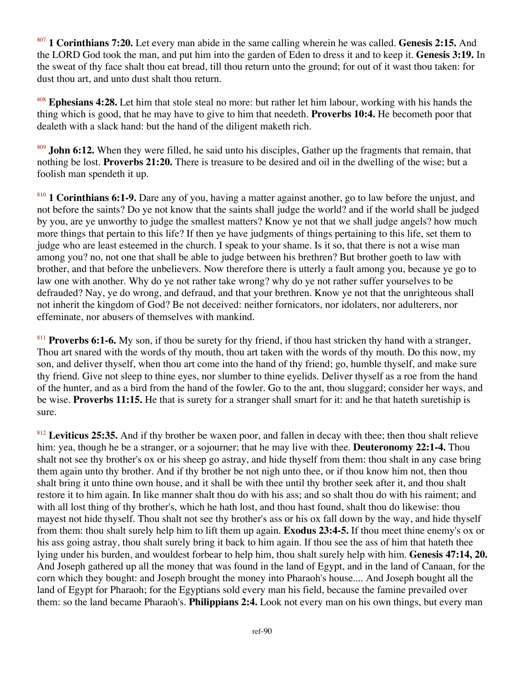<sup>807</sup> **1 Corinthians 7:20.** Let every man abide in the same calling wherein he was called. **Genesis 2:15.** And the LORD God took the man, and put him into the garden of Eden to dress it and to keep it. **Genesis 3:19.** In the sweat of thy face shalt thou eat bread, till thou return unto the ground; for out of it wast thou taken: for dust thou art, and unto dust shalt thou return.

<sup>808</sup> **Ephesians 4:28.** Let him that stole steal no more: but rather let him labour, working with his hands the thing which is good, that he may have to give to him that needeth. **Proverbs 10:4.** He becometh poor that dealeth with a slack hand: but the hand of the diligent maketh rich.

<sup>809</sup> **John 6:12.** When they were filled, he said unto his disciples, Gather up the fragments that remain, that nothing be lost. **Proverbs 21:20.** There is treasure to be desired and oil in the dwelling of the wise; but a foolish man spendeth it up.

<sup>810</sup> **1 Corinthians 6:1-9.** Dare any of you, having a matter against another, go to law before the unjust, and not before the saints? Do ye not know that the saints shall judge the world? and if the world shall be judged by you, are ye unworthy to judge the smallest matters? Know ye not that we shall judge angels? how much more things that pertain to this life? If then ye have judgments of things pertaining to this life, set them to judge who are least esteemed in the church. I speak to your shame. Is it so, that there is not a wise man among you? no, not one that shall be able to judge between his brethren? But brother goeth to law with brother, and that before the unbelievers. Now therefore there is utterly a fault among you, because ye go to law one with another. Why do ye not rather take wrong? why do ye not rather suffer yourselves to be defrauded? Nay, ye do wrong, and defraud, and that your brethren. Know ye not that the unrighteous shall not inherit the kingdom of God? Be not deceived: neither fornicators, nor idolaters, nor adulterers, nor effeminate, nor abusers of themselves with mankind.

<sup>811</sup> **Proverbs 6:1-6.** My son, if thou be surety for thy friend, if thou hast stricken thy hand with a stranger, Thou art snared with the words of thy mouth, thou art taken with the words of thy mouth. Do this now, my son, and deliver thyself, when thou art come into the hand of thy friend; go, humble thyself, and make sure thy friend. Give not sleep to thine eyes, nor slumber to thine eyelids. Deliver thyself as a roe from the hand of the hunter, and as a bird from the hand of the fowler. Go to the ant, thou sluggard; consider her ways, and be wise. **Proverbs 11:15.** He that is surety for a stranger shall smart for it: and he that hateth suretiship is sure.

<sup>812</sup> Leviticus 25:35. And if thy brother be waxen poor, and fallen in decay with thee; then thou shalt relieve him: yea, though he be a stranger, or a sojourner; that he may live with thee. **Deuteronomy 22:1-4.** Thou shalt not see thy brother's ox or his sheep go astray, and hide thyself from them: thou shalt in any case bring them again unto thy brother. And if thy brother be not nigh unto thee, or if thou know him not, then thou shalt bring it unto thine own house, and it shall be with thee until thy brother seek after it, and thou shalt restore it to him again. In like manner shalt thou do with his ass; and so shalt thou do with his raiment; and with all lost thing of thy brother's, which he hath lost, and thou hast found, shalt thou do likewise: thou mayest not hide thyself. Thou shalt not see thy brother's ass or his ox fall down by the way, and hide thyself from them: thou shalt surely help him to lift them up again. **Exodus 23:4-5.** If thou meet thine enemy's ox or his ass going astray, thou shalt surely bring it back to him again. If thou see the ass of him that hateth thee lying under his burden, and wouldest forbear to help him, thou shalt surely help with him. **Genesis 47:14, 20.** And Joseph gathered up all the money that was found in the land of Egypt, and in the land of Canaan, for the corn which they bought: and Joseph brought the money into Pharaoh's house.... And Joseph bought all the land of Egypt for Pharaoh; for the Egyptians sold every man his field, because the famine prevailed over them: so the land became Pharaoh's. **Philippians 2:4.** Look not every man on his own things, but every man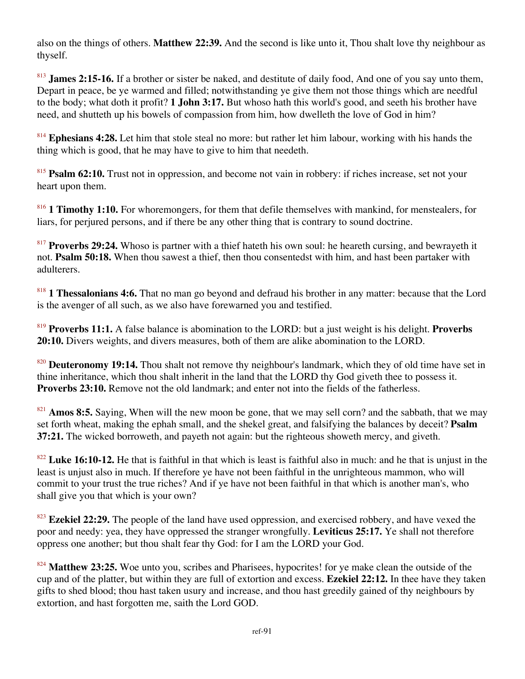also on the things of others. **Matthew 22:39.** And the second is like unto it, Thou shalt love thy neighbour as thyself.

<sup>813</sup> **James 2:15-16.** If a brother or sister be naked, and destitute of daily food, And one of you say unto them, Depart in peace, be ye warmed and filled; notwithstanding ye give them not those things which are needful to the body; what doth it profit? **1 John 3:17.** But whoso hath this world's good, and seeth his brother have need, and shutteth up his bowels of compassion from him, how dwelleth the love of God in him?

<sup>814</sup> **Ephesians 4:28.** Let him that stole steal no more: but rather let him labour, working with his hands the thing which is good, that he may have to give to him that needeth.

<sup>815</sup> **Psalm 62:10.** Trust not in oppression, and become not vain in robbery: if riches increase, set not your heart upon them.

<sup>816</sup> **1 Timothy 1:10.** For whoremongers, for them that defile themselves with mankind, for menstealers, for liars, for perjured persons, and if there be any other thing that is contrary to sound doctrine.

<sup>817</sup> **Proverbs 29:24.** Whoso is partner with a thief hateth his own soul: he heareth cursing, and bewrayeth it not. **Psalm 50:18.** When thou sawest a thief, then thou consentedst with him, and hast been partaker with adulterers.

<sup>818</sup> **1 Thessalonians 4:6.** That no man go beyond and defraud his brother in any matter: because that the Lord is the avenger of all such, as we also have forewarned you and testified.

<sup>819</sup> **Proverbs 11:1.** A false balance is abomination to the LORD: but a just weight is his delight. **Proverbs 20:10.** Divers weights, and divers measures, both of them are alike abomination to the LORD.

<sup>820</sup> **Deuteronomy 19:14.** Thou shalt not remove thy neighbour's landmark, which they of old time have set in thine inheritance, which thou shalt inherit in the land that the LORD thy God giveth thee to possess it. **Proverbs 23:10.** Remove not the old landmark; and enter not into the fields of the fatherless.

<sup>821</sup> **Amos 8:5.** Saying, When will the new moon be gone, that we may sell corn? and the sabbath, that we may set forth wheat, making the ephah small, and the shekel great, and falsifying the balances by deceit? **Psalm 37:21.** The wicked borroweth, and payeth not again: but the righteous showeth mercy, and giveth.

<sup>822</sup> **Luke 16:10-12.** He that is faithful in that which is least is faithful also in much: and he that is unjust in the least is unjust also in much. If therefore ye have not been faithful in the unrighteous mammon, who will commit to your trust the true riches? And if ye have not been faithful in that which is another man's, who shall give you that which is your own?

<sup>823</sup> Ezekiel 22:29. The people of the land have used oppression, and exercised robbery, and have vexed the poor and needy: yea, they have oppressed the stranger wrongfully. **Leviticus 25:17.** Ye shall not therefore oppress one another; but thou shalt fear thy God: for I am the LORD your God.

<sup>824</sup> **Matthew 23:25.** Woe unto you, scribes and Pharisees, hypocrites! for ye make clean the outside of the cup and of the platter, but within they are full of extortion and excess. **Ezekiel 22:12.** In thee have they taken gifts to shed blood; thou hast taken usury and increase, and thou hast greedily gained of thy neighbours by extortion, and hast forgotten me, saith the Lord GOD.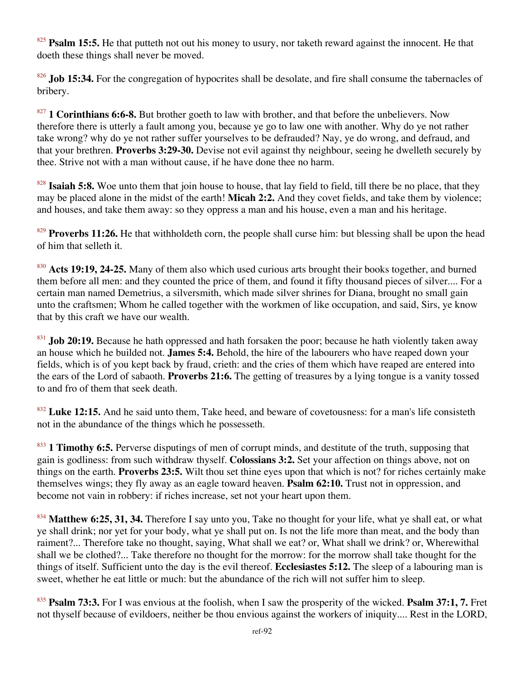<sup>825</sup> **Psalm 15:5.** He that putteth not out his money to usury, nor taketh reward against the innocent. He that doeth these things shall never be moved.

<sup>826</sup> **Job 15:34.** For the congregation of hypocrites shall be desolate, and fire shall consume the tabernacles of bribery.

<sup>827</sup> **1 Corinthians 6:6-8.** But brother goeth to law with brother, and that before the unbelievers. Now therefore there is utterly a fault among you, because ye go to law one with another. Why do ye not rather take wrong? why do ye not rather suffer yourselves to be defrauded? Nay, ye do wrong, and defraud, and that your brethren. **Proverbs 3:29-30.** Devise not evil against thy neighbour, seeing he dwelleth securely by thee. Strive not with a man without cause, if he have done thee no harm.

<sup>828</sup> **Isaiah 5:8.** Woe unto them that join house to house, that lay field to field, till there be no place, that they may be placed alone in the midst of the earth! **Micah 2:2.** And they covet fields, and take them by violence; and houses, and take them away: so they oppress a man and his house, even a man and his heritage.

<sup>829</sup> **Proverbs 11:26.** He that withholdeth corn, the people shall curse him: but blessing shall be upon the head of him that selleth it.

<sup>830</sup> **Acts 19:19, 24-25.** Many of them also which used curious arts brought their books together, and burned them before all men: and they counted the price of them, and found it fifty thousand pieces of silver.... For a certain man named Demetrius, a silversmith, which made silver shrines for Diana, brought no small gain unto the craftsmen; Whom he called together with the workmen of like occupation, and said, Sirs, ye know that by this craft we have our wealth.

<sup>831</sup> **Job 20:19.** Because he hath oppressed and hath forsaken the poor; because he hath violently taken away an house which he builded not. **James 5:4.** Behold, the hire of the labourers who have reaped down your fields, which is of you kept back by fraud, crieth: and the cries of them which have reaped are entered into the ears of the Lord of sabaoth. **Proverbs 21:6.** The getting of treasures by a lying tongue is a vanity tossed to and fro of them that seek death.

<sup>832</sup> Luke 12:15. And he said unto them, Take heed, and beware of covetousness: for a man's life consisteth not in the abundance of the things which he possesseth.

<sup>833</sup> **1 Timothy 6:5.** Perverse disputings of men of corrupt minds, and destitute of the truth, supposing that gain is godliness: from such withdraw thyself. **Colossians 3:2.** Set your affection on things above, not on things on the earth. **Proverbs 23:5.** Wilt thou set thine eyes upon that which is not? for riches certainly make themselves wings; they fly away as an eagle toward heaven. **Psalm 62:10.** Trust not in oppression, and become not vain in robbery: if riches increase, set not your heart upon them.

<sup>834</sup> **Matthew 6:25, 31, 34.** Therefore I say unto you, Take no thought for your life, what ye shall eat, or what ye shall drink; nor yet for your body, what ye shall put on. Is not the life more than meat, and the body than raiment?... Therefore take no thought, saying, What shall we eat? or, What shall we drink? or, Wherewithal shall we be clothed?... Take therefore no thought for the morrow: for the morrow shall take thought for the things of itself. Sufficient unto the day is the evil thereof. **Ecclesiastes 5:12.** The sleep of a labouring man is sweet, whether he eat little or much: but the abundance of the rich will not suffer him to sleep.

<sup>835</sup> **Psalm 73:3.** For I was envious at the foolish, when I saw the prosperity of the wicked. **Psalm 37:1, 7.** Fret not thyself because of evildoers, neither be thou envious against the workers of iniquity.... Rest in the LORD,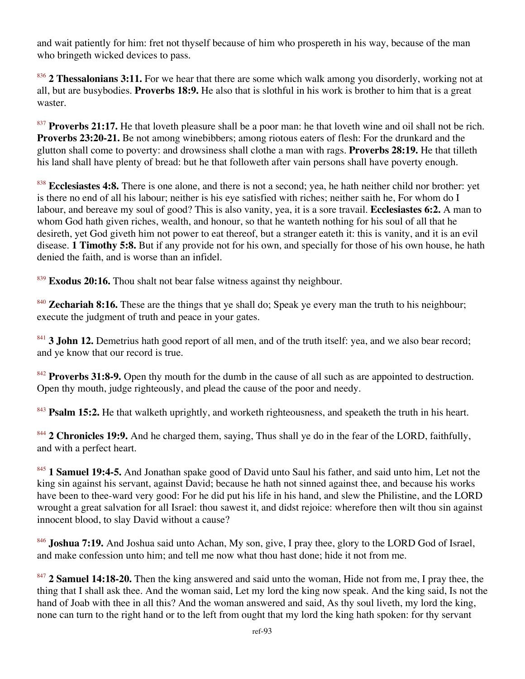and wait patiently for him: fret not thyself because of him who prospereth in his way, because of the man who bringeth wicked devices to pass.

<sup>836</sup> **2 Thessalonians 3:11.** For we hear that there are some which walk among you disorderly, working not at all, but are busybodies. **Proverbs 18:9.** He also that is slothful in his work is brother to him that is a great waster.

<sup>837</sup> **Proverbs 21:17.** He that loveth pleasure shall be a poor man: he that loveth wine and oil shall not be rich. **Proverbs 23:20-21.** Be not among winebibbers; among riotous eaters of flesh: For the drunkard and the glutton shall come to poverty: and drowsiness shall clothe a man with rags. **Proverbs 28:19.** He that tilleth his land shall have plenty of bread: but he that followeth after vain persons shall have poverty enough.

<sup>838</sup> **Ecclesiastes 4:8.** There is one alone, and there is not a second; yea, he hath neither child nor brother: yet is there no end of all his labour; neither is his eye satisfied with riches; neither saith he, For whom do I labour, and bereave my soul of good? This is also vanity, yea, it is a sore travail. **Ecclesiastes 6:2.** A man to whom God hath given riches, wealth, and honour, so that he wanteth nothing for his soul of all that he desireth, yet God giveth him not power to eat thereof, but a stranger eateth it: this is vanity, and it is an evil disease. **1 Timothy 5:8.** But if any provide not for his own, and specially for those of his own house, he hath denied the faith, and is worse than an infidel.

<sup>839</sup> **Exodus 20:16.** Thou shalt not bear false witness against thy neighbour.

<sup>840</sup> **Zechariah 8:16.** These are the things that ye shall do; Speak ye every man the truth to his neighbour; execute the judgment of truth and peace in your gates.

<sup>841</sup> **3 John 12.** Demetrius hath good report of all men, and of the truth itself: yea, and we also bear record; and ye know that our record is true.

<sup>842</sup> Proverbs 31:8-9. Open thy mouth for the dumb in the cause of all such as are appointed to destruction. Open thy mouth, judge righteously, and plead the cause of the poor and needy.

<sup>843</sup> **Psalm 15:2.** He that walketh uprightly, and worketh righteousness, and speaketh the truth in his heart.

<sup>844</sup> **2 Chronicles 19:9.** And he charged them, saying, Thus shall ye do in the fear of the LORD, faithfully, and with a perfect heart.

<sup>845</sup> **1 Samuel 19:4-5.** And Jonathan spake good of David unto Saul his father, and said unto him, Let not the king sin against his servant, against David; because he hath not sinned against thee, and because his works have been to thee-ward very good: For he did put his life in his hand, and slew the Philistine, and the LORD wrought a great salvation for all Israel: thou sawest it, and didst rejoice: wherefore then wilt thou sin against innocent blood, to slay David without a cause?

<sup>846</sup> **Joshua 7:19.** And Joshua said unto Achan, My son, give, I pray thee, glory to the LORD God of Israel, and make confession unto him; and tell me now what thou hast done; hide it not from me.

<sup>847</sup> **2 Samuel 14:18-20.** Then the king answered and said unto the woman, Hide not from me, I pray thee, the thing that I shall ask thee. And the woman said, Let my lord the king now speak. And the king said, Is not the hand of Joab with thee in all this? And the woman answered and said, As thy soul liveth, my lord the king, none can turn to the right hand or to the left from ought that my lord the king hath spoken: for thy servant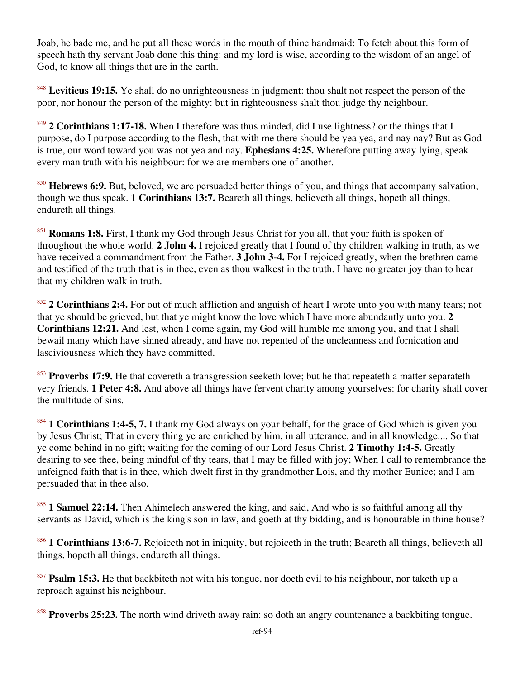Joab, he bade me, and he put all these words in the mouth of thine handmaid: To fetch about this form of speech hath thy servant Joab done this thing: and my lord is wise, according to the wisdom of an angel of God, to know all things that are in the earth.

<sup>848</sup> Leviticus 19:15. Ye shall do no unrighteousness in judgment: thou shalt not respect the person of the poor, nor honour the person of the mighty: but in righteousness shalt thou judge thy neighbour.

<sup>849</sup> **2 Corinthians 1:17-18.** When I therefore was thus minded, did I use lightness? or the things that I purpose, do I purpose according to the flesh, that with me there should be yea yea, and nay nay? But as God is true, our word toward you was not yea and nay. **Ephesians 4:25.** Wherefore putting away lying, speak every man truth with his neighbour: for we are members one of another.

<sup>850</sup> **Hebrews 6:9.** But, beloved, we are persuaded better things of you, and things that accompany salvation, though we thus speak. **1 Corinthians 13:7.** Beareth all things, believeth all things, hopeth all things, endureth all things.

<sup>851</sup> **Romans 1:8.** First, I thank my God through Jesus Christ for you all, that your faith is spoken of throughout the whole world. **2 John 4.** I rejoiced greatly that I found of thy children walking in truth, as we have received a commandment from the Father. **3 John 3-4.** For I rejoiced greatly, when the brethren came and testified of the truth that is in thee, even as thou walkest in the truth. I have no greater joy than to hear that my children walk in truth.

<sup>852</sup> **2 Corinthians 2:4.** For out of much affliction and anguish of heart I wrote unto you with many tears; not that ye should be grieved, but that ye might know the love which I have more abundantly unto you. **2 Corinthians 12:21.** And lest, when I come again, my God will humble me among you, and that I shall bewail many which have sinned already, and have not repented of the uncleanness and fornication and lasciviousness which they have committed.

<sup>853</sup> Proverbs 17:9. He that covereth a transgression seeketh love; but he that repeateth a matter separateth very friends. **1 Peter 4:8.** And above all things have fervent charity among yourselves: for charity shall cover the multitude of sins.

<sup>854</sup> **1 Corinthians 1:4-5, 7.** I thank my God always on your behalf, for the grace of God which is given you by Jesus Christ; That in every thing ye are enriched by him, in all utterance, and in all knowledge.... So that ye come behind in no gift; waiting for the coming of our Lord Jesus Christ. **2 Timothy 1:4-5.** Greatly desiring to see thee, being mindful of thy tears, that I may be filled with joy; When I call to remembrance the unfeigned faith that is in thee, which dwelt first in thy grandmother Lois, and thy mother Eunice; and I am persuaded that in thee also.

<sup>855</sup> **1 Samuel 22:14.** Then Ahimelech answered the king, and said, And who is so faithful among all thy servants as David, which is the king's son in law, and goeth at thy bidding, and is honourable in thine house?

<sup>856</sup> **1 Corinthians 13:6-7.** Rejoiceth not in iniquity, but rejoiceth in the truth; Beareth all things, believeth all things, hopeth all things, endureth all things.

<sup>857</sup> **Psalm 15:3.** He that backbiteth not with his tongue, nor doeth evil to his neighbour, nor taketh up a reproach against his neighbour.

<sup>858</sup> **Proverbs 25:23.** The north wind driveth away rain: so doth an angry countenance a backbiting tongue.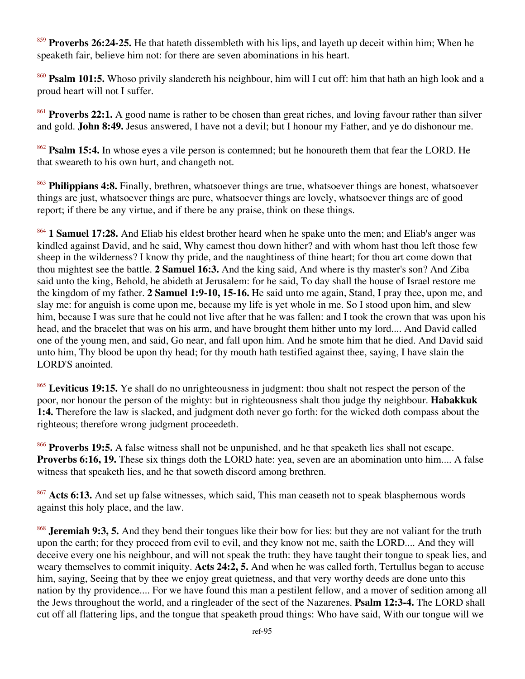<sup>859</sup> **Proverbs 26:24-25.** He that hateth dissembleth with his lips, and layeth up deceit within him; When he speaketh fair, believe him not: for there are seven abominations in his heart.

<sup>860</sup> **Psalm 101:5.** Whoso privily slandereth his neighbour, him will I cut off: him that hath an high look and a proud heart will not I suffer.

<sup>861</sup> **Proverbs 22:1.** A good name is rather to be chosen than great riches, and loving favour rather than silver and gold. **John 8:49.** Jesus answered, I have not a devil; but I honour my Father, and ye do dishonour me.

<sup>862</sup> **Psalm 15:4.** In whose eyes a vile person is contemned; but he honoureth them that fear the LORD. He that sweareth to his own hurt, and changeth not.

<sup>863</sup> **Philippians 4:8.** Finally, brethren, whatsoever things are true, whatsoever things are honest, whatsoever things are just, whatsoever things are pure, whatsoever things are lovely, whatsoever things are of good report; if there be any virtue, and if there be any praise, think on these things.

<sup>864</sup> **1 Samuel 17:28.** And Eliab his eldest brother heard when he spake unto the men; and Eliab's anger was kindled against David, and he said, Why camest thou down hither? and with whom hast thou left those few sheep in the wilderness? I know thy pride, and the naughtiness of thine heart; for thou art come down that thou mightest see the battle. **2 Samuel 16:3.** And the king said, And where is thy master's son? And Ziba said unto the king, Behold, he abideth at Jerusalem: for he said, To day shall the house of Israel restore me the kingdom of my father. **2 Samuel 1:9-10, 15-16.** He said unto me again, Stand, I pray thee, upon me, and slay me: for anguish is come upon me, because my life is yet whole in me. So I stood upon him, and slew him, because I was sure that he could not live after that he was fallen: and I took the crown that was upon his head, and the bracelet that was on his arm, and have brought them hither unto my lord.... And David called one of the young men, and said, Go near, and fall upon him. And he smote him that he died. And David said unto him, Thy blood be upon thy head; for thy mouth hath testified against thee, saying, I have slain the LORD'S anointed.

<sup>865</sup> Leviticus 19:15. Ye shall do no unrighteousness in judgment: thou shalt not respect the person of the poor, nor honour the person of the mighty: but in righteousness shalt thou judge thy neighbour. **Habakkuk 1:4.** Therefore the law is slacked, and judgment doth never go forth: for the wicked doth compass about the righteous; therefore wrong judgment proceedeth.

<sup>866</sup> **Proverbs 19:5.** A false witness shall not be unpunished, and he that speaketh lies shall not escape. **Proverbs 6:16, 19.** These six things doth the LORD hate: yea, seven are an abomination unto him.... A false witness that speaketh lies, and he that soweth discord among brethren.

<sup>867</sup> **Acts 6:13.** And set up false witnesses, which said, This man ceaseth not to speak blasphemous words against this holy place, and the law.

<sup>868</sup> **Jeremiah 9:3, 5.** And they bend their tongues like their bow for lies: but they are not valiant for the truth upon the earth; for they proceed from evil to evil, and they know not me, saith the LORD.... And they will deceive every one his neighbour, and will not speak the truth: they have taught their tongue to speak lies, and weary themselves to commit iniquity. **Acts 24:2, 5.** And when he was called forth, Tertullus began to accuse him, saying, Seeing that by thee we enjoy great quietness, and that very worthy deeds are done unto this nation by thy providence.... For we have found this man a pestilent fellow, and a mover of sedition among all the Jews throughout the world, and a ringleader of the sect of the Nazarenes. **Psalm 12:3-4.** The LORD shall cut off all flattering lips, and the tongue that speaketh proud things: Who have said, With our tongue will we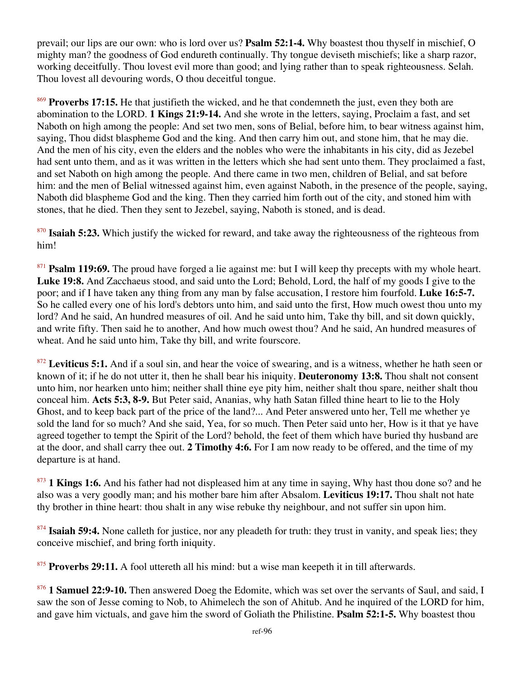prevail; our lips are our own: who is lord over us? **Psalm 52:1-4.** Why boastest thou thyself in mischief, O mighty man? the goodness of God endureth continually. Thy tongue deviseth mischiefs; like a sharp razor, working deceitfully. Thou lovest evil more than good; and lying rather than to speak righteousness. Selah. Thou lovest all devouring words, O thou deceitful tongue.

<sup>869</sup> **Proverbs 17:15.** He that justifieth the wicked, and he that condemneth the just, even they both are abomination to the LORD. **1 Kings 21:9-14.** And she wrote in the letters, saying, Proclaim a fast, and set Naboth on high among the people: And set two men, sons of Belial, before him, to bear witness against him, saying, Thou didst blaspheme God and the king. And then carry him out, and stone him, that he may die. And the men of his city, even the elders and the nobles who were the inhabitants in his city, did as Jezebel had sent unto them, and as it was written in the letters which she had sent unto them. They proclaimed a fast, and set Naboth on high among the people. And there came in two men, children of Belial, and sat before him: and the men of Belial witnessed against him, even against Naboth, in the presence of the people, saying, Naboth did blaspheme God and the king. Then they carried him forth out of the city, and stoned him with stones, that he died. Then they sent to Jezebel, saying, Naboth is stoned, and is dead.

<sup>870</sup> **Isaiah 5:23.** Which justify the wicked for reward, and take away the righteousness of the righteous from him!

<sup>871</sup> **Psalm 119:69.** The proud have forged a lie against me: but I will keep thy precepts with my whole heart. **Luke 19:8.** And Zacchaeus stood, and said unto the Lord; Behold, Lord, the half of my goods I give to the poor; and if I have taken any thing from any man by false accusation, I restore him fourfold. **Luke 16:5-7.** So he called every one of his lord's debtors unto him, and said unto the first, How much owest thou unto my lord? And he said, An hundred measures of oil. And he said unto him, Take thy bill, and sit down quickly, and write fifty. Then said he to another, And how much owest thou? And he said, An hundred measures of wheat. And he said unto him, Take thy bill, and write fourscore.

<sup>872</sup> Leviticus 5:1. And if a soul sin, and hear the voice of swearing, and is a witness, whether he hath seen or known of it; if he do not utter it, then he shall bear his iniquity. **Deuteronomy 13:8.** Thou shalt not consent unto him, nor hearken unto him; neither shall thine eye pity him, neither shalt thou spare, neither shalt thou conceal him. **Acts 5:3, 8-9.** But Peter said, Ananias, why hath Satan filled thine heart to lie to the Holy Ghost, and to keep back part of the price of the land?... And Peter answered unto her, Tell me whether ye sold the land for so much? And she said, Yea, for so much. Then Peter said unto her, How is it that ye have agreed together to tempt the Spirit of the Lord? behold, the feet of them which have buried thy husband are at the door, and shall carry thee out. **2 Timothy 4:6.** For I am now ready to be offered, and the time of my departure is at hand.

<sup>873</sup> **1 Kings 1:6.** And his father had not displeased him at any time in saying, Why hast thou done so? and he also was a very goodly man; and his mother bare him after Absalom. **Leviticus 19:17.** Thou shalt not hate thy brother in thine heart: thou shalt in any wise rebuke thy neighbour, and not suffer sin upon him.

<sup>874</sup> **Isaiah 59:4.** None calleth for justice, nor any pleadeth for truth: they trust in vanity, and speak lies; they conceive mischief, and bring forth iniquity.

<sup>875</sup> Proverbs 29:11. A fool uttereth all his mind: but a wise man keepeth it in till afterwards.

<sup>876</sup> **1 Samuel 22:9-10.** Then answered Doeg the Edomite, which was set over the servants of Saul, and said, I saw the son of Jesse coming to Nob, to Ahimelech the son of Ahitub. And he inquired of the LORD for him, and gave him victuals, and gave him the sword of Goliath the Philistine. **Psalm 52:1-5.** Why boastest thou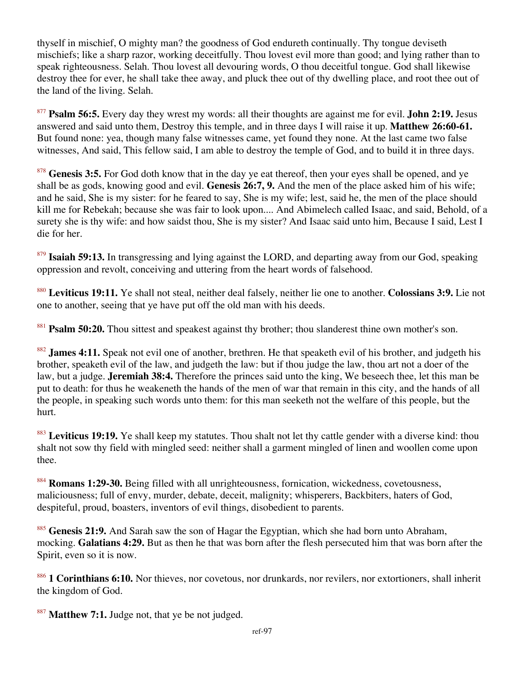thyself in mischief, O mighty man? the goodness of God endureth continually. Thy tongue deviseth mischiefs; like a sharp razor, working deceitfully. Thou lovest evil more than good; and lying rather than to speak righteousness. Selah. Thou lovest all devouring words, O thou deceitful tongue. God shall likewise destroy thee for ever, he shall take thee away, and pluck thee out of thy dwelling place, and root thee out of the land of the living. Selah.

<sup>877</sup> **Psalm 56:5.** Every day they wrest my words: all their thoughts are against me for evil. **John 2:19.** Jesus answered and said unto them, Destroy this temple, and in three days I will raise it up. **Matthew 26:60-61.** But found none: yea, though many false witnesses came, yet found they none. At the last came two false witnesses, And said, This fellow said, I am able to destroy the temple of God, and to build it in three days.

<sup>878</sup> Genesis 3:5. For God doth know that in the day ye eat thereof, then your eyes shall be opened, and ye shall be as gods, knowing good and evil. **Genesis 26:7, 9.** And the men of the place asked him of his wife; and he said, She is my sister: for he feared to say, She is my wife; lest, said he, the men of the place should kill me for Rebekah; because she was fair to look upon.... And Abimelech called Isaac, and said, Behold, of a surety she is thy wife: and how saidst thou, She is my sister? And Isaac said unto him, Because I said, Lest I die for her.

<sup>879</sup> Isaiah 59:13. In transgressing and lying against the LORD, and departing away from our God, speaking oppression and revolt, conceiving and uttering from the heart words of falsehood.

<sup>880</sup> **Leviticus 19:11.** Ye shall not steal, neither deal falsely, neither lie one to another. **Colossians 3:9.** Lie not one to another, seeing that ye have put off the old man with his deeds.

<sup>881</sup> **Psalm 50:20.** Thou sittest and speakest against thy brother; thou slanderest thine own mother's son.

<sup>882</sup> **James 4:11.** Speak not evil one of another, brethren. He that speaketh evil of his brother, and judgeth his brother, speaketh evil of the law, and judgeth the law: but if thou judge the law, thou art not a doer of the law, but a judge. **Jeremiah 38:4.** Therefore the princes said unto the king, We beseech thee, let this man be put to death: for thus he weakeneth the hands of the men of war that remain in this city, and the hands of all the people, in speaking such words unto them: for this man seeketh not the welfare of this people, but the hurt.

<sup>883</sup> Leviticus 19:19. Ye shall keep my statutes. Thou shalt not let thy cattle gender with a diverse kind: thou shalt not sow thy field with mingled seed: neither shall a garment mingled of linen and woollen come upon thee.

<sup>884</sup> **Romans 1:29-30.** Being filled with all unrighteousness, fornication, wickedness, covetousness, maliciousness; full of envy, murder, debate, deceit, malignity; whisperers, Backbiters, haters of God, despiteful, proud, boasters, inventors of evil things, disobedient to parents.

<sup>885</sup> **Genesis 21:9.** And Sarah saw the son of Hagar the Egyptian, which she had born unto Abraham, mocking. **Galatians 4:29.** But as then he that was born after the flesh persecuted him that was born after the Spirit, even so it is now.

<sup>886</sup> **1 Corinthians 6:10.** Nor thieves, nor covetous, nor drunkards, nor revilers, nor extortioners, shall inherit the kingdom of God.

<sup>887</sup> **Matthew 7:1.** Judge not, that ye be not judged.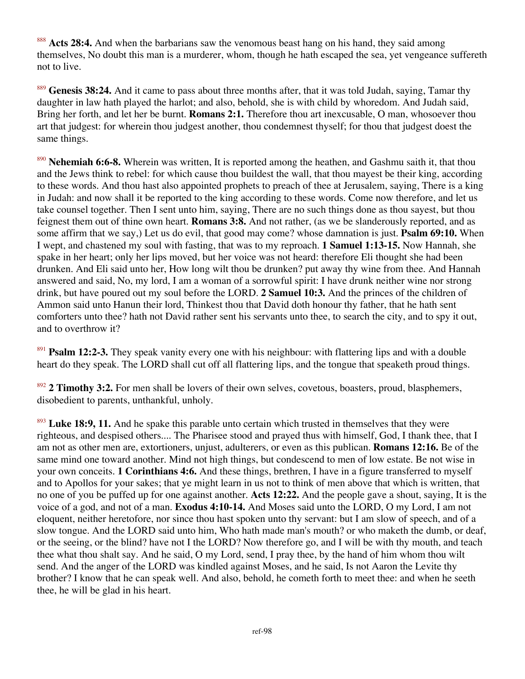<sup>888</sup> Acts 28:4. And when the barbarians saw the venomous beast hang on his hand, they said among themselves, No doubt this man is a murderer, whom, though he hath escaped the sea, yet vengeance suffereth not to live.

<sup>889</sup> **Genesis 38:24.** And it came to pass about three months after, that it was told Judah, saying, Tamar thy daughter in law hath played the harlot; and also, behold, she is with child by whoredom. And Judah said, Bring her forth, and let her be burnt. **Romans 2:1.** Therefore thou art inexcusable, O man, whosoever thou art that judgest: for wherein thou judgest another, thou condemnest thyself; for thou that judgest doest the same things.

<sup>890</sup> **Nehemiah 6:6-8.** Wherein was written, It is reported among the heathen, and Gashmu saith it, that thou and the Jews think to rebel: for which cause thou buildest the wall, that thou mayest be their king, according to these words. And thou hast also appointed prophets to preach of thee at Jerusalem, saying, There is a king in Judah: and now shall it be reported to the king according to these words. Come now therefore, and let us take counsel together. Then I sent unto him, saying, There are no such things done as thou sayest, but thou feignest them out of thine own heart. **Romans 3:8.** And not rather, (as we be slanderously reported, and as some affirm that we say,) Let us do evil, that good may come? whose damnation is just. **Psalm 69:10.** When I wept, and chastened my soul with fasting, that was to my reproach. **1 Samuel 1:13-15.** Now Hannah, she spake in her heart; only her lips moved, but her voice was not heard: therefore Eli thought she had been drunken. And Eli said unto her, How long wilt thou be drunken? put away thy wine from thee. And Hannah answered and said, No, my lord, I am a woman of a sorrowful spirit: I have drunk neither wine nor strong drink, but have poured out my soul before the LORD. **2 Samuel 10:3.** And the princes of the children of Ammon said unto Hanun their lord, Thinkest thou that David doth honour thy father, that he hath sent comforters unto thee? hath not David rather sent his servants unto thee, to search the city, and to spy it out, and to overthrow it?

<sup>891</sup> **Psalm 12:2-3.** They speak vanity every one with his neighbour: with flattering lips and with a double heart do they speak. The LORD shall cut off all flattering lips, and the tongue that speaketh proud things.

<sup>892</sup> **2 Timothy 3:2.** For men shall be lovers of their own selves, covetous, boasters, proud, blasphemers, disobedient to parents, unthankful, unholy.

<sup>893</sup> Luke 18:9, 11. And he spake this parable unto certain which trusted in themselves that they were righteous, and despised others.... The Pharisee stood and prayed thus with himself, God, I thank thee, that I am not as other men are, extortioners, unjust, adulterers, or even as this publican. **Romans 12:16.** Be of the same mind one toward another. Mind not high things, but condescend to men of low estate. Be not wise in your own conceits. **1 Corinthians 4:6.** And these things, brethren, I have in a figure transferred to myself and to Apollos for your sakes; that ye might learn in us not to think of men above that which is written, that no one of you be puffed up for one against another. **Acts 12:22.** And the people gave a shout, saying, It is the voice of a god, and not of a man. **Exodus 4:10-14.** And Moses said unto the LORD, O my Lord, I am not eloquent, neither heretofore, nor since thou hast spoken unto thy servant: but I am slow of speech, and of a slow tongue. And the LORD said unto him, Who hath made man's mouth? or who maketh the dumb, or deaf, or the seeing, or the blind? have not I the LORD? Now therefore go, and I will be with thy mouth, and teach thee what thou shalt say. And he said, O my Lord, send, I pray thee, by the hand of him whom thou wilt send. And the anger of the LORD was kindled against Moses, and he said, Is not Aaron the Levite thy brother? I know that he can speak well. And also, behold, he cometh forth to meet thee: and when he seeth thee, he will be glad in his heart.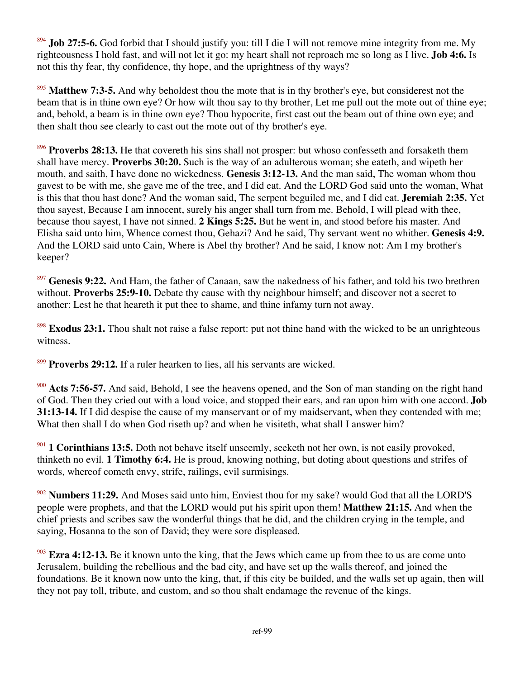<sup>894</sup> **Job 27:5-6.** God forbid that I should justify you: till I die I will not remove mine integrity from me. My righteousness I hold fast, and will not let it go: my heart shall not reproach me so long as I live. **Job 4:6.** Is not this thy fear, thy confidence, thy hope, and the uprightness of thy ways?

<sup>895</sup> **Matthew 7:3-5.** And why beholdest thou the mote that is in thy brother's eye, but considerest not the beam that is in thine own eye? Or how wilt thou say to thy brother, Let me pull out the mote out of thine eye; and, behold, a beam is in thine own eye? Thou hypocrite, first cast out the beam out of thine own eye; and then shalt thou see clearly to cast out the mote out of thy brother's eye.

896 **Proverbs 28:13.** He that covereth his sins shall not prosper: but whoso confesseth and forsaketh them shall have mercy. **Proverbs 30:20.** Such is the way of an adulterous woman; she eateth, and wipeth her mouth, and saith, I have done no wickedness. **Genesis 3:12-13.** And the man said, The woman whom thou gavest to be with me, she gave me of the tree, and I did eat. And the LORD God said unto the woman, What is this that thou hast done? And the woman said, The serpent beguiled me, and I did eat. **Jeremiah 2:35.** Yet thou sayest, Because I am innocent, surely his anger shall turn from me. Behold, I will plead with thee, because thou sayest, I have not sinned. **2 Kings 5:25.** But he went in, and stood before his master. And Elisha said unto him, Whence comest thou, Gehazi? And he said, Thy servant went no whither. **Genesis 4:9.** And the LORD said unto Cain, Where is Abel thy brother? And he said, I know not: Am I my brother's keeper?

<sup>897</sup> Genesis 9:22. And Ham, the father of Canaan, saw the nakedness of his father, and told his two brethren without. **Proverbs 25:9-10.** Debate thy cause with thy neighbour himself; and discover not a secret to another: Lest he that heareth it put thee to shame, and thine infamy turn not away.

<sup>898</sup> **Exodus 23:1.** Thou shalt not raise a false report: put not thine hand with the wicked to be an unrighteous witness.

<sup>899</sup> **Proverbs 29:12.** If a ruler hearken to lies, all his servants are wicked.

<sup>900</sup> **Acts 7:56-57.** And said, Behold, I see the heavens opened, and the Son of man standing on the right hand of God. Then they cried out with a loud voice, and stopped their ears, and ran upon him with one accord. **Job 31:13-14.** If I did despise the cause of my manservant or of my maidservant, when they contended with me; What then shall I do when God riseth up? and when he visiteth, what shall I answer him?

<sup>901</sup> **1 Corinthians 13:5.** Doth not behave itself unseemly, seeketh not her own, is not easily provoked, thinketh no evil. **1 Timothy 6:4.** He is proud, knowing nothing, but doting about questions and strifes of words, whereof cometh envy, strife, railings, evil surmisings.

<sup>902</sup> **Numbers 11:29.** And Moses said unto him, Enviest thou for my sake? would God that all the LORD'S people were prophets, and that the LORD would put his spirit upon them! **Matthew 21:15.** And when the chief priests and scribes saw the wonderful things that he did, and the children crying in the temple, and saying, Hosanna to the son of David; they were sore displeased.

<sup>903</sup> **Ezra 4:12-13.** Be it known unto the king, that the Jews which came up from thee to us are come unto Jerusalem, building the rebellious and the bad city, and have set up the walls thereof, and joined the foundations. Be it known now unto the king, that, if this city be builded, and the walls set up again, then will they not pay toll, tribute, and custom, and so thou shalt endamage the revenue of the kings.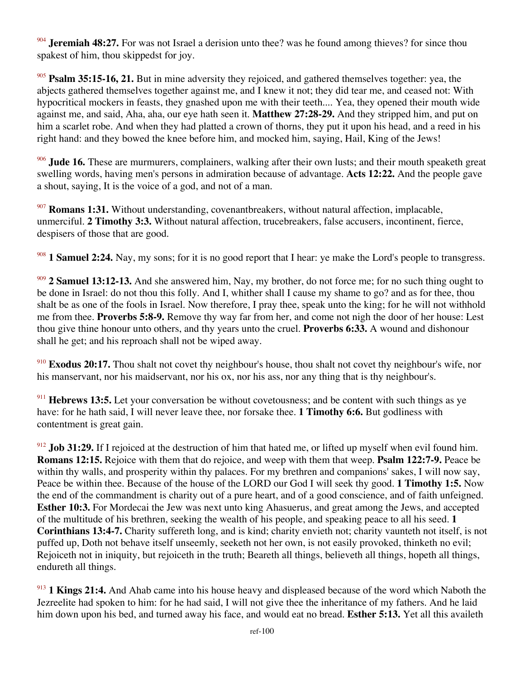<sup>904</sup> **Jeremiah 48:27.** For was not Israel a derision unto thee? was he found among thieves? for since thou spakest of him, thou skippedst for joy.

<sup>905</sup> **Psalm 35:15-16, 21.** But in mine adversity they rejoiced, and gathered themselves together: yea, the abjects gathered themselves together against me, and I knew it not; they did tear me, and ceased not: With hypocritical mockers in feasts, they gnashed upon me with their teeth.... Yea, they opened their mouth wide against me, and said, Aha, aha, our eye hath seen it. **Matthew 27:28-29.** And they stripped him, and put on him a scarlet robe. And when they had platted a crown of thorns, they put it upon his head, and a reed in his right hand: and they bowed the knee before him, and mocked him, saying, Hail, King of the Jews!

<sup>906</sup> **Jude 16.** These are murmurers, complainers, walking after their own lusts; and their mouth speaketh great swelling words, having men's persons in admiration because of advantage. **Acts 12:22.** And the people gave a shout, saying, It is the voice of a god, and not of a man.

<sup>907</sup> **Romans 1:31.** Without understanding, covenantbreakers, without natural affection, implacable, unmerciful. **2 Timothy 3:3.** Without natural affection, trucebreakers, false accusers, incontinent, fierce, despisers of those that are good.

<sup>908</sup> **1 Samuel 2:24.** Nay, my sons; for it is no good report that I hear: ye make the Lord's people to transgress.

<sup>909</sup> **2 Samuel 13:12-13.** And she answered him, Nay, my brother, do not force me; for no such thing ought to be done in Israel: do not thou this folly. And I, whither shall I cause my shame to go? and as for thee, thou shalt be as one of the fools in Israel. Now therefore, I pray thee, speak unto the king; for he will not withhold me from thee. **Proverbs 5:8-9.** Remove thy way far from her, and come not nigh the door of her house: Lest thou give thine honour unto others, and thy years unto the cruel. **Proverbs 6:33.** A wound and dishonour shall he get; and his reproach shall not be wiped away.

<sup>910</sup> **Exodus 20:17.** Thou shalt not covet thy neighbour's house, thou shalt not covet thy neighbour's wife, nor his manservant, nor his maidservant, nor his ox, nor his ass, nor any thing that is thy neighbour's.

<sup>911</sup> **Hebrews 13:5.** Let your conversation be without covetousness; and be content with such things as ye have: for he hath said, I will never leave thee, nor forsake thee. **1 Timothy 6:6.** But godliness with contentment is great gain.

<sup>912</sup> **Job 31:29.** If I rejoiced at the destruction of him that hated me, or lifted up myself when evil found him. **Romans 12:15.** Rejoice with them that do rejoice, and weep with them that weep. **Psalm 122:7-9.** Peace be within thy walls, and prosperity within thy palaces. For my brethren and companions' sakes, I will now say, Peace be within thee. Because of the house of the LORD our God I will seek thy good. **1 Timothy 1:5.** Now the end of the commandment is charity out of a pure heart, and of a good conscience, and of faith unfeigned. **Esther 10:3.** For Mordecai the Jew was next unto king Ahasuerus, and great among the Jews, and accepted of the multitude of his brethren, seeking the wealth of his people, and speaking peace to all his seed. **1 Corinthians 13:4-7.** Charity suffereth long, and is kind; charity envieth not; charity vaunteth not itself, is not puffed up, Doth not behave itself unseemly, seeketh not her own, is not easily provoked, thinketh no evil; Rejoiceth not in iniquity, but rejoiceth in the truth; Beareth all things, believeth all things, hopeth all things, endureth all things.

<sup>913</sup> **1 Kings 21:4.** And Ahab came into his house heavy and displeased because of the word which Naboth the Jezreelite had spoken to him: for he had said, I will not give thee the inheritance of my fathers. And he laid him down upon his bed, and turned away his face, and would eat no bread. **Esther 5:13.** Yet all this availeth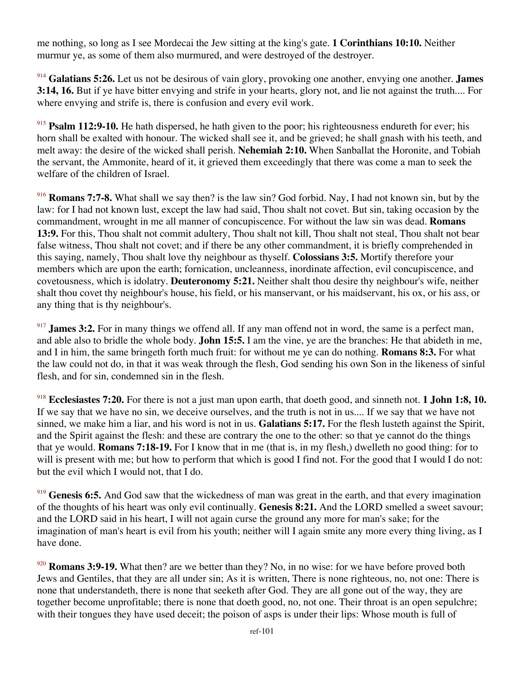me nothing, so long as I see Mordecai the Jew sitting at the king's gate. **1 Corinthians 10:10.** Neither murmur ye, as some of them also murmured, and were destroyed of the destroyer.

<sup>914</sup> **Galatians 5:26.** Let us not be desirous of vain glory, provoking one another, envying one another. **James 3:14, 16.** But if ye have bitter envying and strife in your hearts, glory not, and lie not against the truth.... For where envying and strife is, there is confusion and every evil work.

<sup>915</sup> **Psalm 112:9-10.** He hath dispersed, he hath given to the poor; his righteousness endureth for ever; his horn shall be exalted with honour. The wicked shall see it, and be grieved; he shall gnash with his teeth, and melt away: the desire of the wicked shall perish. **Nehemiah 2:10.** When Sanballat the Horonite, and Tobiah the servant, the Ammonite, heard of it, it grieved them exceedingly that there was come a man to seek the welfare of the children of Israel.

<sup>916</sup> **Romans 7:7-8.** What shall we say then? is the law sin? God forbid. Nay, I had not known sin, but by the law: for I had not known lust, except the law had said, Thou shalt not covet. But sin, taking occasion by the commandment, wrought in me all manner of concupiscence. For without the law sin was dead. **Romans 13:9.** For this, Thou shalt not commit adultery, Thou shalt not kill, Thou shalt not steal, Thou shalt not bear false witness, Thou shalt not covet; and if there be any other commandment, it is briefly comprehended in this saying, namely, Thou shalt love thy neighbour as thyself. **Colossians 3:5.** Mortify therefore your members which are upon the earth; fornication, uncleanness, inordinate affection, evil concupiscence, and covetousness, which is idolatry. **Deuteronomy 5:21.** Neither shalt thou desire thy neighbour's wife, neither shalt thou covet thy neighbour's house, his field, or his manservant, or his maidservant, his ox, or his ass, or any thing that is thy neighbour's.

<sup>917</sup> **James 3:2.** For in many things we offend all. If any man offend not in word, the same is a perfect man, and able also to bridle the whole body. **John 15:5.** I am the vine, ye are the branches: He that abideth in me, and I in him, the same bringeth forth much fruit: for without me ye can do nothing. **Romans 8:3.** For what the law could not do, in that it was weak through the flesh, God sending his own Son in the likeness of sinful flesh, and for sin, condemned sin in the flesh.

<sup>918</sup> **Ecclesiastes 7:20.** For there is not a just man upon earth, that doeth good, and sinneth not. **1 John 1:8, 10.** If we say that we have no sin, we deceive ourselves, and the truth is not in us.... If we say that we have not sinned, we make him a liar, and his word is not in us. **Galatians 5:17.** For the flesh lusteth against the Spirit, and the Spirit against the flesh: and these are contrary the one to the other: so that ye cannot do the things that ye would. **Romans 7:18-19.** For I know that in me (that is, in my flesh,) dwelleth no good thing: for to will is present with me; but how to perform that which is good I find not. For the good that I would I do not: but the evil which I would not, that I do.

<sup>919</sup> Genesis 6:5. And God saw that the wickedness of man was great in the earth, and that every imagination of the thoughts of his heart was only evil continually. **Genesis 8:21.** And the LORD smelled a sweet savour; and the LORD said in his heart, I will not again curse the ground any more for man's sake; for the imagination of man's heart is evil from his youth; neither will I again smite any more every thing living, as I have done.

<sup>920</sup> **Romans 3:9-19.** What then? are we better than they? No, in no wise: for we have before proved both Jews and Gentiles, that they are all under sin; As it is written, There is none righteous, no, not one: There is none that understandeth, there is none that seeketh after God. They are all gone out of the way, they are together become unprofitable; there is none that doeth good, no, not one. Their throat is an open sepulchre; with their tongues they have used deceit; the poison of asps is under their lips: Whose mouth is full of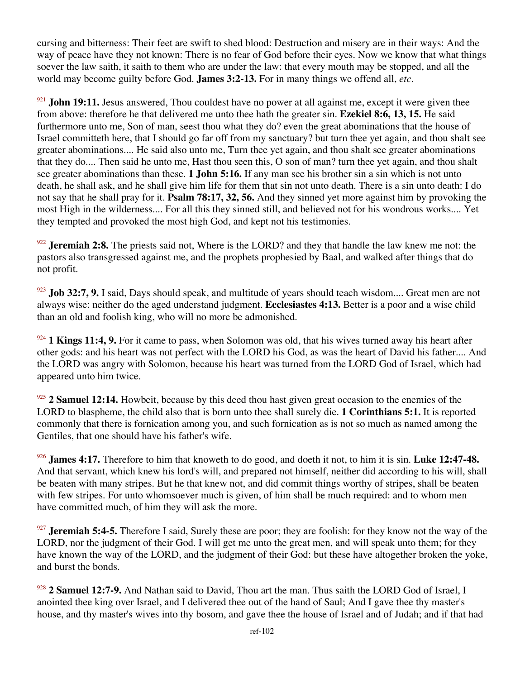cursing and bitterness: Their feet are swift to shed blood: Destruction and misery are in their ways: And the way of peace have they not known: There is no fear of God before their eyes. Now we know that what things soever the law saith, it saith to them who are under the law: that every mouth may be stopped, and all the world may become guilty before God. **James 3:2-13.** For in many things we offend all, *etc*.

<sup>921</sup> **John 19:11.** Jesus answered, Thou couldest have no power at all against me, except it were given thee from above: therefore he that delivered me unto thee hath the greater sin. **Ezekiel 8:6, 13, 15.** He said furthermore unto me, Son of man, seest thou what they do? even the great abominations that the house of Israel committeth here, that I should go far off from my sanctuary? but turn thee yet again, and thou shalt see greater abominations.... He said also unto me, Turn thee yet again, and thou shalt see greater abominations that they do.... Then said he unto me, Hast thou seen this, O son of man? turn thee yet again, and thou shalt see greater abominations than these. **1 John 5:16.** If any man see his brother sin a sin which is not unto death, he shall ask, and he shall give him life for them that sin not unto death. There is a sin unto death: I do not say that he shall pray for it. **Psalm 78:17, 32, 56.** And they sinned yet more against him by provoking the most High in the wilderness.... For all this they sinned still, and believed not for his wondrous works.... Yet they tempted and provoked the most high God, and kept not his testimonies.

<sup>922</sup> **Jeremiah 2:8.** The priests said not, Where is the LORD? and they that handle the law knew me not: the pastors also transgressed against me, and the prophets prophesied by Baal, and walked after things that do not profit.

<sup>923</sup> **Job 32:7, 9.** I said, Days should speak, and multitude of years should teach wisdom.... Great men are not always wise: neither do the aged understand judgment. **Ecclesiastes 4:13.** Better is a poor and a wise child than an old and foolish king, who will no more be admonished.

<sup>924</sup> **1 Kings 11:4, 9.** For it came to pass, when Solomon was old, that his wives turned away his heart after other gods: and his heart was not perfect with the LORD his God, as was the heart of David his father.... And the LORD was angry with Solomon, because his heart was turned from the LORD God of Israel, which had appeared unto him twice.

<sup>925</sup> **2 Samuel 12:14.** Howbeit, because by this deed thou hast given great occasion to the enemies of the LORD to blaspheme, the child also that is born unto thee shall surely die. **1 Corinthians 5:1.** It is reported commonly that there is fornication among you, and such fornication as is not so much as named among the Gentiles, that one should have his father's wife.

<sup>926</sup> **James 4:17.** Therefore to him that knoweth to do good, and doeth it not, to him it is sin. **Luke 12:47-48.** And that servant, which knew his lord's will, and prepared not himself, neither did according to his will, shall be beaten with many stripes. But he that knew not, and did commit things worthy of stripes, shall be beaten with few stripes. For unto whomsoever much is given, of him shall be much required: and to whom men have committed much, of him they will ask the more.

<sup>927</sup> **Jeremiah 5:4-5.** Therefore I said, Surely these are poor; they are foolish: for they know not the way of the LORD, nor the judgment of their God. I will get me unto the great men, and will speak unto them; for they have known the way of the LORD, and the judgment of their God: but these have altogether broken the yoke, and burst the bonds.

<sup>928</sup> **2 Samuel 12:7-9.** And Nathan said to David, Thou art the man. Thus saith the LORD God of Israel, I anointed thee king over Israel, and I delivered thee out of the hand of Saul; And I gave thee thy master's house, and thy master's wives into thy bosom, and gave thee the house of Israel and of Judah; and if that had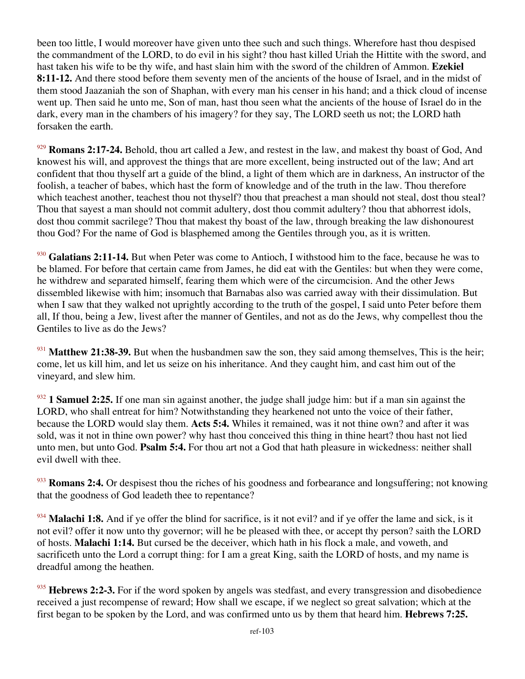been too little, I would moreover have given unto thee such and such things. Wherefore hast thou despised the commandment of the LORD, to do evil in his sight? thou hast killed Uriah the Hittite with the sword, and hast taken his wife to be thy wife, and hast slain him with the sword of the children of Ammon. **Ezekiel 8:11-12.** And there stood before them seventy men of the ancients of the house of Israel, and in the midst of them stood Jaazaniah the son of Shaphan, with every man his censer in his hand; and a thick cloud of incense went up. Then said he unto me, Son of man, hast thou seen what the ancients of the house of Israel do in the dark, every man in the chambers of his imagery? for they say, The LORD seeth us not; the LORD hath forsaken the earth.

<sup>929</sup> **Romans 2:17-24.** Behold, thou art called a Jew, and restest in the law, and makest thy boast of God, And knowest his will, and approvest the things that are more excellent, being instructed out of the law; And art confident that thou thyself art a guide of the blind, a light of them which are in darkness, An instructor of the foolish, a teacher of babes, which hast the form of knowledge and of the truth in the law. Thou therefore which teachest another, teachest thou not thyself? thou that preachest a man should not steal, dost thou steal? Thou that sayest a man should not commit adultery, dost thou commit adultery? thou that abhorrest idols, dost thou commit sacrilege? Thou that makest thy boast of the law, through breaking the law dishonourest thou God? For the name of God is blasphemed among the Gentiles through you, as it is written.

<sup>930</sup> Galatians 2:11-14. But when Peter was come to Antioch, I withstood him to the face, because he was to be blamed. For before that certain came from James, he did eat with the Gentiles: but when they were come, he withdrew and separated himself, fearing them which were of the circumcision. And the other Jews dissembled likewise with him; insomuch that Barnabas also was carried away with their dissimulation. But when I saw that they walked not uprightly according to the truth of the gospel, I said unto Peter before them all, If thou, being a Jew, livest after the manner of Gentiles, and not as do the Jews, why compellest thou the Gentiles to live as do the Jews?

<sup>931</sup> Matthew 21:38-39. But when the husbandmen saw the son, they said among themselves, This is the heir; come, let us kill him, and let us seize on his inheritance. And they caught him, and cast him out of the vineyard, and slew him.

<sup>932</sup> **1 Samuel 2:25.** If one man sin against another, the judge shall judge him: but if a man sin against the LORD, who shall entreat for him? Notwithstanding they hearkened not unto the voice of their father, because the LORD would slay them. **Acts 5:4.** Whiles it remained, was it not thine own? and after it was sold, was it not in thine own power? why hast thou conceived this thing in thine heart? thou hast not lied unto men, but unto God. **Psalm 5:4.** For thou art not a God that hath pleasure in wickedness: neither shall evil dwell with thee.

<sup>933</sup> **Romans 2:4.** Or despisest thou the riches of his goodness and forbearance and longsuffering; not knowing that the goodness of God leadeth thee to repentance?

<sup>934</sup> Malachi 1:8. And if ye offer the blind for sacrifice, is it not evil? and if ye offer the lame and sick, is it not evil? offer it now unto thy governor; will he be pleased with thee, or accept thy person? saith the LORD of hosts. **Malachi 1:14.** But cursed be the deceiver, which hath in his flock a male, and voweth, and sacrificeth unto the Lord a corrupt thing: for I am a great King, saith the LORD of hosts, and my name is dreadful among the heathen.

<sup>935</sup> Hebrews 2:2-3. For if the word spoken by angels was stedfast, and every transgression and disobedience received a just recompense of reward; How shall we escape, if we neglect so great salvation; which at the first began to be spoken by the Lord, and was confirmed unto us by them that heard him. **Hebrews 7:25.**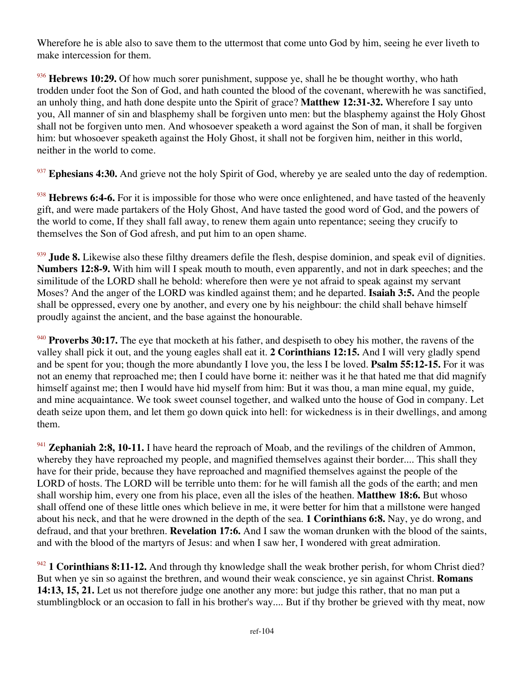Wherefore he is able also to save them to the uttermost that come unto God by him, seeing he ever liveth to make intercession for them.

<sup>936</sup> Hebrews 10:29. Of how much sorer punishment, suppose ye, shall he be thought worthy, who hath trodden under foot the Son of God, and hath counted the blood of the covenant, wherewith he was sanctified, an unholy thing, and hath done despite unto the Spirit of grace? **Matthew 12:31-32.** Wherefore I say unto you, All manner of sin and blasphemy shall be forgiven unto men: but the blasphemy against the Holy Ghost shall not be forgiven unto men. And whosoever speaketh a word against the Son of man, it shall be forgiven him: but whosoever speaketh against the Holy Ghost, it shall not be forgiven him, neither in this world, neither in the world to come.

<sup>937</sup> Ephesians 4:30. And grieve not the holy Spirit of God, whereby ye are sealed unto the day of redemption.

<sup>938</sup> Hebrews 6:4-6. For it is impossible for those who were once enlightened, and have tasted of the heavenly gift, and were made partakers of the Holy Ghost, And have tasted the good word of God, and the powers of the world to come, If they shall fall away, to renew them again unto repentance; seeing they crucify to themselves the Son of God afresh, and put him to an open shame.

<sup>939</sup> **Jude 8.** Likewise also these filthy dreamers defile the flesh, despise dominion, and speak evil of dignities. **Numbers 12:8-9.** With him will I speak mouth to mouth, even apparently, and not in dark speeches; and the similitude of the LORD shall he behold: wherefore then were ye not afraid to speak against my servant Moses? And the anger of the LORD was kindled against them; and he departed. **Isaiah 3:5.** And the people shall be oppressed, every one by another, and every one by his neighbour: the child shall behave himself proudly against the ancient, and the base against the honourable.

<sup>940</sup> **Proverbs 30:17.** The eye that mocketh at his father, and despiseth to obey his mother, the ravens of the valley shall pick it out, and the young eagles shall eat it. **2 Corinthians 12:15.** And I will very gladly spend and be spent for you; though the more abundantly I love you, the less I be loved. **Psalm 55:12-15.** For it was not an enemy that reproached me; then I could have borne it: neither was it he that hated me that did magnify himself against me; then I would have hid myself from him: But it was thou, a man mine equal, my guide, and mine acquaintance. We took sweet counsel together, and walked unto the house of God in company. Let death seize upon them, and let them go down quick into hell: for wickedness is in their dwellings, and among them.

<sup>941</sup> **Zephaniah 2:8, 10-11.** I have heard the reproach of Moab, and the revilings of the children of Ammon, whereby they have reproached my people, and magnified themselves against their border.... This shall they have for their pride, because they have reproached and magnified themselves against the people of the LORD of hosts. The LORD will be terrible unto them: for he will famish all the gods of the earth; and men shall worship him, every one from his place, even all the isles of the heathen. **Matthew 18:6.** But whoso shall offend one of these little ones which believe in me, it were better for him that a millstone were hanged about his neck, and that he were drowned in the depth of the sea. **1 Corinthians 6:8.** Nay, ye do wrong, and defraud, and that your brethren. **Revelation 17:6.** And I saw the woman drunken with the blood of the saints, and with the blood of the martyrs of Jesus: and when I saw her, I wondered with great admiration.

<sup>942</sup> **1 Corinthians 8:11-12.** And through thy knowledge shall the weak brother perish, for whom Christ died? But when ye sin so against the brethren, and wound their weak conscience, ye sin against Christ. **Romans 14:13, 15, 21.** Let us not therefore judge one another any more: but judge this rather, that no man put a stumblingblock or an occasion to fall in his brother's way.... But if thy brother be grieved with thy meat, now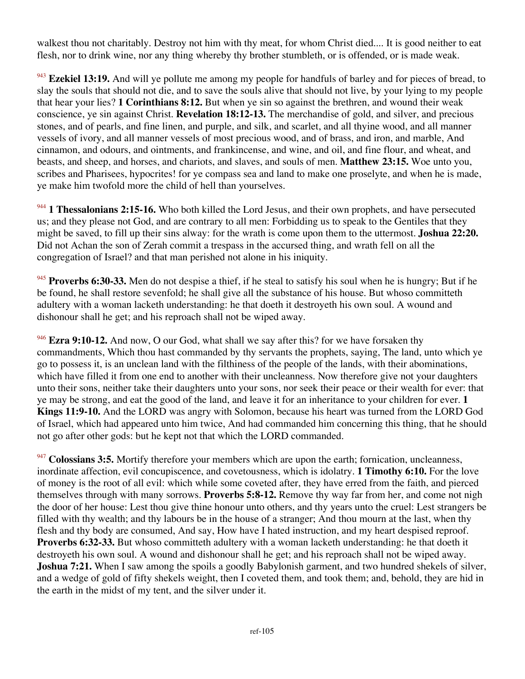walkest thou not charitably. Destroy not him with thy meat, for whom Christ died.... It is good neither to eat flesh, nor to drink wine, nor any thing whereby thy brother stumbleth, or is offended, or is made weak.

<sup>943</sup> Ezekiel 13:19. And will ye pollute me among my people for handfuls of barley and for pieces of bread, to slay the souls that should not die, and to save the souls alive that should not live, by your lying to my people that hear your lies? **1 Corinthians 8:12.** But when ye sin so against the brethren, and wound their weak conscience, ye sin against Christ. **Revelation 18:12-13.** The merchandise of gold, and silver, and precious stones, and of pearls, and fine linen, and purple, and silk, and scarlet, and all thyine wood, and all manner vessels of ivory, and all manner vessels of most precious wood, and of brass, and iron, and marble, And cinnamon, and odours, and ointments, and frankincense, and wine, and oil, and fine flour, and wheat, and beasts, and sheep, and horses, and chariots, and slaves, and souls of men. **Matthew 23:15.** Woe unto you, scribes and Pharisees, hypocrites! for ye compass sea and land to make one proselyte, and when he is made, ye make him twofold more the child of hell than yourselves.

<sup>944</sup> **1 Thessalonians 2:15-16.** Who both killed the Lord Jesus, and their own prophets, and have persecuted us; and they please not God, and are contrary to all men: Forbidding us to speak to the Gentiles that they might be saved, to fill up their sins alway: for the wrath is come upon them to the uttermost. **Joshua 22:20.** Did not Achan the son of Zerah commit a trespass in the accursed thing, and wrath fell on all the congregation of Israel? and that man perished not alone in his iniquity.

<sup>945</sup> **Proverbs 6:30-33.** Men do not despise a thief, if he steal to satisfy his soul when he is hungry; But if he be found, he shall restore sevenfold; he shall give all the substance of his house. But whoso committeth adultery with a woman lacketh understanding: he that doeth it destroyeth his own soul. A wound and dishonour shall he get; and his reproach shall not be wiped away.

<sup>946</sup> **Ezra 9:10-12.** And now, O our God, what shall we say after this? for we have forsaken thy commandments, Which thou hast commanded by thy servants the prophets, saying, The land, unto which ye go to possess it, is an unclean land with the filthiness of the people of the lands, with their abominations, which have filled it from one end to another with their uncleanness. Now therefore give not your daughters unto their sons, neither take their daughters unto your sons, nor seek their peace or their wealth for ever: that ye may be strong, and eat the good of the land, and leave it for an inheritance to your children for ever. **1 Kings 11:9-10.** And the LORD was angry with Solomon, because his heart was turned from the LORD God of Israel, which had appeared unto him twice, And had commanded him concerning this thing, that he should not go after other gods: but he kept not that which the LORD commanded.

<sup>947</sup> Colossians 3:5. Mortify therefore your members which are upon the earth; fornication, uncleanness, inordinate affection, evil concupiscence, and covetousness, which is idolatry. **1 Timothy 6:10.** For the love of money is the root of all evil: which while some coveted after, they have erred from the faith, and pierced themselves through with many sorrows. **Proverbs 5:8-12.** Remove thy way far from her, and come not nigh the door of her house: Lest thou give thine honour unto others, and thy years unto the cruel: Lest strangers be filled with thy wealth; and thy labours be in the house of a stranger; And thou mourn at the last, when thy flesh and thy body are consumed, And say, How have I hated instruction, and my heart despised reproof. **Proverbs 6:32-33.** But whoso committeth adultery with a woman lacketh understanding: he that doeth it destroyeth his own soul. A wound and dishonour shall he get; and his reproach shall not be wiped away. **Joshua 7:21.** When I saw among the spoils a goodly Babylonish garment, and two hundred shekels of silver, and a wedge of gold of fifty shekels weight, then I coveted them, and took them; and, behold, they are hid in the earth in the midst of my tent, and the silver under it.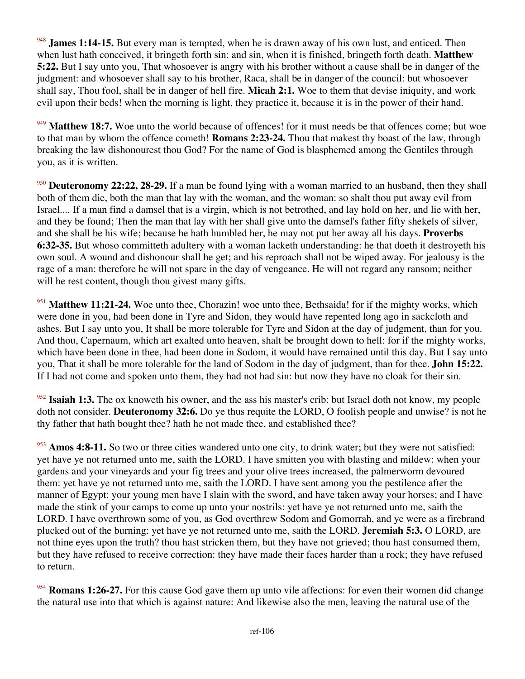<sup>948</sup> **James 1:14-15.** But every man is tempted, when he is drawn away of his own lust, and enticed. Then when lust hath conceived, it bringeth forth sin: and sin, when it is finished, bringeth forth death. **Matthew 5:22.** But I say unto you, That whosoever is angry with his brother without a cause shall be in danger of the judgment: and whosoever shall say to his brother, Raca, shall be in danger of the council: but whosoever shall say, Thou fool, shall be in danger of hell fire. **Micah 2:1.** Woe to them that devise iniquity, and work evil upon their beds! when the morning is light, they practice it, because it is in the power of their hand.

<sup>949</sup> Matthew 18:7. Woe unto the world because of offences! for it must needs be that offences come; but woe to that man by whom the offence cometh! **Romans 2:23-24.** Thou that makest thy boast of the law, through breaking the law dishonourest thou God? For the name of God is blasphemed among the Gentiles through you, as it is written.

<sup>950</sup> **Deuteronomy 22:22, 28-29.** If a man be found lying with a woman married to an husband, then they shall both of them die, both the man that lay with the woman, and the woman: so shalt thou put away evil from Israel.... If a man find a damsel that is a virgin, which is not betrothed, and lay hold on her, and lie with her, and they be found; Then the man that lay with her shall give unto the damsel's father fifty shekels of silver, and she shall be his wife; because he hath humbled her, he may not put her away all his days. **Proverbs 6:32-35.** But whoso committeth adultery with a woman lacketh understanding: he that doeth it destroyeth his own soul. A wound and dishonour shall he get; and his reproach shall not be wiped away. For jealousy is the rage of a man: therefore he will not spare in the day of vengeance. He will not regard any ransom; neither will he rest content, though thou givest many gifts.

<sup>951</sup> Matthew 11:21-24. Woe unto thee, Chorazin! woe unto thee, Bethsaida! for if the mighty works, which were done in you, had been done in Tyre and Sidon, they would have repented long ago in sackcloth and ashes. But I say unto you, It shall be more tolerable for Tyre and Sidon at the day of judgment, than for you. And thou, Capernaum, which art exalted unto heaven, shalt be brought down to hell: for if the mighty works, which have been done in thee, had been done in Sodom, it would have remained until this day. But I say unto you, That it shall be more tolerable for the land of Sodom in the day of judgment, than for thee. **John 15:22.** If I had not come and spoken unto them, they had not had sin: but now they have no cloak for their sin.

<sup>952</sup> **Isaiah 1:3.** The ox knoweth his owner, and the ass his master's crib: but Israel doth not know, my people doth not consider. **Deuteronomy 32:6.** Do ye thus requite the LORD, O foolish people and unwise? is not he thy father that hath bought thee? hath he not made thee, and established thee?

<sup>953</sup> Amos 4:8-11. So two or three cities wandered unto one city, to drink water; but they were not satisfied: yet have ye not returned unto me, saith the LORD. I have smitten you with blasting and mildew: when your gardens and your vineyards and your fig trees and your olive trees increased, the palmerworm devoured them: yet have ye not returned unto me, saith the LORD. I have sent among you the pestilence after the manner of Egypt: your young men have I slain with the sword, and have taken away your horses; and I have made the stink of your camps to come up unto your nostrils: yet have ye not returned unto me, saith the LORD. I have overthrown some of you, as God overthrew Sodom and Gomorrah, and ye were as a firebrand plucked out of the burning: yet have ye not returned unto me, saith the LORD. **Jeremiah 5:3.** O LORD, are not thine eyes upon the truth? thou hast stricken them, but they have not grieved; thou hast consumed them, but they have refused to receive correction: they have made their faces harder than a rock; they have refused to return.

<sup>954</sup> **Romans 1:26-27.** For this cause God gave them up unto vile affections: for even their women did change the natural use into that which is against nature: And likewise also the men, leaving the natural use of the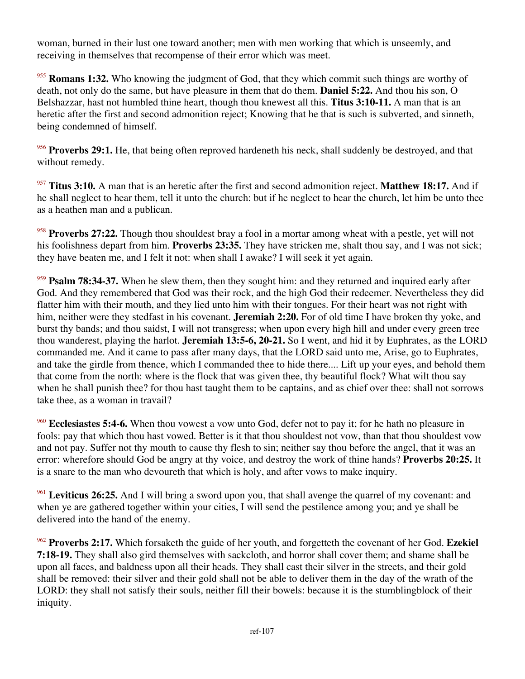woman, burned in their lust one toward another; men with men working that which is unseemly, and receiving in themselves that recompense of their error which was meet.

<sup>955</sup> **Romans 1:32.** Who knowing the judgment of God, that they which commit such things are worthy of death, not only do the same, but have pleasure in them that do them. **Daniel 5:22.** And thou his son, O Belshazzar, hast not humbled thine heart, though thou knewest all this. **Titus 3:10-11.** A man that is an heretic after the first and second admonition reject; Knowing that he that is such is subverted, and sinneth, being condemned of himself.

<sup>956</sup> Proverbs 29:1. He, that being often reproved hardeneth his neck, shall suddenly be destroyed, and that without remedy.

<sup>957</sup> **Titus 3:10.** A man that is an heretic after the first and second admonition reject. **Matthew 18:17.** And if he shall neglect to hear them, tell it unto the church: but if he neglect to hear the church, let him be unto thee as a heathen man and a publican.

<sup>958</sup> **Proverbs 27:22.** Though thou shouldest bray a fool in a mortar among wheat with a pestle, yet will not his foolishness depart from him. **Proverbs 23:35.** They have stricken me, shalt thou say, and I was not sick; they have beaten me, and I felt it not: when shall I awake? I will seek it yet again.

<sup>959</sup> **Psalm 78:34-37.** When he slew them, then they sought him: and they returned and inquired early after God. And they remembered that God was their rock, and the high God their redeemer. Nevertheless they did flatter him with their mouth, and they lied unto him with their tongues. For their heart was not right with him, neither were they stedfast in his covenant. **Jeremiah 2:20.** For of old time I have broken thy yoke, and burst thy bands; and thou saidst, I will not transgress; when upon every high hill and under every green tree thou wanderest, playing the harlot. **Jeremiah 13:5-6, 20-21.** So I went, and hid it by Euphrates, as the LORD commanded me. And it came to pass after many days, that the LORD said unto me, Arise, go to Euphrates, and take the girdle from thence, which I commanded thee to hide there.... Lift up your eyes, and behold them that come from the north: where is the flock that was given thee, thy beautiful flock? What wilt thou say when he shall punish thee? for thou hast taught them to be captains, and as chief over thee: shall not sorrows take thee, as a woman in travail?

<sup>960</sup> **Ecclesiastes 5:4-6.** When thou vowest a vow unto God, defer not to pay it; for he hath no pleasure in fools: pay that which thou hast vowed. Better is it that thou shouldest not vow, than that thou shouldest vow and not pay. Suffer not thy mouth to cause thy flesh to sin; neither say thou before the angel, that it was an error: wherefore should God be angry at thy voice, and destroy the work of thine hands? **Proverbs 20:25.** It is a snare to the man who devoureth that which is holy, and after vows to make inquiry.

<sup>961</sup> **Leviticus 26:25.** And I will bring a sword upon you, that shall avenge the quarrel of my covenant: and when ye are gathered together within your cities, I will send the pestilence among you; and ye shall be delivered into the hand of the enemy.

<sup>962</sup> **Proverbs 2:17.** Which forsaketh the guide of her youth, and forgetteth the covenant of her God. **Ezekiel 7:18-19.** They shall also gird themselves with sackcloth, and horror shall cover them; and shame shall be upon all faces, and baldness upon all their heads. They shall cast their silver in the streets, and their gold shall be removed: their silver and their gold shall not be able to deliver them in the day of the wrath of the LORD: they shall not satisfy their souls, neither fill their bowels: because it is the stumblingblock of their iniquity.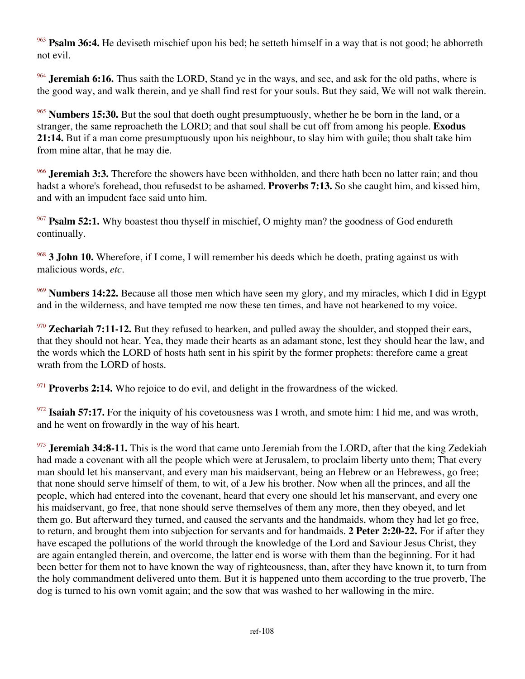<sup>963</sup> **Psalm 36:4.** He deviseth mischief upon his bed; he setteth himself in a way that is not good; he abhorreth not evil.

<sup>964</sup> **Jeremiah 6:16.** Thus saith the LORD, Stand ye in the ways, and see, and ask for the old paths, where is the good way, and walk therein, and ye shall find rest for your souls. But they said, We will not walk therein.

<sup>965</sup> **Numbers 15:30.** But the soul that doeth ought presumptuously, whether he be born in the land, or a stranger, the same reproacheth the LORD; and that soul shall be cut off from among his people. **Exodus 21:14.** But if a man come presumptuously upon his neighbour, to slay him with guile; thou shalt take him from mine altar, that he may die.

<sup>966</sup> **Jeremiah 3:3.** Therefore the showers have been withholden, and there hath been no latter rain; and thou hadst a whore's forehead, thou refusedst to be ashamed. **Proverbs 7:13.** So she caught him, and kissed him, and with an impudent face said unto him.

<sup>967</sup> **Psalm 52:1.** Why boastest thou thyself in mischief, O mighty man? the goodness of God endureth continually.

<sup>968</sup> **3 John 10.** Wherefore, if I come, I will remember his deeds which he doeth, prating against us with malicious words, *etc*.

<sup>969</sup> **Numbers 14:22.** Because all those men which have seen my glory, and my miracles, which I did in Egypt and in the wilderness, and have tempted me now these ten times, and have not hearkened to my voice.

<sup>970</sup> **Zechariah 7:11-12.** But they refused to hearken, and pulled away the shoulder, and stopped their ears, that they should not hear. Yea, they made their hearts as an adamant stone, lest they should hear the law, and the words which the LORD of hosts hath sent in his spirit by the former prophets: therefore came a great wrath from the LORD of hosts.

<sup>971</sup> **Proverbs 2:14.** Who rejoice to do evil, and delight in the frowardness of the wicked.

<sup>972</sup> **Isaiah 57:17.** For the iniquity of his covetousness was I wroth, and smote him: I hid me, and was wroth, and he went on frowardly in the way of his heart.

<sup>973</sup> **Jeremiah 34:8-11.** This is the word that came unto Jeremiah from the LORD, after that the king Zedekiah had made a covenant with all the people which were at Jerusalem, to proclaim liberty unto them; That every man should let his manservant, and every man his maidservant, being an Hebrew or an Hebrewess, go free; that none should serve himself of them, to wit, of a Jew his brother. Now when all the princes, and all the people, which had entered into the covenant, heard that every one should let his manservant, and every one his maidservant, go free, that none should serve themselves of them any more, then they obeyed, and let them go. But afterward they turned, and caused the servants and the handmaids, whom they had let go free, to return, and brought them into subjection for servants and for handmaids. **2 Peter 2:20-22.** For if after they have escaped the pollutions of the world through the knowledge of the Lord and Saviour Jesus Christ, they are again entangled therein, and overcome, the latter end is worse with them than the beginning. For it had been better for them not to have known the way of righteousness, than, after they have known it, to turn from the holy commandment delivered unto them. But it is happened unto them according to the true proverb, The dog is turned to his own vomit again; and the sow that was washed to her wallowing in the mire.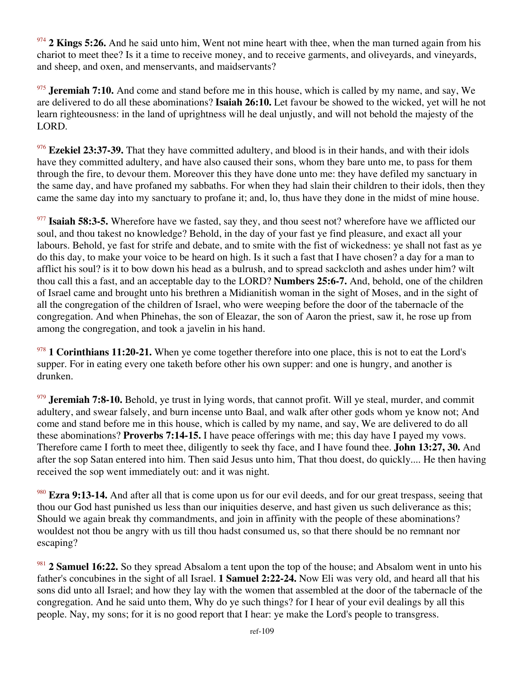<sup>974</sup> **2 Kings 5:26.** And he said unto him, Went not mine heart with thee, when the man turned again from his chariot to meet thee? Is it a time to receive money, and to receive garments, and oliveyards, and vineyards, and sheep, and oxen, and menservants, and maidservants?

<sup>975</sup> **Jeremiah 7:10.** And come and stand before me in this house, which is called by my name, and say, We are delivered to do all these abominations? **Isaiah 26:10.** Let favour be showed to the wicked, yet will he not learn righteousness: in the land of uprightness will he deal unjustly, and will not behold the majesty of the LORD.

<sup>976</sup> **Ezekiel 23:37-39.** That they have committed adultery, and blood is in their hands, and with their idols have they committed adultery, and have also caused their sons, whom they bare unto me, to pass for them through the fire, to devour them. Moreover this they have done unto me: they have defiled my sanctuary in the same day, and have profaned my sabbaths. For when they had slain their children to their idols, then they came the same day into my sanctuary to profane it; and, lo, thus have they done in the midst of mine house.

<sup>977</sup> **Isaiah 58:3-5.** Wherefore have we fasted, say they, and thou seest not? wherefore have we afflicted our soul, and thou takest no knowledge? Behold, in the day of your fast ye find pleasure, and exact all your labours. Behold, ye fast for strife and debate, and to smite with the fist of wickedness: ye shall not fast as ye do this day, to make your voice to be heard on high. Is it such a fast that I have chosen? a day for a man to afflict his soul? is it to bow down his head as a bulrush, and to spread sackcloth and ashes under him? wilt thou call this a fast, and an acceptable day to the LORD? **Numbers 25:6-7.** And, behold, one of the children of Israel came and brought unto his brethren a Midianitish woman in the sight of Moses, and in the sight of all the congregation of the children of Israel, who were weeping before the door of the tabernacle of the congregation. And when Phinehas, the son of Eleazar, the son of Aaron the priest, saw it, he rose up from among the congregation, and took a javelin in his hand.

<sup>978</sup> 1 Corinthians 11:20-21. When ye come together therefore into one place, this is not to eat the Lord's supper. For in eating every one taketh before other his own supper: and one is hungry, and another is drunken.

<sup>979</sup> **Jeremiah 7:8-10.** Behold, ye trust in lying words, that cannot profit. Will ye steal, murder, and commit adultery, and swear falsely, and burn incense unto Baal, and walk after other gods whom ye know not; And come and stand before me in this house, which is called by my name, and say, We are delivered to do all these abominations? **Proverbs 7:14-15.** I have peace offerings with me; this day have I payed my vows. Therefore came I forth to meet thee, diligently to seek thy face, and I have found thee. **John 13:27, 30.** And after the sop Satan entered into him. Then said Jesus unto him, That thou doest, do quickly.... He then having received the sop went immediately out: and it was night.

<sup>980</sup> **Ezra 9:13-14.** And after all that is come upon us for our evil deeds, and for our great trespass, seeing that thou our God hast punished us less than our iniquities deserve, and hast given us such deliverance as this; Should we again break thy commandments, and join in affinity with the people of these abominations? wouldest not thou be angry with us till thou hadst consumed us, so that there should be no remnant nor escaping?

<sup>981</sup> **2 Samuel 16:22.** So they spread Absalom a tent upon the top of the house; and Absalom went in unto his father's concubines in the sight of all Israel. **1 Samuel 2:22-24.** Now Eli was very old, and heard all that his sons did unto all Israel; and how they lay with the women that assembled at the door of the tabernacle of the congregation. And he said unto them, Why do ye such things? for I hear of your evil dealings by all this people. Nay, my sons; for it is no good report that I hear: ye make the Lord's people to transgress.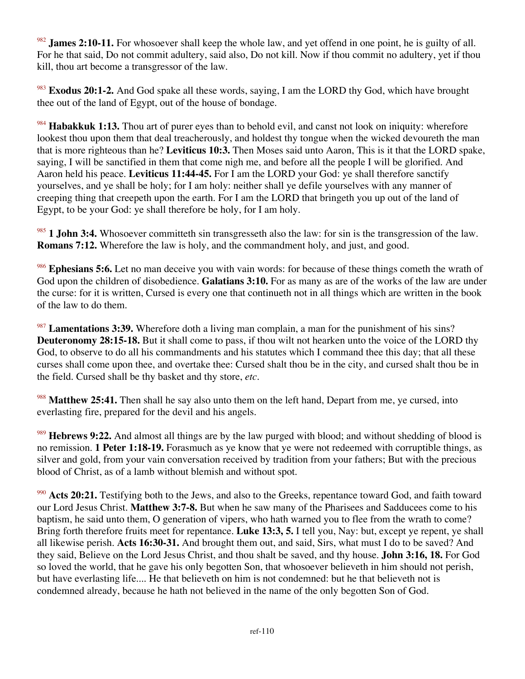<sup>982</sup> **James 2:10-11.** For whosoever shall keep the whole law, and yet offend in one point, he is guilty of all. For he that said, Do not commit adultery, said also, Do not kill. Now if thou commit no adultery, yet if thou kill, thou art become a transgressor of the law.

<sup>983</sup> **Exodus 20:1-2.** And God spake all these words, saying, I am the LORD thy God, which have brought thee out of the land of Egypt, out of the house of bondage.

<sup>984</sup> **Habakkuk 1:13.** Thou art of purer eyes than to behold evil, and canst not look on iniquity: wherefore lookest thou upon them that deal treacherously, and holdest thy tongue when the wicked devoureth the man that is more righteous than he? **Leviticus 10:3.** Then Moses said unto Aaron, This is it that the LORD spake, saying, I will be sanctified in them that come nigh me, and before all the people I will be glorified. And Aaron held his peace. **Leviticus 11:44-45.** For I am the LORD your God: ye shall therefore sanctify yourselves, and ye shall be holy; for I am holy: neither shall ye defile yourselves with any manner of creeping thing that creepeth upon the earth. For I am the LORD that bringeth you up out of the land of Egypt, to be your God: ye shall therefore be holy, for I am holy.

<sup>985</sup> **1 John 3:4.** Whosoever committeth sin transgresseth also the law: for sin is the transgression of the law. **Romans 7:12.** Wherefore the law is holy, and the commandment holy, and just, and good.

<sup>986</sup> **Ephesians 5:6.** Let no man deceive you with vain words: for because of these things cometh the wrath of God upon the children of disobedience. **Galatians 3:10.** For as many as are of the works of the law are under the curse: for it is written, Cursed is every one that continueth not in all things which are written in the book of the law to do them.

<sup>987</sup> **Lamentations 3:39.** Wherefore doth a living man complain, a man for the punishment of his sins? **Deuteronomy 28:15-18.** But it shall come to pass, if thou wilt not hearken unto the voice of the LORD thy God, to observe to do all his commandments and his statutes which I command thee this day; that all these curses shall come upon thee, and overtake thee: Cursed shalt thou be in the city, and cursed shalt thou be in the field. Cursed shall be thy basket and thy store, *etc*.

**Matthew 25:41.** Then shall he say also unto them on the left hand, Depart from me, ye cursed, into everlasting fire, prepared for the devil and his angels.

<sup>989</sup> **Hebrews 9:22.** And almost all things are by the law purged with blood; and without shedding of blood is no remission. **1 Peter 1:18-19.** Forasmuch as ye know that ye were not redeemed with corruptible things, as silver and gold, from your vain conversation received by tradition from your fathers; But with the precious blood of Christ, as of a lamb without blemish and without spot.

<sup>990</sup> **Acts 20:21.** Testifying both to the Jews, and also to the Greeks, repentance toward God, and faith toward our Lord Jesus Christ. **Matthew 3:7-8.** But when he saw many of the Pharisees and Sadducees come to his baptism, he said unto them, O generation of vipers, who hath warned you to flee from the wrath to come? Bring forth therefore fruits meet for repentance. **Luke 13:3, 5.** I tell you, Nay: but, except ye repent, ye shall all likewise perish. **Acts 16:30-31.** And brought them out, and said, Sirs, what must I do to be saved? And they said, Believe on the Lord Jesus Christ, and thou shalt be saved, and thy house. **John 3:16, 18.** For God so loved the world, that he gave his only begotten Son, that whosoever believeth in him should not perish, but have everlasting life.... He that believeth on him is not condemned: but he that believeth not is condemned already, because he hath not believed in the name of the only begotten Son of God.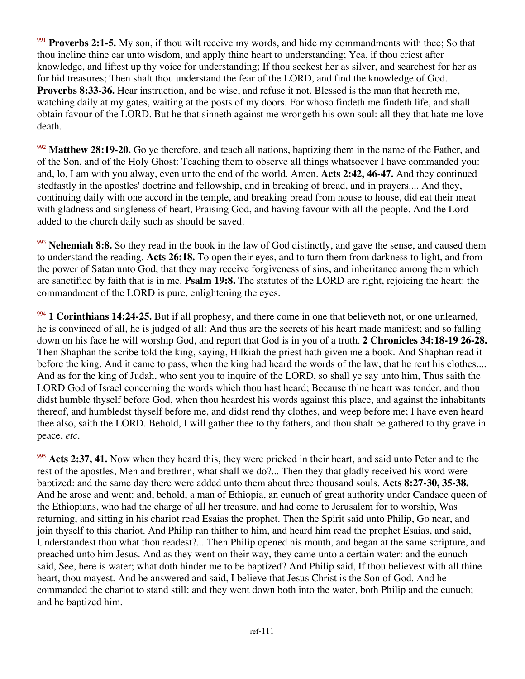<sup>991</sup> **Proverbs 2:1-5.** My son, if thou wilt receive my words, and hide my commandments with thee; So that thou incline thine ear unto wisdom, and apply thine heart to understanding; Yea, if thou criest after knowledge, and liftest up thy voice for understanding; If thou seekest her as silver, and searchest for her as for hid treasures; Then shalt thou understand the fear of the LORD, and find the knowledge of God. **Proverbs 8:33-36.** Hear instruction, and be wise, and refuse it not. Blessed is the man that heareth me, watching daily at my gates, waiting at the posts of my doors. For whoso findeth me findeth life, and shall obtain favour of the LORD. But he that sinneth against me wrongeth his own soul: all they that hate me love death.

<sup>992</sup> **Matthew 28:19-20.** Go ye therefore, and teach all nations, baptizing them in the name of the Father, and of the Son, and of the Holy Ghost: Teaching them to observe all things whatsoever I have commanded you: and, lo, I am with you alway, even unto the end of the world. Amen. **Acts 2:42, 46-47.** And they continued stedfastly in the apostles' doctrine and fellowship, and in breaking of bread, and in prayers.... And they, continuing daily with one accord in the temple, and breaking bread from house to house, did eat their meat with gladness and singleness of heart, Praising God, and having favour with all the people. And the Lord added to the church daily such as should be saved.

<sup>993</sup> **Nehemiah 8:8.** So they read in the book in the law of God distinctly, and gave the sense, and caused them to understand the reading. **Acts 26:18.** To open their eyes, and to turn them from darkness to light, and from the power of Satan unto God, that they may receive forgiveness of sins, and inheritance among them which are sanctified by faith that is in me. **Psalm 19:8.** The statutes of the LORD are right, rejoicing the heart: the commandment of the LORD is pure, enlightening the eyes.

<sup>994</sup> **1 Corinthians 14:24-25.** But if all prophesy, and there come in one that believeth not, or one unlearned, he is convinced of all, he is judged of all: And thus are the secrets of his heart made manifest; and so falling down on his face he will worship God, and report that God is in you of a truth. **2 Chronicles 34:18-19 26-28.** Then Shaphan the scribe told the king, saying, Hilkiah the priest hath given me a book. And Shaphan read it before the king. And it came to pass, when the king had heard the words of the law, that he rent his clothes.... And as for the king of Judah, who sent you to inquire of the LORD, so shall ye say unto him, Thus saith the LORD God of Israel concerning the words which thou hast heard; Because thine heart was tender, and thou didst humble thyself before God, when thou heardest his words against this place, and against the inhabitants thereof, and humbledst thyself before me, and didst rend thy clothes, and weep before me; I have even heard thee also, saith the LORD. Behold, I will gather thee to thy fathers, and thou shalt be gathered to thy grave in peace, *etc*.

<sup>995</sup> **Acts 2:37, 41.** Now when they heard this, they were pricked in their heart, and said unto Peter and to the rest of the apostles, Men and brethren, what shall we do?... Then they that gladly received his word were baptized: and the same day there were added unto them about three thousand souls. **Acts 8:27-30, 35-38.** And he arose and went: and, behold, a man of Ethiopia, an eunuch of great authority under Candace queen of the Ethiopians, who had the charge of all her treasure, and had come to Jerusalem for to worship, Was returning, and sitting in his chariot read Esaias the prophet. Then the Spirit said unto Philip, Go near, and join thyself to this chariot. And Philip ran thither to him, and heard him read the prophet Esaias, and said, Understandest thou what thou readest?... Then Philip opened his mouth, and began at the same scripture, and preached unto him Jesus. And as they went on their way, they came unto a certain water: and the eunuch said, See, here is water; what doth hinder me to be baptized? And Philip said, If thou believest with all thine heart, thou mayest. And he answered and said, I believe that Jesus Christ is the Son of God. And he commanded the chariot to stand still: and they went down both into the water, both Philip and the eunuch; and he baptized him.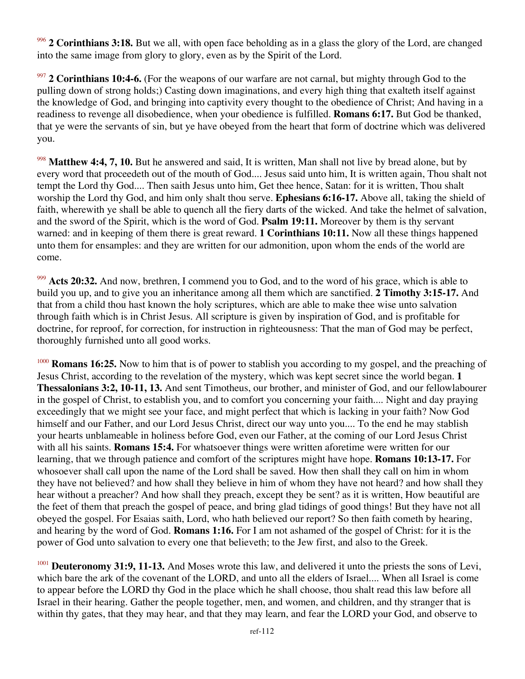<sup>996</sup> **2 Corinthians 3:18.** But we all, with open face beholding as in a glass the glory of the Lord, are changed into the same image from glory to glory, even as by the Spirit of the Lord.

<sup>997</sup> 2 Corinthians 10:4-6. (For the weapons of our warfare are not carnal, but mighty through God to the pulling down of strong holds;) Casting down imaginations, and every high thing that exalteth itself against the knowledge of God, and bringing into captivity every thought to the obedience of Christ; And having in a readiness to revenge all disobedience, when your obedience is fulfilled. **Romans 6:17.** But God be thanked, that ye were the servants of sin, but ye have obeyed from the heart that form of doctrine which was delivered you.

<sup>998</sup> **Matthew 4:4, 7, 10.** But he answered and said, It is written, Man shall not live by bread alone, but by every word that proceedeth out of the mouth of God.... Jesus said unto him, It is written again, Thou shalt not tempt the Lord thy God.... Then saith Jesus unto him, Get thee hence, Satan: for it is written, Thou shalt worship the Lord thy God, and him only shalt thou serve. **Ephesians 6:16-17.** Above all, taking the shield of faith, wherewith ye shall be able to quench all the fiery darts of the wicked. And take the helmet of salvation, and the sword of the Spirit, which is the word of God. **Psalm 19:11.** Moreover by them is thy servant warned: and in keeping of them there is great reward. **1 Corinthians 10:11.** Now all these things happened unto them for ensamples: and they are written for our admonition, upon whom the ends of the world are come.

<sup>999</sup> **Acts 20:32.** And now, brethren, I commend you to God, and to the word of his grace, which is able to build you up, and to give you an inheritance among all them which are sanctified. **2 Timothy 3:15-17.** And that from a child thou hast known the holy scriptures, which are able to make thee wise unto salvation through faith which is in Christ Jesus. All scripture is given by inspiration of God, and is profitable for doctrine, for reproof, for correction, for instruction in righteousness: That the man of God may be perfect, thoroughly furnished unto all good works.

<sup>1000</sup> **Romans 16:25.** Now to him that is of power to stablish you according to my gospel, and the preaching of Jesus Christ, according to the revelation of the mystery, which was kept secret since the world began. **1 Thessalonians 3:2, 10-11, 13.** And sent Timotheus, our brother, and minister of God, and our fellowlabourer in the gospel of Christ, to establish you, and to comfort you concerning your faith.... Night and day praying exceedingly that we might see your face, and might perfect that which is lacking in your faith? Now God himself and our Father, and our Lord Jesus Christ, direct our way unto you.... To the end he may stablish your hearts unblameable in holiness before God, even our Father, at the coming of our Lord Jesus Christ with all his saints. **Romans 15:4.** For whatsoever things were written aforetime were written for our learning, that we through patience and comfort of the scriptures might have hope. **Romans 10:13-17.** For whosoever shall call upon the name of the Lord shall be saved. How then shall they call on him in whom they have not believed? and how shall they believe in him of whom they have not heard? and how shall they hear without a preacher? And how shall they preach, except they be sent? as it is written, How beautiful are the feet of them that preach the gospel of peace, and bring glad tidings of good things! But they have not all obeyed the gospel. For Esaias saith, Lord, who hath believed our report? So then faith cometh by hearing, and hearing by the word of God. **Romans 1:16.** For I am not ashamed of the gospel of Christ: for it is the power of God unto salvation to every one that believeth; to the Jew first, and also to the Greek.

<sup>1001</sup> **Deuteronomy 31:9, 11-13.** And Moses wrote this law, and delivered it unto the priests the sons of Levi, which bare the ark of the covenant of the LORD, and unto all the elders of Israel.... When all Israel is come to appear before the LORD thy God in the place which he shall choose, thou shalt read this law before all Israel in their hearing. Gather the people together, men, and women, and children, and thy stranger that is within thy gates, that they may hear, and that they may learn, and fear the LORD your God, and observe to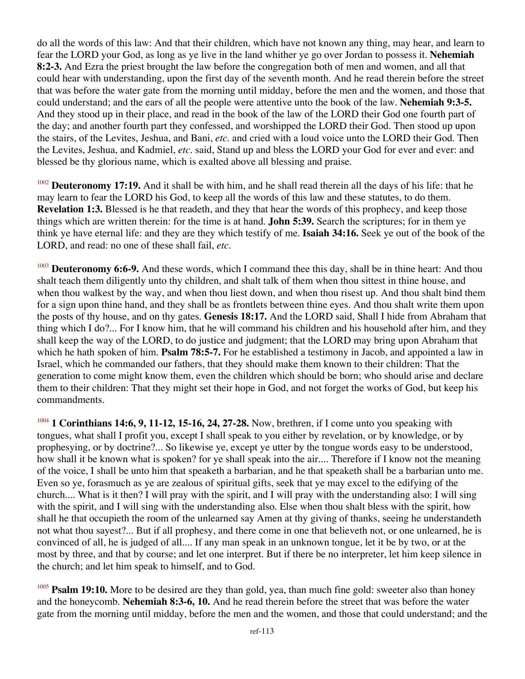do all the words of this law: And that their children, which have not known any thing, may hear, and learn to fear the LORD your God, as long as ye live in the land whither ye go over Jordan to possess it. **Nehemiah 8:2-3.** And Ezra the priest brought the law before the congregation both of men and women, and all that could hear with understanding, upon the first day of the seventh month. And he read therein before the street that was before the water gate from the morning until midday, before the men and the women, and those that could understand; and the ears of all the people were attentive unto the book of the law. **Nehemiah 9:3-5.** And they stood up in their place, and read in the book of the law of the LORD their God one fourth part of the day; and another fourth part they confessed, and worshipped the LORD their God. Then stood up upon the stairs, of the Levites, Jeshua, and Bani, *etc*. and cried with a loud voice unto the LORD their God. Then the Levites, Jeshua, and Kadmiel, *etc*. said, Stand up and bless the LORD your God for ever and ever: and blessed be thy glorious name, which is exalted above all blessing and praise.

<sup>1002</sup> **Deuteronomy 17:19.** And it shall be with him, and he shall read therein all the days of his life: that he may learn to fear the LORD his God, to keep all the words of this law and these statutes, to do them. **Revelation 1:3.** Blessed is he that readeth, and they that hear the words of this prophecy, and keep those things which are written therein: for the time is at hand. **John 5:39.** Search the scriptures; for in them ye think ye have eternal life: and they are they which testify of me. **Isaiah 34:16.** Seek ye out of the book of the LORD, and read: no one of these shall fail, *etc*.

<sup>1003</sup> **Deuteronomy 6:6-9.** And these words, which I command thee this day, shall be in thine heart: And thou shalt teach them diligently unto thy children, and shalt talk of them when thou sittest in thine house, and when thou walkest by the way, and when thou liest down, and when thou risest up. And thou shalt bind them for a sign upon thine hand, and they shall be as frontlets between thine eyes. And thou shalt write them upon the posts of thy house, and on thy gates. **Genesis 18:17.** And the LORD said, Shall I hide from Abraham that thing which I do?... For I know him, that he will command his children and his household after him, and they shall keep the way of the LORD, to do justice and judgment; that the LORD may bring upon Abraham that which he hath spoken of him. **Psalm 78:5-7.** For he established a testimony in Jacob, and appointed a law in Israel, which he commanded our fathers, that they should make them known to their children: That the generation to come might know them, even the children which should be born; who should arise and declare them to their children: That they might set their hope in God, and not forget the works of God, but keep his commandments.

<sup>1004</sup> 1 Corinthians 14:6, 9, 11-12, 15-16, 24, 27-28. Now, brethren, if I come unto you speaking with tongues, what shall I profit you, except I shall speak to you either by revelation, or by knowledge, or by prophesying, or by doctrine?... So likewise ye, except ye utter by the tongue words easy to be understood, how shall it be known what is spoken? for ye shall speak into the air.... Therefore if I know not the meaning of the voice, I shall be unto him that speaketh a barbarian, and he that speaketh shall be a barbarian unto me. Even so ye, forasmuch as ye are zealous of spiritual gifts, seek that ye may excel to the edifying of the church.... What is it then? I will pray with the spirit, and I will pray with the understanding also: I will sing with the spirit, and I will sing with the understanding also. Else when thou shalt bless with the spirit, how shall he that occupieth the room of the unlearned say Amen at thy giving of thanks, seeing he understandeth not what thou sayest?... But if all prophesy, and there come in one that believeth not, or one unlearned, he is convinced of all, he is judged of all.... If any man speak in an unknown tongue, let it be by two, or at the most by three, and that by course; and let one interpret. But if there be no interpreter, let him keep silence in the church; and let him speak to himself, and to God.

Psalm 19:10. More to be desired are they than gold, yea, than much fine gold: sweeter also than honey and the honeycomb. **Nehemiah 8:3-6, 10.** And he read therein before the street that was before the water gate from the morning until midday, before the men and the women, and those that could understand; and the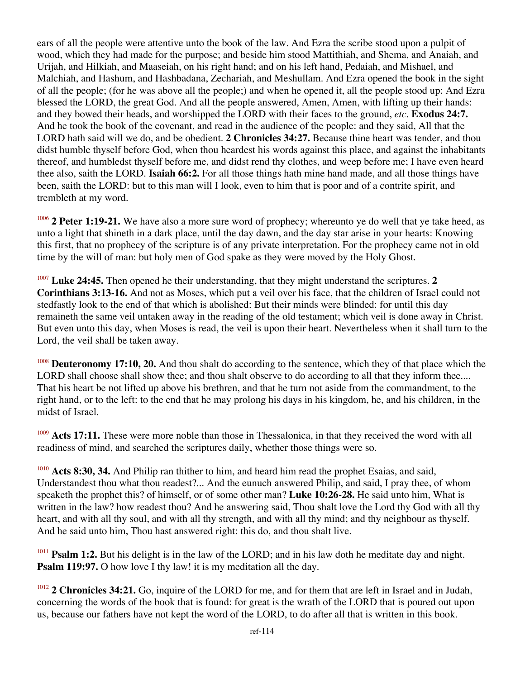ears of all the people were attentive unto the book of the law. And Ezra the scribe stood upon a pulpit of wood, which they had made for the purpose; and beside him stood Mattithiah, and Shema, and Anaiah, and Urijah, and Hilkiah, and Maaseiah, on his right hand; and on his left hand, Pedaiah, and Mishael, and Malchiah, and Hashum, and Hashbadana, Zechariah, and Meshullam. And Ezra opened the book in the sight of all the people; (for he was above all the people;) and when he opened it, all the people stood up: And Ezra blessed the LORD, the great God. And all the people answered, Amen, Amen, with lifting up their hands: and they bowed their heads, and worshipped the LORD with their faces to the ground, *etc*. **Exodus 24:7.** And he took the book of the covenant, and read in the audience of the people: and they said, All that the LORD hath said will we do, and be obedient. **2 Chronicles 34:27.** Because thine heart was tender, and thou didst humble thyself before God, when thou heardest his words against this place, and against the inhabitants thereof, and humbledst thyself before me, and didst rend thy clothes, and weep before me; I have even heard thee also, saith the LORD. **Isaiah 66:2.** For all those things hath mine hand made, and all those things have been, saith the LORD: but to this man will I look, even to him that is poor and of a contrite spirit, and trembleth at my word.

<sup>1006</sup> **2 Peter 1:19-21.** We have also a more sure word of prophecy; whereunto ye do well that ye take heed, as unto a light that shineth in a dark place, until the day dawn, and the day star arise in your hearts: Knowing this first, that no prophecy of the scripture is of any private interpretation. For the prophecy came not in old time by the will of man: but holy men of God spake as they were moved by the Holy Ghost.

<sup>1007</sup> **Luke 24:45.** Then opened he their understanding, that they might understand the scriptures. **2 Corinthians 3:13-16.** And not as Moses, which put a veil over his face, that the children of Israel could not stedfastly look to the end of that which is abolished: But their minds were blinded: for until this day remaineth the same veil untaken away in the reading of the old testament; which veil is done away in Christ. But even unto this day, when Moses is read, the veil is upon their heart. Nevertheless when it shall turn to the Lord, the veil shall be taken away.

<sup>1008</sup> **Deuteronomy 17:10, 20.** And thou shalt do according to the sentence, which they of that place which the LORD shall choose shall show thee; and thou shalt observe to do according to all that they inform thee.... That his heart be not lifted up above his brethren, and that he turn not aside from the commandment, to the right hand, or to the left: to the end that he may prolong his days in his kingdom, he, and his children, in the midst of Israel.

Acts 17:11. These were more noble than those in Thessalonica, in that they received the word with all readiness of mind, and searched the scriptures daily, whether those things were so.

<sup>1010</sup> **Acts 8:30, 34.** And Philip ran thither to him, and heard him read the prophet Esaias, and said, Understandest thou what thou readest?... And the eunuch answered Philip, and said, I pray thee, of whom speaketh the prophet this? of himself, or of some other man? **Luke 10:26-28.** He said unto him, What is written in the law? how readest thou? And he answering said, Thou shalt love the Lord thy God with all thy heart, and with all thy soul, and with all thy strength, and with all thy mind; and thy neighbour as thyself. And he said unto him, Thou hast answered right: this do, and thou shalt live.

<sup>1011</sup> **Psalm 1:2.** But his delight is in the law of the LORD; and in his law doth he meditate day and night. **Psalm 119:97.** O how love I thy law! it is my meditation all the day.

<sup>1012</sup> 2 Chronicles 34:21. Go, inquire of the LORD for me, and for them that are left in Israel and in Judah, concerning the words of the book that is found: for great is the wrath of the LORD that is poured out upon us, because our fathers have not kept the word of the LORD, to do after all that is written in this book.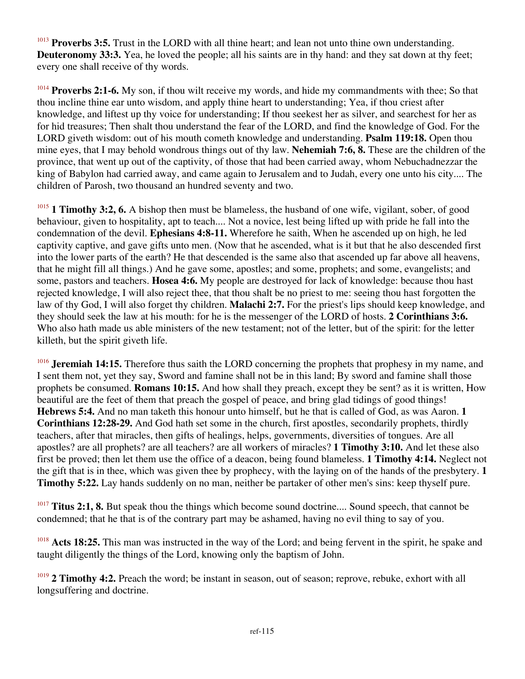<sup>1013</sup> Proverbs 3:5. Trust in the LORD with all thine heart; and lean not unto thine own understanding. **Deuteronomy 33:3.** Yea, he loved the people; all his saints are in thy hand: and they sat down at thy feet; every one shall receive of thy words.

<sup>1014</sup> **Proverbs 2:1-6.** My son, if thou wilt receive my words, and hide my commandments with thee; So that thou incline thine ear unto wisdom, and apply thine heart to understanding; Yea, if thou criest after knowledge, and liftest up thy voice for understanding; If thou seekest her as silver, and searchest for her as for hid treasures; Then shalt thou understand the fear of the LORD, and find the knowledge of God. For the LORD giveth wisdom: out of his mouth cometh knowledge and understanding. **Psalm 119:18.** Open thou mine eyes, that I may behold wondrous things out of thy law. **Nehemiah 7:6, 8.** These are the children of the province, that went up out of the captivity, of those that had been carried away, whom Nebuchadnezzar the king of Babylon had carried away, and came again to Jerusalem and to Judah, every one unto his city.... The children of Parosh, two thousand an hundred seventy and two.

<sup>1015</sup> **1 Timothy 3:2, 6.** A bishop then must be blameless, the husband of one wife, vigilant, sober, of good behaviour, given to hospitality, apt to teach.... Not a novice, lest being lifted up with pride he fall into the condemnation of the devil. **Ephesians 4:8-11.** Wherefore he saith, When he ascended up on high, he led captivity captive, and gave gifts unto men. (Now that he ascended, what is it but that he also descended first into the lower parts of the earth? He that descended is the same also that ascended up far above all heavens, that he might fill all things.) And he gave some, apostles; and some, prophets; and some, evangelists; and some, pastors and teachers. **Hosea 4:6.** My people are destroyed for lack of knowledge: because thou hast rejected knowledge, I will also reject thee, that thou shalt be no priest to me: seeing thou hast forgotten the law of thy God, I will also forget thy children. **Malachi 2:7.** For the priest's lips should keep knowledge, and they should seek the law at his mouth: for he is the messenger of the LORD of hosts. **2 Corinthians 3:6.** Who also hath made us able ministers of the new testament; not of the letter, but of the spirit: for the letter killeth, but the spirit giveth life.

<sup>1016</sup> **Jeremiah 14:15.** Therefore thus saith the LORD concerning the prophets that prophesy in my name, and I sent them not, yet they say, Sword and famine shall not be in this land; By sword and famine shall those prophets be consumed. **Romans 10:15.** And how shall they preach, except they be sent? as it is written, How beautiful are the feet of them that preach the gospel of peace, and bring glad tidings of good things! **Hebrews 5:4.** And no man taketh this honour unto himself, but he that is called of God, as was Aaron. **1 Corinthians 12:28-29.** And God hath set some in the church, first apostles, secondarily prophets, thirdly teachers, after that miracles, then gifts of healings, helps, governments, diversities of tongues. Are all apostles? are all prophets? are all teachers? are all workers of miracles? **1 Timothy 3:10.** And let these also first be proved; then let them use the office of a deacon, being found blameless. **1 Timothy 4:14.** Neglect not the gift that is in thee, which was given thee by prophecy, with the laying on of the hands of the presbytery. **1 Timothy 5:22.** Lay hands suddenly on no man, neither be partaker of other men's sins: keep thyself pure.

<sup>1017</sup> **Titus 2:1, 8.** But speak thou the things which become sound doctrine.... Sound speech, that cannot be condemned; that he that is of the contrary part may be ashamed, having no evil thing to say of you.

Acts 18:25. This man was instructed in the way of the Lord; and being fervent in the spirit, he spake and taught diligently the things of the Lord, knowing only the baptism of John.

<sup>1019</sup> **2 Timothy 4:2.** Preach the word; be instant in season, out of season; reprove, rebuke, exhort with all longsuffering and doctrine.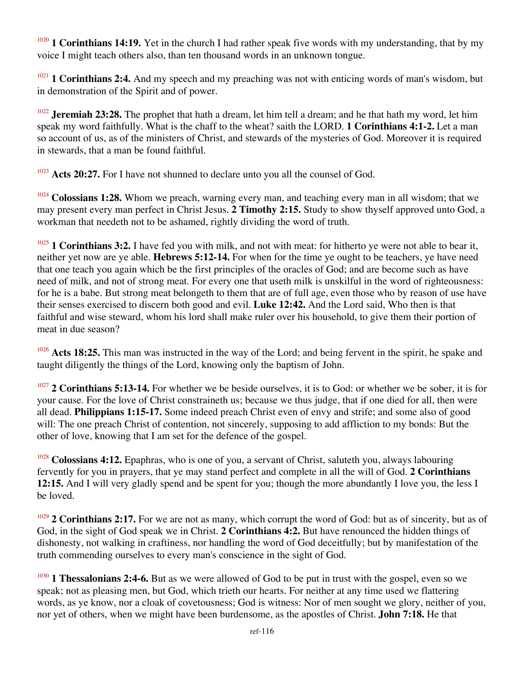<sup>1020</sup> **1 Corinthians 14:19.** Yet in the church I had rather speak five words with my understanding, that by my voice I might teach others also, than ten thousand words in an unknown tongue.

<sup>1021</sup> **1 Corinthians 2:4.** And my speech and my preaching was not with enticing words of man's wisdom, but in demonstration of the Spirit and of power.

<sup>1022</sup> **Jeremiah 23:28.** The prophet that hath a dream, let him tell a dream; and he that hath my word, let him speak my word faithfully. What is the chaff to the wheat? saith the LORD. **1 Corinthians 4:1-2.** Let a man so account of us, as of the ministers of Christ, and stewards of the mysteries of God. Moreover it is required in stewards, that a man be found faithful.

<sup>1023</sup> Acts 20:27. For I have not shunned to declare unto you all the counsel of God.

<sup>1024</sup> Colossians 1:28. Whom we preach, warning every man, and teaching every man in all wisdom; that we may present every man perfect in Christ Jesus. **2 Timothy 2:15.** Study to show thyself approved unto God, a workman that needeth not to be ashamed, rightly dividing the word of truth.

<sup>1025</sup> **1 Corinthians 3:2.** I have fed you with milk, and not with meat: for hitherto ye were not able to bear it, neither yet now are ye able. **Hebrews 5:12-14.** For when for the time ye ought to be teachers, ye have need that one teach you again which be the first principles of the oracles of God; and are become such as have need of milk, and not of strong meat. For every one that useth milk is unskilful in the word of righteousness: for he is a babe. But strong meat belongeth to them that are of full age, even those who by reason of use have their senses exercised to discern both good and evil. **Luke 12:42.** And the Lord said, Who then is that faithful and wise steward, whom his lord shall make ruler over his household, to give them their portion of meat in due season?

<sup>1026</sup> **Acts 18:25.** This man was instructed in the way of the Lord; and being fervent in the spirit, he spake and taught diligently the things of the Lord, knowing only the baptism of John.

<sup>1027</sup> **2 Corinthians 5:13-14.** For whether we be beside ourselves, it is to God: or whether we be sober, it is for your cause. For the love of Christ constraineth us; because we thus judge, that if one died for all, then were all dead. **Philippians 1:15-17.** Some indeed preach Christ even of envy and strife; and some also of good will: The one preach Christ of contention, not sincerely, supposing to add affliction to my bonds: But the other of love, knowing that I am set for the defence of the gospel.

<sup>1028</sup> Colossians 4:12. Epaphras, who is one of you, a servant of Christ, saluteth you, always labouring fervently for you in prayers, that ye may stand perfect and complete in all the will of God. **2 Corinthians 12:15.** And I will very gladly spend and be spent for you; though the more abundantly I love you, the less I be loved.

<sup>1029</sup> **2 Corinthians 2:17.** For we are not as many, which corrupt the word of God: but as of sincerity, but as of God, in the sight of God speak we in Christ. **2 Corinthians 4:2.** But have renounced the hidden things of dishonesty, not walking in craftiness, nor handling the word of God deceitfully; but by manifestation of the truth commending ourselves to every man's conscience in the sight of God.

<sup>1030</sup> **1 Thessalonians 2:4-6.** But as we were allowed of God to be put in trust with the gospel, even so we speak; not as pleasing men, but God, which trieth our hearts. For neither at any time used we flattering words, as ye know, nor a cloak of covetousness; God is witness: Nor of men sought we glory, neither of you, nor yet of others, when we might have been burdensome, as the apostles of Christ. **John 7:18.** He that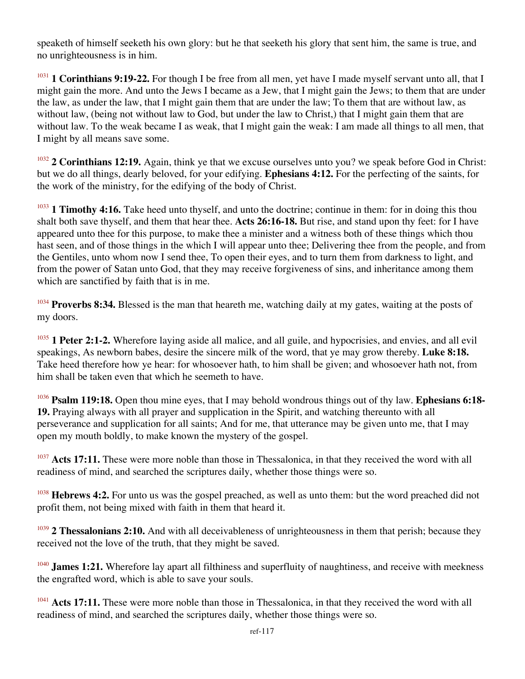speaketh of himself seeketh his own glory: but he that seeketh his glory that sent him, the same is true, and no unrighteousness is in him.

<sup>1031</sup> **1 Corinthians 9:19-22.** For though I be free from all men, yet have I made myself servant unto all, that I might gain the more. And unto the Jews I became as a Jew, that I might gain the Jews; to them that are under the law, as under the law, that I might gain them that are under the law; To them that are without law, as without law, (being not without law to God, but under the law to Christ,) that I might gain them that are without law. To the weak became I as weak, that I might gain the weak: I am made all things to all men, that I might by all means save some.

<sup>1032</sup> **2 Corinthians 12:19.** Again, think ye that we excuse ourselves unto you? we speak before God in Christ: but we do all things, dearly beloved, for your edifying. **Ephesians 4:12.** For the perfecting of the saints, for the work of the ministry, for the edifying of the body of Christ.

<sup>1033</sup> **1 Timothy 4:16.** Take heed unto thyself, and unto the doctrine; continue in them: for in doing this thou shalt both save thyself, and them that hear thee. **Acts 26:16-18.** But rise, and stand upon thy feet: for I have appeared unto thee for this purpose, to make thee a minister and a witness both of these things which thou hast seen, and of those things in the which I will appear unto thee; Delivering thee from the people, and from the Gentiles, unto whom now I send thee, To open their eyes, and to turn them from darkness to light, and from the power of Satan unto God, that they may receive forgiveness of sins, and inheritance among them which are sanctified by faith that is in me.

<sup>1034</sup> **Proverbs 8:34.** Blessed is the man that heareth me, watching daily at my gates, waiting at the posts of my doors.

<sup>1035</sup> **1 Peter 2:1-2.** Wherefore laying aside all malice, and all guile, and hypocrisies, and envies, and all evil speakings, As newborn babes, desire the sincere milk of the word, that ye may grow thereby. **Luke 8:18.** Take heed therefore how ye hear: for whosoever hath, to him shall be given; and whosoever hath not, from him shall be taken even that which he seemeth to have.

<sup>1036</sup> **Psalm 119:18.** Open thou mine eyes, that I may behold wondrous things out of thy law. **Ephesians 6:18- 19.** Praying always with all prayer and supplication in the Spirit, and watching thereunto with all perseverance and supplication for all saints; And for me, that utterance may be given unto me, that I may open my mouth boldly, to make known the mystery of the gospel.

<sup>1037</sup> Acts 17:11. These were more noble than those in Thessalonica, in that they received the word with all readiness of mind, and searched the scriptures daily, whether those things were so.

<sup>1038</sup> **Hebrews 4:2.** For unto us was the gospel preached, as well as unto them: but the word preached did not profit them, not being mixed with faith in them that heard it.

<sup>1039</sup> **2 Thessalonians 2:10.** And with all deceivableness of unrighteousness in them that perish; because they received not the love of the truth, that they might be saved.

<sup>1040</sup> **James 1:21.** Wherefore lay apart all filthiness and superfluity of naughtiness, and receive with meekness the engrafted word, which is able to save your souls.

<sup>1041</sup> Acts 17:11. These were more noble than those in Thessalonica, in that they received the word with all readiness of mind, and searched the scriptures daily, whether those things were so.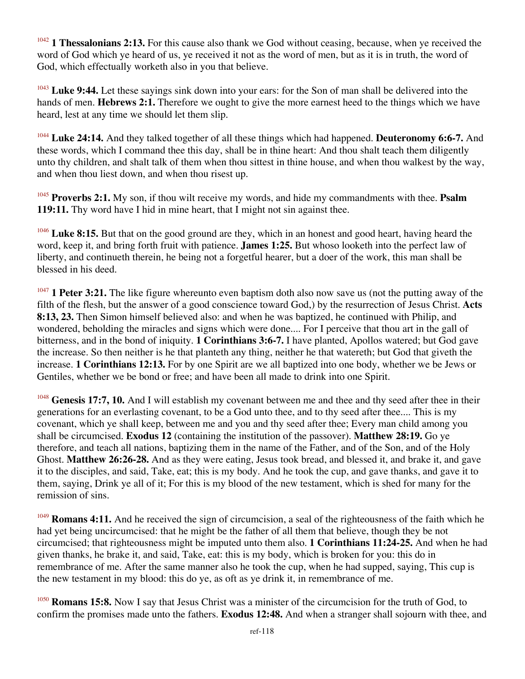<sup>1042</sup> 1 Thessalonians 2:13. For this cause also thank we God without ceasing, because, when ye received the word of God which ye heard of us, ye received it not as the word of men, but as it is in truth, the word of God, which effectually worketh also in you that believe.

<sup>1043</sup> Luke 9:44. Let these sayings sink down into your ears: for the Son of man shall be delivered into the hands of men. **Hebrews 2:1.** Therefore we ought to give the more earnest heed to the things which we have heard, lest at any time we should let them slip.

<sup>1044</sup> **Luke 24:14.** And they talked together of all these things which had happened. **Deuteronomy 6:6-7.** And these words, which I command thee this day, shall be in thine heart: And thou shalt teach them diligently unto thy children, and shalt talk of them when thou sittest in thine house, and when thou walkest by the way, and when thou liest down, and when thou risest up.

<sup>1045</sup> **Proverbs 2:1.** My son, if thou wilt receive my words, and hide my commandments with thee. **Psalm 119:11.** Thy word have I hid in mine heart, that I might not sin against thee.

<sup>1046</sup> Luke 8:15. But that on the good ground are they, which in an honest and good heart, having heard the word, keep it, and bring forth fruit with patience. **James 1:25.** But whoso looketh into the perfect law of liberty, and continueth therein, he being not a forgetful hearer, but a doer of the work, this man shall be blessed in his deed.

<sup>1047</sup> **1 Peter 3:21.** The like figure whereunto even baptism doth also now save us (not the putting away of the filth of the flesh, but the answer of a good conscience toward God,) by the resurrection of Jesus Christ. **Acts 8:13, 23.** Then Simon himself believed also: and when he was baptized, he continued with Philip, and wondered, beholding the miracles and signs which were done.... For I perceive that thou art in the gall of bitterness, and in the bond of iniquity. **1 Corinthians 3:6-7.** I have planted, Apollos watered; but God gave the increase. So then neither is he that planteth any thing, neither he that watereth; but God that giveth the increase. **1 Corinthians 12:13.** For by one Spirit are we all baptized into one body, whether we be Jews or Gentiles, whether we be bond or free; and have been all made to drink into one Spirit.

<sup>1048</sup> Genesis 17:7, 10. And I will establish my covenant between me and thee and thy seed after thee in their generations for an everlasting covenant, to be a God unto thee, and to thy seed after thee.... This is my covenant, which ye shall keep, between me and you and thy seed after thee; Every man child among you shall be circumcised. **Exodus 12** (containing the institution of the passover). **Matthew 28:19.** Go ye therefore, and teach all nations, baptizing them in the name of the Father, and of the Son, and of the Holy Ghost. **Matthew 26:26-28.** And as they were eating, Jesus took bread, and blessed it, and brake it, and gave it to the disciples, and said, Take, eat; this is my body. And he took the cup, and gave thanks, and gave it to them, saying, Drink ye all of it; For this is my blood of the new testament, which is shed for many for the remission of sins.

<sup>1049</sup> **Romans 4:11.** And he received the sign of circumcision, a seal of the righteousness of the faith which he had yet being uncircumcised: that he might be the father of all them that believe, though they be not circumcised; that righteousness might be imputed unto them also. **1 Corinthians 11:24-25.** And when he had given thanks, he brake it, and said, Take, eat: this is my body, which is broken for you: this do in remembrance of me. After the same manner also he took the cup, when he had supped, saying, This cup is the new testament in my blood: this do ye, as oft as ye drink it, in remembrance of me.

<sup>1050</sup> **Romans 15:8.** Now I say that Jesus Christ was a minister of the circumcision for the truth of God, to confirm the promises made unto the fathers. **Exodus 12:48.** And when a stranger shall sojourn with thee, and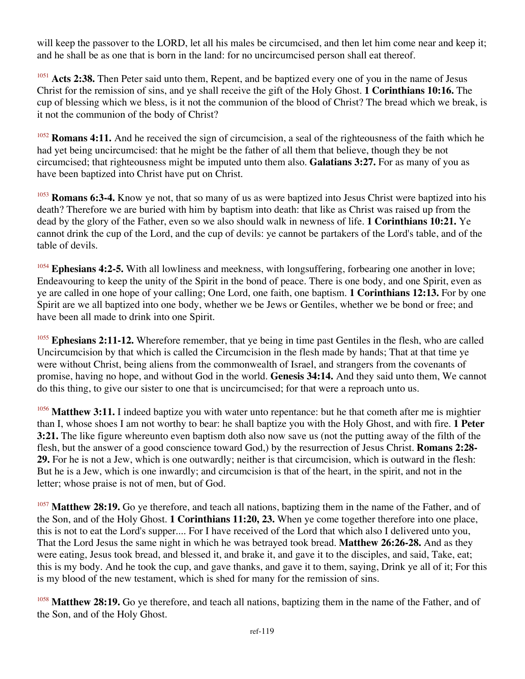will keep the passover to the LORD, let all his males be circumcised, and then let him come near and keep it; and he shall be as one that is born in the land: for no uncircumcised person shall eat thereof.

<sup>1051</sup> Acts 2:38. Then Peter said unto them, Repent, and be baptized every one of you in the name of Jesus Christ for the remission of sins, and ye shall receive the gift of the Holy Ghost. **1 Corinthians 10:16.** The cup of blessing which we bless, is it not the communion of the blood of Christ? The bread which we break, is it not the communion of the body of Christ?

<sup>1052</sup> **Romans 4:11.** And he received the sign of circumcision, a seal of the righteousness of the faith which he had yet being uncircumcised: that he might be the father of all them that believe, though they be not circumcised; that righteousness might be imputed unto them also. **Galatians 3:27.** For as many of you as have been baptized into Christ have put on Christ.

<sup>1053</sup> **Romans 6:3-4.** Know ye not, that so many of us as were baptized into Jesus Christ were baptized into his death? Therefore we are buried with him by baptism into death: that like as Christ was raised up from the dead by the glory of the Father, even so we also should walk in newness of life. **1 Corinthians 10:21.** Ye cannot drink the cup of the Lord, and the cup of devils: ye cannot be partakers of the Lord's table, and of the table of devils.

<sup>1054</sup> Ephesians 4:2-5. With all lowliness and meekness, with longsuffering, forbearing one another in love; Endeavouring to keep the unity of the Spirit in the bond of peace. There is one body, and one Spirit, even as ye are called in one hope of your calling; One Lord, one faith, one baptism. **1 Corinthians 12:13.** For by one Spirit are we all baptized into one body, whether we be Jews or Gentiles, whether we be bond or free; and have been all made to drink into one Spirit.

<sup>1055</sup> Ephesians 2:11-12. Wherefore remember, that ye being in time past Gentiles in the flesh, who are called Uncircumcision by that which is called the Circumcision in the flesh made by hands; That at that time ye were without Christ, being aliens from the commonwealth of Israel, and strangers from the covenants of promise, having no hope, and without God in the world. **Genesis 34:14.** And they said unto them, We cannot do this thing, to give our sister to one that is uncircumcised; for that were a reproach unto us.

<sup>1056</sup> Matthew 3:11. I indeed baptize you with water unto repentance: but he that cometh after me is mightier than I, whose shoes I am not worthy to bear: he shall baptize you with the Holy Ghost, and with fire. **1 Peter 3:21.** The like figure whereunto even baptism doth also now save us (not the putting away of the filth of the flesh, but the answer of a good conscience toward God,) by the resurrection of Jesus Christ. **Romans 2:28- 29.** For he is not a Jew, which is one outwardly; neither is that circumcision, which is outward in the flesh: But he is a Jew, which is one inwardly; and circumcision is that of the heart, in the spirit, and not in the letter; whose praise is not of men, but of God.

<sup>1057</sup> Matthew 28:19. Go ye therefore, and teach all nations, baptizing them in the name of the Father, and of the Son, and of the Holy Ghost. **1 Corinthians 11:20, 23.** When ye come together therefore into one place, this is not to eat the Lord's supper.... For I have received of the Lord that which also I delivered unto you, That the Lord Jesus the same night in which he was betrayed took bread. **Matthew 26:26-28.** And as they were eating, Jesus took bread, and blessed it, and brake it, and gave it to the disciples, and said, Take, eat; this is my body. And he took the cup, and gave thanks, and gave it to them, saying, Drink ye all of it; For this is my blood of the new testament, which is shed for many for the remission of sins.

<sup>1058</sup> Matthew 28:19. Go ye therefore, and teach all nations, baptizing them in the name of the Father, and of the Son, and of the Holy Ghost.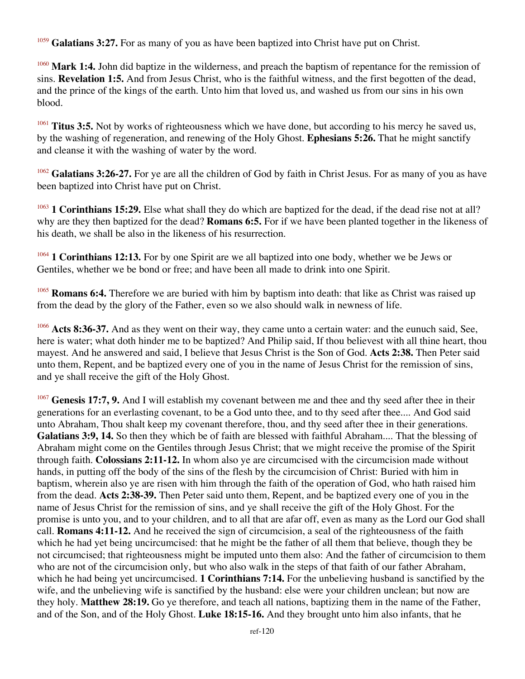<sup>1059</sup> Galatians 3:27. For as many of you as have been baptized into Christ have put on Christ.

<sup>1060</sup> Mark 1:4. John did baptize in the wilderness, and preach the baptism of repentance for the remission of sins. **Revelation 1:5.** And from Jesus Christ, who is the faithful witness, and the first begotten of the dead, and the prince of the kings of the earth. Unto him that loved us, and washed us from our sins in his own blood.

<sup>1061</sup> **Titus 3:5.** Not by works of righteousness which we have done, but according to his mercy he saved us, by the washing of regeneration, and renewing of the Holy Ghost. **Ephesians 5:26.** That he might sanctify and cleanse it with the washing of water by the word.

<sup>1062</sup> Galatians 3:26-27. For ye are all the children of God by faith in Christ Jesus. For as many of you as have been baptized into Christ have put on Christ.

<sup>1063</sup> **1 Corinthians 15:29.** Else what shall they do which are baptized for the dead, if the dead rise not at all? why are they then baptized for the dead? **Romans 6:5.** For if we have been planted together in the likeness of his death, we shall be also in the likeness of his resurrection.

<sup>1064</sup> **1 Corinthians 12:13.** For by one Spirit are we all baptized into one body, whether we be Jews or Gentiles, whether we be bond or free; and have been all made to drink into one Spirit.

**Romans 6:4.** Therefore we are buried with him by baptism into death: that like as Christ was raised up from the dead by the glory of the Father, even so we also should walk in newness of life.

<sup>1066</sup> Acts 8:36-37. And as they went on their way, they came unto a certain water: and the eunuch said, See, here is water; what doth hinder me to be baptized? And Philip said, If thou believest with all thine heart, thou mayest. And he answered and said, I believe that Jesus Christ is the Son of God. **Acts 2:38.** Then Peter said unto them, Repent, and be baptized every one of you in the name of Jesus Christ for the remission of sins, and ye shall receive the gift of the Holy Ghost.

<sup>1067</sup> Genesis 17:7, 9. And I will establish my covenant between me and thee and thy seed after thee in their generations for an everlasting covenant, to be a God unto thee, and to thy seed after thee.... And God said unto Abraham, Thou shalt keep my covenant therefore, thou, and thy seed after thee in their generations. **Galatians 3:9, 14.** So then they which be of faith are blessed with faithful Abraham.... That the blessing of Abraham might come on the Gentiles through Jesus Christ; that we might receive the promise of the Spirit through faith. **Colossians 2:11-12.** In whom also ye are circumcised with the circumcision made without hands, in putting off the body of the sins of the flesh by the circumcision of Christ: Buried with him in baptism, wherein also ye are risen with him through the faith of the operation of God, who hath raised him from the dead. **Acts 2:38-39.** Then Peter said unto them, Repent, and be baptized every one of you in the name of Jesus Christ for the remission of sins, and ye shall receive the gift of the Holy Ghost. For the promise is unto you, and to your children, and to all that are afar off, even as many as the Lord our God shall call. **Romans 4:11-12.** And he received the sign of circumcision, a seal of the righteousness of the faith which he had yet being uncircumcised: that he might be the father of all them that believe, though they be not circumcised; that righteousness might be imputed unto them also: And the father of circumcision to them who are not of the circumcision only, but who also walk in the steps of that faith of our father Abraham, which he had being yet uncircumcised. **1 Corinthians 7:14.** For the unbelieving husband is sanctified by the wife, and the unbelieving wife is sanctified by the husband: else were your children unclean; but now are they holy. **Matthew 28:19.** Go ye therefore, and teach all nations, baptizing them in the name of the Father, and of the Son, and of the Holy Ghost. **Luke 18:15-16.** And they brought unto him also infants, that he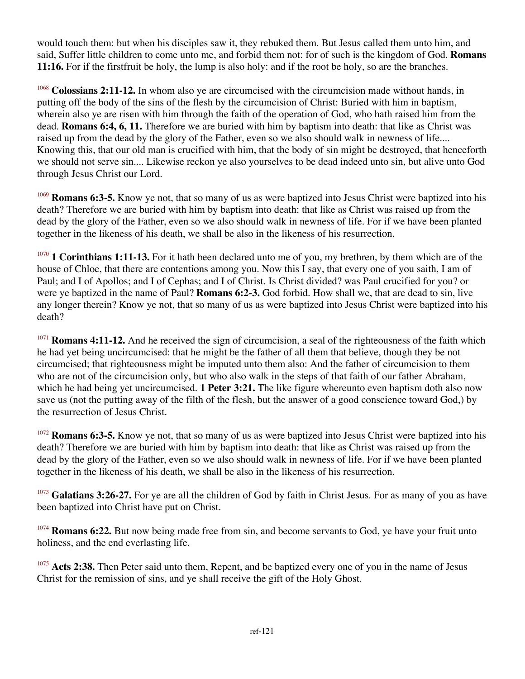would touch them: but when his disciples saw it, they rebuked them. But Jesus called them unto him, and said, Suffer little children to come unto me, and forbid them not: for of such is the kingdom of God. **Romans 11:16.** For if the first fruit be holy, the lump is also holy: and if the root be holy, so are the branches.

<sup>1068</sup> **Colossians 2:11-12.** In whom also ye are circumcised with the circumcision made without hands, in putting off the body of the sins of the flesh by the circumcision of Christ: Buried with him in baptism, wherein also ye are risen with him through the faith of the operation of God, who hath raised him from the dead. **Romans 6:4, 6, 11.** Therefore we are buried with him by baptism into death: that like as Christ was raised up from the dead by the glory of the Father, even so we also should walk in newness of life.... Knowing this, that our old man is crucified with him, that the body of sin might be destroyed, that henceforth we should not serve sin.... Likewise reckon ye also yourselves to be dead indeed unto sin, but alive unto God through Jesus Christ our Lord.

<sup>1069</sup> **Romans 6:3-5.** Know ye not, that so many of us as were baptized into Jesus Christ were baptized into his death? Therefore we are buried with him by baptism into death: that like as Christ was raised up from the dead by the glory of the Father, even so we also should walk in newness of life. For if we have been planted together in the likeness of his death, we shall be also in the likeness of his resurrection.

<sup>1070</sup> **1 Corinthians 1:11-13.** For it hath been declared unto me of you, my brethren, by them which are of the house of Chloe, that there are contentions among you. Now this I say, that every one of you saith, I am of Paul; and I of Apollos; and I of Cephas; and I of Christ. Is Christ divided? was Paul crucified for you? or were ye baptized in the name of Paul? **Romans 6:2-3.** God forbid. How shall we, that are dead to sin, live any longer therein? Know ye not, that so many of us as were baptized into Jesus Christ were baptized into his death?

<sup>1071</sup> **Romans 4:11-12.** And he received the sign of circumcision, a seal of the righteousness of the faith which he had yet being uncircumcised: that he might be the father of all them that believe, though they be not circumcised; that righteousness might be imputed unto them also: And the father of circumcision to them who are not of the circumcision only, but who also walk in the steps of that faith of our father Abraham, which he had being yet uncircumcised. **1 Peter 3:21.** The like figure whereunto even baptism doth also now save us (not the putting away of the filth of the flesh, but the answer of a good conscience toward God,) by the resurrection of Jesus Christ.

<sup>1072</sup> **Romans 6:3-5.** Know ye not, that so many of us as were baptized into Jesus Christ were baptized into his death? Therefore we are buried with him by baptism into death: that like as Christ was raised up from the dead by the glory of the Father, even so we also should walk in newness of life. For if we have been planted together in the likeness of his death, we shall be also in the likeness of his resurrection.

<sup>1073</sup> Galatians 3:26-27. For ye are all the children of God by faith in Christ Jesus. For as many of you as have been baptized into Christ have put on Christ.

<sup>1074</sup> **Romans 6:22.** But now being made free from sin, and become servants to God, ye have your fruit unto holiness, and the end everlasting life.

<sup>1075</sup> Acts 2:38. Then Peter said unto them, Repent, and be baptized every one of you in the name of Jesus Christ for the remission of sins, and ye shall receive the gift of the Holy Ghost.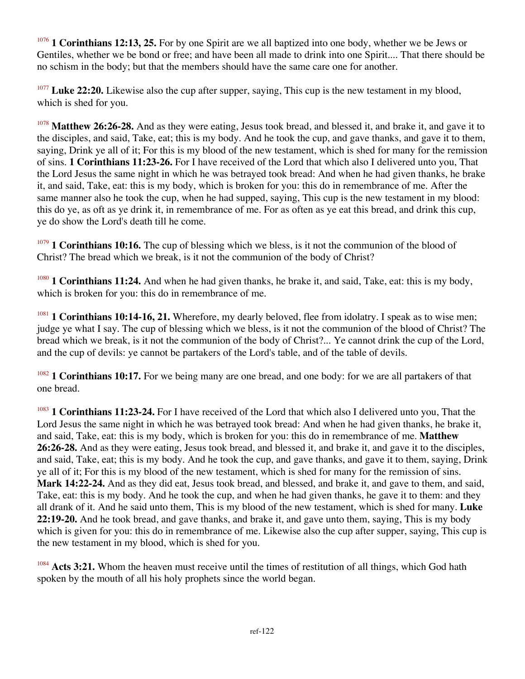<sup>1076</sup> **1 Corinthians 12:13, 25.** For by one Spirit are we all baptized into one body, whether we be Jews or Gentiles, whether we be bond or free; and have been all made to drink into one Spirit.... That there should be no schism in the body; but that the members should have the same care one for another.

<sup>1077</sup> Luke 22:20. Likewise also the cup after supper, saying, This cup is the new testament in my blood, which is shed for you.

<sup>1078</sup> Matthew 26:26-28. And as they were eating, Jesus took bread, and blessed it, and brake it, and gave it to the disciples, and said, Take, eat; this is my body. And he took the cup, and gave thanks, and gave it to them, saying, Drink ye all of it; For this is my blood of the new testament, which is shed for many for the remission of sins. **1 Corinthians 11:23-26.** For I have received of the Lord that which also I delivered unto you, That the Lord Jesus the same night in which he was betrayed took bread: And when he had given thanks, he brake it, and said, Take, eat: this is my body, which is broken for you: this do in remembrance of me. After the same manner also he took the cup, when he had supped, saying, This cup is the new testament in my blood: this do ye, as oft as ye drink it, in remembrance of me. For as often as ye eat this bread, and drink this cup, ye do show the Lord's death till he come.

<sup>1079</sup> **1 Corinthians 10:16.** The cup of blessing which we bless, is it not the communion of the blood of Christ? The bread which we break, is it not the communion of the body of Christ?

<sup>1080</sup> **1 Corinthians 11:24.** And when he had given thanks, he brake it, and said, Take, eat: this is my body, which is broken for you: this do in remembrance of me.

<sup>1081</sup> **1 Corinthians 10:14-16, 21.** Wherefore, my dearly beloved, flee from idolatry. I speak as to wise men; judge ye what I say. The cup of blessing which we bless, is it not the communion of the blood of Christ? The bread which we break, is it not the communion of the body of Christ?... Ye cannot drink the cup of the Lord, and the cup of devils: ye cannot be partakers of the Lord's table, and of the table of devils.

<sup>1082</sup> **1 Corinthians 10:17.** For we being many are one bread, and one body: for we are all partakers of that one bread.

<sup>1083</sup> **1 Corinthians 11:23-24.** For I have received of the Lord that which also I delivered unto you, That the Lord Jesus the same night in which he was betrayed took bread: And when he had given thanks, he brake it, and said, Take, eat: this is my body, which is broken for you: this do in remembrance of me. **Matthew 26:26-28.** And as they were eating, Jesus took bread, and blessed it, and brake it, and gave it to the disciples, and said, Take, eat; this is my body. And he took the cup, and gave thanks, and gave it to them, saying, Drink ye all of it; For this is my blood of the new testament, which is shed for many for the remission of sins. **Mark 14:22-24.** And as they did eat, Jesus took bread, and blessed, and brake it, and gave to them, and said, Take, eat: this is my body. And he took the cup, and when he had given thanks, he gave it to them: and they all drank of it. And he said unto them, This is my blood of the new testament, which is shed for many. **Luke 22:19-20.** And he took bread, and gave thanks, and brake it, and gave unto them, saying, This is my body which is given for you: this do in remembrance of me. Likewise also the cup after supper, saying, This cup is the new testament in my blood, which is shed for you.

<sup>1084</sup> Acts 3:21. Whom the heaven must receive until the times of restitution of all things, which God hath spoken by the mouth of all his holy prophets since the world began.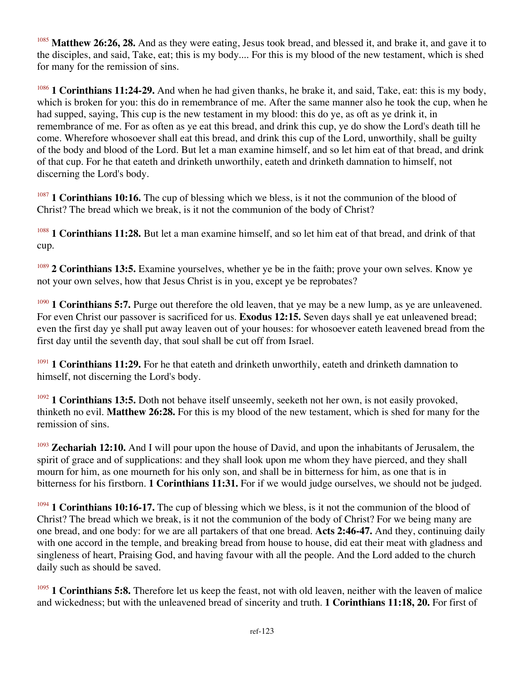<sup>1085</sup> Matthew 26:26, 28. And as they were eating, Jesus took bread, and blessed it, and brake it, and gave it to the disciples, and said, Take, eat; this is my body.... For this is my blood of the new testament, which is shed for many for the remission of sins.

<sup>1086</sup> **1 Corinthians 11:24-29.** And when he had given thanks, he brake it, and said, Take, eat: this is my body, which is broken for you: this do in remembrance of me. After the same manner also he took the cup, when he had supped, saying, This cup is the new testament in my blood: this do ye, as oft as ye drink it, in remembrance of me. For as often as ye eat this bread, and drink this cup, ye do show the Lord's death till he come. Wherefore whosoever shall eat this bread, and drink this cup of the Lord, unworthily, shall be guilty of the body and blood of the Lord. But let a man examine himself, and so let him eat of that bread, and drink of that cup. For he that eateth and drinketh unworthily, eateth and drinketh damnation to himself, not discerning the Lord's body.

<sup>1087</sup> **1 Corinthians 10:16.** The cup of blessing which we bless, is it not the communion of the blood of Christ? The bread which we break, is it not the communion of the body of Christ?

<sup>1088</sup> **1 Corinthians 11:28.** But let a man examine himself, and so let him eat of that bread, and drink of that cup.

<sup>1089</sup> 2 Corinthians 13:5. Examine yourselves, whether ye be in the faith; prove your own selves. Know ye not your own selves, how that Jesus Christ is in you, except ye be reprobates?

<sup>1090</sup> **1 Corinthians 5:7.** Purge out therefore the old leaven, that ye may be a new lump, as ye are unleavened. For even Christ our passover is sacrificed for us. **Exodus 12:15.** Seven days shall ye eat unleavened bread; even the first day ye shall put away leaven out of your houses: for whosoever eateth leavened bread from the first day until the seventh day, that soul shall be cut off from Israel.

<sup>1091</sup> **1 Corinthians 11:29.** For he that eateth and drinketh unworthily, eateth and drinketh damnation to himself, not discerning the Lord's body.

<sup>1092</sup> **1 Corinthians 13:5.** Doth not behave itself unseemly, seeketh not her own, is not easily provoked, thinketh no evil. **Matthew 26:28.** For this is my blood of the new testament, which is shed for many for the remission of sins.

<sup>1093</sup> **Zechariah 12:10.** And I will pour upon the house of David, and upon the inhabitants of Jerusalem, the spirit of grace and of supplications: and they shall look upon me whom they have pierced, and they shall mourn for him, as one mourneth for his only son, and shall be in bitterness for him, as one that is in bitterness for his firstborn. **1 Corinthians 11:31.** For if we would judge ourselves, we should not be judged.

<sup>1094</sup> **1 Corinthians 10:16-17.** The cup of blessing which we bless, is it not the communion of the blood of Christ? The bread which we break, is it not the communion of the body of Christ? For we being many are one bread, and one body: for we are all partakers of that one bread. **Acts 2:46-47.** And they, continuing daily with one accord in the temple, and breaking bread from house to house, did eat their meat with gladness and singleness of heart, Praising God, and having favour with all the people. And the Lord added to the church daily such as should be saved.

<sup>1095</sup> **1 Corinthians 5:8.** Therefore let us keep the feast, not with old leaven, neither with the leaven of malice and wickedness; but with the unleavened bread of sincerity and truth. **1 Corinthians 11:18, 20.** For first of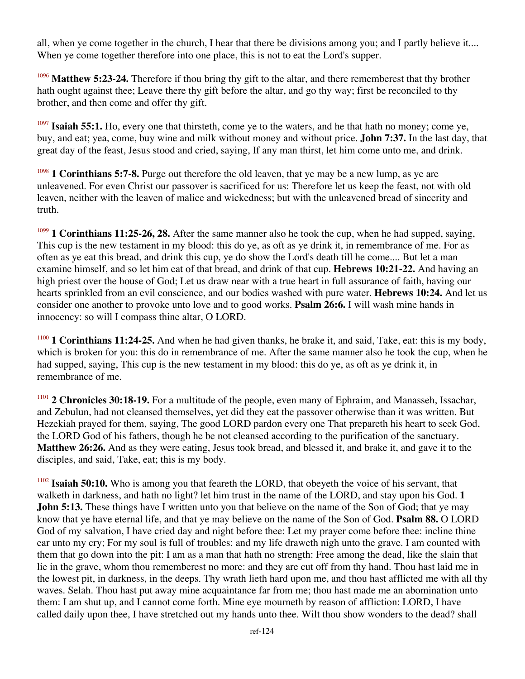all, when ye come together in the church, I hear that there be divisions among you; and I partly believe it.... When ye come together therefore into one place, this is not to eat the Lord's supper.

<sup>1096</sup> Matthew 5:23-24. Therefore if thou bring thy gift to the altar, and there rememberest that thy brother hath ought against thee; Leave there thy gift before the altar, and go thy way; first be reconciled to thy brother, and then come and offer thy gift.

<sup>1097</sup> **Isaiah 55:1.** Ho, every one that thirsteth, come ye to the waters, and he that hath no money; come ye, buy, and eat; yea, come, buy wine and milk without money and without price. **John 7:37.** In the last day, that great day of the feast, Jesus stood and cried, saying, If any man thirst, let him come unto me, and drink.

<sup>1098</sup> **1 Corinthians 5:7-8.** Purge out therefore the old leaven, that ye may be a new lump, as ye are unleavened. For even Christ our passover is sacrificed for us: Therefore let us keep the feast, not with old leaven, neither with the leaven of malice and wickedness; but with the unleavened bread of sincerity and truth.

<sup>1099</sup> **1 Corinthians 11:25-26, 28.** After the same manner also he took the cup, when he had supped, saying, This cup is the new testament in my blood: this do ye, as oft as ye drink it, in remembrance of me. For as often as ye eat this bread, and drink this cup, ye do show the Lord's death till he come.... But let a man examine himself, and so let him eat of that bread, and drink of that cup. **Hebrews 10:21-22.** And having an high priest over the house of God; Let us draw near with a true heart in full assurance of faith, having our hearts sprinkled from an evil conscience, and our bodies washed with pure water. **Hebrews 10:24.** And let us consider one another to provoke unto love and to good works. **Psalm 26:6.** I will wash mine hands in innocency: so will I compass thine altar, O LORD.

<sup>1100</sup> **1 Corinthians 11:24-25.** And when he had given thanks, he brake it, and said, Take, eat: this is my body, which is broken for you: this do in remembrance of me. After the same manner also he took the cup, when he had supped, saying, This cup is the new testament in my blood: this do ye, as oft as ye drink it, in remembrance of me.

<sup>1101</sup> **2 Chronicles 30:18-19.** For a multitude of the people, even many of Ephraim, and Manasseh, Issachar, and Zebulun, had not cleansed themselves, yet did they eat the passover otherwise than it was written. But Hezekiah prayed for them, saying, The good LORD pardon every one That prepareth his heart to seek God, the LORD God of his fathers, though he be not cleansed according to the purification of the sanctuary. **Matthew 26:26.** And as they were eating, Jesus took bread, and blessed it, and brake it, and gave it to the disciples, and said, Take, eat; this is my body.

<sup>1102</sup> **Isaiah 50:10.** Who is among you that feareth the LORD, that obeyeth the voice of his servant, that walketh in darkness, and hath no light? let him trust in the name of the LORD, and stay upon his God. **1 John 5:13.** These things have I written unto you that believe on the name of the Son of God; that ye may know that ye have eternal life, and that ye may believe on the name of the Son of God. **Psalm 88.** O LORD God of my salvation, I have cried day and night before thee: Let my prayer come before thee: incline thine ear unto my cry; For my soul is full of troubles: and my life draweth nigh unto the grave. I am counted with them that go down into the pit: I am as a man that hath no strength: Free among the dead, like the slain that lie in the grave, whom thou rememberest no more: and they are cut off from thy hand. Thou hast laid me in the lowest pit, in darkness, in the deeps. Thy wrath lieth hard upon me, and thou hast afflicted me with all thy waves. Selah. Thou hast put away mine acquaintance far from me; thou hast made me an abomination unto them: I am shut up, and I cannot come forth. Mine eye mourneth by reason of affliction: LORD, I have called daily upon thee, I have stretched out my hands unto thee. Wilt thou show wonders to the dead? shall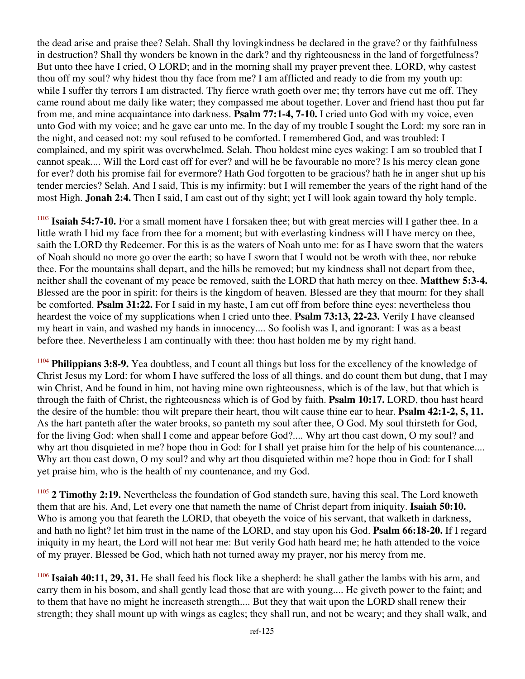the dead arise and praise thee? Selah. Shall thy lovingkindness be declared in the grave? or thy faithfulness in destruction? Shall thy wonders be known in the dark? and thy righteousness in the land of forgetfulness? But unto thee have I cried, O LORD; and in the morning shall my prayer prevent thee. LORD, why castest thou off my soul? why hidest thou thy face from me? I am afflicted and ready to die from my youth up: while I suffer thy terrors I am distracted. Thy fierce wrath goeth over me; thy terrors have cut me off. They came round about me daily like water; they compassed me about together. Lover and friend hast thou put far from me, and mine acquaintance into darkness. **Psalm 77:1-4, 7-10.** I cried unto God with my voice, even unto God with my voice; and he gave ear unto me. In the day of my trouble I sought the Lord: my sore ran in the night, and ceased not: my soul refused to be comforted. I remembered God, and was troubled: I complained, and my spirit was overwhelmed. Selah. Thou holdest mine eyes waking: I am so troubled that I cannot speak.... Will the Lord cast off for ever? and will he be favourable no more? Is his mercy clean gone for ever? doth his promise fail for evermore? Hath God forgotten to be gracious? hath he in anger shut up his tender mercies? Selah. And I said, This is my infirmity: but I will remember the years of the right hand of the most High. **Jonah 2:4.** Then I said, I am cast out of thy sight; yet I will look again toward thy holy temple.

<sup>1103</sup> **Isaiah 54:7-10.** For a small moment have I forsaken thee; but with great mercies will I gather thee. In a little wrath I hid my face from thee for a moment; but with everlasting kindness will I have mercy on thee, saith the LORD thy Redeemer. For this is as the waters of Noah unto me: for as I have sworn that the waters of Noah should no more go over the earth; so have I sworn that I would not be wroth with thee, nor rebuke thee. For the mountains shall depart, and the hills be removed; but my kindness shall not depart from thee, neither shall the covenant of my peace be removed, saith the LORD that hath mercy on thee. **Matthew 5:3-4.** Blessed are the poor in spirit: for theirs is the kingdom of heaven. Blessed are they that mourn: for they shall be comforted. **Psalm 31:22.** For I said in my haste, I am cut off from before thine eyes: nevertheless thou heardest the voice of my supplications when I cried unto thee. **Psalm 73:13, 22-23.** Verily I have cleansed my heart in vain, and washed my hands in innocency.... So foolish was I, and ignorant: I was as a beast before thee. Nevertheless I am continually with thee: thou hast holden me by my right hand.

<sup>1104</sup> **Philippians 3:8-9.** Yea doubtless, and I count all things but loss for the excellency of the knowledge of Christ Jesus my Lord: for whom I have suffered the loss of all things, and do count them but dung, that I may win Christ, And be found in him, not having mine own righteousness, which is of the law, but that which is through the faith of Christ, the righteousness which is of God by faith. **Psalm 10:17.** LORD, thou hast heard the desire of the humble: thou wilt prepare their heart, thou wilt cause thine ear to hear. **Psalm 42:1-2, 5, 11.** As the hart panteth after the water brooks, so panteth my soul after thee, O God. My soul thirsteth for God, for the living God: when shall I come and appear before God?.... Why art thou cast down, O my soul? and why art thou disquieted in me? hope thou in God: for I shall yet praise him for the help of his countenance.... Why art thou cast down, O my soul? and why art thou disquieted within me? hope thou in God: for I shall yet praise him, who is the health of my countenance, and my God.

<sup>1105</sup> **2 Timothy 2:19.** Nevertheless the foundation of God standeth sure, having this seal, The Lord knoweth them that are his. And, Let every one that nameth the name of Christ depart from iniquity. **Isaiah 50:10.** Who is among you that feareth the LORD, that obeyeth the voice of his servant, that walketh in darkness, and hath no light? let him trust in the name of the LORD, and stay upon his God. **Psalm 66:18-20.** If I regard iniquity in my heart, the Lord will not hear me: But verily God hath heard me; he hath attended to the voice of my prayer. Blessed be God, which hath not turned away my prayer, nor his mercy from me.

<sup>1106</sup> **Isaiah 40:11, 29, 31.** He shall feed his flock like a shepherd: he shall gather the lambs with his arm, and carry them in his bosom, and shall gently lead those that are with young.... He giveth power to the faint; and to them that have no might he increaseth strength.... But they that wait upon the LORD shall renew their strength; they shall mount up with wings as eagles; they shall run, and not be weary; and they shall walk, and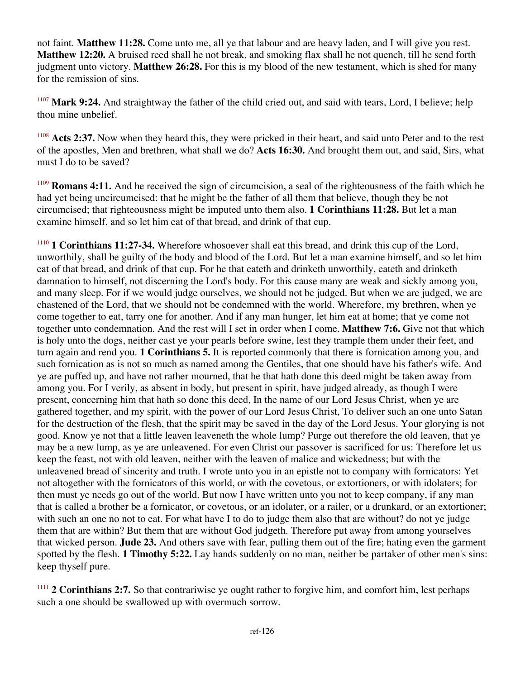not faint. **Matthew 11:28.** Come unto me, all ye that labour and are heavy laden, and I will give you rest. **Matthew 12:20.** A bruised reed shall he not break, and smoking flax shall he not quench, till he send forth judgment unto victory. **Matthew 26:28.** For this is my blood of the new testament, which is shed for many for the remission of sins.

<sup>1107</sup> **Mark 9:24.** And straightway the father of the child cried out, and said with tears, Lord, I believe; help thou mine unbelief.

<sup>1108</sup> Acts 2:37. Now when they heard this, they were pricked in their heart, and said unto Peter and to the rest of the apostles, Men and brethren, what shall we do? **Acts 16:30.** And brought them out, and said, Sirs, what must I do to be saved?

<sup>1109</sup> **Romans 4:11.** And he received the sign of circumcision, a seal of the righteousness of the faith which he had yet being uncircumcised: that he might be the father of all them that believe, though they be not circumcised; that righteousness might be imputed unto them also. **1 Corinthians 11:28.** But let a man examine himself, and so let him eat of that bread, and drink of that cup.

<sup>1110</sup> **1 Corinthians 11:27-34.** Wherefore whosoever shall eat this bread, and drink this cup of the Lord, unworthily, shall be guilty of the body and blood of the Lord. But let a man examine himself, and so let him eat of that bread, and drink of that cup. For he that eateth and drinketh unworthily, eateth and drinketh damnation to himself, not discerning the Lord's body. For this cause many are weak and sickly among you, and many sleep. For if we would judge ourselves, we should not be judged. But when we are judged, we are chastened of the Lord, that we should not be condemned with the world. Wherefore, my brethren, when ye come together to eat, tarry one for another. And if any man hunger, let him eat at home; that ye come not together unto condemnation. And the rest will I set in order when I come. **Matthew 7:6.** Give not that which is holy unto the dogs, neither cast ye your pearls before swine, lest they trample them under their feet, and turn again and rend you. **1 Corinthians 5.** It is reported commonly that there is fornication among you, and such fornication as is not so much as named among the Gentiles, that one should have his father's wife. And ye are puffed up, and have not rather mourned, that he that hath done this deed might be taken away from among you. For I verily, as absent in body, but present in spirit, have judged already, as though I were present, concerning him that hath so done this deed, In the name of our Lord Jesus Christ, when ye are gathered together, and my spirit, with the power of our Lord Jesus Christ, To deliver such an one unto Satan for the destruction of the flesh, that the spirit may be saved in the day of the Lord Jesus. Your glorying is not good. Know ye not that a little leaven leaveneth the whole lump? Purge out therefore the old leaven, that ye may be a new lump, as ye are unleavened. For even Christ our passover is sacrificed for us: Therefore let us keep the feast, not with old leaven, neither with the leaven of malice and wickedness; but with the unleavened bread of sincerity and truth. I wrote unto you in an epistle not to company with fornicators: Yet not altogether with the fornicators of this world, or with the covetous, or extortioners, or with idolaters; for then must ye needs go out of the world. But now I have written unto you not to keep company, if any man that is called a brother be a fornicator, or covetous, or an idolater, or a railer, or a drunkard, or an extortioner; with such an one no not to eat. For what have I to do to judge them also that are without? do not ye judge them that are within? But them that are without God judgeth. Therefore put away from among yourselves that wicked person. **Jude 23.** And others save with fear, pulling them out of the fire; hating even the garment spotted by the flesh. **1 Timothy 5:22.** Lay hands suddenly on no man, neither be partaker of other men's sins: keep thyself pure.

<sup>1111</sup> 2 Corinthians 2:7. So that contrariwise ye ought rather to forgive him, and comfort him, lest perhaps such a one should be swallowed up with overmuch sorrow.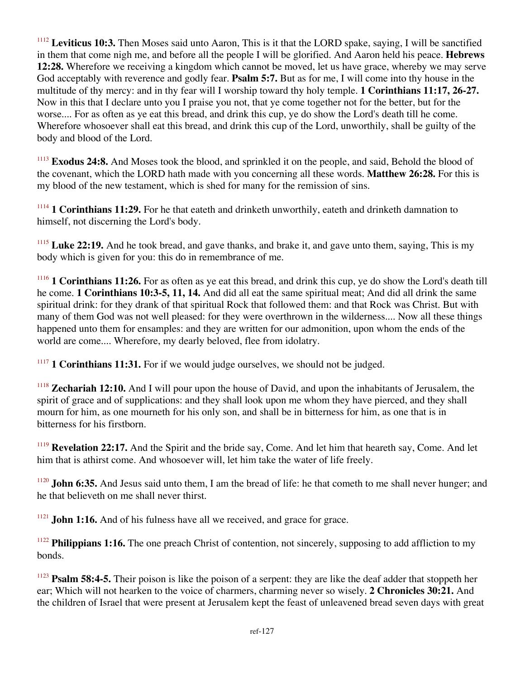<sup>1112</sup> **Leviticus 10:3.** Then Moses said unto Aaron, This is it that the LORD spake, saying, I will be sanctified in them that come nigh me, and before all the people I will be glorified. And Aaron held his peace. **Hebrews 12:28.** Wherefore we receiving a kingdom which cannot be moved, let us have grace, whereby we may serve God acceptably with reverence and godly fear. **Psalm 5:7.** But as for me, I will come into thy house in the multitude of thy mercy: and in thy fear will I worship toward thy holy temple. **1 Corinthians 11:17, 26-27.** Now in this that I declare unto you I praise you not, that ye come together not for the better, but for the worse.... For as often as ye eat this bread, and drink this cup, ye do show the Lord's death till he come. Wherefore whosoever shall eat this bread, and drink this cup of the Lord, unworthily, shall be guilty of the body and blood of the Lord.

<sup>1113</sup> **Exodus 24:8.** And Moses took the blood, and sprinkled it on the people, and said, Behold the blood of the covenant, which the LORD hath made with you concerning all these words. **Matthew 26:28.** For this is my blood of the new testament, which is shed for many for the remission of sins.

<sup>1114</sup> 1 Corinthians 11:29. For he that eateth and drinketh unworthily, eateth and drinketh damnation to himself, not discerning the Lord's body.

<sup>1115</sup> Luke 22:19. And he took bread, and gave thanks, and brake it, and gave unto them, saying, This is my body which is given for you: this do in remembrance of me.

<sup>1116</sup> **1 Corinthians 11:26.** For as often as ye eat this bread, and drink this cup, ye do show the Lord's death till he come. **1 Corinthians 10:3-5, 11, 14.** And did all eat the same spiritual meat; And did all drink the same spiritual drink: for they drank of that spiritual Rock that followed them: and that Rock was Christ. But with many of them God was not well pleased: for they were overthrown in the wilderness.... Now all these things happened unto them for ensamples: and they are written for our admonition, upon whom the ends of the world are come.... Wherefore, my dearly beloved, flee from idolatry.

<sup>1117</sup> **1 Corinthians 11:31.** For if we would judge ourselves, we should not be judged.

<sup>1118</sup> **Zechariah 12:10.** And I will pour upon the house of David, and upon the inhabitants of Jerusalem, the spirit of grace and of supplications: and they shall look upon me whom they have pierced, and they shall mourn for him, as one mourneth for his only son, and shall be in bitterness for him, as one that is in bitterness for his firstborn.

<sup>1119</sup> **Revelation 22:17.** And the Spirit and the bride say, Come. And let him that heareth say, Come. And let him that is athirst come. And whosoever will, let him take the water of life freely.

<sup>1120</sup> **John 6:35.** And Jesus said unto them, I am the bread of life: he that cometh to me shall never hunger; and he that believeth on me shall never thirst.

<sup>1121</sup> **John 1:16.** And of his fulness have all we received, and grace for grace.

<sup>1122</sup> **Philippians 1:16.** The one preach Christ of contention, not sincerely, supposing to add affliction to my bonds.

<sup>1123</sup> **Psalm 58:4-5.** Their poison is like the poison of a serpent: they are like the deaf adder that stoppeth her ear; Which will not hearken to the voice of charmers, charming never so wisely. **2 Chronicles 30:21.** And the children of Israel that were present at Jerusalem kept the feast of unleavened bread seven days with great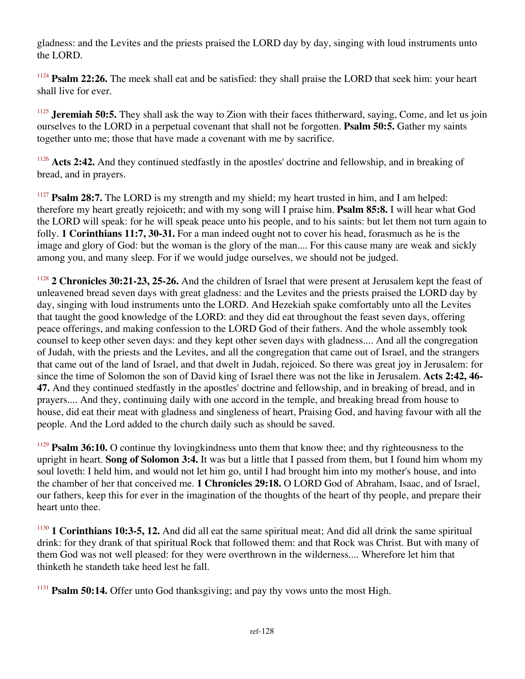gladness: and the Levites and the priests praised the LORD day by day, singing with loud instruments unto the LORD.

<sup>1124</sup> **Psalm 22:26.** The meek shall eat and be satisfied: they shall praise the LORD that seek him: your heart shall live for ever.

<sup>1125</sup> **Jeremiah 50:5.** They shall ask the way to Zion with their faces thitherward, saying, Come, and let us join ourselves to the LORD in a perpetual covenant that shall not be forgotten. **Psalm 50:5.** Gather my saints together unto me; those that have made a covenant with me by sacrifice.

<sup>1126</sup> **Acts 2:42.** And they continued stedfastly in the apostles' doctrine and fellowship, and in breaking of bread, and in prayers.

<sup>1127</sup> **Psalm 28:7.** The LORD is my strength and my shield; my heart trusted in him, and I am helped: therefore my heart greatly rejoiceth; and with my song will I praise him. **Psalm 85:8.** I will hear what God the LORD will speak: for he will speak peace unto his people, and to his saints: but let them not turn again to folly. **1 Corinthians 11:7, 30-31.** For a man indeed ought not to cover his head, forasmuch as he is the image and glory of God: but the woman is the glory of the man.... For this cause many are weak and sickly among you, and many sleep. For if we would judge ourselves, we should not be judged.

<sup>1128</sup> **2 Chronicles 30:21-23, 25-26.** And the children of Israel that were present at Jerusalem kept the feast of unleavened bread seven days with great gladness: and the Levites and the priests praised the LORD day by day, singing with loud instruments unto the LORD. And Hezekiah spake comfortably unto all the Levites that taught the good knowledge of the LORD: and they did eat throughout the feast seven days, offering peace offerings, and making confession to the LORD God of their fathers. And the whole assembly took counsel to keep other seven days: and they kept other seven days with gladness.... And all the congregation of Judah, with the priests and the Levites, and all the congregation that came out of Israel, and the strangers that came out of the land of Israel, and that dwelt in Judah, rejoiced. So there was great joy in Jerusalem: for since the time of Solomon the son of David king of Israel there was not the like in Jerusalem. **Acts 2:42, 46- 47.** And they continued stedfastly in the apostles' doctrine and fellowship, and in breaking of bread, and in prayers.... And they, continuing daily with one accord in the temple, and breaking bread from house to house, did eat their meat with gladness and singleness of heart, Praising God, and having favour with all the people. And the Lord added to the church daily such as should be saved.

<sup>1129</sup> **Psalm 36:10.** O continue thy loving kindness unto them that know thee; and thy righteousness to the upright in heart. **Song of Solomon 3:4.** It was but a little that I passed from them, but I found him whom my soul loveth: I held him, and would not let him go, until I had brought him into my mother's house, and into the chamber of her that conceived me. **1 Chronicles 29:18.** O LORD God of Abraham, Isaac, and of Israel, our fathers, keep this for ever in the imagination of the thoughts of the heart of thy people, and prepare their heart unto thee.

<sup>1130</sup> **1 Corinthians 10:3-5, 12.** And did all eat the same spiritual meat; And did all drink the same spiritual drink: for they drank of that spiritual Rock that followed them: and that Rock was Christ. But with many of them God was not well pleased: for they were overthrown in the wilderness.... Wherefore let him that thinketh he standeth take heed lest he fall.

<sup>1131</sup> **Psalm 50:14.** Offer unto God thanksgiving; and pay thy vows unto the most High.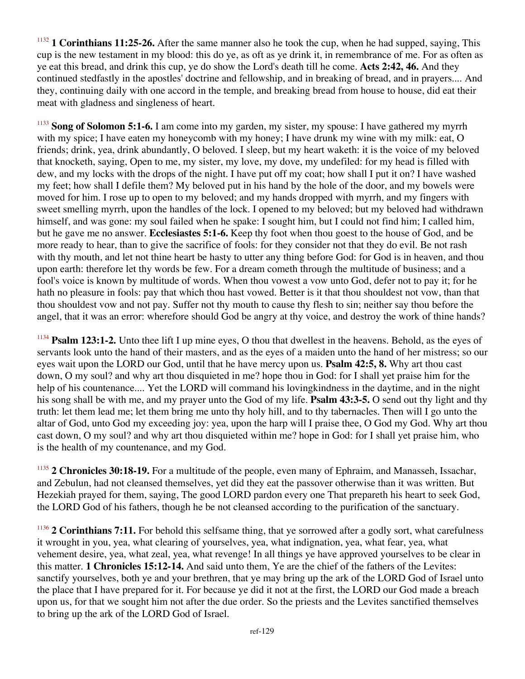<sup>1132</sup> **1 Corinthians 11:25-26.** After the same manner also he took the cup, when he had supped, saying, This cup is the new testament in my blood: this do ye, as oft as ye drink it, in remembrance of me. For as often as ye eat this bread, and drink this cup, ye do show the Lord's death till he come. **Acts 2:42, 46.** And they continued stedfastly in the apostles' doctrine and fellowship, and in breaking of bread, and in prayers.... And they, continuing daily with one accord in the temple, and breaking bread from house to house, did eat their meat with gladness and singleness of heart.

<sup>1133</sup> **Song of Solomon 5:1-6.** I am come into my garden, my sister, my spouse: I have gathered my myrrh with my spice; I have eaten my honeycomb with my honey; I have drunk my wine with my milk: eat, O friends; drink, yea, drink abundantly, O beloved. I sleep, but my heart waketh: it is the voice of my beloved that knocketh, saying, Open to me, my sister, my love, my dove, my undefiled: for my head is filled with dew, and my locks with the drops of the night. I have put off my coat; how shall I put it on? I have washed my feet; how shall I defile them? My beloved put in his hand by the hole of the door, and my bowels were moved for him. I rose up to open to my beloved; and my hands dropped with myrrh, and my fingers with sweet smelling myrrh, upon the handles of the lock. I opened to my beloved; but my beloved had withdrawn himself, and was gone: my soul failed when he spake: I sought him, but I could not find him; I called him, but he gave me no answer. **Ecclesiastes 5:1-6.** Keep thy foot when thou goest to the house of God, and be more ready to hear, than to give the sacrifice of fools: for they consider not that they do evil. Be not rash with thy mouth, and let not thine heart be hasty to utter any thing before God: for God is in heaven, and thou upon earth: therefore let thy words be few. For a dream cometh through the multitude of business; and a fool's voice is known by multitude of words. When thou vowest a vow unto God, defer not to pay it; for he hath no pleasure in fools: pay that which thou hast vowed. Better is it that thou shouldest not vow, than that thou shouldest vow and not pay. Suffer not thy mouth to cause thy flesh to sin; neither say thou before the angel, that it was an error: wherefore should God be angry at thy voice, and destroy the work of thine hands?

<sup>1134</sup> **Psalm 123:1-2.** Unto thee lift I up mine eyes, O thou that dwellest in the heavens. Behold, as the eyes of servants look unto the hand of their masters, and as the eyes of a maiden unto the hand of her mistress; so our eyes wait upon the LORD our God, until that he have mercy upon us. **Psalm 42:5, 8.** Why art thou cast down, O my soul? and why art thou disquieted in me? hope thou in God: for I shall yet praise him for the help of his countenance.... Yet the LORD will command his lovingkindness in the daytime, and in the night his song shall be with me, and my prayer unto the God of my life. **Psalm 43:3-5.** O send out thy light and thy truth: let them lead me; let them bring me unto thy holy hill, and to thy tabernacles. Then will I go unto the altar of God, unto God my exceeding joy: yea, upon the harp will I praise thee, O God my God. Why art thou cast down, O my soul? and why art thou disquieted within me? hope in God: for I shall yet praise him, who is the health of my countenance, and my God.

<sup>1135</sup> 2 Chronicles 30:18-19. For a multitude of the people, even many of Ephraim, and Manasseh, Issachar, and Zebulun, had not cleansed themselves, yet did they eat the passover otherwise than it was written. But Hezekiah prayed for them, saying, The good LORD pardon every one That prepareth his heart to seek God, the LORD God of his fathers, though he be not cleansed according to the purification of the sanctuary.

<sup>1136</sup> 2 Corinthians 7:11. For behold this selfsame thing, that ye sorrowed after a godly sort, what carefulness it wrought in you, yea, what clearing of yourselves, yea, what indignation, yea, what fear, yea, what vehement desire, yea, what zeal, yea, what revenge! In all things ye have approved yourselves to be clear in this matter. **1 Chronicles 15:12-14.** And said unto them, Ye are the chief of the fathers of the Levites: sanctify yourselves, both ye and your brethren, that ye may bring up the ark of the LORD God of Israel unto the place that I have prepared for it. For because ye did it not at the first, the LORD our God made a breach upon us, for that we sought him not after the due order. So the priests and the Levites sanctified themselves to bring up the ark of the LORD God of Israel.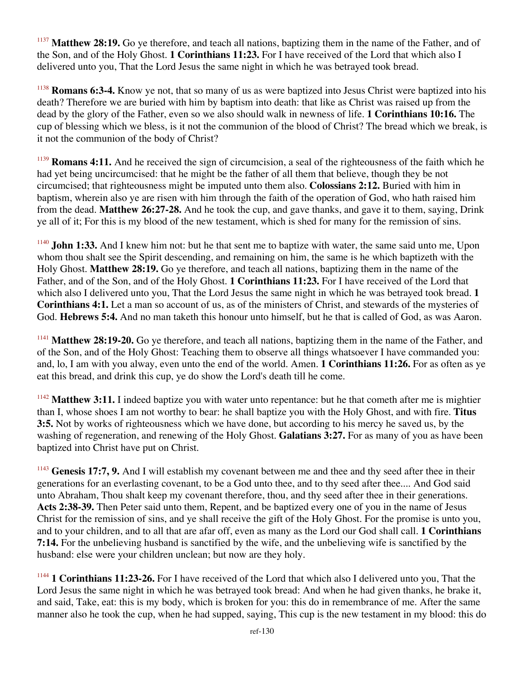**Matthew 28:19.** Go ye therefore, and teach all nations, baptizing them in the name of the Father, and of the Son, and of the Holy Ghost. **1 Corinthians 11:23.** For I have received of the Lord that which also I delivered unto you, That the Lord Jesus the same night in which he was betrayed took bread.

<sup>1138</sup> **Romans 6:3-4.** Know ye not, that so many of us as were baptized into Jesus Christ were baptized into his death? Therefore we are buried with him by baptism into death: that like as Christ was raised up from the dead by the glory of the Father, even so we also should walk in newness of life. **1 Corinthians 10:16.** The cup of blessing which we bless, is it not the communion of the blood of Christ? The bread which we break, is it not the communion of the body of Christ?

<sup>1139</sup> **Romans 4:11.** And he received the sign of circumcision, a seal of the righteousness of the faith which he had yet being uncircumcised: that he might be the father of all them that believe, though they be not circumcised; that righteousness might be imputed unto them also. **Colossians 2:12.** Buried with him in baptism, wherein also ye are risen with him through the faith of the operation of God, who hath raised him from the dead. **Matthew 26:27-28.** And he took the cup, and gave thanks, and gave it to them, saying, Drink ye all of it; For this is my blood of the new testament, which is shed for many for the remission of sins.

<sup>1140</sup> **John 1:33.** And I knew him not: but he that sent me to baptize with water, the same said unto me, Upon whom thou shalt see the Spirit descending, and remaining on him, the same is he which baptizeth with the Holy Ghost. **Matthew 28:19.** Go ye therefore, and teach all nations, baptizing them in the name of the Father, and of the Son, and of the Holy Ghost. **1 Corinthians 11:23.** For I have received of the Lord that which also I delivered unto you, That the Lord Jesus the same night in which he was betrayed took bread. **1 Corinthians 4:1.** Let a man so account of us, as of the ministers of Christ, and stewards of the mysteries of God. **Hebrews 5:4.** And no man taketh this honour unto himself, but he that is called of God, as was Aaron.

<sup>1141</sup> **Matthew 28:19-20.** Go ye therefore, and teach all nations, baptizing them in the name of the Father, and of the Son, and of the Holy Ghost: Teaching them to observe all things whatsoever I have commanded you: and, lo, I am with you alway, even unto the end of the world. Amen. **1 Corinthians 11:26.** For as often as ye eat this bread, and drink this cup, ye do show the Lord's death till he come.

<sup>1142</sup> Matthew 3:11. I indeed baptize you with water unto repentance: but he that cometh after me is mightier than I, whose shoes I am not worthy to bear: he shall baptize you with the Holy Ghost, and with fire. **Titus 3:5.** Not by works of righteousness which we have done, but according to his mercy he saved us, by the washing of regeneration, and renewing of the Holy Ghost. **Galatians 3:27.** For as many of you as have been baptized into Christ have put on Christ.

<sup>1143</sup> Genesis 17:7, 9. And I will establish my covenant between me and thee and thy seed after thee in their generations for an everlasting covenant, to be a God unto thee, and to thy seed after thee.... And God said unto Abraham, Thou shalt keep my covenant therefore, thou, and thy seed after thee in their generations. **Acts 2:38-39.** Then Peter said unto them, Repent, and be baptized every one of you in the name of Jesus Christ for the remission of sins, and ye shall receive the gift of the Holy Ghost. For the promise is unto you, and to your children, and to all that are afar off, even as many as the Lord our God shall call. **1 Corinthians 7:14.** For the unbelieving husband is sanctified by the wife, and the unbelieving wife is sanctified by the husband: else were your children unclean; but now are they holy.

<sup>1144</sup> 1 Corinthians 11:23-26. For I have received of the Lord that which also I delivered unto you, That the Lord Jesus the same night in which he was betrayed took bread: And when he had given thanks, he brake it, and said, Take, eat: this is my body, which is broken for you: this do in remembrance of me. After the same manner also he took the cup, when he had supped, saying, This cup is the new testament in my blood: this do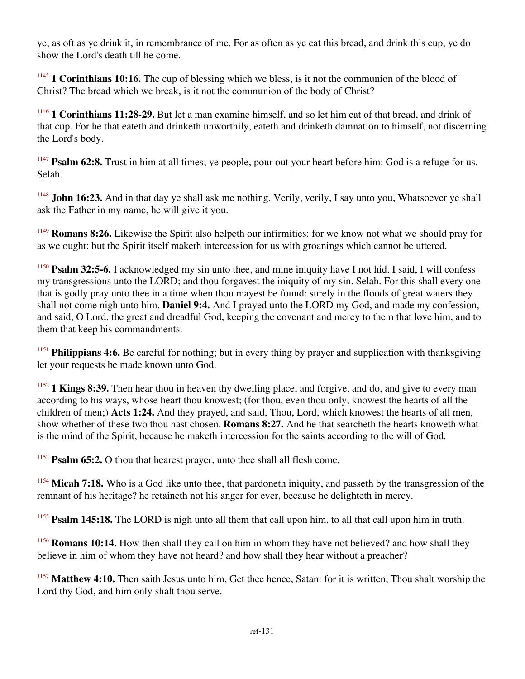ye, as oft as ye drink it, in remembrance of me. For as often as ye eat this bread, and drink this cup, ye do show the Lord's death till he come.

<sup>1145</sup> **1 Corinthians 10:16.** The cup of blessing which we bless, is it not the communion of the blood of Christ? The bread which we break, is it not the communion of the body of Christ?

<sup>1146</sup> **1 Corinthians 11:28-29.** But let a man examine himself, and so let him eat of that bread, and drink of that cup. For he that eateth and drinketh unworthily, eateth and drinketh damnation to himself, not discerning the Lord's body.

<sup>1147</sup> **Psalm 62:8.** Trust in him at all times; ye people, pour out your heart before him: God is a refuge for us. Selah.

<sup>1148</sup> **John 16:23.** And in that day ye shall ask me nothing. Verily, verily, I say unto you, Whatsoever ye shall ask the Father in my name, he will give it you.

<sup>1149</sup> **Romans 8:26.** Likewise the Spirit also helpeth our infirmities: for we know not what we should pray for as we ought: but the Spirit itself maketh intercession for us with groanings which cannot be uttered.

<sup>1150</sup> **Psalm 32:5-6.** I acknowledged my sin unto thee, and mine iniquity have I not hid. I said, I will confess my transgressions unto the LORD; and thou forgavest the iniquity of my sin. Selah. For this shall every one that is godly pray unto thee in a time when thou mayest be found: surely in the floods of great waters they shall not come nigh unto him. **Daniel 9:4.** And I prayed unto the LORD my God, and made my confession, and said, O Lord, the great and dreadful God, keeping the covenant and mercy to them that love him, and to them that keep his commandments.

<sup>1151</sup> **Philippians 4:6.** Be careful for nothing; but in every thing by prayer and supplication with thanksgiving let your requests be made known unto God.

<sup>1152</sup> **1 Kings 8:39.** Then hear thou in heaven thy dwelling place, and forgive, and do, and give to every man according to his ways, whose heart thou knowest; (for thou, even thou only, knowest the hearts of all the children of men;) **Acts 1:24.** And they prayed, and said, Thou, Lord, which knowest the hearts of all men, show whether of these two thou hast chosen. **Romans 8:27.** And he that searcheth the hearts knoweth what is the mind of the Spirit, because he maketh intercession for the saints according to the will of God.

<sup>1153</sup> **Psalm 65:2.** O thou that hearest prayer, unto thee shall all flesh come.

<sup>1154</sup> Micah 7:18. Who is a God like unto thee, that pardoneth iniquity, and passeth by the transgression of the remnant of his heritage? he retaineth not his anger for ever, because he delighteth in mercy.

<sup>1155</sup> **Psalm 145:18.** The LORD is nigh unto all them that call upon him, to all that call upon him in truth.

<sup>1156</sup> **Romans 10:14.** How then shall they call on him in whom they have not believed? and how shall they believe in him of whom they have not heard? and how shall they hear without a preacher?

<sup>1157</sup> Matthew 4:10. Then saith Jesus unto him, Get thee hence, Satan: for it is written, Thou shalt worship the Lord thy God, and him only shalt thou serve.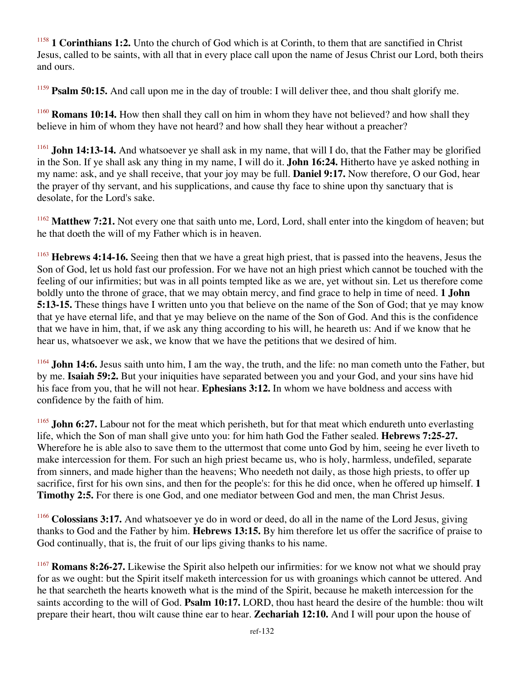<sup>1158</sup> **1 Corinthians 1:2.** Unto the church of God which is at Corinth, to them that are sanctified in Christ Jesus, called to be saints, with all that in every place call upon the name of Jesus Christ our Lord, both theirs and ours.

<sup>1159</sup> **Psalm 50:15.** And call upon me in the day of trouble: I will deliver thee, and thou shalt glorify me.

<sup>1160</sup> **Romans 10:14.** How then shall they call on him in whom they have not believed? and how shall they believe in him of whom they have not heard? and how shall they hear without a preacher?

<sup>1161</sup> **John 14:13-14.** And whatsoever ye shall ask in my name, that will I do, that the Father may be glorified in the Son. If ye shall ask any thing in my name, I will do it. **John 16:24.** Hitherto have ye asked nothing in my name: ask, and ye shall receive, that your joy may be full. **Daniel 9:17.** Now therefore, O our God, hear the prayer of thy servant, and his supplications, and cause thy face to shine upon thy sanctuary that is desolate, for the Lord's sake.

<sup>1162</sup> Matthew 7:21. Not every one that saith unto me, Lord, Lord, shall enter into the kingdom of heaven; but he that doeth the will of my Father which is in heaven.

<sup>1163</sup> **Hebrews 4:14-16.** Seeing then that we have a great high priest, that is passed into the heavens, Jesus the Son of God, let us hold fast our profession. For we have not an high priest which cannot be touched with the feeling of our infirmities; but was in all points tempted like as we are, yet without sin. Let us therefore come boldly unto the throne of grace, that we may obtain mercy, and find grace to help in time of need. **1 John 5:13-15.** These things have I written unto you that believe on the name of the Son of God; that ye may know that ye have eternal life, and that ye may believe on the name of the Son of God. And this is the confidence that we have in him, that, if we ask any thing according to his will, he heareth us: And if we know that he hear us, whatsoever we ask, we know that we have the petitions that we desired of him.

<sup>1164</sup> **John 14:6.** Jesus saith unto him, I am the way, the truth, and the life: no man cometh unto the Father, but by me. **Isaiah 59:2.** But your iniquities have separated between you and your God, and your sins have hid his face from you, that he will not hear. **Ephesians 3:12.** In whom we have boldness and access with confidence by the faith of him.

<sup>1165</sup> **John 6:27.** Labour not for the meat which perisheth, but for that meat which endureth unto everlasting life, which the Son of man shall give unto you: for him hath God the Father sealed. **Hebrews 7:25-27.** Wherefore he is able also to save them to the uttermost that come unto God by him, seeing he ever liveth to make intercession for them. For such an high priest became us, who is holy, harmless, undefiled, separate from sinners, and made higher than the heavens; Who needeth not daily, as those high priests, to offer up sacrifice, first for his own sins, and then for the people's: for this he did once, when he offered up himself. **1 Timothy 2:5.** For there is one God, and one mediator between God and men, the man Christ Jesus.

<sup>1166</sup> **Colossians 3:17.** And whatsoever ye do in word or deed, do all in the name of the Lord Jesus, giving thanks to God and the Father by him. **Hebrews 13:15.** By him therefore let us offer the sacrifice of praise to God continually, that is, the fruit of our lips giving thanks to his name.

<sup>1167</sup> **Romans 8:26-27.** Likewise the Spirit also helpeth our infirmities: for we know not what we should pray for as we ought: but the Spirit itself maketh intercession for us with groanings which cannot be uttered. And he that searcheth the hearts knoweth what is the mind of the Spirit, because he maketh intercession for the saints according to the will of God. **Psalm 10:17.** LORD, thou hast heard the desire of the humble: thou wilt prepare their heart, thou wilt cause thine ear to hear. **Zechariah 12:10.** And I will pour upon the house of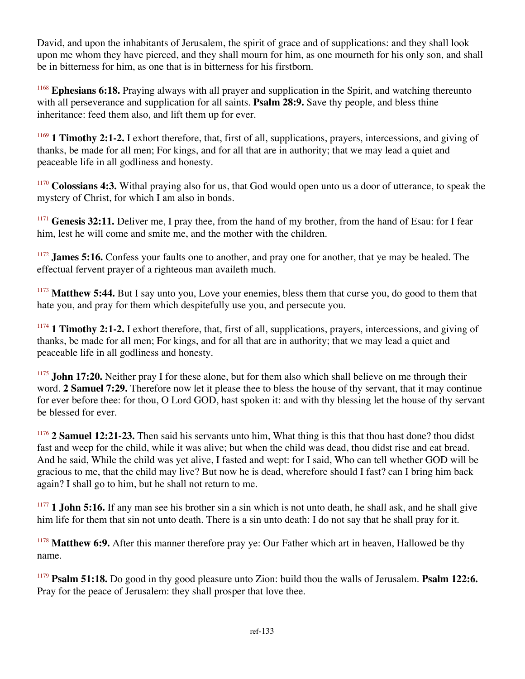David, and upon the inhabitants of Jerusalem, the spirit of grace and of supplications: and they shall look upon me whom they have pierced, and they shall mourn for him, as one mourneth for his only son, and shall be in bitterness for him, as one that is in bitterness for his firstborn.

<sup>1168</sup> **Ephesians 6:18.** Praying always with all prayer and supplication in the Spirit, and watching thereunto with all perseverance and supplication for all saints. **Psalm 28:9.** Save thy people, and bless thine inheritance: feed them also, and lift them up for ever.

<sup>1169</sup> **1 Timothy 2:1-2.** I exhort therefore, that, first of all, supplications, prayers, intercessions, and giving of thanks, be made for all men; For kings, and for all that are in authority; that we may lead a quiet and peaceable life in all godliness and honesty.

<sup>1170</sup> Colossians 4:3. Withal praying also for us, that God would open unto us a door of utterance, to speak the mystery of Christ, for which I am also in bonds.

<sup>1171</sup> Genesis 32:11. Deliver me, I pray thee, from the hand of my brother, from the hand of Esau: for I fear him, lest he will come and smite me, and the mother with the children.

<sup>1172</sup> **James 5:16.** Confess your faults one to another, and pray one for another, that ye may be healed. The effectual fervent prayer of a righteous man availeth much.

<sup>1173</sup> Matthew 5:44. But I say unto you, Love your enemies, bless them that curse you, do good to them that hate you, and pray for them which despitefully use you, and persecute you.

<sup>1174</sup> 1 Timothy 2:1-2. I exhort therefore, that, first of all, supplications, prayers, intercessions, and giving of thanks, be made for all men; For kings, and for all that are in authority; that we may lead a quiet and peaceable life in all godliness and honesty.

<sup>1175</sup> **John 17:20.** Neither pray I for these alone, but for them also which shall believe on me through their word. **2 Samuel 7:29.** Therefore now let it please thee to bless the house of thy servant, that it may continue for ever before thee: for thou, O Lord GOD, hast spoken it: and with thy blessing let the house of thy servant be blessed for ever.

<sup>1176</sup> 2 Samuel 12:21-23. Then said his servants unto him, What thing is this that thou hast done? thou didst fast and weep for the child, while it was alive; but when the child was dead, thou didst rise and eat bread. And he said, While the child was yet alive, I fasted and wept: for I said, Who can tell whether GOD will be gracious to me, that the child may live? But now he is dead, wherefore should I fast? can I bring him back again? I shall go to him, but he shall not return to me.

<sup>1177</sup> **1 John 5:16.** If any man see his brother sin a sin which is not unto death, he shall ask, and he shall give him life for them that sin not unto death. There is a sin unto death: I do not say that he shall pray for it.

<sup>1178</sup> Matthew 6:9. After this manner therefore pray ye: Our Father which art in heaven, Hallowed be thy name.

<sup>1179</sup> **Psalm 51:18.** Do good in thy good pleasure unto Zion: build thou the walls of Jerusalem. **Psalm 122:6.** Pray for the peace of Jerusalem: they shall prosper that love thee.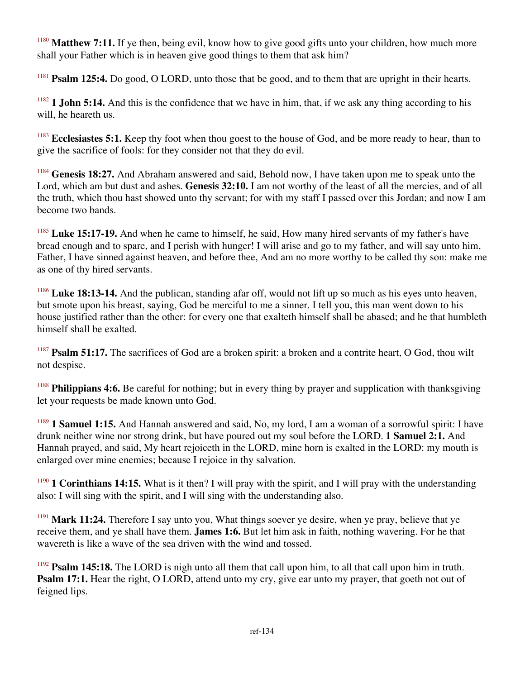<sup>1180</sup> Matthew 7:11. If ye then, being evil, know how to give good gifts unto your children, how much more shall your Father which is in heaven give good things to them that ask him?

<sup>1181</sup> **Psalm 125:4.** Do good, O LORD, unto those that be good, and to them that are upright in their hearts.

 $1182$  **1 John 5:14.** And this is the confidence that we have in him, that, if we ask any thing according to his will, he heareth us.

<sup>1183</sup> Ecclesiastes 5:1. Keep thy foot when thou goest to the house of God, and be more ready to hear, than to give the sacrifice of fools: for they consider not that they do evil.

<sup>1184</sup> **Genesis 18:27.** And Abraham answered and said, Behold now, I have taken upon me to speak unto the Lord, which am but dust and ashes. **Genesis 32:10.** I am not worthy of the least of all the mercies, and of all the truth, which thou hast showed unto thy servant; for with my staff I passed over this Jordan; and now I am become two bands.

<sup>1185</sup> Luke 15:17-19. And when he came to himself, he said, How many hired servants of my father's have bread enough and to spare, and I perish with hunger! I will arise and go to my father, and will say unto him, Father, I have sinned against heaven, and before thee, And am no more worthy to be called thy son: make me as one of thy hired servants.

<sup>1186</sup> Luke 18:13-14. And the publican, standing afar off, would not lift up so much as his eyes unto heaven, but smote upon his breast, saying, God be merciful to me a sinner. I tell you, this man went down to his house justified rather than the other: for every one that exalteth himself shall be abased; and he that humbleth himself shall be exalted.

<sup>1187</sup> **Psalm 51:17.** The sacrifices of God are a broken spirit: a broken and a contrite heart, O God, thou wilt not despise.

<sup>1188</sup> **Philippians 4:6.** Be careful for nothing; but in every thing by prayer and supplication with thanksgiving let your requests be made known unto God.

<sup>1189</sup> **1 Samuel 1:15.** And Hannah answered and said, No, my lord, I am a woman of a sorrowful spirit: I have drunk neither wine nor strong drink, but have poured out my soul before the LORD. **1 Samuel 2:1.** And Hannah prayed, and said, My heart rejoiceth in the LORD, mine horn is exalted in the LORD: my mouth is enlarged over mine enemies; because I rejoice in thy salvation.

<sup>1190</sup> **1 Corinthians 14:15.** What is it then? I will pray with the spirit, and I will pray with the understanding also: I will sing with the spirit, and I will sing with the understanding also.

<sup>1191</sup> **Mark 11:24.** Therefore I say unto you, What things soever ye desire, when ye pray, believe that ye receive them, and ye shall have them. **James 1:6.** But let him ask in faith, nothing wavering. For he that wavereth is like a wave of the sea driven with the wind and tossed.

<sup>1192</sup> **Psalm 145:18.** The LORD is nigh unto all them that call upon him, to all that call upon him in truth. **Psalm 17:1.** Hear the right, O LORD, attend unto my cry, give ear unto my prayer, that goeth not out of feigned lips.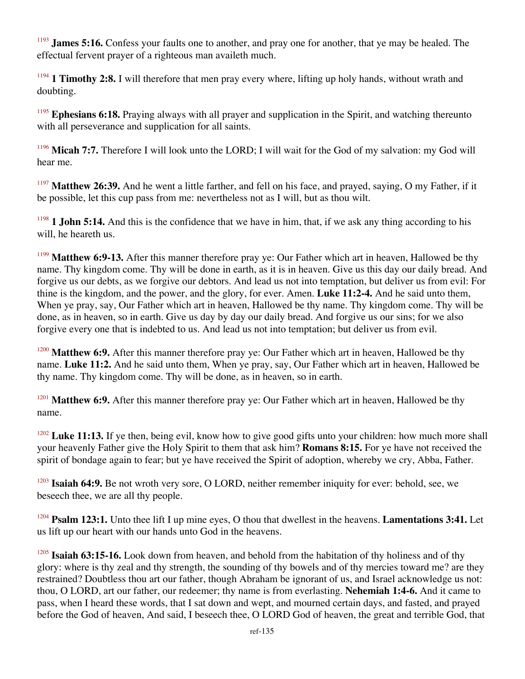<sup>1193</sup> **James 5:16.** Confess your faults one to another, and pray one for another, that ye may be healed. The effectual fervent prayer of a righteous man availeth much.

<sup>1194</sup> **1 Timothy 2:8.** I will therefore that men pray every where, lifting up holy hands, without wrath and doubting.

<sup>1195</sup> **Ephesians 6:18.** Praying always with all prayer and supplication in the Spirit, and watching thereunto with all perseverance and supplication for all saints.

<sup>1196</sup> Micah 7:7. Therefore I will look unto the LORD; I will wait for the God of my salvation: my God will hear me.

<sup>1197</sup> Matthew 26:39. And he went a little farther, and fell on his face, and prayed, saying, O my Father, if it be possible, let this cup pass from me: nevertheless not as I will, but as thou wilt.

<sup>1198</sup> **1 John 5:14.** And this is the confidence that we have in him, that, if we ask any thing according to his will, he heareth us.

<sup>1199</sup> Matthew 6:9-13. After this manner therefore pray ye: Our Father which art in heaven, Hallowed be thy name. Thy kingdom come. Thy will be done in earth, as it is in heaven. Give us this day our daily bread. And forgive us our debts, as we forgive our debtors. And lead us not into temptation, but deliver us from evil: For thine is the kingdom, and the power, and the glory, for ever. Amen. **Luke 11:2-4.** And he said unto them, When ye pray, say, Our Father which art in heaven, Hallowed be thy name. Thy kingdom come. Thy will be done, as in heaven, so in earth. Give us day by day our daily bread. And forgive us our sins; for we also forgive every one that is indebted to us. And lead us not into temptation; but deliver us from evil.

<sup>1200</sup> Matthew 6:9. After this manner therefore pray ye: Our Father which art in heaven, Hallowed be thy name. **Luke 11:2.** And he said unto them, When ye pray, say, Our Father which art in heaven, Hallowed be thy name. Thy kingdom come. Thy will be done, as in heaven, so in earth.

<sup>1201</sup> Matthew 6:9. After this manner therefore pray ye: Our Father which art in heaven, Hallowed be thy name.

<sup>1202</sup> Luke 11:13. If ye then, being evil, know how to give good gifts unto your children: how much more shall your heavenly Father give the Holy Spirit to them that ask him? **Romans 8:15.** For ye have not received the spirit of bondage again to fear; but ye have received the Spirit of adoption, whereby we cry, Abba, Father.

<sup>1203</sup> Isaiah 64:9. Be not wroth very sore, O LORD, neither remember iniquity for ever: behold, see, we beseech thee, we are all thy people.

<sup>1204</sup> **Psalm 123:1.** Unto thee lift I up mine eyes, O thou that dwellest in the heavens. **Lamentations 3:41.** Let us lift up our heart with our hands unto God in the heavens.

<sup>1205</sup> **Isaiah 63:15-16.** Look down from heaven, and behold from the habitation of thy holiness and of thy glory: where is thy zeal and thy strength, the sounding of thy bowels and of thy mercies toward me? are they restrained? Doubtless thou art our father, though Abraham be ignorant of us, and Israel acknowledge us not: thou, O LORD, art our father, our redeemer; thy name is from everlasting. **Nehemiah 1:4-6.** And it came to pass, when I heard these words, that I sat down and wept, and mourned certain days, and fasted, and prayed before the God of heaven, And said, I beseech thee, O LORD God of heaven, the great and terrible God, that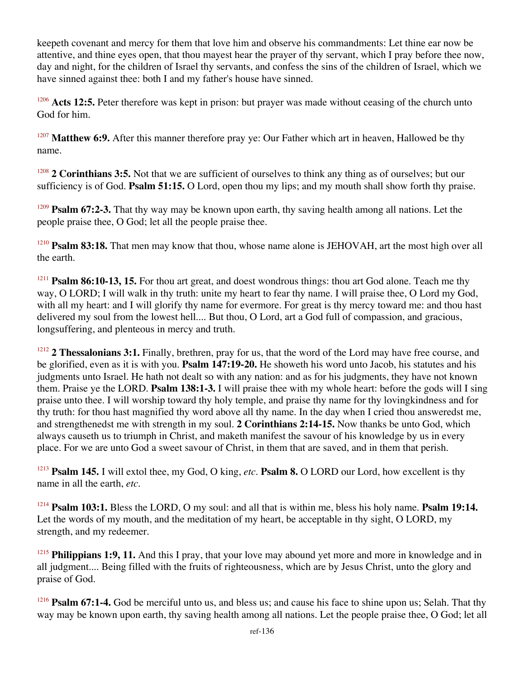keepeth covenant and mercy for them that love him and observe his commandments: Let thine ear now be attentive, and thine eyes open, that thou mayest hear the prayer of thy servant, which I pray before thee now, day and night, for the children of Israel thy servants, and confess the sins of the children of Israel, which we have sinned against thee: both I and my father's house have sinned.

<sup>1206</sup> Acts 12:5. Peter therefore was kept in prison: but prayer was made without ceasing of the church unto God for him.

<sup>1207</sup> Matthew 6:9. After this manner therefore pray ye: Our Father which art in heaven, Hallowed be thy name.

<sup>1208</sup> **2 Corinthians 3:5.** Not that we are sufficient of ourselves to think any thing as of ourselves; but our sufficiency is of God. **Psalm 51:15.** O Lord, open thou my lips; and my mouth shall show forth thy praise.

<sup>1209</sup> **Psalm 67:2-3.** That thy way may be known upon earth, thy saving health among all nations. Let the people praise thee, O God; let all the people praise thee.

<sup>1210</sup> **Psalm 83:18.** That men may know that thou, whose name alone is JEHOVAH, art the most high over all the earth.

<sup>1211</sup> **Psalm 86:10-13, 15.** For thou art great, and doest wondrous things: thou art God alone. Teach me thy way, O LORD; I will walk in thy truth: unite my heart to fear thy name. I will praise thee, O Lord my God, with all my heart: and I will glorify thy name for evermore. For great is thy mercy toward me: and thou hast delivered my soul from the lowest hell.... But thou, O Lord, art a God full of compassion, and gracious, longsuffering, and plenteous in mercy and truth.

<sup>1212</sup> **2 Thessalonians 3:1.** Finally, brethren, pray for us, that the word of the Lord may have free course, and be glorified, even as it is with you. **Psalm 147:19-20.** He showeth his word unto Jacob, his statutes and his judgments unto Israel. He hath not dealt so with any nation: and as for his judgments, they have not known them. Praise ye the LORD. **Psalm 138:1-3.** I will praise thee with my whole heart: before the gods will I sing praise unto thee. I will worship toward thy holy temple, and praise thy name for thy lovingkindness and for thy truth: for thou hast magnified thy word above all thy name. In the day when I cried thou answeredst me, and strengthenedst me with strength in my soul. **2 Corinthians 2:14-15.** Now thanks be unto God, which always causeth us to triumph in Christ, and maketh manifest the savour of his knowledge by us in every place. For we are unto God a sweet savour of Christ, in them that are saved, and in them that perish.

<sup>1213</sup> **Psalm 145.** I will extol thee, my God, O king, *etc*. **Psalm 8.** O LORD our Lord, how excellent is thy name in all the earth, *etc*.

<sup>1214</sup> **Psalm 103:1.** Bless the LORD, O my soul: and all that is within me, bless his holy name. **Psalm 19:14.** Let the words of my mouth, and the meditation of my heart, be acceptable in thy sight, O LORD, my strength, and my redeemer.

<sup>1215</sup> **Philippians 1:9, 11.** And this I pray, that your love may abound yet more and more in knowledge and in all judgment.... Being filled with the fruits of righteousness, which are by Jesus Christ, unto the glory and praise of God.

<sup>1216</sup> **Psalm 67:1-4.** God be merciful unto us, and bless us; and cause his face to shine upon us; Selah. That thy way may be known upon earth, thy saving health among all nations. Let the people praise thee, O God; let all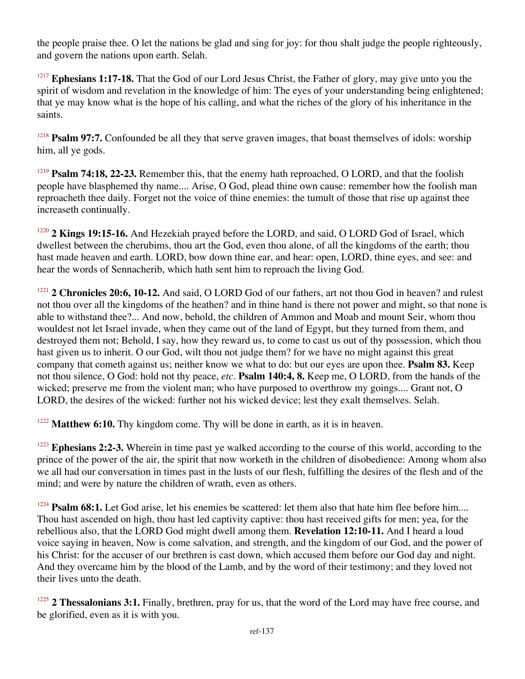the people praise thee. O let the nations be glad and sing for joy: for thou shalt judge the people righteously, and govern the nations upon earth. Selah.

<sup>1217</sup> Ephesians 1:17-18. That the God of our Lord Jesus Christ, the Father of glory, may give unto you the spirit of wisdom and revelation in the knowledge of him: The eyes of your understanding being enlightened; that ye may know what is the hope of his calling, and what the riches of the glory of his inheritance in the saints.

<sup>1218</sup> **Psalm 97:7.** Confounded be all they that serve graven images, that boast themselves of idols: worship him, all ye gods.

<sup>1219</sup> **Psalm 74:18, 22-23.** Remember this, that the enemy hath reproached, O LORD, and that the foolish people have blasphemed thy name.... Arise, O God, plead thine own cause: remember how the foolish man reproacheth thee daily. Forget not the voice of thine enemies: the tumult of those that rise up against thee increaseth continually.

<sup>1220</sup> 2 Kings 19:15-16. And Hezekiah prayed before the LORD, and said, O LORD God of Israel, which dwellest between the cherubims, thou art the God, even thou alone, of all the kingdoms of the earth; thou hast made heaven and earth. LORD, bow down thine ear, and hear: open, LORD, thine eyes, and see: and hear the words of Sennacherib, which hath sent him to reproach the living God.

<sup>1221</sup> **2 Chronicles 20:6, 10-12.** And said, O LORD God of our fathers, art not thou God in heaven? and rulest not thou over all the kingdoms of the heathen? and in thine hand is there not power and might, so that none is able to withstand thee?... And now, behold, the children of Ammon and Moab and mount Seir, whom thou wouldest not let Israel invade, when they came out of the land of Egypt, but they turned from them, and destroyed them not; Behold, I say, how they reward us, to come to cast us out of thy possession, which thou hast given us to inherit. O our God, wilt thou not judge them? for we have no might against this great company that cometh against us; neither know we what to do: but our eyes are upon thee. **Psalm 83.** Keep not thou silence, O God: hold not thy peace, *etc*. **Psalm 140:4, 8.** Keep me, O LORD, from the hands of the wicked; preserve me from the violent man; who have purposed to overthrow my goings.... Grant not, O LORD, the desires of the wicked: further not his wicked device; lest they exalt themselves. Selah.

<sup>1222</sup> Matthew 6:10. Thy kingdom come. Thy will be done in earth, as it is in heaven.

<sup>1223</sup> **Ephesians 2:2-3.** Wherein in time past ye walked according to the course of this world, according to the prince of the power of the air, the spirit that now worketh in the children of disobedience: Among whom also we all had our conversation in times past in the lusts of our flesh, fulfilling the desires of the flesh and of the mind; and were by nature the children of wrath, even as others.

<sup>1224</sup> **Psalm 68:1.** Let God arise, let his enemies be scattered: let them also that hate him flee before him.... Thou hast ascended on high, thou hast led captivity captive: thou hast received gifts for men; yea, for the rebellious also, that the LORD God might dwell among them. **Revelation 12:10-11.** And I heard a loud voice saying in heaven, Now is come salvation, and strength, and the kingdom of our God, and the power of his Christ: for the accuser of our brethren is cast down, which accused them before our God day and night. And they overcame him by the blood of the Lamb, and by the word of their testimony; and they loved not their lives unto the death.

<sup>1225</sup> **2 Thessalonians 3:1.** Finally, brethren, pray for us, that the word of the Lord may have free course, and be glorified, even as it is with you.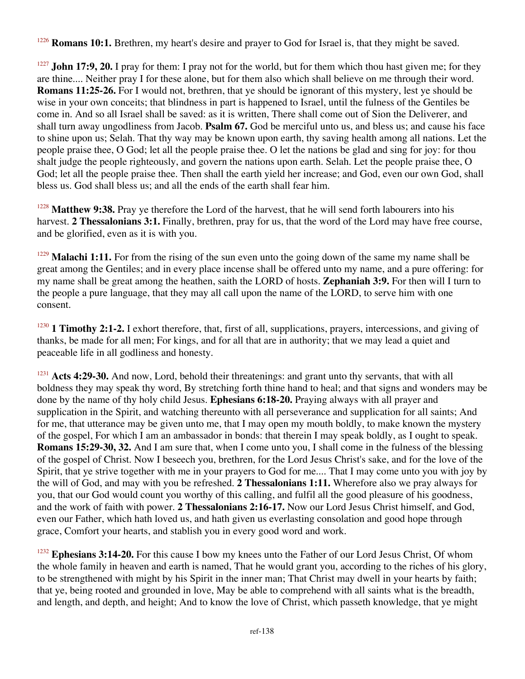**Romans 10:1.** Brethren, my heart's desire and prayer to God for Israel is, that they might be saved.

<sup>1227</sup> **John 17:9, 20.** I pray for them: I pray not for the world, but for them which thou hast given me; for they are thine.... Neither pray I for these alone, but for them also which shall believe on me through their word. **Romans 11:25-26.** For I would not, brethren, that ye should be ignorant of this mystery, lest ye should be wise in your own conceits; that blindness in part is happened to Israel, until the fulness of the Gentiles be come in. And so all Israel shall be saved: as it is written, There shall come out of Sion the Deliverer, and shall turn away ungodliness from Jacob. **Psalm 67.** God be merciful unto us, and bless us; and cause his face to shine upon us; Selah. That thy way may be known upon earth, thy saving health among all nations. Let the people praise thee, O God; let all the people praise thee. O let the nations be glad and sing for joy: for thou shalt judge the people righteously, and govern the nations upon earth. Selah. Let the people praise thee, O God; let all the people praise thee. Then shall the earth yield her increase; and God, even our own God, shall bless us. God shall bless us; and all the ends of the earth shall fear him.

<sup>1228</sup> Matthew 9:38. Pray ye therefore the Lord of the harvest, that he will send forth labourers into his harvest. **2 Thessalonians 3:1.** Finally, brethren, pray for us, that the word of the Lord may have free course, and be glorified, even as it is with you.

<sup>1229</sup> Malachi 1:11. For from the rising of the sun even unto the going down of the same my name shall be great among the Gentiles; and in every place incense shall be offered unto my name, and a pure offering: for my name shall be great among the heathen, saith the LORD of hosts. **Zephaniah 3:9.** For then will I turn to the people a pure language, that they may all call upon the name of the LORD, to serve him with one consent.

<sup>1230</sup> **1 Timothy 2:1-2.** I exhort therefore, that, first of all, supplications, prayers, intercessions, and giving of thanks, be made for all men; For kings, and for all that are in authority; that we may lead a quiet and peaceable life in all godliness and honesty.

<sup>1231</sup> Acts 4:29-30. And now, Lord, behold their threatenings: and grant unto thy servants, that with all boldness they may speak thy word, By stretching forth thine hand to heal; and that signs and wonders may be done by the name of thy holy child Jesus. **Ephesians 6:18-20.** Praying always with all prayer and supplication in the Spirit, and watching thereunto with all perseverance and supplication for all saints; And for me, that utterance may be given unto me, that I may open my mouth boldly, to make known the mystery of the gospel, For which I am an ambassador in bonds: that therein I may speak boldly, as I ought to speak. **Romans 15:29-30, 32.** And I am sure that, when I come unto you, I shall come in the fulness of the blessing of the gospel of Christ. Now I beseech you, brethren, for the Lord Jesus Christ's sake, and for the love of the Spirit, that ye strive together with me in your prayers to God for me.... That I may come unto you with joy by the will of God, and may with you be refreshed. **2 Thessalonians 1:11.** Wherefore also we pray always for you, that our God would count you worthy of this calling, and fulfil all the good pleasure of his goodness, and the work of faith with power. **2 Thessalonians 2:16-17.** Now our Lord Jesus Christ himself, and God, even our Father, which hath loved us, and hath given us everlasting consolation and good hope through grace, Comfort your hearts, and stablish you in every good word and work.

<sup>1232</sup> Ephesians 3:14-20. For this cause I bow my knees unto the Father of our Lord Jesus Christ, Of whom the whole family in heaven and earth is named, That he would grant you, according to the riches of his glory, to be strengthened with might by his Spirit in the inner man; That Christ may dwell in your hearts by faith; that ye, being rooted and grounded in love, May be able to comprehend with all saints what is the breadth, and length, and depth, and height; And to know the love of Christ, which passeth knowledge, that ye might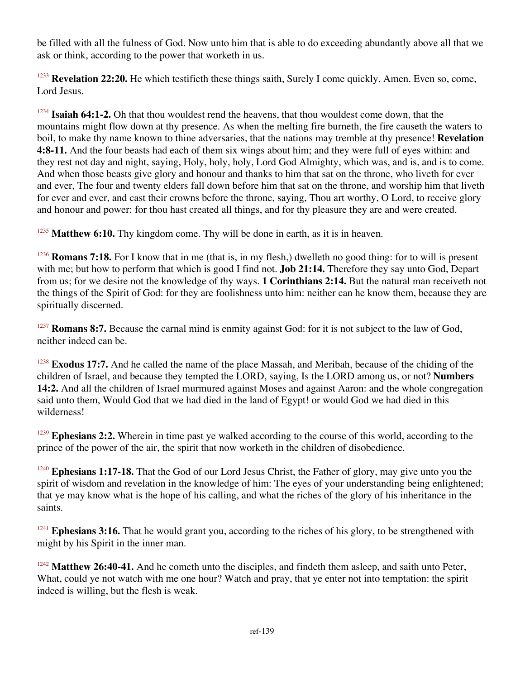be filled with all the fulness of God. Now unto him that is able to do exceeding abundantly above all that we ask or think, according to the power that worketh in us.

<sup>1233</sup> Revelation 22:20. He which testifieth these things saith, Surely I come quickly. Amen. Even so, come, Lord Jesus.

<sup>1234</sup> Isaiah 64:1-2. Oh that thou wouldest rend the heavens, that thou wouldest come down, that the mountains might flow down at thy presence. As when the melting fire burneth, the fire causeth the waters to boil, to make thy name known to thine adversaries, that the nations may tremble at thy presence! **Revelation 4:8-11.** And the four beasts had each of them six wings about him; and they were full of eyes within: and they rest not day and night, saying, Holy, holy, holy, Lord God Almighty, which was, and is, and is to come. And when those beasts give glory and honour and thanks to him that sat on the throne, who liveth for ever and ever, The four and twenty elders fall down before him that sat on the throne, and worship him that liveth for ever and ever, and cast their crowns before the throne, saying, Thou art worthy, O Lord, to receive glory and honour and power: for thou hast created all things, and for thy pleasure they are and were created.

<sup>1235</sup> Matthew 6:10. Thy kingdom come. Thy will be done in earth, as it is in heaven.

<sup>1236</sup> **Romans 7:18.** For I know that in me (that is, in my flesh,) dwelleth no good thing: for to will is present with me; but how to perform that which is good I find not. **Job 21:14.** Therefore they say unto God, Depart from us; for we desire not the knowledge of thy ways. **1 Corinthians 2:14.** But the natural man receiveth not the things of the Spirit of God: for they are foolishness unto him: neither can he know them, because they are spiritually discerned.

<sup>1237</sup> **Romans 8:7.** Because the carnal mind is enmity against God: for it is not subject to the law of God, neither indeed can be.

<sup>1238</sup> **Exodus 17:7.** And he called the name of the place Massah, and Meribah, because of the chiding of the children of Israel, and because they tempted the LORD, saying, Is the LORD among us, or not? **Numbers 14:2.** And all the children of Israel murmured against Moses and against Aaron: and the whole congregation said unto them, Would God that we had died in the land of Egypt! or would God we had died in this wilderness!

<sup>1239</sup> **Ephesians 2:2.** Wherein in time past ye walked according to the course of this world, according to the prince of the power of the air, the spirit that now worketh in the children of disobedience.

<sup>1240</sup> **Ephesians 1:17-18.** That the God of our Lord Jesus Christ, the Father of glory, may give unto you the spirit of wisdom and revelation in the knowledge of him: The eyes of your understanding being enlightened; that ye may know what is the hope of his calling, and what the riches of the glory of his inheritance in the saints.

<sup>1241</sup> **Ephesians 3:16.** That he would grant you, according to the riches of his glory, to be strengthened with might by his Spirit in the inner man.

<sup>1242</sup> Matthew 26:40-41. And he cometh unto the disciples, and findeth them asleep, and saith unto Peter, What, could ye not watch with me one hour? Watch and pray, that ye enter not into temptation: the spirit indeed is willing, but the flesh is weak.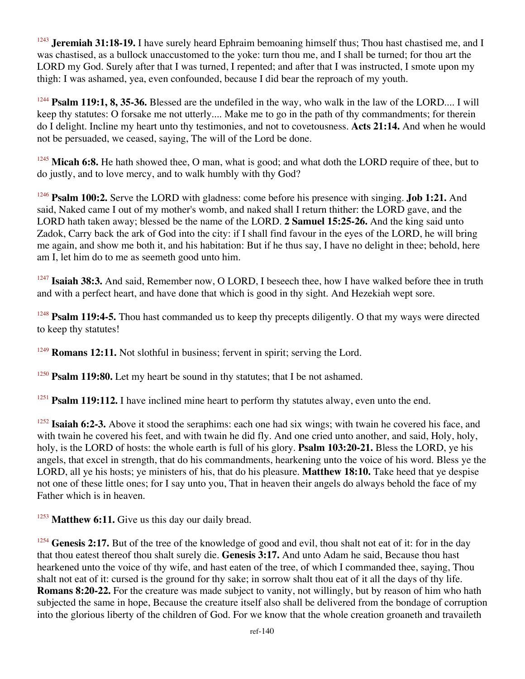<sup>1243</sup> **Jeremiah 31:18-19.** I have surely heard Ephraim bemoaning himself thus; Thou hast chastised me, and I was chastised, as a bullock unaccustomed to the yoke: turn thou me, and I shall be turned; for thou art the LORD my God. Surely after that I was turned, I repented; and after that I was instructed, I smote upon my thigh: I was ashamed, yea, even confounded, because I did bear the reproach of my youth.

<sup>1244</sup> **Psalm 119:1, 8, 35-36.** Blessed are the undefiled in the way, who walk in the law of the LORD.... I will keep thy statutes: O forsake me not utterly.... Make me to go in the path of thy commandments; for therein do I delight. Incline my heart unto thy testimonies, and not to covetousness. **Acts 21:14.** And when he would not be persuaded, we ceased, saying, The will of the Lord be done.

<sup>1245</sup> Micah 6:8. He hath showed thee, O man, what is good; and what doth the LORD require of thee, but to do justly, and to love mercy, and to walk humbly with thy God?

<sup>1246</sup> **Psalm 100:2.** Serve the LORD with gladness: come before his presence with singing. **Job 1:21.** And said, Naked came I out of my mother's womb, and naked shall I return thither: the LORD gave, and the LORD hath taken away; blessed be the name of the LORD. **2 Samuel 15:25-26.** And the king said unto Zadok, Carry back the ark of God into the city: if I shall find favour in the eyes of the LORD, he will bring me again, and show me both it, and his habitation: But if he thus say, I have no delight in thee; behold, here am I, let him do to me as seemeth good unto him.

<sup>1247</sup> Isaiah 38:3. And said, Remember now, O LORD, I beseech thee, how I have walked before thee in truth and with a perfect heart, and have done that which is good in thy sight. And Hezekiah wept sore.

<sup>1248</sup> **Psalm 119:4-5.** Thou hast commanded us to keep thy precepts diligently. O that my ways were directed to keep thy statutes!

<sup>1249</sup> **Romans 12:11.** Not slothful in business; fervent in spirit; serving the Lord.

<sup>1250</sup> **Psalm 119:80.** Let my heart be sound in thy statutes; that I be not ashamed.

<sup>1251</sup> **Psalm 119:112.** I have inclined mine heart to perform thy statutes alway, even unto the end.

<sup>1252</sup> **Isaiah 6:2-3.** Above it stood the seraphims: each one had six wings; with twain he covered his face, and with twain he covered his feet, and with twain he did fly. And one cried unto another, and said, Holy, holy, holy, is the LORD of hosts: the whole earth is full of his glory. **Psalm 103:20-21.** Bless the LORD, ye his angels, that excel in strength, that do his commandments, hearkening unto the voice of his word. Bless ye the LORD, all ye his hosts; ye ministers of his, that do his pleasure. **Matthew 18:10.** Take heed that ye despise not one of these little ones; for I say unto you, That in heaven their angels do always behold the face of my Father which is in heaven.

<sup>1253</sup> Matthew 6:11. Give us this day our daily bread.

<sup>1254</sup> **Genesis 2:17.** But of the tree of the knowledge of good and evil, thou shalt not eat of it: for in the day that thou eatest thereof thou shalt surely die. **Genesis 3:17.** And unto Adam he said, Because thou hast hearkened unto the voice of thy wife, and hast eaten of the tree, of which I commanded thee, saying, Thou shalt not eat of it: cursed is the ground for thy sake; in sorrow shalt thou eat of it all the days of thy life. **Romans 8:20-22.** For the creature was made subject to vanity, not willingly, but by reason of him who hath subjected the same in hope, Because the creature itself also shall be delivered from the bondage of corruption into the glorious liberty of the children of God. For we know that the whole creation groaneth and travaileth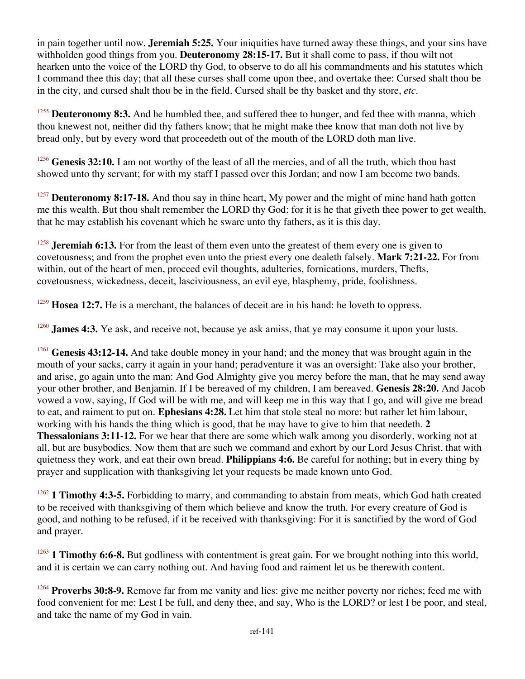in pain together until now. **Jeremiah 5:25.** Your iniquities have turned away these things, and your sins have withholden good things from you. **Deuteronomy 28:15-17.** But it shall come to pass, if thou wilt not hearken unto the voice of the LORD thy God, to observe to do all his commandments and his statutes which I command thee this day; that all these curses shall come upon thee, and overtake thee: Cursed shalt thou be in the city, and cursed shalt thou be in the field. Cursed shall be thy basket and thy store, *etc*.

<sup>1255</sup> Deuteronomy 8:3. And he humbled thee, and suffered thee to hunger, and fed thee with manna, which thou knewest not, neither did thy fathers know; that he might make thee know that man doth not live by bread only, but by every word that proceedeth out of the mouth of the LORD doth man live.

<sup>1256</sup> **Genesis 32:10.** I am not worthy of the least of all the mercies, and of all the truth, which thou hast showed unto thy servant; for with my staff I passed over this Jordan; and now I am become two bands.

<sup>1257</sup> **Deuteronomy 8:17-18.** And thou say in thine heart, My power and the might of mine hand hath gotten me this wealth. But thou shalt remember the LORD thy God: for it is he that giveth thee power to get wealth, that he may establish his covenant which he sware unto thy fathers, as it is this day.

<sup>1258</sup> **Jeremiah 6:13.** For from the least of them even unto the greatest of them every one is given to covetousness; and from the prophet even unto the priest every one dealeth falsely. **Mark 7:21-22.** For from within, out of the heart of men, proceed evil thoughts, adulteries, fornications, murders, Thefts, covetousness, wickedness, deceit, lasciviousness, an evil eye, blasphemy, pride, foolishness.

<sup>1259</sup> **Hosea 12:7.** He is a merchant, the balances of deceit are in his hand: he loveth to oppress.

<sup>1260</sup> **James 4:3.** Ye ask, and receive not, because ye ask amiss, that ye may consume it upon your lusts.

<sup>1261</sup> Genesis 43:12-14. And take double money in your hand; and the money that was brought again in the mouth of your sacks, carry it again in your hand; peradventure it was an oversight: Take also your brother, and arise, go again unto the man: And God Almighty give you mercy before the man, that he may send away your other brother, and Benjamin. If I be bereaved of my children, I am bereaved. **Genesis 28:20.** And Jacob vowed a vow, saying, If God will be with me, and will keep me in this way that I go, and will give me bread to eat, and raiment to put on. **Ephesians 4:28.** Let him that stole steal no more: but rather let him labour, working with his hands the thing which is good, that he may have to give to him that needeth. **2 Thessalonians 3:11-12.** For we hear that there are some which walk among you disorderly, working not at all, but are busybodies. Now them that are such we command and exhort by our Lord Jesus Christ, that with quietness they work, and eat their own bread. **Philippians 4:6.** Be careful for nothing; but in every thing by prayer and supplication with thanksgiving let your requests be made known unto God.

<sup>1262</sup> **1 Timothy 4:3-5.** Forbidding to marry, and commanding to abstain from meats, which God hath created to be received with thanksgiving of them which believe and know the truth. For every creature of God is good, and nothing to be refused, if it be received with thanksgiving: For it is sanctified by the word of God and prayer.

<sup>1263</sup> **1 Timothy 6:6-8.** But godliness with contentment is great gain. For we brought nothing into this world, and it is certain we can carry nothing out. And having food and raiment let us be therewith content.

<sup>1264</sup> **Proverbs 30:8-9.** Remove far from me vanity and lies: give me neither poverty nor riches; feed me with food convenient for me: Lest I be full, and deny thee, and say, Who is the LORD? or lest I be poor, and steal, and take the name of my God in vain.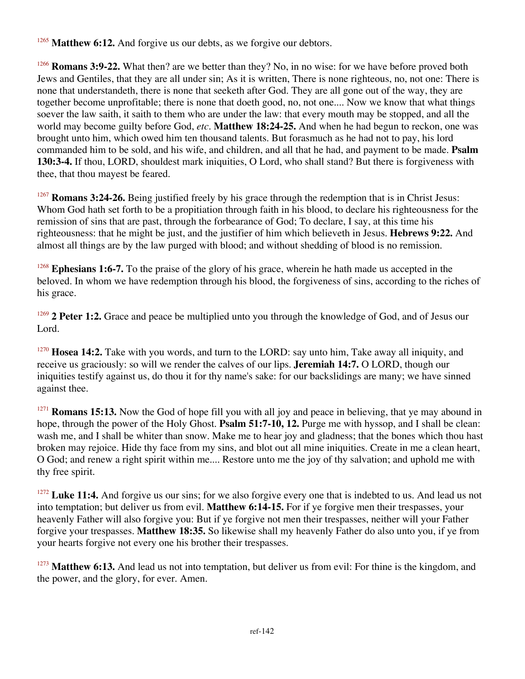<sup>1265</sup> Matthew 6:12. And forgive us our debts, as we forgive our debtors.

<sup>1266</sup> **Romans 3:9-22.** What then? are we better than they? No, in no wise: for we have before proved both Jews and Gentiles, that they are all under sin; As it is written, There is none righteous, no, not one: There is none that understandeth, there is none that seeketh after God. They are all gone out of the way, they are together become unprofitable; there is none that doeth good, no, not one.... Now we know that what things soever the law saith, it saith to them who are under the law: that every mouth may be stopped, and all the world may become guilty before God, *etc*. **Matthew 18:24-25.** And when he had begun to reckon, one was brought unto him, which owed him ten thousand talents. But forasmuch as he had not to pay, his lord commanded him to be sold, and his wife, and children, and all that he had, and payment to be made. **Psalm 130:3-4.** If thou, LORD, shouldest mark iniquities, O Lord, who shall stand? But there is forgiveness with thee, that thou mayest be feared.

<sup>1267</sup> **Romans 3:24-26.** Being justified freely by his grace through the redemption that is in Christ Jesus: Whom God hath set forth to be a propitiation through faith in his blood, to declare his righteousness for the remission of sins that are past, through the forbearance of God; To declare, I say, at this time his righteousness: that he might be just, and the justifier of him which believeth in Jesus. **Hebrews 9:22.** And almost all things are by the law purged with blood; and without shedding of blood is no remission.

<sup>1268</sup> **Ephesians 1:6-7.** To the praise of the glory of his grace, wherein he hath made us accepted in the beloved. In whom we have redemption through his blood, the forgiveness of sins, according to the riches of his grace.

<sup>1269</sup> **2 Peter 1:2.** Grace and peace be multiplied unto you through the knowledge of God, and of Jesus our Lord.

<sup>1270</sup> **Hosea 14:2.** Take with you words, and turn to the LORD: say unto him, Take away all iniquity, and receive us graciously: so will we render the calves of our lips. **Jeremiah 14:7.** O LORD, though our iniquities testify against us, do thou it for thy name's sake: for our backslidings are many; we have sinned against thee.

<sup>1271</sup> **Romans 15:13.** Now the God of hope fill you with all joy and peace in believing, that ye may abound in hope, through the power of the Holy Ghost. **Psalm 51:7-10, 12.** Purge me with hyssop, and I shall be clean: wash me, and I shall be whiter than snow. Make me to hear joy and gladness; that the bones which thou hast broken may rejoice. Hide thy face from my sins, and blot out all mine iniquities. Create in me a clean heart, O God; and renew a right spirit within me.... Restore unto me the joy of thy salvation; and uphold me with thy free spirit.

<sup>1272</sup> Luke 11:4. And forgive us our sins; for we also forgive every one that is indebted to us. And lead us not into temptation; but deliver us from evil. **Matthew 6:14-15.** For if ye forgive men their trespasses, your heavenly Father will also forgive you: But if ye forgive not men their trespasses, neither will your Father forgive your trespasses. **Matthew 18:35.** So likewise shall my heavenly Father do also unto you, if ye from your hearts forgive not every one his brother their trespasses.

<sup>1273</sup> Matthew 6:13. And lead us not into temptation, but deliver us from evil: For thine is the kingdom, and the power, and the glory, for ever. Amen.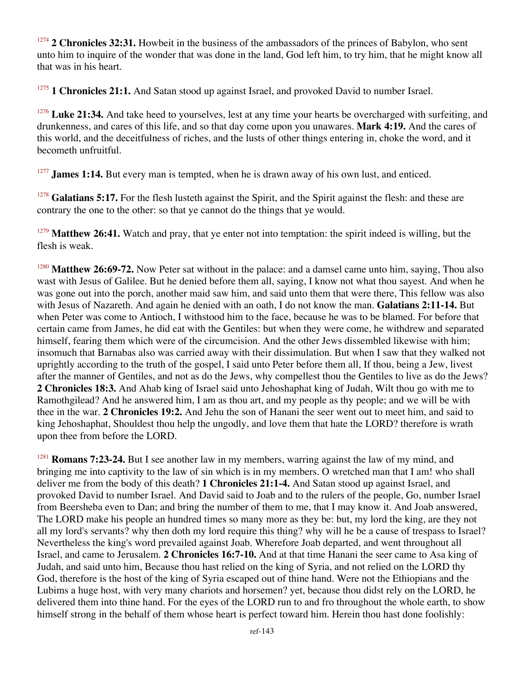<sup>1274</sup> 2 Chronicles 32:31. Howbeit in the business of the ambassadors of the princes of Babylon, who sent unto him to inquire of the wonder that was done in the land, God left him, to try him, that he might know all that was in his heart.

1 Chronicles 21:1. And Satan stood up against Israel, and provoked David to number Israel.

<sup>1276</sup> Luke 21:34. And take heed to yourselves, lest at any time your hearts be overcharged with surfeiting, and drunkenness, and cares of this life, and so that day come upon you unawares. **Mark 4:19.** And the cares of this world, and the deceitfulness of riches, and the lusts of other things entering in, choke the word, and it becometh unfruitful.

<sup>1277</sup> **James 1:14.** But every man is tempted, when he is drawn away of his own lust, and enticed.

<sup>1278</sup> Galatians 5:17. For the flesh lusteth against the Spirit, and the Spirit against the flesh: and these are contrary the one to the other: so that ye cannot do the things that ye would.

<sup>1279</sup> Matthew 26:41. Watch and pray, that ye enter not into temptation: the spirit indeed is willing, but the flesh is weak.

<sup>1280</sup> Matthew 26:69-72. Now Peter sat without in the palace: and a damsel came unto him, saying, Thou also wast with Jesus of Galilee. But he denied before them all, saying, I know not what thou sayest. And when he was gone out into the porch, another maid saw him, and said unto them that were there, This fellow was also with Jesus of Nazareth. And again he denied with an oath, I do not know the man. **Galatians 2:11-14.** But when Peter was come to Antioch, I withstood him to the face, because he was to be blamed. For before that certain came from James, he did eat with the Gentiles: but when they were come, he withdrew and separated himself, fearing them which were of the circumcision. And the other Jews dissembled likewise with him; insomuch that Barnabas also was carried away with their dissimulation. But when I saw that they walked not uprightly according to the truth of the gospel, I said unto Peter before them all, If thou, being a Jew, livest after the manner of Gentiles, and not as do the Jews, why compellest thou the Gentiles to live as do the Jews? **2 Chronicles 18:3.** And Ahab king of Israel said unto Jehoshaphat king of Judah, Wilt thou go with me to Ramothgilead? And he answered him, I am as thou art, and my people as thy people; and we will be with thee in the war. **2 Chronicles 19:2.** And Jehu the son of Hanani the seer went out to meet him, and said to king Jehoshaphat, Shouldest thou help the ungodly, and love them that hate the LORD? therefore is wrath upon thee from before the LORD.

<sup>1281</sup> **Romans 7:23-24.** But I see another law in my members, warring against the law of my mind, and bringing me into captivity to the law of sin which is in my members. O wretched man that I am! who shall deliver me from the body of this death? **1 Chronicles 21:1-4.** And Satan stood up against Israel, and provoked David to number Israel. And David said to Joab and to the rulers of the people, Go, number Israel from Beersheba even to Dan; and bring the number of them to me, that I may know it. And Joab answered, The LORD make his people an hundred times so many more as they be: but, my lord the king, are they not all my lord's servants? why then doth my lord require this thing? why will he be a cause of trespass to Israel? Nevertheless the king's word prevailed against Joab. Wherefore Joab departed, and went throughout all Israel, and came to Jerusalem. **2 Chronicles 16:7-10.** And at that time Hanani the seer came to Asa king of Judah, and said unto him, Because thou hast relied on the king of Syria, and not relied on the LORD thy God, therefore is the host of the king of Syria escaped out of thine hand. Were not the Ethiopians and the Lubims a huge host, with very many chariots and horsemen? yet, because thou didst rely on the LORD, he delivered them into thine hand. For the eyes of the LORD run to and fro throughout the whole earth, to show himself strong in the behalf of them whose heart is perfect toward him. Herein thou hast done foolishly: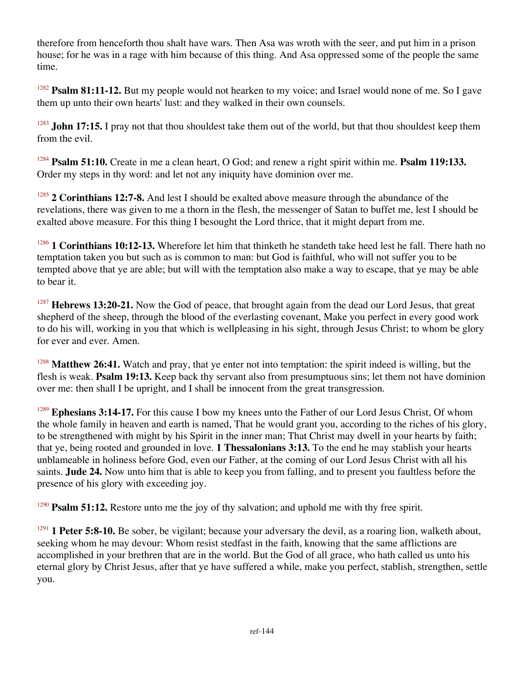therefore from henceforth thou shalt have wars. Then Asa was wroth with the seer, and put him in a prison house; for he was in a rage with him because of this thing. And Asa oppressed some of the people the same time.

<sup>1282</sup> **Psalm 81:11-12.** But my people would not hearken to my voice; and Israel would none of me. So I gave them up unto their own hearts' lust: and they walked in their own counsels.

<sup>1283</sup> **John 17:15.** I pray not that thou shouldest take them out of the world, but that thou shouldest keep them from the evil.

<sup>1284</sup> **Psalm 51:10.** Create in me a clean heart, O God; and renew a right spirit within me. **Psalm 119:133.** Order my steps in thy word: and let not any iniquity have dominion over me.

<sup>1285</sup> 2 Corinthians 12:7-8. And lest I should be exalted above measure through the abundance of the revelations, there was given to me a thorn in the flesh, the messenger of Satan to buffet me, lest I should be exalted above measure. For this thing I besought the Lord thrice, that it might depart from me.

<sup>1286</sup> **1 Corinthians 10:12-13.** Wherefore let him that thinketh he standeth take heed lest he fall. There hath no temptation taken you but such as is common to man: but God is faithful, who will not suffer you to be tempted above that ye are able; but will with the temptation also make a way to escape, that ye may be able to bear it.

<sup>1287</sup> **Hebrews 13:20-21.** Now the God of peace, that brought again from the dead our Lord Jesus, that great shepherd of the sheep, through the blood of the everlasting covenant, Make you perfect in every good work to do his will, working in you that which is wellpleasing in his sight, through Jesus Christ; to whom be glory for ever and ever. Amen.

<sup>1288</sup> Matthew 26:41. Watch and pray, that ye enter not into temptation: the spirit indeed is willing, but the flesh is weak. **Psalm 19:13.** Keep back thy servant also from presumptuous sins; let them not have dominion over me: then shall I be upright, and I shall be innocent from the great transgression.

<sup>1289</sup> Ephesians 3:14-17. For this cause I bow my knees unto the Father of our Lord Jesus Christ, Of whom the whole family in heaven and earth is named, That he would grant you, according to the riches of his glory, to be strengthened with might by his Spirit in the inner man; That Christ may dwell in your hearts by faith; that ye, being rooted and grounded in love. **1 Thessalonians 3:13.** To the end he may stablish your hearts unblameable in holiness before God, even our Father, at the coming of our Lord Jesus Christ with all his saints. **Jude 24.** Now unto him that is able to keep you from falling, and to present you faultless before the presence of his glory with exceeding joy.

<sup>1290</sup> **Psalm 51:12.** Restore unto me the joy of thy salvation; and uphold me with thy free spirit.

<sup>1291</sup> **1 Peter 5:8-10.** Be sober, be vigilant; because your adversary the devil, as a roaring lion, walketh about, seeking whom he may devour: Whom resist stedfast in the faith, knowing that the same afflictions are accomplished in your brethren that are in the world. But the God of all grace, who hath called us unto his eternal glory by Christ Jesus, after that ye have suffered a while, make you perfect, stablish, strengthen, settle you.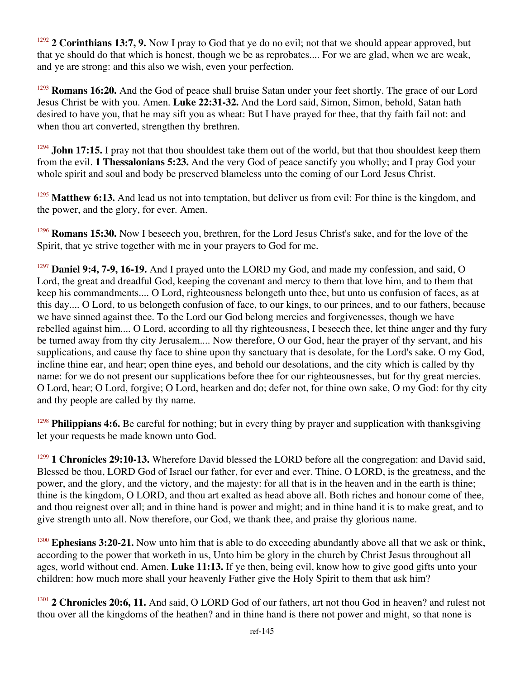<sup>1292</sup> 2 Corinthians 13:7, 9. Now I pray to God that ye do no evil; not that we should appear approved, but that ye should do that which is honest, though we be as reprobates.... For we are glad, when we are weak, and ye are strong: and this also we wish, even your perfection.

<sup>1293</sup> **Romans 16:20.** And the God of peace shall bruise Satan under your feet shortly. The grace of our Lord Jesus Christ be with you. Amen. **Luke 22:31-32.** And the Lord said, Simon, Simon, behold, Satan hath desired to have you, that he may sift you as wheat: But I have prayed for thee, that thy faith fail not: and when thou art converted, strengthen thy brethren.

<sup>1294</sup> **John 17:15.** I pray not that thou shouldest take them out of the world, but that thou shouldest keep them from the evil. **1 Thessalonians 5:23.** And the very God of peace sanctify you wholly; and I pray God your whole spirit and soul and body be preserved blameless unto the coming of our Lord Jesus Christ.

<sup>1295</sup> Matthew 6:13. And lead us not into temptation, but deliver us from evil: For thine is the kingdom, and the power, and the glory, for ever. Amen.

<sup>1296</sup> **Romans 15:30.** Now I beseech you, brethren, for the Lord Jesus Christ's sake, and for the love of the Spirit, that ye strive together with me in your prayers to God for me.

<sup>1297</sup> **Daniel 9:4, 7-9, 16-19.** And I prayed unto the LORD my God, and made my confession, and said, O Lord, the great and dreadful God, keeping the covenant and mercy to them that love him, and to them that keep his commandments.... O Lord, righteousness belongeth unto thee, but unto us confusion of faces, as at this day.... O Lord, to us belongeth confusion of face, to our kings, to our princes, and to our fathers, because we have sinned against thee. To the Lord our God belong mercies and forgivenesses, though we have rebelled against him.... O Lord, according to all thy righteousness, I beseech thee, let thine anger and thy fury be turned away from thy city Jerusalem.... Now therefore, O our God, hear the prayer of thy servant, and his supplications, and cause thy face to shine upon thy sanctuary that is desolate, for the Lord's sake. O my God, incline thine ear, and hear; open thine eyes, and behold our desolations, and the city which is called by thy name: for we do not present our supplications before thee for our righteousnesses, but for thy great mercies. O Lord, hear; O Lord, forgive; O Lord, hearken and do; defer not, for thine own sake, O my God: for thy city and thy people are called by thy name.

<sup>1298</sup> **Philippians 4:6.** Be careful for nothing; but in every thing by prayer and supplication with thanksgiving let your requests be made known unto God.

<sup>1299</sup> **1 Chronicles 29:10-13.** Wherefore David blessed the LORD before all the congregation: and David said, Blessed be thou, LORD God of Israel our father, for ever and ever. Thine, O LORD, is the greatness, and the power, and the glory, and the victory, and the majesty: for all that is in the heaven and in the earth is thine; thine is the kingdom, O LORD, and thou art exalted as head above all. Both riches and honour come of thee, and thou reignest over all; and in thine hand is power and might; and in thine hand it is to make great, and to give strength unto all. Now therefore, our God, we thank thee, and praise thy glorious name.

<sup>1300</sup> **Ephesians 3:20-21.** Now unto him that is able to do exceeding abundantly above all that we ask or think, according to the power that worketh in us, Unto him be glory in the church by Christ Jesus throughout all ages, world without end. Amen. **Luke 11:13.** If ye then, being evil, know how to give good gifts unto your children: how much more shall your heavenly Father give the Holy Spirit to them that ask him?

<sup>1301</sup> 2 Chronicles 20:6, 11. And said, O LORD God of our fathers, art not thou God in heaven? and rulest not thou over all the kingdoms of the heathen? and in thine hand is there not power and might, so that none is